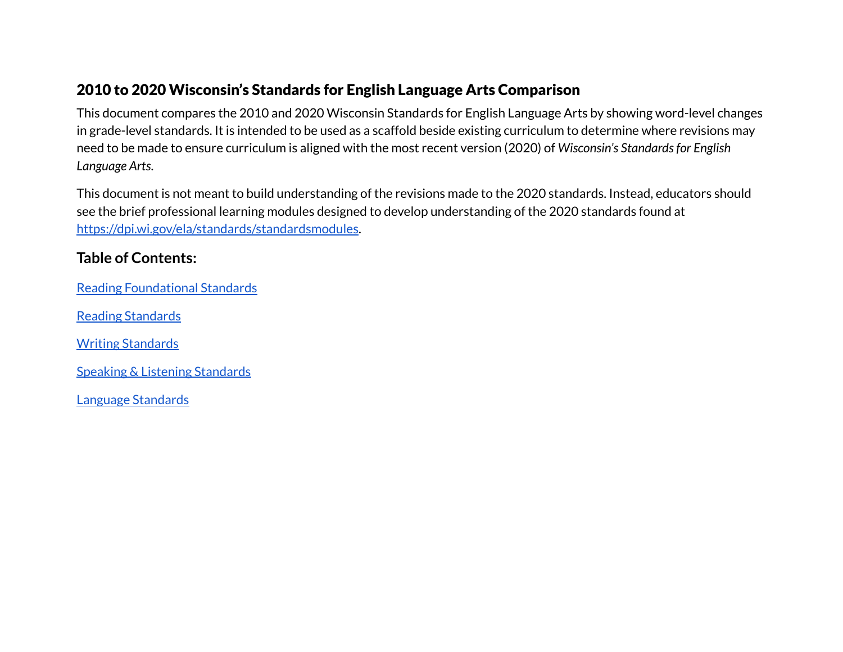#### 2010 to 2020 Wisconsin's Standards for English Language Arts Comparison

This document compares the 2010 and 2020 Wisconsin Standards for English Language Arts by showing word-level changes in grade-level standards. It is intended to be used as a scaffold beside existing curriculum to determine where revisions may need to be made to ensure curriculum is aligned with the most recent version (2020) of *Wisconsin's Standardsfor English Language Arts*.

This document is not meant to build understanding of the revisions made to the 2020 standards. Instead, educators should see the brief professional learning modules designed to develop understanding of the 2020 standards found at [https://dpi.wi.gov/ela/standards/standardsmodules.](https://dpi.wi.gov/ela/standards/standardsmodules)

#### **Table of Contents:**

Reading [Foundational](#page-1-0) Standards

Reading [Standards](#page-9-0)

Writing [Standards](#page-51-0)

Speaking & Listening [Standards](#page-81-0)

Language [Standards](#page-98-0)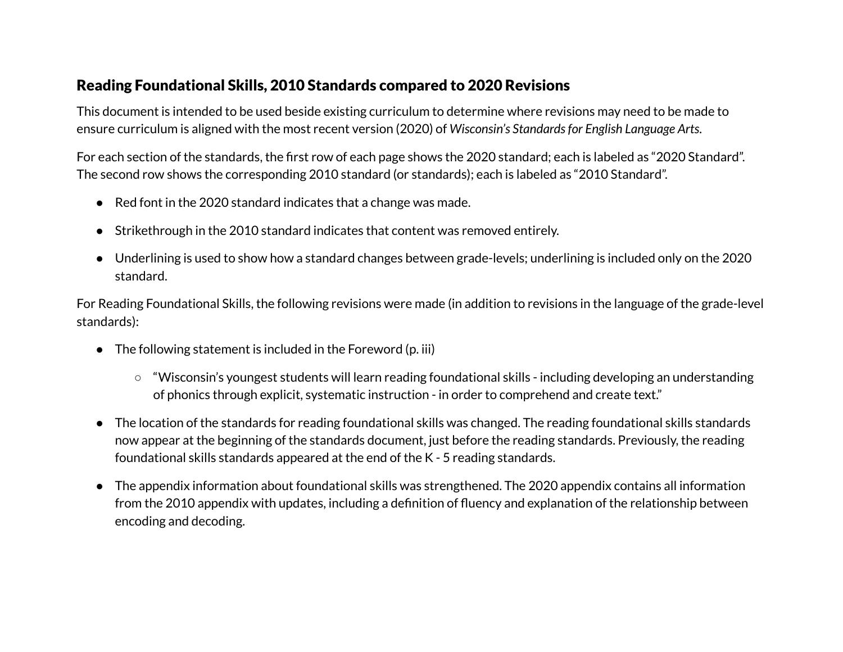#### <span id="page-1-0"></span>Reading Foundational Skills, 2010 Standards compared to 2020 Revisions

This document is intended to be used beside existing curriculum to determine where revisions may need to be made to ensure curriculum is aligned with the most recent version (2020) of *Wisconsin's Standardsfor English Language Arts*.

For each section of the standards, the first row of each page shows the 2020 standard; each is labeled as "2020 Standard". The second row shows the corresponding 2010 standard (or standards); each is labeled as "2010 Standard".

- Red font in the 2020 standard indicates that a change was made.
- Strikethrough in the 2010 standard indicates that content was removed entirely.
- Underlining is used to show how a standard changes between grade-levels; underlining is included only on the 2020 standard.

For Reading Foundational Skills, the following revisions were made (in addition to revisions in the language of the grade-level standards):

- $\bullet$  The following statement is included in the Foreword (p. iii)
	- "Wisconsin's youngest students will learn reading foundational skills including developing an understanding of phonics through explicit, systematic instruction - in order to comprehend and create text."
- The location of the standards for reading foundational skills was changed. The reading foundational skills standards now appear at the beginning of the standards document, just before the reading standards. Previously, the reading foundational skills standards appeared at the end of the K - 5 reading standards.
- The appendix information about foundational skills was strengthened. The 2020 appendix contains all information from the 2010 appendix with updates, including a definition of fluency and explanation of the relationship between encoding and decoding.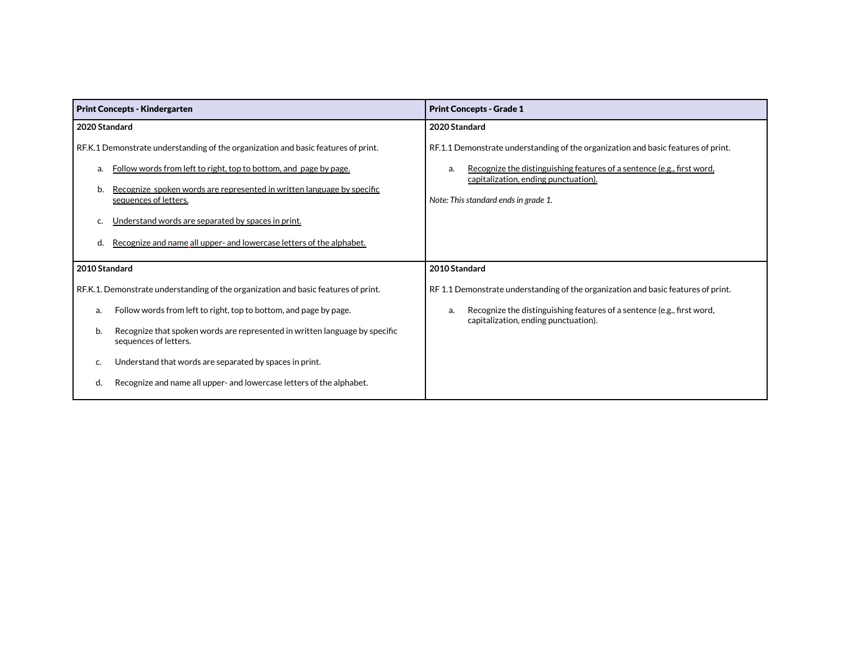| <b>Print Concepts - Kindergarten</b>                                                                                                                         | <b>Print Concepts - Grade 1</b>                                                                                                                                   |
|--------------------------------------------------------------------------------------------------------------------------------------------------------------|-------------------------------------------------------------------------------------------------------------------------------------------------------------------|
| 2020 Standard                                                                                                                                                | 2020 Standard                                                                                                                                                     |
| RF.K.1 Demonstrate understanding of the organization and basic features of print.<br>Follow words from left to right, top to bottom, and page by page.<br>a. | RF.1.1 Demonstrate understanding of the organization and basic features of print.<br>Recognize the distinguishing features of a sentence (e.g., first word,<br>a. |
| Recognize spoken words are represented in written language by specific<br>b.<br>sequences of letters.                                                        | capitalization, ending punctuation).<br>Note: This standard ends in grade 1.                                                                                      |
| Understand words are separated by spaces in print.                                                                                                           |                                                                                                                                                                   |
| Recognize and name all upper- and lowercase letters of the alphabet.<br>d.                                                                                   |                                                                                                                                                                   |
| 2010 Standard                                                                                                                                                | 2010 Standard                                                                                                                                                     |
| RF.K.1. Demonstrate understanding of the organization and basic features of print.                                                                           | RF 1.1 Demonstrate understanding of the organization and basic features of print.                                                                                 |
| Follow words from left to right, top to bottom, and page by page.<br>a.                                                                                      | Recognize the distinguishing features of a sentence (e.g., first word,<br>a.<br>capitalization, ending punctuation).                                              |
| Recognize that spoken words are represented in written language by specific<br>b.<br>sequences of letters.                                                   |                                                                                                                                                                   |
| Understand that words are separated by spaces in print.<br>c.                                                                                                |                                                                                                                                                                   |
| Recognize and name all upper- and lowercase letters of the alphabet.<br>d.                                                                                   |                                                                                                                                                                   |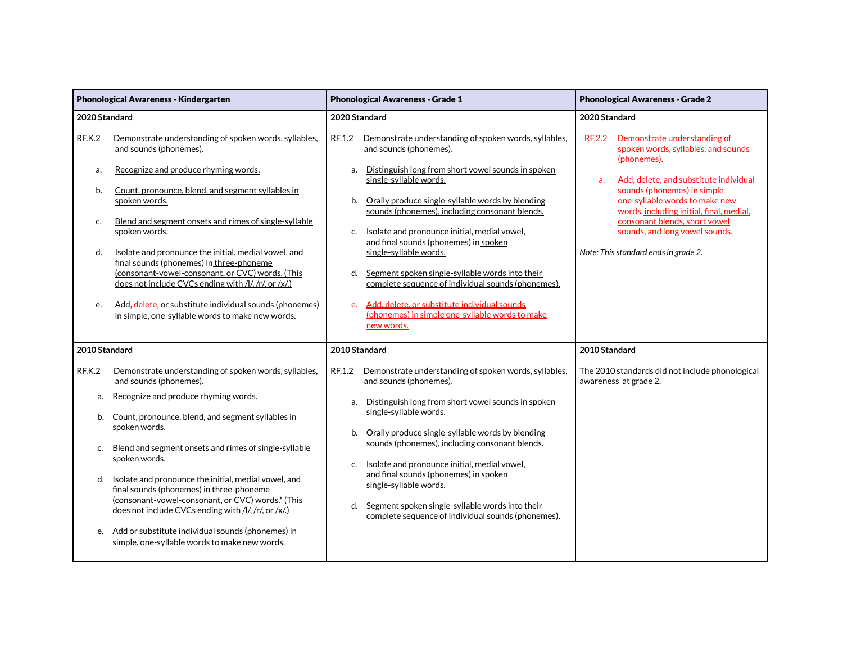|                                | Phonological Awareness - Kindergarten                                                                                                                                                                                                                                                                                                                                                                                                                                                                               |                          | <b>Phonological Awareness - Grade 1</b>                                                                                                                                                                                                                                                                                                                                                                                                                                                                                            |               | <b>Phonological Awareness - Grade 2</b>                                                                                                                                                                                                                        |
|--------------------------------|---------------------------------------------------------------------------------------------------------------------------------------------------------------------------------------------------------------------------------------------------------------------------------------------------------------------------------------------------------------------------------------------------------------------------------------------------------------------------------------------------------------------|--------------------------|------------------------------------------------------------------------------------------------------------------------------------------------------------------------------------------------------------------------------------------------------------------------------------------------------------------------------------------------------------------------------------------------------------------------------------------------------------------------------------------------------------------------------------|---------------|----------------------------------------------------------------------------------------------------------------------------------------------------------------------------------------------------------------------------------------------------------------|
| 2020 Standard                  |                                                                                                                                                                                                                                                                                                                                                                                                                                                                                                                     |                          | 2020 Standard                                                                                                                                                                                                                                                                                                                                                                                                                                                                                                                      | 2020 Standard |                                                                                                                                                                                                                                                                |
| <b>RF.K.2</b>                  | Demonstrate understanding of spoken words, syllables,<br>and sounds (phonemes).                                                                                                                                                                                                                                                                                                                                                                                                                                     | RF.1.2                   | Demonstrate understanding of spoken words, syllables,<br>and sounds (phonemes).                                                                                                                                                                                                                                                                                                                                                                                                                                                    | <b>RF.2.2</b> | Demonstrate understanding of<br>spoken words, syllables, and sounds<br>(phonemes).                                                                                                                                                                             |
| a.<br>b.<br>c.<br>d.<br>e.     | Recognize and produce rhyming words.<br>Count, pronounce, blend, and segment syllables in<br>spoken words.<br>Blend and segment onsets and rimes of single-syllable<br>spoken words.<br>Isolate and pronounce the initial, medial vowel, and<br>final sounds (phonemes) in three-phoneme<br>(consonant-vowel-consonant, or CVC) words. (This<br>does not include CVCs ending with /l/, /r/, or /x/.)<br>Add, delete, or substitute individual sounds (phonemes)<br>in simple, one-syllable words to make new words. | a.<br>b.<br>C.<br>d.     | Distinguish long from short vowel sounds in spoken<br>single-syllable words.<br>Orally produce single-syllable words by blending<br>sounds (phonemes), including consonant blends.<br>Isolate and pronounce initial, medial vowel,<br>and final sounds (phonemes) in spoken<br>single-syllable words.<br>Segment spoken single-syllable words into their<br>complete sequence of individual sounds (phonemes).<br>e. Add. delete, or substitute individual sounds<br>(phonemes) in simple one-syllable words to make<br>new words. | a.            | Add, delete, and substitute individual<br>sounds (phonemes) in simple<br>one-syllable words to make new<br>words, including initial, final, medial,<br>consonant blends, short vowel<br>sounds, and long vowel sounds.<br>Note: This standard ends in grade 2. |
| 2010 Standard                  |                                                                                                                                                                                                                                                                                                                                                                                                                                                                                                                     |                          | 2010 Standard                                                                                                                                                                                                                                                                                                                                                                                                                                                                                                                      | 2010 Standard |                                                                                                                                                                                                                                                                |
| RF.K.2<br>а.<br>b.<br>c.<br>d. | Demonstrate understanding of spoken words, syllables,<br>and sounds (phonemes).<br>Recognize and produce rhyming words.<br>Count, pronounce, blend, and segment syllables in<br>spoken words.<br>Blend and segment onsets and rimes of single-syllable<br>spoken words.<br>Isolate and pronounce the initial, medial vowel, and                                                                                                                                                                                     | RF.1.2<br>a.<br>b.<br>C. | Demonstrate understanding of spoken words, syllables,<br>and sounds (phonemes).<br>Distinguish long from short vowel sounds in spoken<br>single-syllable words.<br>Orally produce single-syllable words by blending<br>sounds (phonemes), including consonant blends.<br>Isolate and pronounce initial, medial vowel,<br>and final sounds (phonemes) in spoken<br>single-syllable words.                                                                                                                                           |               | The 2010 standards did not include phonological<br>awareness at grade 2.                                                                                                                                                                                       |
| e.                             | final sounds (phonemes) in three-phoneme<br>(consonant-vowel-consonant, or CVC) words.* (This<br>does not include CVCs ending with /l/, /r/, or /x/.)<br>Add or substitute individual sounds (phonemes) in<br>simple, one-syllable words to make new words.                                                                                                                                                                                                                                                         | d.                       | Segment spoken single-syllable words into their<br>complete sequence of individual sounds (phonemes).                                                                                                                                                                                                                                                                                                                                                                                                                              |               |                                                                                                                                                                                                                                                                |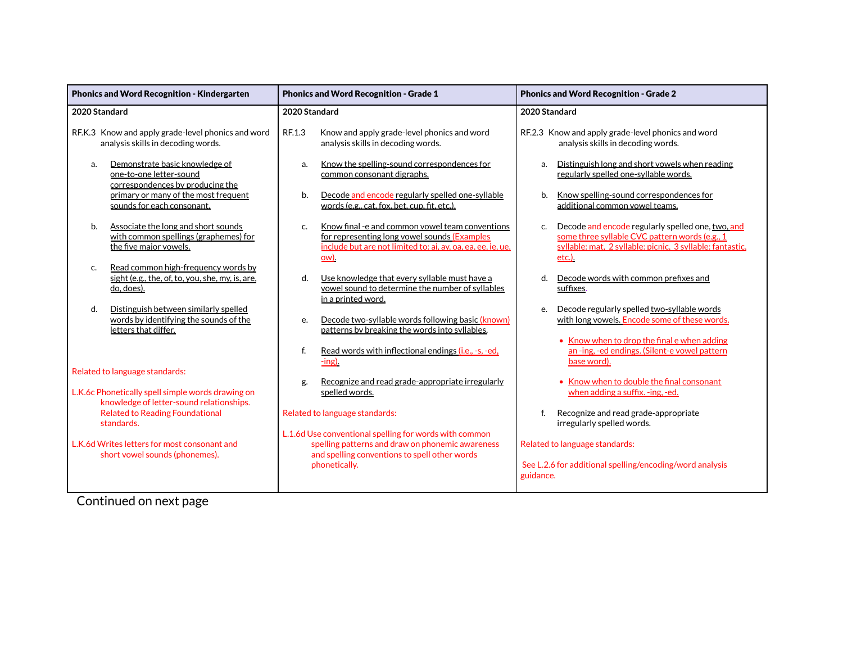| <b>Phonics and Word Recognition - Kindergarten</b>                                                            | <b>Phonics and Word Recognition - Grade 1</b>                                                                                                                                            | <b>Phonics and Word Recognition - Grade 2</b>                                                                                                                                          |  |
|---------------------------------------------------------------------------------------------------------------|------------------------------------------------------------------------------------------------------------------------------------------------------------------------------------------|----------------------------------------------------------------------------------------------------------------------------------------------------------------------------------------|--|
| 2020 Standard                                                                                                 | 2020 Standard                                                                                                                                                                            | 2020 Standard                                                                                                                                                                          |  |
| RF.K.3 Know and apply grade-level phonics and word<br>analysis skills in decoding words.                      | RF.1.3<br>Know and apply grade-level phonics and word<br>analysis skills in decoding words.                                                                                              | RF.2.3 Know and apply grade-level phonics and word<br>analysis skills in decoding words.                                                                                               |  |
| Demonstrate basic knowledge of<br>a.<br>one-to-one letter-sound<br>correspondences by producing the           | Know the spelling-sound correspondences for<br>a.<br>common consonant digraphs.                                                                                                          | Distinguish long and short vowels when reading<br>a.<br>regularly spelled one-syllable words.                                                                                          |  |
| primary or many of the most frequent<br>sounds for each consonant.                                            | Decode and encode regularly spelled one-syllable<br>b.<br>words (e.g., cat, fox, bet, cup, fit, etc.).                                                                                   | Know spelling-sound correspondences for<br>b.<br>additional common vowel teams.                                                                                                        |  |
| Associate the long and short sounds<br>b.<br>with common spellings (graphemes) for<br>the five major vowels.  | Know final -e and common vowel team conventions<br>$C_{n}$<br>for representing long vowel sounds (Examples<br>include but are not limited to: ai, ay, oa, ea, ee, ie, ue,<br><u>ow).</u> | Decode and encode regularly spelled one, two, and<br>c.<br>some three syllable CVC pattern words (e.g., 1<br>syllable: mat, 2 syllable: picnic, 3 syllable: fantastic,<br><u>etc.)</u> |  |
| Read common high-frequency words by<br>c.<br>sight (e.g., the, of, to, you, she, my, is, are,<br>do, does).   | d.<br>Use knowledge that every syllable must have a<br>vowel sound to determine the number of syllables<br>in a printed word.                                                            | Decode words with common prefixes and<br>d.<br>suffixes.                                                                                                                               |  |
| Distinguish between similarly spelled<br>d.<br>words by identifying the sounds of the<br>letters that differ. | Decode two-syllable words following basic (known)<br>e.<br>patterns by breaking the words into syllables.                                                                                | Decode regularly spelled two-syllable words<br>e.<br>with long vowels. Encode some of these words.                                                                                     |  |
| Related to language standards:                                                                                | f.<br>Read words with inflectional endings (i.e., -s, -ed,<br>$-$ ing).                                                                                                                  | • Know when to drop the final e when adding<br>an -ing, -ed endings. (Silent-e vowel pattern<br>base word).                                                                            |  |
| L.K.6c Phonetically spell simple words drawing on<br>knowledge of letter-sound relationships.                 | Recognize and read grade-appropriate irregularly<br>g.<br>spelled words.                                                                                                                 | • Know when to double the final consonant<br>when adding a suffix. -ing, -ed.                                                                                                          |  |
| <b>Related to Reading Foundational</b><br>standards.                                                          | Related to language standards:                                                                                                                                                           | Recognize and read grade-appropriate<br>f.<br>irregularly spelled words.                                                                                                               |  |
| L.K.6d Writes letters for most consonant and<br>short vowel sounds (phonemes).                                | L.1.6d Use conventional spelling for words with common<br>spelling patterns and draw on phonemic awareness<br>and spelling conventions to spell other words<br>phonetically.             | Related to language standards:<br>See L.2.6 for additional spelling/encoding/word analysis<br>guidance.                                                                                |  |

Continued on next page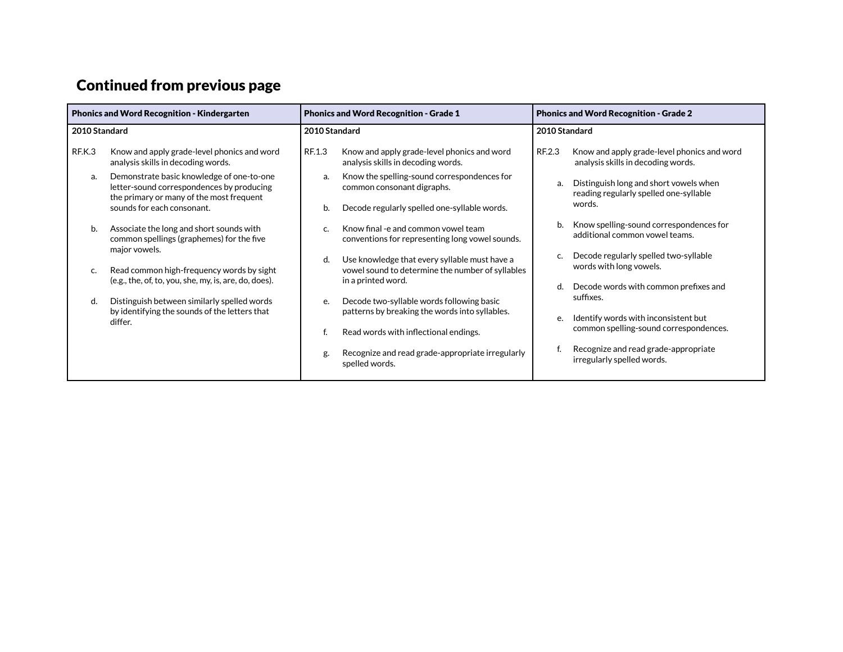# Continued from previous page

| <b>Phonics and Word Recognition - Kindergarten</b> |                                                                                                                                    | <b>Phonics and Word Recognition - Grade 1</b> |                                                                                                   | <b>Phonics and Word Recognition - Grade 2</b> |                                                                                   |
|----------------------------------------------------|------------------------------------------------------------------------------------------------------------------------------------|-----------------------------------------------|---------------------------------------------------------------------------------------------------|-----------------------------------------------|-----------------------------------------------------------------------------------|
| 2010 Standard                                      |                                                                                                                                    | 2010 Standard                                 |                                                                                                   | 2010 Standard                                 |                                                                                   |
| RF.K.3                                             | Know and apply grade-level phonics and word<br>analysis skills in decoding words.                                                  | RF.1.3                                        | Know and apply grade-level phonics and word<br>analysis skills in decoding words.                 | RF.2.3                                        | Know and apply grade-level phonics and word<br>analysis skills in decoding words. |
| a.                                                 | Demonstrate basic knowledge of one-to-one<br>letter-sound correspondences by producing<br>the primary or many of the most frequent | a.                                            | Know the spelling-sound correspondences for<br>common consonant digraphs.                         | a.                                            | Distinguish long and short vowels when<br>reading regularly spelled one-syllable  |
|                                                    | sounds for each consonant.                                                                                                         | b.                                            | Decode regularly spelled one-syllable words.                                                      |                                               | words.                                                                            |
| b.                                                 | Associate the long and short sounds with<br>common spellings (graphemes) for the five<br>major vowels.                             | C.                                            | Know final -e and common vowel team<br>conventions for representing long vowel sounds.            | b.                                            | Know spelling-sound correspondences for<br>additional common vowel teams.         |
| C.                                                 | Read common high-frequency words by sight                                                                                          | d.                                            | Use knowledge that every syllable must have a<br>vowel sound to determine the number of syllables | c.                                            | Decode regularly spelled two-syllable<br>words with long vowels.                  |
| d.                                                 | (e.g., the, of, to, you, she, my, is, are, do, does).                                                                              |                                               | in a printed word.                                                                                | d.                                            | Decode words with common prefixes and<br>suffixes.                                |
|                                                    | Distinguish between similarly spelled words<br>by identifying the sounds of the letters that<br>differ.                            | e.                                            | Decode two-syllable words following basic<br>patterns by breaking the words into syllables.       | e.                                            | Identify words with inconsistent but                                              |
|                                                    |                                                                                                                                    |                                               | Read words with inflectional endings.                                                             |                                               | common spelling-sound correspondences.                                            |
|                                                    |                                                                                                                                    | g.                                            | Recognize and read grade-appropriate irregularly<br>spelled words.                                |                                               | Recognize and read grade-appropriate<br>irregularly spelled words.                |
|                                                    |                                                                                                                                    |                                               |                                                                                                   |                                               |                                                                                   |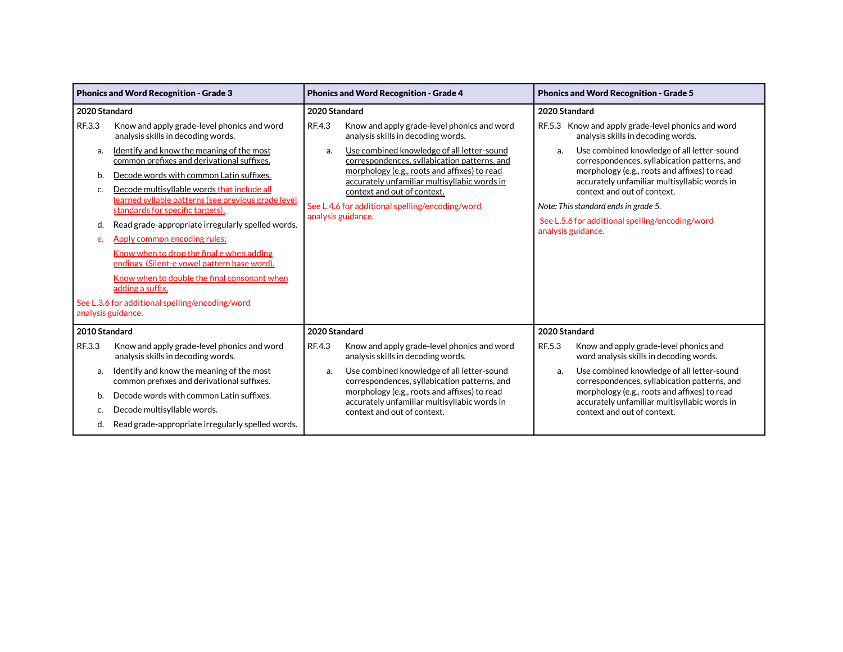|                | <b>Phonics and Word Recognition - Grade 3</b>                                                                                                                                      |                    | <b>Phonics and Word Recognition - Grade 4</b>                                                                                                                                              |                                                                     | <b>Phonics and Word Recognition - Grade 5</b>                                                                                                                                              |  |
|----------------|------------------------------------------------------------------------------------------------------------------------------------------------------------------------------------|--------------------|--------------------------------------------------------------------------------------------------------------------------------------------------------------------------------------------|---------------------------------------------------------------------|--------------------------------------------------------------------------------------------------------------------------------------------------------------------------------------------|--|
| 2020 Standard  |                                                                                                                                                                                    | 2020 Standard      |                                                                                                                                                                                            | 2020 Standard                                                       |                                                                                                                                                                                            |  |
| RF.3.3         | Know and apply grade-level phonics and word<br>analysis skills in decoding words.                                                                                                  | RF.4.3             | Know and apply grade-level phonics and word<br>analysis skills in decoding words.                                                                                                          |                                                                     | RF.5.3 Know and apply grade-level phonics and word<br>analysis skills in decoding words.                                                                                                   |  |
| a.<br>b.<br>c. | Identify and know the meaning of the most<br>common prefixes and derivational suffixes.<br>Decode words with common Latin suffixes.<br>Decode multisyllable words that include all | a.                 | Use combined knowledge of all letter-sound<br>correspondences, syllabication patterns, and<br>morphology (e.g., roots and affixes) to read<br>accurately unfamiliar multisyllabic words in | a.                                                                  | Use combined knowledge of all letter-sound<br>correspondences, syllabication patterns, and<br>morphology (e.g., roots and affixes) to read<br>accurately unfamiliar multisyllabic words in |  |
|                | learned syllable patterns (see previous grade level<br>standards for specific targets).                                                                                            | analysis guidance. | context and out of context.<br>See L.4.6 for additional spelling/encoding/word                                                                                                             | context and out of context.<br>Note: This standard ends in grade 5. |                                                                                                                                                                                            |  |
| d.             | Read grade-appropriate irregularly spelled words.                                                                                                                                  |                    |                                                                                                                                                                                            |                                                                     | See L.5.6 for additional spelling/encoding/word<br>analysis guidance.                                                                                                                      |  |
| e.             | Apply common encoding rules:                                                                                                                                                       |                    |                                                                                                                                                                                            |                                                                     |                                                                                                                                                                                            |  |
|                | Know when to drop the final e when adding<br>endings. (Silent-e vowel pattern base word).                                                                                          |                    |                                                                                                                                                                                            |                                                                     |                                                                                                                                                                                            |  |
|                | Know when to double the final consonant when<br>adding a suffix.                                                                                                                   |                    |                                                                                                                                                                                            |                                                                     |                                                                                                                                                                                            |  |
|                | See L.3.6 for additional spelling/encoding/word<br>analysis guidance.                                                                                                              |                    |                                                                                                                                                                                            |                                                                     |                                                                                                                                                                                            |  |
| 2010 Standard  |                                                                                                                                                                                    | 2020 Standard      |                                                                                                                                                                                            | 2020 Standard                                                       |                                                                                                                                                                                            |  |
| RF.3.3         | Know and apply grade-level phonics and word<br>analysis skills in decoding words.                                                                                                  | RF.4.3             | Know and apply grade-level phonics and word<br>analysis skills in decoding words.                                                                                                          | RF.5.3                                                              | Know and apply grade-level phonics and<br>word analysis skills in decoding words.                                                                                                          |  |
| a.             | Identify and know the meaning of the most<br>common prefixes and derivational suffixes.                                                                                            | a.                 | Use combined knowledge of all letter-sound<br>correspondences, syllabication patterns, and                                                                                                 | a.                                                                  | Use combined knowledge of all letter-sound<br>correspondences, syllabication patterns, and                                                                                                 |  |
| b.             | Decode words with common Latin suffixes.                                                                                                                                           |                    | morphology (e.g., roots and affixes) to read<br>accurately unfamiliar multisyllabic words in                                                                                               |                                                                     | morphology (e.g., roots and affixes) to read<br>accurately unfamiliar multisyllabic words in                                                                                               |  |
| C.             | Decode multisyllable words.                                                                                                                                                        |                    | context and out of context.                                                                                                                                                                |                                                                     | context and out of context.                                                                                                                                                                |  |
| d.             | Read grade-appropriate irregularly spelled words.                                                                                                                                  |                    |                                                                                                                                                                                            |                                                                     |                                                                                                                                                                                            |  |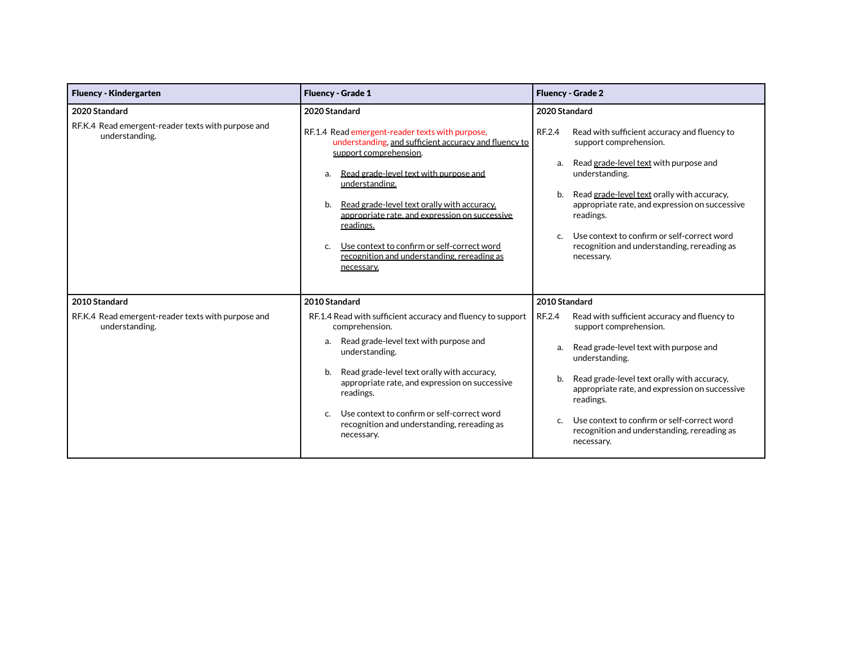| <b>Fluency - Kindergarten</b>                                        | <b>Fluency - Grade 1</b>                                                                                                                                                                                                                                                                                                                                                                                                                   | <b>Fluency - Grade 2</b>                                                                                                                                                                                                                                                                                                                                                                           |
|----------------------------------------------------------------------|--------------------------------------------------------------------------------------------------------------------------------------------------------------------------------------------------------------------------------------------------------------------------------------------------------------------------------------------------------------------------------------------------------------------------------------------|----------------------------------------------------------------------------------------------------------------------------------------------------------------------------------------------------------------------------------------------------------------------------------------------------------------------------------------------------------------------------------------------------|
| 2020 Standard                                                        | 2020 Standard                                                                                                                                                                                                                                                                                                                                                                                                                              | 2020 Standard                                                                                                                                                                                                                                                                                                                                                                                      |
| RF.K.4 Read emergent-reader texts with purpose and<br>understanding. | RF.1.4 Read emergent-reader texts with purpose,<br>understanding, and sufficient accuracy and fluency to<br>support comprehension.<br>Read grade-level text with purpose and<br>a.<br>understanding.<br>Read grade-level text orally with accuracy,<br>b.<br>appropriate rate, and expression on successive<br>readings.<br>Use context to confirm or self-correct word<br>C.<br>recognition and understanding, rereading as<br>necessary. | RF.2.4<br>Read with sufficient accuracy and fluency to<br>support comprehension.<br>Read grade-level text with purpose and<br>a.<br>understanding.<br>Read grade-level text orally with accuracy,<br>b.<br>appropriate rate, and expression on successive<br>readings.<br>Use context to confirm or self-correct word<br>$\mathsf{C}$<br>recognition and understanding, rereading as<br>necessary. |
| 2010 Standard                                                        | 2010 Standard                                                                                                                                                                                                                                                                                                                                                                                                                              | 2010 Standard                                                                                                                                                                                                                                                                                                                                                                                      |
| RF.K.4 Read emergent-reader texts with purpose and<br>understanding. | RF.1.4 Read with sufficient accuracy and fluency to support<br>comprehension.                                                                                                                                                                                                                                                                                                                                                              | RF.2.4<br>Read with sufficient accuracy and fluency to<br>support comprehension.                                                                                                                                                                                                                                                                                                                   |
|                                                                      | Read grade-level text with purpose and<br>a.<br>understanding.                                                                                                                                                                                                                                                                                                                                                                             | Read grade-level text with purpose and<br>a.<br>understanding.                                                                                                                                                                                                                                                                                                                                     |
|                                                                      | Read grade-level text orally with accuracy,<br>b.<br>appropriate rate, and expression on successive<br>readings.                                                                                                                                                                                                                                                                                                                           | Read grade-level text orally with accuracy,<br>b.<br>appropriate rate, and expression on successive<br>readings.                                                                                                                                                                                                                                                                                   |
|                                                                      | Use context to confirm or self-correct word<br>$\mathsf{C}$<br>recognition and understanding, rereading as<br>necessary.                                                                                                                                                                                                                                                                                                                   | Use context to confirm or self-correct word<br>$\mathsf{C}$<br>recognition and understanding, rereading as<br>necessary.                                                                                                                                                                                                                                                                           |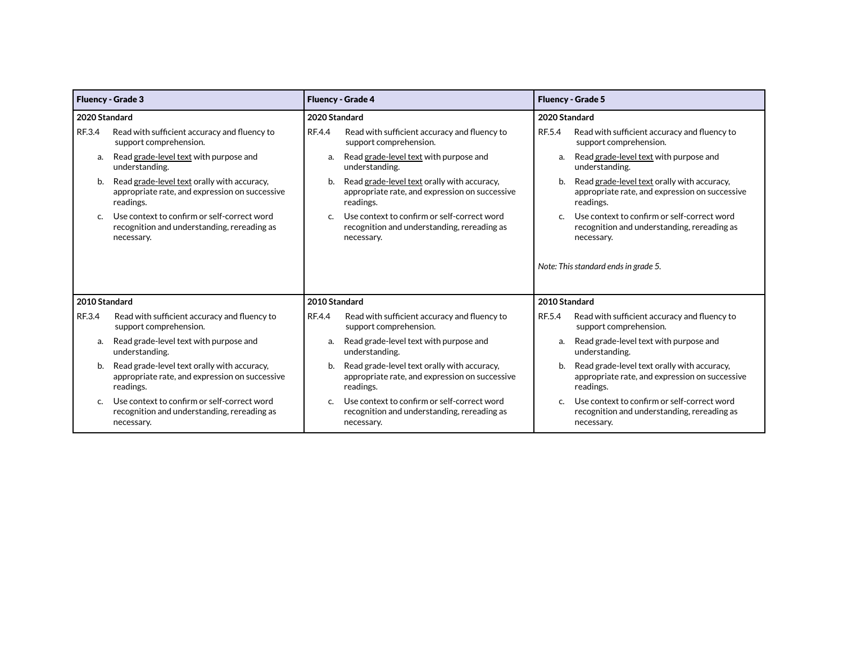|               | <b>Fluency - Grade 3</b>                                                                                   |               | <b>Fluency - Grade 4</b>                                                                                   |               | <b>Fluency - Grade 5</b>                                                                                   |
|---------------|------------------------------------------------------------------------------------------------------------|---------------|------------------------------------------------------------------------------------------------------------|---------------|------------------------------------------------------------------------------------------------------------|
|               | 2020 Standard<br>2020 Standard                                                                             |               |                                                                                                            | 2020 Standard |                                                                                                            |
| RF.3.4        | Read with sufficient accuracy and fluency to<br>support comprehension.                                     | RF.4.4        | Read with sufficient accuracy and fluency to<br>support comprehension.                                     | RF.5.4        | Read with sufficient accuracy and fluency to<br>support comprehension.                                     |
| a.            | Read grade-level text with purpose and<br>understanding.                                                   | a.            | Read grade-level text with purpose and<br>understanding.                                                   | a.            | Read grade-level text with purpose and<br>understanding.                                                   |
| b.            | Read grade-level text orally with accuracy,<br>appropriate rate, and expression on successive<br>readings. | b.            | Read grade-level text orally with accuracy,<br>appropriate rate, and expression on successive<br>readings. | b.            | Read grade-level text orally with accuracy,<br>appropriate rate, and expression on successive<br>readings. |
| $\mathsf{C}$  | Use context to confirm or self-correct word<br>recognition and understanding, rereading as<br>necessary.   | C.            | Use context to confirm or self-correct word<br>recognition and understanding, rereading as<br>necessary.   | $\mathsf{C}$  | Use context to confirm or self-correct word<br>recognition and understanding, rereading as<br>necessary.   |
|               |                                                                                                            |               |                                                                                                            |               | Note: This standard ends in grade 5.                                                                       |
| 2010 Standard |                                                                                                            | 2010 Standard |                                                                                                            | 2010 Standard |                                                                                                            |
| RF.3.4        | Read with sufficient accuracy and fluency to<br>support comprehension.                                     | RF.4.4        | Read with sufficient accuracy and fluency to<br>support comprehension.                                     | RF.5.4        | Read with sufficient accuracy and fluency to<br>support comprehension.                                     |
| a.            | Read grade-level text with purpose and<br>understanding.                                                   | a.            | Read grade-level text with purpose and<br>understanding.                                                   | a.            | Read grade-level text with purpose and<br>understanding.                                                   |
| b.            | Read grade-level text orally with accuracy,<br>appropriate rate, and expression on successive<br>readings. | b.            | Read grade-level text orally with accuracy,<br>appropriate rate, and expression on successive<br>readings. | b.            | Read grade-level text orally with accuracy,<br>appropriate rate, and expression on successive<br>readings. |
| $\mathsf{C}$  | Use context to confirm or self-correct word<br>recognition and understanding, rereading as<br>necessary.   | $\mathsf{C}$  | Use context to confirm or self-correct word<br>recognition and understanding, rereading as<br>necessary.   | $\mathsf{C}$  | Use context to confirm or self-correct word<br>recognition and understanding, rereading as<br>necessary.   |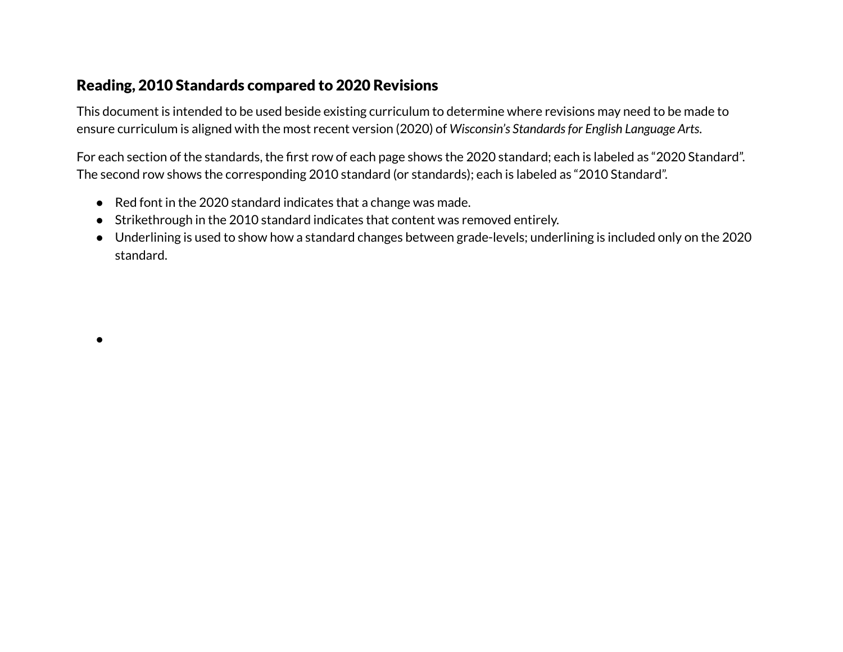#### <span id="page-9-0"></span>Reading, 2010 Standards compared to 2020 Revisions

●

This document is intended to be used beside existing curriculum to determine where revisions may need to be made to ensure curriculum is aligned with the most recent version (2020) of *Wisconsin's Standardsfor English Language Arts*.

For each section of the standards, the first row of each page shows the 2020 standard; each is labeled as "2020 Standard". The second row shows the corresponding 2010 standard (or standards); each is labeled as "2010 Standard".

- Red font in the 2020 standard indicates that a change was made.
- Strikethrough in the 2010 standard indicates that content was removed entirely.
- Underlining is used to show how a standard changes between grade-levels; underlining is included only on the 2020 standard.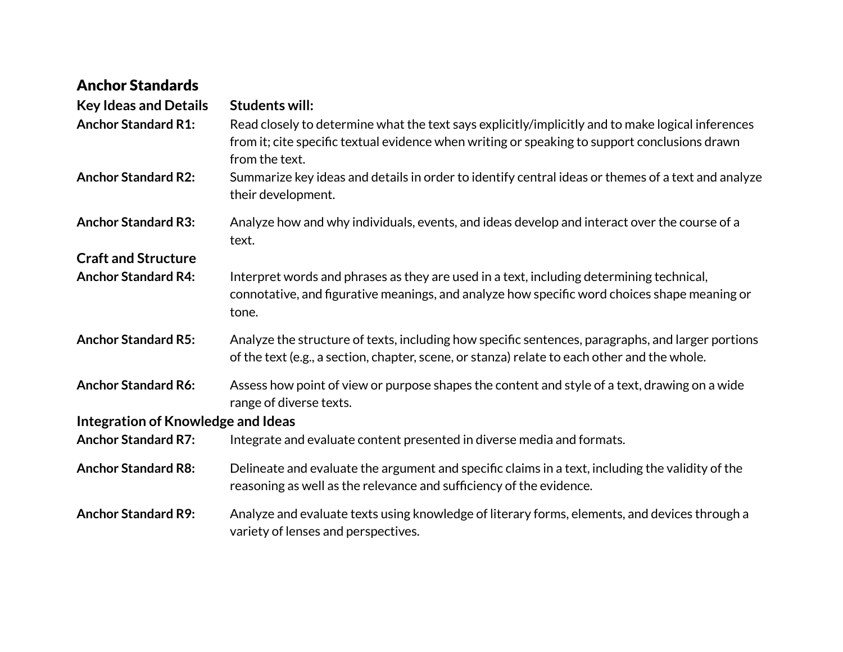| <b>Anchor Standards</b>            |                                                                                                                                                                                                                      |
|------------------------------------|----------------------------------------------------------------------------------------------------------------------------------------------------------------------------------------------------------------------|
| <b>Key Ideas and Details</b>       | <b>Students will:</b>                                                                                                                                                                                                |
| <b>Anchor Standard R1:</b>         | Read closely to determine what the text says explicitly/implicitly and to make logical inferences<br>from it; cite specific textual evidence when writing or speaking to support conclusions drawn<br>from the text. |
| <b>Anchor Standard R2:</b>         | Summarize key ideas and details in order to identify central ideas or themes of a text and analyze<br>their development.                                                                                             |
| <b>Anchor Standard R3:</b>         | Analyze how and why individuals, events, and ideas develop and interact over the course of a<br>text.                                                                                                                |
| <b>Craft and Structure</b>         |                                                                                                                                                                                                                      |
| <b>Anchor Standard R4:</b>         | Interpret words and phrases as they are used in a text, including determining technical,<br>connotative, and figurative meanings, and analyze how specific word choices shape meaning or<br>tone.                    |
| <b>Anchor Standard R5:</b>         | Analyze the structure of texts, including how specific sentences, paragraphs, and larger portions<br>of the text (e.g., a section, chapter, scene, or stanza) relate to each other and the whole.                    |
| <b>Anchor Standard R6:</b>         | Assess how point of view or purpose shapes the content and style of a text, drawing on a wide<br>range of diverse texts.                                                                                             |
| Integration of Knowledge and Ideas |                                                                                                                                                                                                                      |
| <b>Anchor Standard R7:</b>         | Integrate and evaluate content presented in diverse media and formats.                                                                                                                                               |
| <b>Anchor Standard R8:</b>         | Delineate and evaluate the argument and specific claims in a text, including the validity of the<br>reasoning as well as the relevance and sufficiency of the evidence.                                              |
| <b>Anchor Standard R9:</b>         | Analyze and evaluate texts using knowledge of literary forms, elements, and devices through a<br>variety of lenses and perspectives.                                                                                 |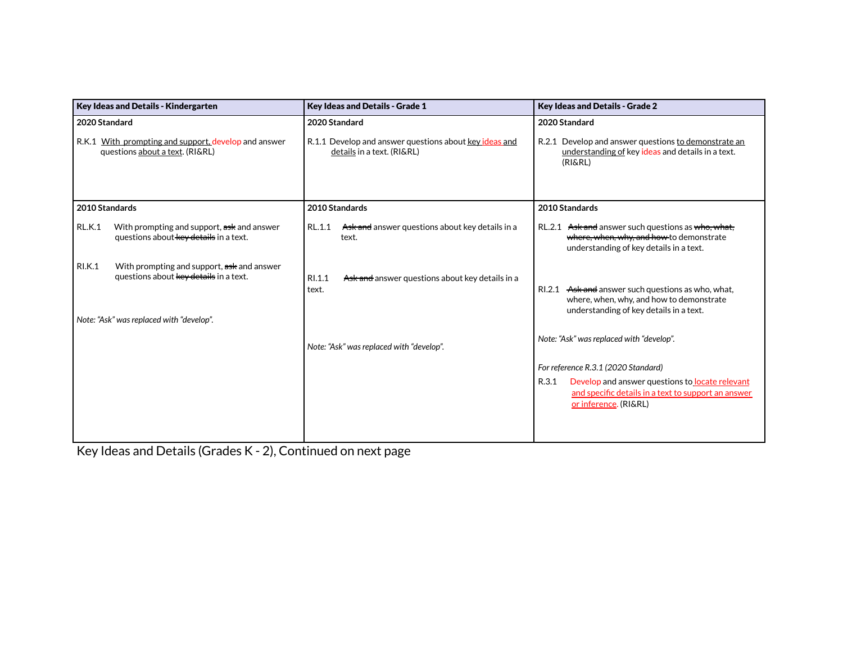| Key Ideas and Details - Kindergarten                                                                  | Key Ideas and Details - Grade 1                                                      | Key Ideas and Details - Grade 2                                                                                                           |
|-------------------------------------------------------------------------------------------------------|--------------------------------------------------------------------------------------|-------------------------------------------------------------------------------------------------------------------------------------------|
| 2020 Standard                                                                                         | 2020 Standard                                                                        | 2020 Standard                                                                                                                             |
| R.K.1 With prompting and support, develop and answer<br>questions about a text. (RI&RL)               | R.1.1 Develop and answer questions about key ideas and<br>details in a text. (RI&RL) | R.2.1 Develop and answer questions to demonstrate an<br>understanding of key ideas and details in a text.<br>(RI&RL)                      |
| 2010 Standards                                                                                        | 2010 Standards                                                                       | 2010 Standards                                                                                                                            |
| <b>RL.K.1</b><br>With prompting and support, ask and answer<br>questions about key details in a text. | Ask and answer questions about key details in a<br>RL.1.1<br>text.                   | RL.2.1 Ask and answer such questions as who, what,<br>where, when, why, and how-to demonstrate<br>understanding of key details in a text. |
| <b>RI.K.1</b><br>With prompting and support, ask and answer<br>questions about key details in a text. | RI.1.1<br>Ask and answer questions about key details in a<br>text.                   | RI.2.1 Ask and answer such questions as who, what,<br>where, when, why, and how to demonstrate<br>understanding of key details in a text. |
| Note: "Ask" was replaced with "develop".                                                              |                                                                                      |                                                                                                                                           |
|                                                                                                       | Note: "Ask" was replaced with "develop".                                             | Note: "Ask" was replaced with "develop".                                                                                                  |
|                                                                                                       |                                                                                      | For reference R.3.1 (2020 Standard)                                                                                                       |
|                                                                                                       |                                                                                      | R.3.1<br>Develop and answer questions to locate relevant<br>and specific details in a text to support an answer<br>or inference. (RI&RL)  |

Key Ideas and Details (Grades K - 2), Continued on next page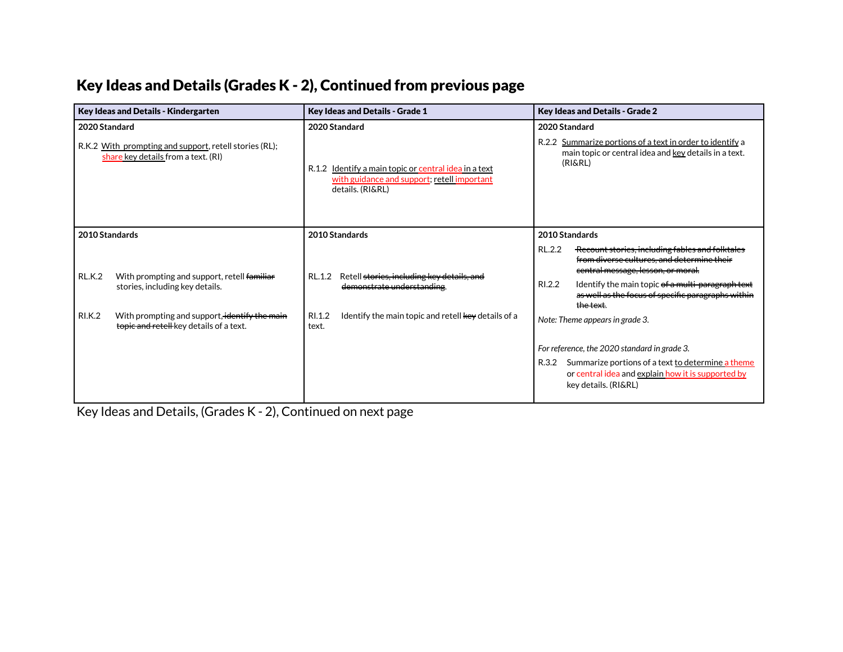# Key Ideas and Details (Grades K - 2), Continued from previous page

| Key Ideas and Details - Kindergarten                                                                      | Key Ideas and Details - Grade 1                                                                                          | Key Ideas and Details - Grade 2                                                                                                                                                                                                                                                 |  |  |
|-----------------------------------------------------------------------------------------------------------|--------------------------------------------------------------------------------------------------------------------------|---------------------------------------------------------------------------------------------------------------------------------------------------------------------------------------------------------------------------------------------------------------------------------|--|--|
| 2020 Standard                                                                                             | 2020 Standard                                                                                                            | 2020 Standard                                                                                                                                                                                                                                                                   |  |  |
| R.K.2 With prompting and support, retell stories (RL);<br>share key details from a text. (RI)             | R.1.2 Identify a main topic or central idea in a text<br>with guidance and support; retell important<br>details. (RI&RL) | R.2.2 Summarize portions of a text in order to identify a<br>main topic or central idea and key details in a text.<br>(RI&RL)                                                                                                                                                   |  |  |
| 2010 Standards                                                                                            | 2010 Standards                                                                                                           | 2010 Standards                                                                                                                                                                                                                                                                  |  |  |
| <b>RL.K.2</b><br>With prompting and support, retell familiar<br>stories, including key details.           | Retell stories, including key details, and<br>RL.1.2<br>demonstrate understanding                                        | RL.2.2<br>Recount stories, including fables and folktales<br>from diverse cultures, and determine their<br>central message, lesson, or moral.<br>RI.2.2<br>Identify the main topic of a multi-paragraph text<br>as well as the focus of specific paragraphs within<br>the text. |  |  |
| <b>RI.K.2</b><br>With prompting and support, identify the main<br>topic and retell key details of a text. | Identify the main topic and retell key details of a<br>RI.1.2<br>text.                                                   | Note: Theme appears in grade 3.                                                                                                                                                                                                                                                 |  |  |
|                                                                                                           |                                                                                                                          | For reference, the 2020 standard in grade 3.                                                                                                                                                                                                                                    |  |  |
|                                                                                                           |                                                                                                                          | Summarize portions of a text to determine a theme<br>R.3.2<br>or central idea and explain how it is supported by<br>key details. (RI&RL)                                                                                                                                        |  |  |

Key Ideas and Details, (Grades K - 2), Continued on next page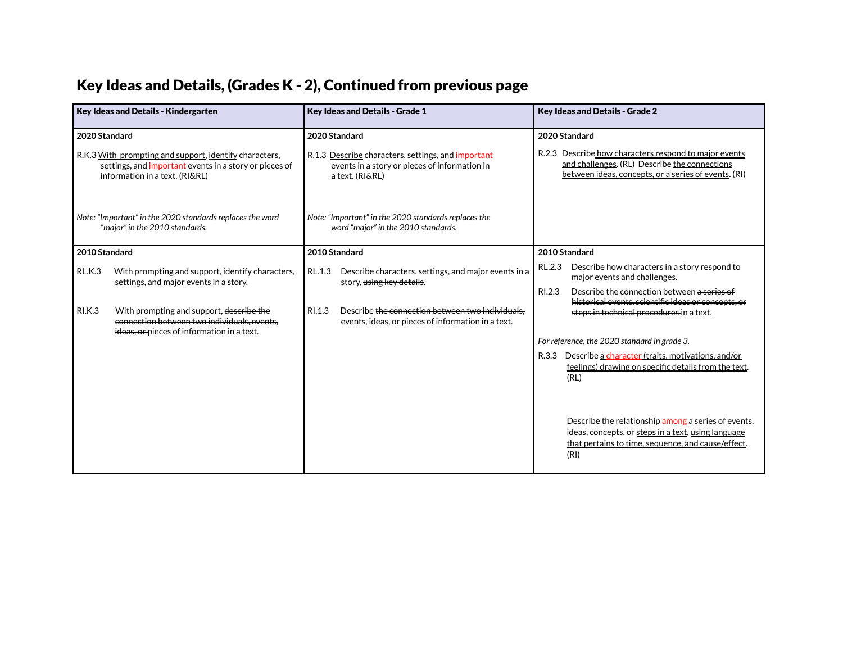# Key Ideas and Details, (Grades K - 2), Continued from previous page

|                    | <b>Key Ideas and Details - Kindergarten</b>                                                                                                        |        | <b>Key Ideas and Details - Grade 1</b>                                                                                                  | <b>Key Ideas and Details - Grade 2</b> |                                                                                                                                                                                 |
|--------------------|----------------------------------------------------------------------------------------------------------------------------------------------------|--------|-----------------------------------------------------------------------------------------------------------------------------------------|----------------------------------------|---------------------------------------------------------------------------------------------------------------------------------------------------------------------------------|
| 2020 Standard      | R.K.3 With prompting and support, identify characters,<br>settings, and important events in a story or pieces of<br>information in a text. (RI&RL) |        | 2020 Standard<br>R.1.3 Describe characters, settings, and important<br>events in a story or pieces of information in<br>a text. (RI&RL) |                                        | 2020 Standard<br>R.2.3 Describe how characters respond to major events<br>and challenges. (RL) Describe the connections<br>between ideas, concepts, or a series of events. (RI) |
|                    | Note: "Important" in the 2020 standards replaces the word<br>"major" in the 2010 standards.                                                        |        | Note: "Important" in the 2020 standards replaces the<br>word "major" in the 2010 standards.                                             |                                        |                                                                                                                                                                                 |
| 2010 Standard      |                                                                                                                                                    |        | 2010 Standard                                                                                                                           |                                        | 2010 Standard                                                                                                                                                                   |
| RL.K.3             | With prompting and support, identify characters,<br>settings, and major events in a story.                                                         | RL.1.3 | Describe characters, settings, and major events in a<br>story, using key details.                                                       | RL.2.3                                 | Describe how characters in a story respond to<br>major events and challenges.                                                                                                   |
| R <sub>L</sub> K.3 | With prompting and support, describe the<br>connection between two individuals, events<br>ideas, or pieces of information in a text.               | RI.1.3 | Describe the connection between two individuals.<br>events, ideas, or pieces of information in a text.                                  | RI.2.3                                 | Describe the connection between a series of<br>historical events, scientific ideas or concepts, or<br>steps in technical procedures in a text.                                  |
|                    |                                                                                                                                                    |        |                                                                                                                                         |                                        | For reference, the 2020 standard in grade 3.                                                                                                                                    |
|                    |                                                                                                                                                    |        |                                                                                                                                         | R.3.3                                  | Describe a character (traits, motivations, and/or<br>feelings) drawing on specific details from the text.<br>(RL)                                                               |
|                    |                                                                                                                                                    |        |                                                                                                                                         |                                        | Describe the relationship among a series of events,<br>ideas, concepts, or steps in a text, using language<br>that pertains to time, sequence, and cause/effect.<br>(RI)        |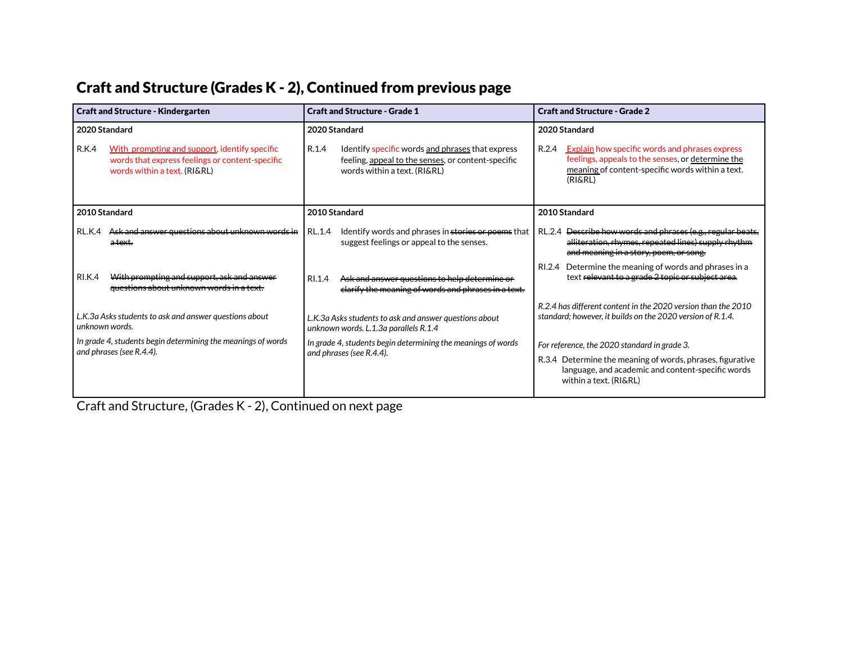#### Craft and Structure (Grades K - 2), Continued from previous page

| <b>Craft and Structure - Kindergarten</b>                                                                                                 | <b>Craft and Structure - Grade 1</b>                                                                                                            | <b>Craft and Structure - Grade 2</b>                                                                                                                                               |
|-------------------------------------------------------------------------------------------------------------------------------------------|-------------------------------------------------------------------------------------------------------------------------------------------------|------------------------------------------------------------------------------------------------------------------------------------------------------------------------------------|
| 2020 Standard                                                                                                                             | 2020 Standard                                                                                                                                   | 2020 Standard                                                                                                                                                                      |
| R.K.4<br>With prompting and support, identify specific<br>words that express feelings or content-specific<br>words within a text. (RI&RL) | R.1.4<br>Identify specific words and phrases that express<br>feeling, appeal to the senses, or content-specific<br>words within a text. (RI&RL) | <b>Explain</b> how specific words and phrases express<br>R.2.4<br>feelings, appeals to the senses, or determine the<br>meaning of content-specific words within a text.<br>(RI&RL) |
| 2010 Standard                                                                                                                             | 2010 Standard                                                                                                                                   | 2010 Standard                                                                                                                                                                      |
| Ask and answer questions about unknown words in<br><b>RL.K.4</b><br>atext.                                                                | RL.1.4<br>Identify words and phrases in stories or poems that<br>suggest feelings or appeal to the senses.                                      | RL.2.4 <del>Describe how words and phrases (e.g., regular beats,</del><br>alliteration, rhymes, repeated lines) supply rhythm<br>and meaning in a story, poem, or song.            |
| With prompting and support, ask and answer<br><b>RI.K.4</b><br>questions about unknown words in a text.                                   | Ask and answer questions to help determine or<br>RI.1.4<br>clarify the meaning of words and phrases in a text.                                  | RI.2.4 Determine the meaning of words and phrases in a<br>text relevant to a grade 2 topic or subject area.                                                                        |
| L.K.3a Asks students to ask and answer questions about<br>unknown words.                                                                  | L.K.3a Asks students to ask and answer questions about<br>unknown words. L.1.3a parallels R.1.4                                                 | R.2.4 has different content in the 2020 version than the 2010<br>standard; however, it builds on the 2020 version of R.1.4.                                                        |
| In grade 4, students begin determining the meanings of words<br>and phrases (see R.4.4).                                                  | In grade 4, students begin determining the meanings of words                                                                                    | For reference, the 2020 standard in grade 3.                                                                                                                                       |
|                                                                                                                                           | and phrases (see R.4.4).                                                                                                                        | R.3.4 Determine the meaning of words, phrases, figurative<br>language, and academic and content-specific words<br>within a text. (RI&RL)                                           |

Craft and Structure, (Grades K - 2), Continued on next page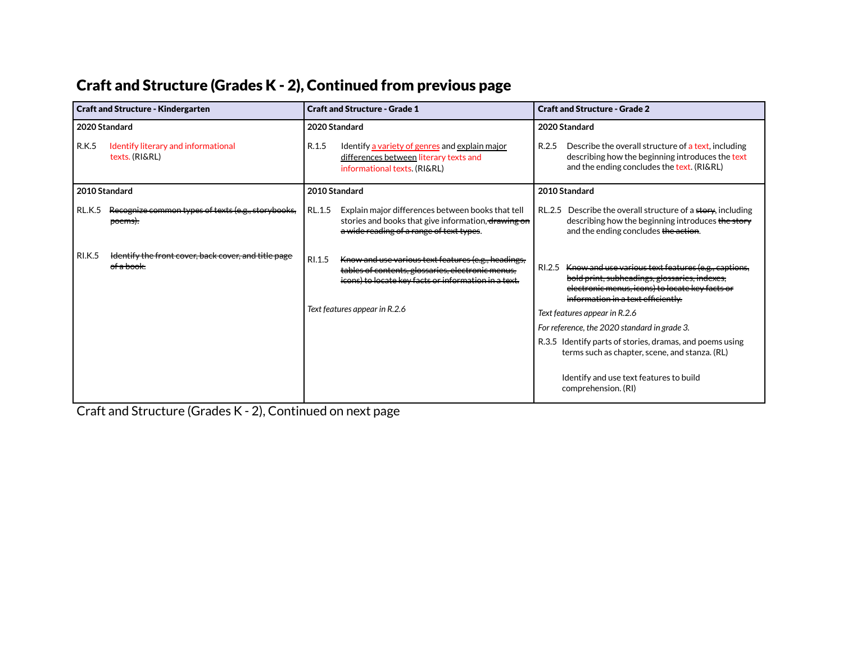# Craft and Structure (Grades K - 2), Continued from previous page

| <b>Craft and Structure - Kindergarten</b> |                                                                                           | <b>Craft and Structure - Grade 1</b> |                                                                                                                                                                  |        | <b>Craft and Structure - Grade 2</b>                                                                                                                                                          |  |
|-------------------------------------------|-------------------------------------------------------------------------------------------|--------------------------------------|------------------------------------------------------------------------------------------------------------------------------------------------------------------|--------|-----------------------------------------------------------------------------------------------------------------------------------------------------------------------------------------------|--|
| 2020 Standard                             |                                                                                           |                                      | 2020 Standard                                                                                                                                                    |        | 2020 Standard                                                                                                                                                                                 |  |
| <b>R.K.5</b>                              | Identify literary and informational<br>texts. (RI&RL)                                     | R.1.5                                | Identify a variety of genres and explain major<br>differences between literary texts and<br>informational texts. (RI&RL)                                         | R.2.5  | Describe the overall structure of a text, including<br>describing how the beginning introduces the text<br>and the ending concludes the text. (RI&RL)                                         |  |
|                                           | 2010 Standard                                                                             |                                      | 2010 Standard                                                                                                                                                    |        | 2010 Standard                                                                                                                                                                                 |  |
| <b>RL.K.5</b>                             | Recognize common types of texts (e.g., storybooks,<br><del>poems).</del>                  | RL.1.5                               | Explain major differences between books that tell<br>stories and books that give information, drawing on<br>a wide reading of a range of text types.             | RL.2.5 | Describe the overall structure of a story, including<br>describing how the beginning introduces the story<br>and the ending concludes the action.                                             |  |
| <b>RI.K.5</b>                             | <del>Identify the front cover, back cover, and title page</del><br>e <del>f a book.</del> | RI.1.5                               | Know and use various text features (e.g., headings,<br>tables of contents, glossaries, electronic menus.<br>icons) to locate key facts or information in a text. | RI.2.5 | Know and use various text features (e.g., captions,<br>bold print, subheadings, glossaries, indexes,<br>electronic menus, icons) to locate key facts or<br>information in a text efficiently. |  |
|                                           |                                                                                           |                                      | Text features appear in R.2.6                                                                                                                                    |        | Text features appear in R.2.6                                                                                                                                                                 |  |
|                                           |                                                                                           |                                      |                                                                                                                                                                  |        | For reference, the 2020 standard in grade 3.                                                                                                                                                  |  |
|                                           |                                                                                           |                                      |                                                                                                                                                                  |        | R.3.5 Identify parts of stories, dramas, and poems using<br>terms such as chapter, scene, and stanza. (RL)                                                                                    |  |
|                                           |                                                                                           |                                      |                                                                                                                                                                  |        | Identify and use text features to build<br>comprehension. (RI)                                                                                                                                |  |

Craft and Structure (Grades K - 2), Continued on next page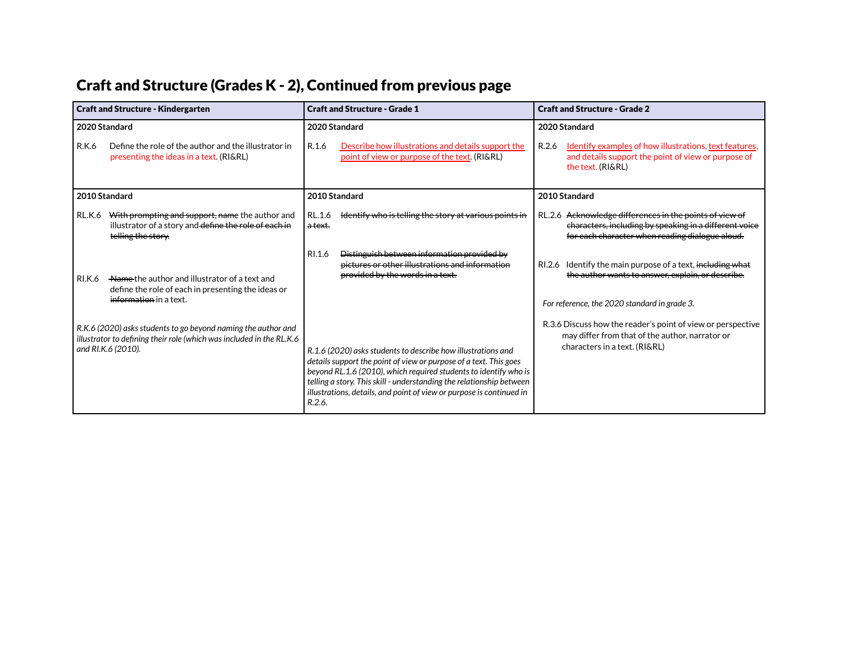# Craft and Structure (Grades K - 2), Continued from previous page

| <b>Craft and Structure - Kindergarten</b>                                                                                                                   | <b>Craft and Structure - Grade 1</b>                                                                                                                                                                                                                                                                                                                            | <b>Craft and Structure - Grade 2</b>                                                                                                                                 |
|-------------------------------------------------------------------------------------------------------------------------------------------------------------|-----------------------------------------------------------------------------------------------------------------------------------------------------------------------------------------------------------------------------------------------------------------------------------------------------------------------------------------------------------------|----------------------------------------------------------------------------------------------------------------------------------------------------------------------|
| 2020 Standard                                                                                                                                               | 2020 Standard                                                                                                                                                                                                                                                                                                                                                   | 2020 Standard                                                                                                                                                        |
| Define the role of the author and the illustrator in<br>R.K.6<br>presenting the ideas in a text. (RI&RL)                                                    | R.1.6<br>Describe how illustrations and details support the<br>point of view or purpose of the text. (RI&RL)                                                                                                                                                                                                                                                    | Identify examples of how illustrations, text features,<br>R.2.6<br>and details support the point of view or purpose of<br>the text. (RI&RL)                          |
| 2010 Standard                                                                                                                                               | 2010 Standard                                                                                                                                                                                                                                                                                                                                                   | 2010 Standard                                                                                                                                                        |
| With prompting and support, name the author and<br>RL.K.6<br>illustrator of a story and define the role of each in<br>telling the story.                    | Identify who is telling the story at various points in<br>RL.1.6<br>a text.                                                                                                                                                                                                                                                                                     | RL.2.6 Acknowledge differences in the points of view of<br>characters, including by speaking in a different voice<br>for each character when reading dialogue aloud. |
| Name the author and illustrator of a text and<br><b>RI.K.6</b><br>define the role of each in presenting the ideas or<br>information in a text.              | Distinguish between information provided by<br>RI.1.6<br>pictures or other illustrations and information<br>provided by the words in a text.                                                                                                                                                                                                                    | RI.2.6 Identify the main purpose of a text, including what<br>the author wants to answer, explain, or describe.<br>For reference, the 2020 standard in grade 3.      |
| R.K.6 (2020) asks students to go beyond naming the author and<br>illustrator to defining their role (which was included in the RL.K.6<br>and RI.K.6 (2010). | R.1.6 (2020) asks students to describe how illustrations and<br>details support the point of view or purpose of a text. This goes<br>beyond RL.1.6 (2010), which required students to identify who is<br>telling a story. This skill - understanding the relationship between<br>illustrations, details, and point of view or purpose is continued in<br>R.2.6. | R.3.6 Discuss how the reader's point of view or perspective<br>may differ from that of the author, narrator or<br>characters in a text. (RI&RL)                      |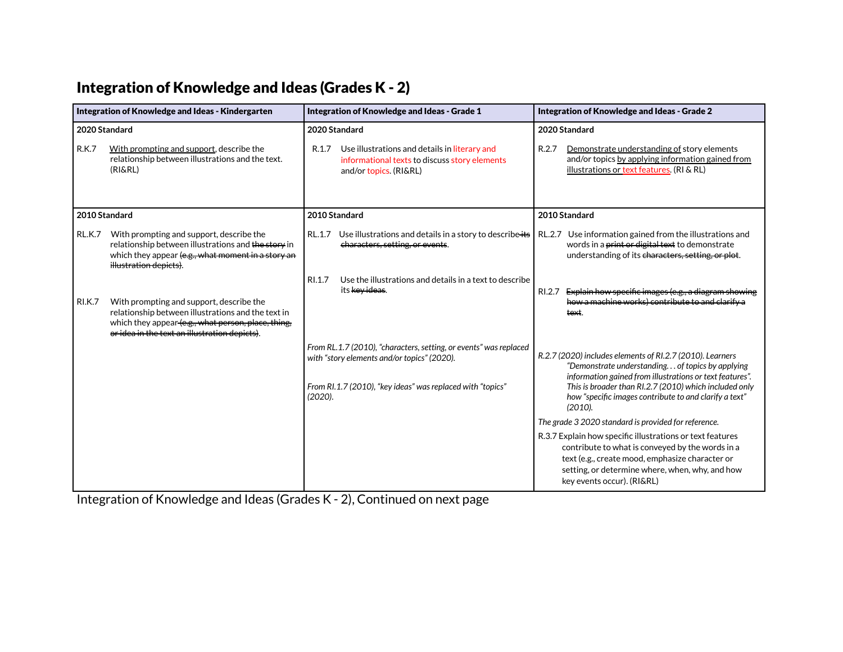#### Integration of Knowledge and Ideas (Grades K - 2)

| Integration of Knowledge and Ideas - Kindergarten |                                                                                                                                                                                                        | Integration of Knowledge and Ideas - Grade 1                                                                                      | Integration of Knowledge and Ideas - Grade 2                                                                                                                                                                                                      |  |
|---------------------------------------------------|--------------------------------------------------------------------------------------------------------------------------------------------------------------------------------------------------------|-----------------------------------------------------------------------------------------------------------------------------------|---------------------------------------------------------------------------------------------------------------------------------------------------------------------------------------------------------------------------------------------------|--|
| 2020 Standard                                     |                                                                                                                                                                                                        | 2020 Standard                                                                                                                     | 2020 Standard                                                                                                                                                                                                                                     |  |
| <b>R.K.7</b>                                      | With prompting and support, describe the<br>relationship between illustrations and the text.<br>(RI&RL)                                                                                                | Use illustrations and details in literary and<br>R.1.7<br>informational texts to discuss story elements<br>and/or topics. (RI&RL) | R.2.7<br>Demonstrate understanding of story elements<br>and/or topics by applying information gained from<br>illustrations or text features. (RI & RL)                                                                                            |  |
| 2010 Standard                                     |                                                                                                                                                                                                        | 2010 Standard                                                                                                                     | 2010 Standard                                                                                                                                                                                                                                     |  |
| <b>RL.K.7</b>                                     | With prompting and support, describe the<br>relationship between illustrations and the story in<br>which they appear (e.g., what moment in a story an<br>illustration depicts).                        | Use illustrations and details in a story to describe-its<br>RL.1.7<br>characters, setting, or events.                             | Use information gained from the illustrations and<br>RL.2.7<br>words in a print or digital text to demonstrate<br>understanding of its characters, setting, or plot.                                                                              |  |
| <b>RI.K.7</b>                                     | With prompting and support, describe the<br>relationship between illustrations and the text in<br>which they appear (e.g., what person, place, thing,<br>or idea in the text an illustration depicts). | Use the illustrations and details in a text to describe<br>RI.1.7<br>its <del>key ideas</del> .                                   | Explain how specific images (e.g., a diagram showing<br>RI.2.7<br>how a machine works) contribute to and clarify a<br>text.                                                                                                                       |  |
|                                                   |                                                                                                                                                                                                        | From RL.1.7 (2010), "characters, setting, or events" was replaced<br>with "story elements and/or topics" (2020).                  | R.2.7 (2020) includes elements of RI.2.7 (2010). Learners<br>"Demonstrate understanding of topics by applying<br>information gained from illustrations or text features".                                                                         |  |
|                                                   |                                                                                                                                                                                                        | From RI.1.7 (2010), "key ideas" was replaced with "topics"<br>$(2020)$ .                                                          | This is broader than RI.2.7 (2010) which included only<br>how "specific images contribute to and clarify a text"<br>(2010).                                                                                                                       |  |
|                                                   |                                                                                                                                                                                                        |                                                                                                                                   | The grade 3 2020 standard is provided for reference.                                                                                                                                                                                              |  |
|                                                   |                                                                                                                                                                                                        |                                                                                                                                   | R.3.7 Explain how specific illustrations or text features<br>contribute to what is conveyed by the words in a<br>text (e.g., create mood, emphasize character or<br>setting, or determine where, when, why, and how<br>key events occur). (RI&RL) |  |

Integration of Knowledge and Ideas (Grades K - 2), Continued on next page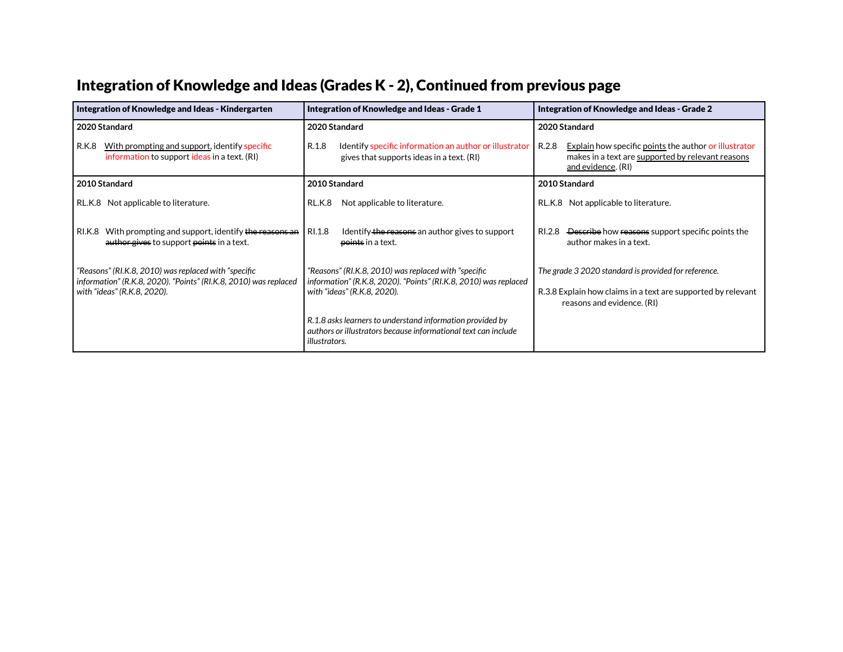# Integration of Knowledge and Ideas (Grades K - 2), Continued from previous page

| Integration of Knowledge and Ideas - Kindergarten                                                                                                       | Integration of Knowledge and Ideas - Grade 1                                                                                                            | Integration of Knowledge and Ideas - Grade 2                                                                                                       |  |
|---------------------------------------------------------------------------------------------------------------------------------------------------------|---------------------------------------------------------------------------------------------------------------------------------------------------------|----------------------------------------------------------------------------------------------------------------------------------------------------|--|
| 2020 Standard                                                                                                                                           | 2020 Standard                                                                                                                                           | 2020 Standard                                                                                                                                      |  |
| R.K.8<br>With prompting and support, identify specific<br>information to support ideas in a text. (RI)                                                  | R.1.8<br>Identify specific information an author or illustrator<br>gives that supports ideas in a text. (RI)                                            | R.2.8<br>Explain how specific points the author or illustrator<br>makes in a text are supported by relevant reasons<br>and evidence. (RI)          |  |
| 2010 Standard                                                                                                                                           | 2010 Standard                                                                                                                                           | 2010 Standard                                                                                                                                      |  |
| RL.K.8 Not applicable to literature.                                                                                                                    | Not applicable to literature.<br>RL.K.8                                                                                                                 | RL.K.8 Not applicable to literature.                                                                                                               |  |
| With prompting and support, identify the reasons an<br>RI.K.8<br>author gives to support points in a text.                                              | RI.1.8<br>Identify the reasons an author gives to support<br>points in a text.                                                                          | RI.2.8 Describe how reasons support specific points the<br>author makes in a text.                                                                 |  |
| "Reasons" (RI.K.8, 2010) was replaced with "specific<br>information" (R.K.8, 2020). "Points" (RI.K.8, 2010) was replaced<br>with "ideas" (R.K.8, 2020). | "Reasons" (RI.K.8, 2010) was replaced with "specific<br>information" (R.K.8, 2020). "Points" (RI.K.8, 2010) was replaced<br>with "ideas" (R.K.8, 2020). | The grade 3 2020 standard is provided for reference.<br>R.3.8 Explain how claims in a text are supported by relevant<br>reasons and evidence. (RI) |  |
|                                                                                                                                                         | R.1.8 asks learners to understand information provided by<br>authors or illustrators because informational text can include<br><i>illustrators.</i>     |                                                                                                                                                    |  |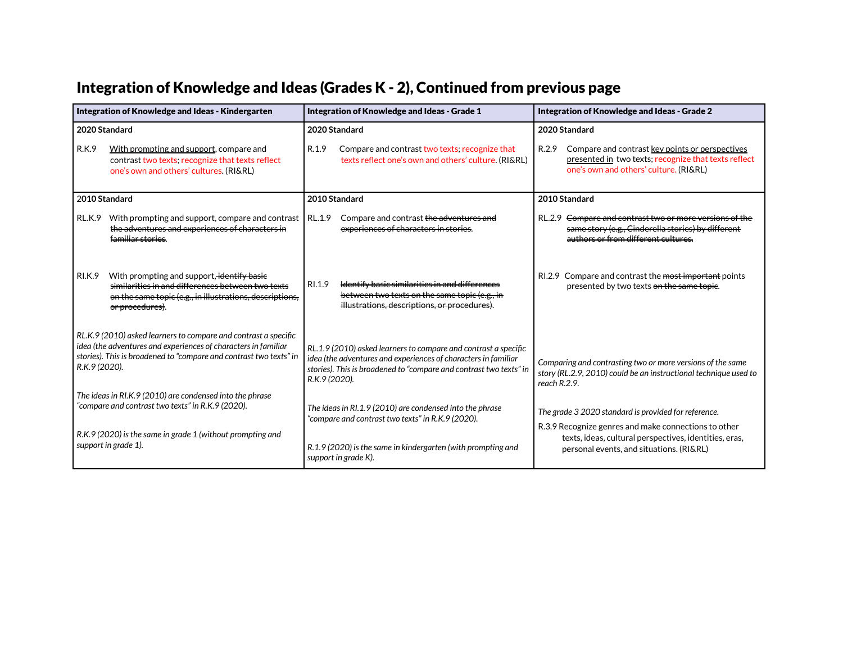# Integration of Knowledge and Ideas (Grades K - 2), Continued from previous page

| Integration of Knowledge and Ideas - Kindergarten                                                                                                                                                                        | Integration of Knowledge and Ideas - Grade 1                                                                                                                                                                             | Integration of Knowledge and Ideas - Grade 2                                                                                                                   |  |
|--------------------------------------------------------------------------------------------------------------------------------------------------------------------------------------------------------------------------|--------------------------------------------------------------------------------------------------------------------------------------------------------------------------------------------------------------------------|----------------------------------------------------------------------------------------------------------------------------------------------------------------|--|
| 2020 Standard                                                                                                                                                                                                            | 2020 Standard                                                                                                                                                                                                            | 2020 Standard                                                                                                                                                  |  |
| <b>R.K.9</b><br>With prompting and support, compare and<br>contrast two texts; recognize that texts reflect<br>one's own and others' cultures. (RI&RL)                                                                   | R.1.9<br>Compare and contrast two texts; recognize that<br>texts reflect one's own and others' culture. (RI&RL)                                                                                                          | R.2.9<br>Compare and contrast key points or perspectives<br>presented in two texts; recognize that texts reflect<br>one's own and others' culture. (RI&RL)     |  |
| 2010 Standard                                                                                                                                                                                                            | 2010 Standard                                                                                                                                                                                                            | 2010 Standard                                                                                                                                                  |  |
| With prompting and support, compare and contrast<br>RL.K.9<br>the adventures and experiences of characters in<br>familiar stories.                                                                                       | RL.1.9<br>Compare and contrast the adventures and<br>experiences of characters in stories.                                                                                                                               | RL.2.9 <del>Compare and contrast two or more versions of the</del><br>same story (e.g., Cinderella stories) by different<br>authors or from different cultures |  |
| With prompting and support, identify basie<br><b>RI.K.9</b><br>similarities in and differences between two texts<br>on the same topic (e.g., in illustrations, descriptions,<br><del>or procedures)</del>                | RI.1.9<br><del>Identify basic similarities in and differences</del><br>between two texts on the same topic (e.g., in<br>illustrations, descriptions, or procedures).                                                     | RI.2.9 Compare and contrast the most important points<br>presented by two texts on the same topie.                                                             |  |
| RL.K.9 (2010) asked learners to compare and contrast a specific<br>idea (the adventures and experiences of characters in familiar<br>stories). This is broadened to "compare and contrast two texts" in<br>R.K.9 (2020). | RL.1.9 (2010) asked learners to compare and contrast a specific<br>idea (the adventures and experiences of characters in familiar<br>stories). This is broadened to "compare and contrast two texts" in<br>R.K.9 (2020). | Comparing and contrasting two or more versions of the same<br>story (RL.2.9, 2010) could be an instructional technique used to<br>reach $R.2.9$ .              |  |
| The ideas in RI.K.9 (2010) are condensed into the phrase<br>"compare and contrast two texts" in R.K.9 (2020).                                                                                                            | The ideas in RI.1.9 (2010) are condensed into the phrase<br>"compare and contrast two texts" in R.K.9 (2020).                                                                                                            | The grade 3 2020 standard is provided for reference.<br>R.3.9 Recognize genres and make connections to other                                                   |  |
| R.K.9 (2020) is the same in grade 1 (without prompting and<br>support in grade 1).                                                                                                                                       | R.1.9 (2020) is the same in kindergarten (with prompting and<br>support in grade K).                                                                                                                                     | texts, ideas, cultural perspectives, identities, eras,<br>personal events, and situations. (RI&RL)                                                             |  |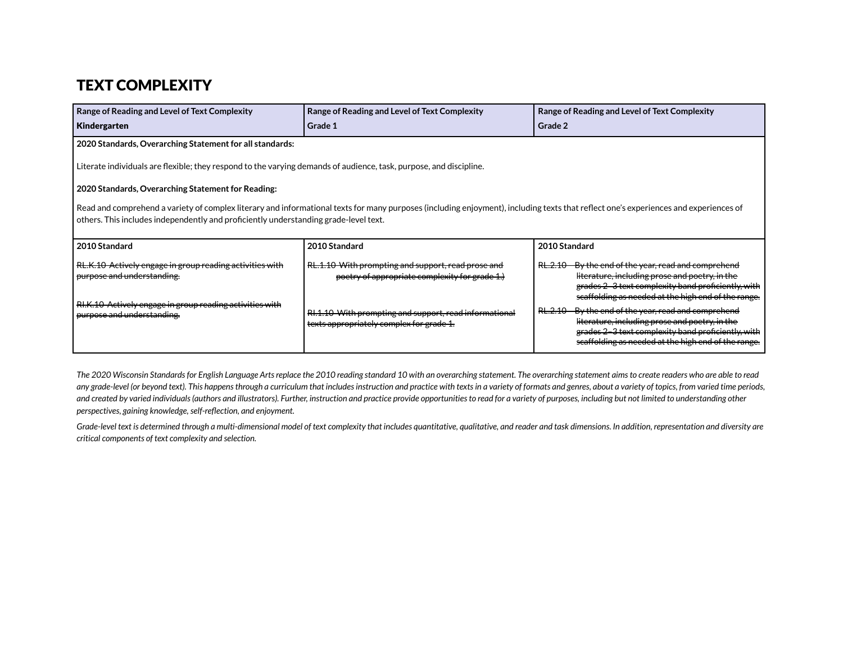#### TEXT COMPLEXITY

| Range of Reading and Level of Text Complexity<br>Kindergarten                                                                                                                                                                                                                | Range of Reading and Level of Text Complexity<br>Grade 1                                             | Range of Reading and Level of Text Complexity<br>Grade 2                                                                                                                                                           |  |  |  |  |
|------------------------------------------------------------------------------------------------------------------------------------------------------------------------------------------------------------------------------------------------------------------------------|------------------------------------------------------------------------------------------------------|--------------------------------------------------------------------------------------------------------------------------------------------------------------------------------------------------------------------|--|--|--|--|
| 2020 Standards, Overarching Statement for all standards:                                                                                                                                                                                                                     |                                                                                                      |                                                                                                                                                                                                                    |  |  |  |  |
| Literate individuals are flexible; they respond to the varying demands of audience, task, purpose, and discipline.                                                                                                                                                           |                                                                                                      |                                                                                                                                                                                                                    |  |  |  |  |
| 2020 Standards, Overarching Statement for Reading:                                                                                                                                                                                                                           |                                                                                                      |                                                                                                                                                                                                                    |  |  |  |  |
| Read and comprehend a variety of complex literary and informational texts for many purposes (including enjoyment), including texts that reflect one's experiences and experiences of<br>others. This includes independently and proficiently understanding grade-level text. |                                                                                                      |                                                                                                                                                                                                                    |  |  |  |  |
| 2010 Standard                                                                                                                                                                                                                                                                | 2010 Standard                                                                                        | 2010 Standard                                                                                                                                                                                                      |  |  |  |  |
| RL.K.10 Actively engage in group reading activities with<br>purpose and understanding.                                                                                                                                                                                       | RL.1.10 With prompting and support, read prose and<br>poetry of appropriate complexity for grade 1.) | RL.2.10 By the end of the year, read and comprehend<br>literature, including prose and poetry, in the<br>grades 2-3 text complexity band proficiently, with<br>scaffolding as needed at the high end of the range. |  |  |  |  |
| RI.K.10 Actively engage in group reading activities with<br>purpose and understanding.                                                                                                                                                                                       | RI.1.10 With prompting and support, read informational<br>texts appropriately complex for grade 1.   | RL.2.10 By the end of the year, read and comprehend<br>literature, including prose and poetry, in the<br>grades 2-3 text complexity band proficiently, with<br>scaffolding as needed at the high end of the range. |  |  |  |  |

The 2020 Wisconsin Standards for English Language Arts replace the 2010 reading standard 10 with an overarching statement. The overarching statement aims to create readers who are able to read any grade-level (or beyond text). This happens through a curriculum that includes instruction and practice with texts in a variety of formats and genres, about a variety of topics, from varied time periods, and created by varied individuals (authors and illustrators). Further, instruction and practice provide opportunities to read for a variety of purposes, including but not limited to understanding other *perspectives, gaining knowledge,self-reflection, and enjoyment.*

Grade-level text is determined through a multi-dimensional model of text complexity that includes quantitative, qualitative, and reader and task dimensions. In addition, representation and diversity are *critical components of text complexity and selection.*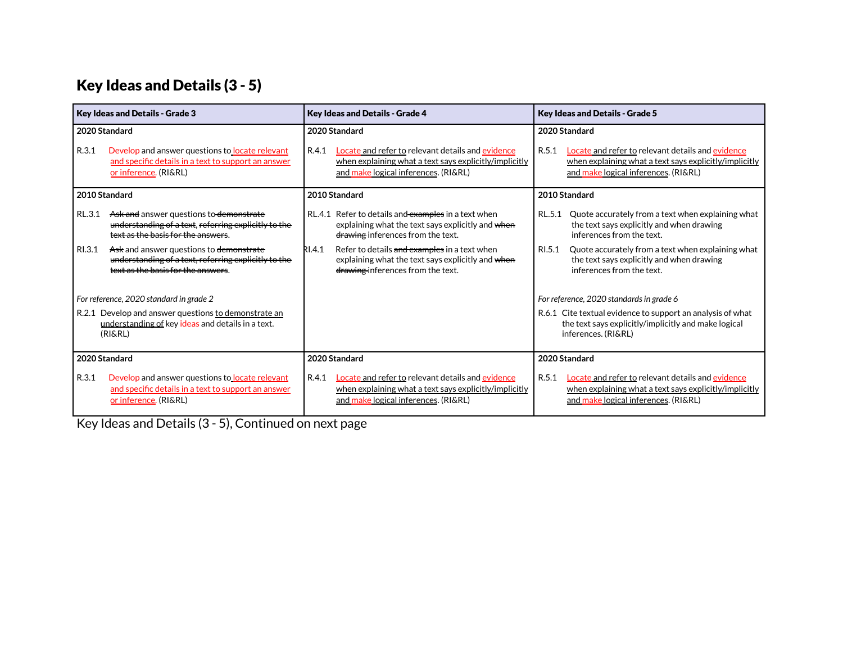# Key Ideas and Details (3 - 5)

| Key Ideas and Details - Grade 3                                                                                      |                                                                                                                                       | Key Ideas and Details - Grade 4 |                                                                                                                                                     |        | <b>Key Ideas and Details - Grade 5</b>                                                                                                              |
|----------------------------------------------------------------------------------------------------------------------|---------------------------------------------------------------------------------------------------------------------------------------|---------------------------------|-----------------------------------------------------------------------------------------------------------------------------------------------------|--------|-----------------------------------------------------------------------------------------------------------------------------------------------------|
| 2020 Standard                                                                                                        |                                                                                                                                       |                                 | 2020 Standard                                                                                                                                       |        | 2020 Standard                                                                                                                                       |
| R.3.1                                                                                                                | Develop and answer questions to locate relevant<br>and specific details in a text to support an answer<br>or inference. (RI&RL)       | R.4.1                           | Locate and refer to relevant details and evidence<br>when explaining what a text says explicitly/implicitly<br>and make logical inferences. (RI&RL) | R.5.1  | Locate and refer to relevant details and evidence<br>when explaining what a text says explicitly/implicitly<br>and make logical inferences. (RI&RL) |
| 2010 Standard                                                                                                        |                                                                                                                                       |                                 | 2010 Standard                                                                                                                                       |        | 2010 Standard                                                                                                                                       |
| RL.3.1                                                                                                               | Ask and answer questions to demonstrate<br>understanding of a text, referring explicitly to the<br>text as the basis for the answers. |                                 | RL.4.1 Refer to details and examples in a text when<br>explaining what the text says explicitly and when<br>drawing inferences from the text.       | RL.5.1 | Quote accurately from a text when explaining what<br>the text says explicitly and when drawing<br>inferences from the text.                         |
| RI.3.1                                                                                                               | Ask and answer questions to demonstrate<br>understanding of a text, referring explicitly to the<br>text as the basis for the answers  | RI.4.1                          | Refer to details and examples in a text when<br>explaining what the text says explicitly and when<br>drawing inferences from the text.              | RI.5.1 | Quote accurately from a text when explaining what<br>the text says explicitly and when drawing<br>inferences from the text.                         |
|                                                                                                                      | For reference, 2020 standard in grade 2                                                                                               |                                 |                                                                                                                                                     |        | For reference, 2020 standards in grade 6                                                                                                            |
| R.2.1 Develop and answer questions to demonstrate an<br>understanding of key ideas and details in a text.<br>(RI&RL) |                                                                                                                                       |                                 |                                                                                                                                                     |        | R.6.1 Cite textual evidence to support an analysis of what<br>the text says explicitly/implicitly and make logical<br>inferences. (RI&RL)           |
| 2020 Standard                                                                                                        |                                                                                                                                       |                                 | 2020 Standard                                                                                                                                       |        | 2020 Standard                                                                                                                                       |
| R.3.1                                                                                                                | Develop and answer questions to locate relevant<br>and specific details in a text to support an answer<br>or inference. (RI&RL)       | R.4.1                           | Locate and refer to relevant details and evidence<br>when explaining what a text says explicitly/implicitly<br>and make logical inferences. (RI&RL) | R.5.1  | Locate and refer to relevant details and evidence<br>when explaining what a text says explicitly/implicitly<br>and make logical inferences. (RI&RL) |

Key Ideas and Details (3 - 5), Continued on next page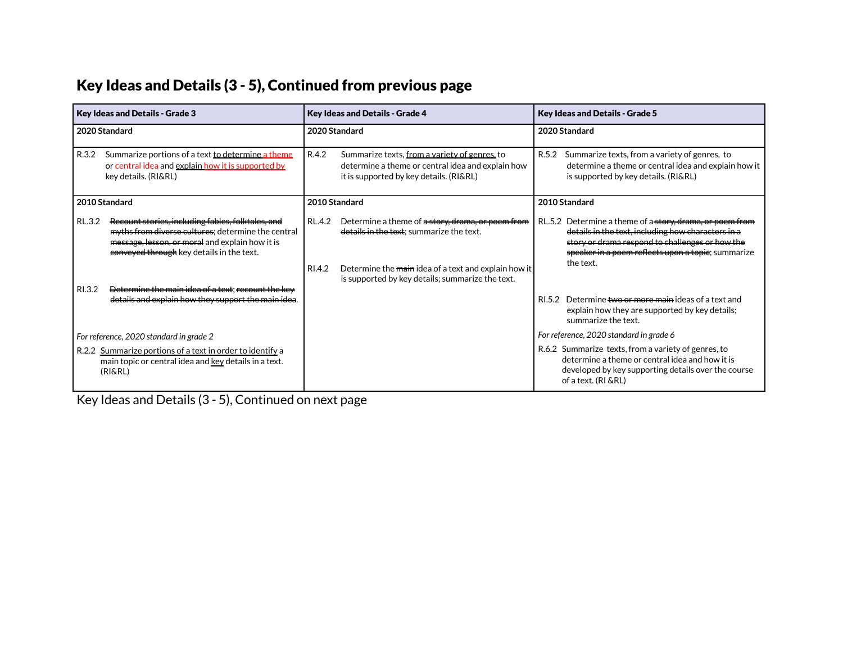# Key Ideas and Details (3 - 5), Continued from previous page

| <b>Key Ideas and Details - Grade 3</b>                                                                                        |                                                                                                                                                                                                         | Key Ideas and Details - Grade 4 |                                                                                                                                                                                                           |               | <b>Key Ideas and Details - Grade 5</b>                                                                                                                                                                                               |
|-------------------------------------------------------------------------------------------------------------------------------|---------------------------------------------------------------------------------------------------------------------------------------------------------------------------------------------------------|---------------------------------|-----------------------------------------------------------------------------------------------------------------------------------------------------------------------------------------------------------|---------------|--------------------------------------------------------------------------------------------------------------------------------------------------------------------------------------------------------------------------------------|
| 2020 Standard                                                                                                                 |                                                                                                                                                                                                         | 2020 Standard                   |                                                                                                                                                                                                           | 2020 Standard |                                                                                                                                                                                                                                      |
| R.3.2                                                                                                                         | Summarize portions of a text to determine a theme<br>or central idea and explain how it is supported by<br>key details. (RI&RL)                                                                         | R.4.2                           | Summarize texts, from a variety of genres, to<br>determine a theme or central idea and explain how<br>it is supported by key details. (RI&RL)                                                             |               | R.5.2 Summarize texts, from a variety of genres, to<br>determine a theme or central idea and explain how it<br>is supported by key details. (RI&RL)                                                                                  |
| 2010 Standard                                                                                                                 |                                                                                                                                                                                                         |                                 | 2010 Standard                                                                                                                                                                                             |               | 2010 Standard                                                                                                                                                                                                                        |
| RL.3.2                                                                                                                        | Recount stories, including fables, folktales, and<br>myths from diverse cultures; determine the central<br>message, lesson, or moral and explain how it is<br>conveyed through key details in the text. | RL.4.2<br>RI.4.2                | Determine a theme of a story, drama, or poem from<br>details in the text; summarize the text.<br>Determine the main idea of a text and explain how it<br>is supported by key details; summarize the text. |               | RL.5.2 Determine a theme of a story, drama, or poem from<br>details in the text, including how characters in a<br>story or drama respond to challenges or how the<br>speaker in a poem reflects upon a topie; summarize<br>the text. |
| RI.3.2                                                                                                                        | Determine the main idea of a text: recount the key<br>details and explain how they support the main idea.                                                                                               |                                 |                                                                                                                                                                                                           |               | RL5.2 Determine two or more main ideas of a text and<br>explain how they are supported by key details;<br>summarize the text.                                                                                                        |
| For reference, 2020 standard in grade 2                                                                                       |                                                                                                                                                                                                         |                                 |                                                                                                                                                                                                           |               | For reference, 2020 standard in grade 6                                                                                                                                                                                              |
| R.2.2 Summarize portions of a text in order to identify a<br>main topic or central idea and key details in a text.<br>(RI&RL) |                                                                                                                                                                                                         |                                 |                                                                                                                                                                                                           |               | R.6.2 Summarize texts, from a variety of genres, to<br>determine a theme or central idea and how it is<br>developed by key supporting details over the course<br>of a text. (RI & RL)                                                |

Key Ideas and Details (3 - 5), Continued on next page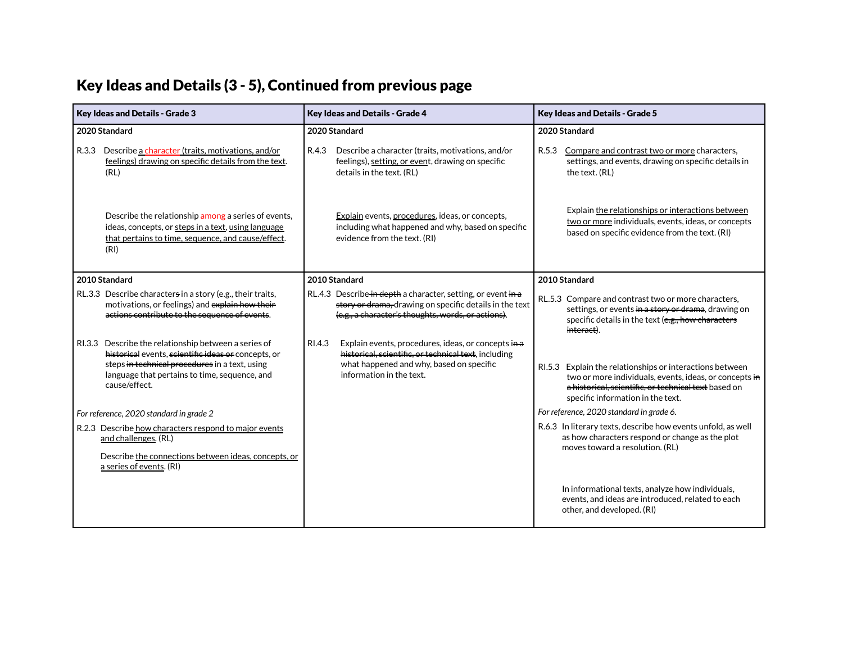#### Key Ideas and Details (3 - 5), Continued from previous page

| <b>Key Ideas and Details - Grade 3</b>                                                                                                                                                                                          | <b>Key Ideas and Details - Grade 4</b>                                                                                                                                                        | <b>Key Ideas and Details - Grade 5</b>                                                                                                                                                                          |  |
|---------------------------------------------------------------------------------------------------------------------------------------------------------------------------------------------------------------------------------|-----------------------------------------------------------------------------------------------------------------------------------------------------------------------------------------------|-----------------------------------------------------------------------------------------------------------------------------------------------------------------------------------------------------------------|--|
| 2020 Standard                                                                                                                                                                                                                   | 2020 Standard                                                                                                                                                                                 | 2020 Standard                                                                                                                                                                                                   |  |
| Describe a character (traits, motivations, and/or<br>R.3.3<br>feelings) drawing on specific details from the text.<br>(RL)                                                                                                      | R.4.3<br>Describe a character (traits, motivations, and/or<br>feelings), setting, or event, drawing on specific<br>details in the text. (RL)                                                  | R.5.3<br>Compare and contrast two or more characters,<br>settings, and events, drawing on specific details in<br>the text. (RL)                                                                                 |  |
| Describe the relationship among a series of events,<br>ideas, concepts, or steps in a text, using language<br>that pertains to time, sequence, and cause/effect.<br>(RI)                                                        | Explain events, procedures, ideas, or concepts,<br>including what happened and why, based on specific<br>evidence from the text. (RI)                                                         | Explain the relationships or interactions between<br>two or more individuals, events, ideas, or concepts<br>based on specific evidence from the text. (RI)                                                      |  |
| 2010 Standard                                                                                                                                                                                                                   | 2010 Standard                                                                                                                                                                                 | 2010 Standard                                                                                                                                                                                                   |  |
| RL.3.3 Describe characters in a story (e.g., their traits,<br>motivations, or feelings) and explain how their<br>actions contribute to the sequence of events.                                                                  | RL.4.3 Describe in depth a character, setting, or event in a<br>story or drama, drawing on specific details in the text<br>(e.g., a character's thoughts, words, or actions).                 | RL.5.3 Compare and contrast two or more characters,<br>settings, or events in a story or drama, drawing on<br>specific details in the text (e.g., how characters<br>interact).                                  |  |
| RI.3.3 Describe the relationship between a series of<br>historical events, scientific ideas or concepts, or<br>steps in technical procedures in a text, using<br>language that pertains to time, sequence, and<br>cause/effect. | RI.4.3<br>Explain events, procedures, ideas, or concepts in a<br>historical, scientific, or technical text, including<br>what happened and why, based on specific<br>information in the text. | RI.5.3 Explain the relationships or interactions between<br>two or more individuals, events, ideas, or concepts in<br>a historical, scientific, or technical text based on<br>specific information in the text. |  |
| For reference, 2020 standard in grade 2                                                                                                                                                                                         |                                                                                                                                                                                               | For reference, 2020 standard in grade 6.                                                                                                                                                                        |  |
| R.2.3 Describe how characters respond to major events<br>and challenges. (RL)<br>Describe the connections between ideas, concepts, or<br>a series of events. (RI)                                                               |                                                                                                                                                                                               | R.6.3 In literary texts, describe how events unfold, as well<br>as how characters respond or change as the plot<br>moves toward a resolution. (RL)                                                              |  |
|                                                                                                                                                                                                                                 |                                                                                                                                                                                               | In informational texts, analyze how individuals,<br>events, and ideas are introduced, related to each<br>other, and developed. (RI)                                                                             |  |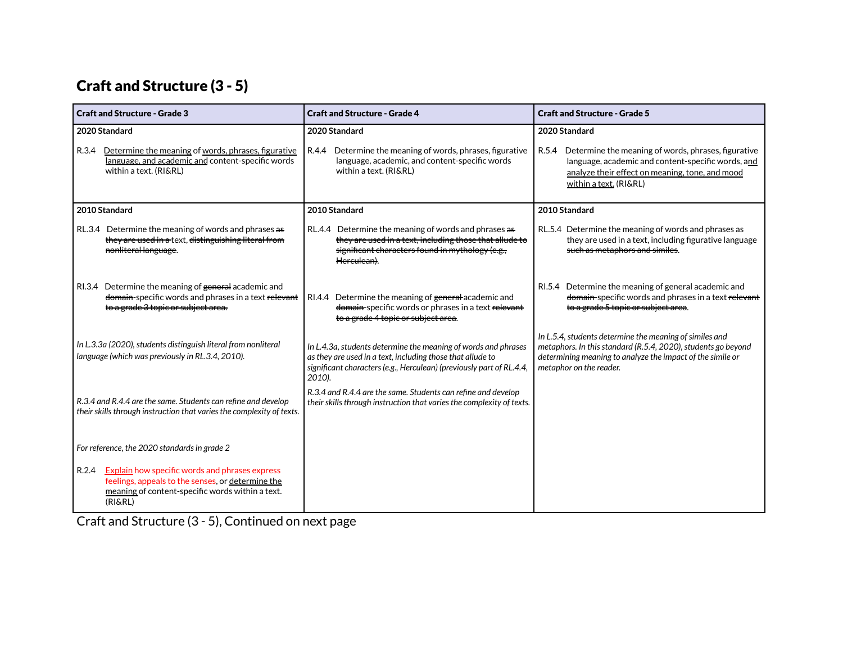# Craft and Structure (3 - 5)

| <b>Craft and Structure - Grade 3</b>                                                                                                                                                                                               | <b>Craft and Structure - Grade 4</b>                                                                                                                                                                           | <b>Craft and Structure - Grade 5</b>                                                                                                                                                                              |  |
|------------------------------------------------------------------------------------------------------------------------------------------------------------------------------------------------------------------------------------|----------------------------------------------------------------------------------------------------------------------------------------------------------------------------------------------------------------|-------------------------------------------------------------------------------------------------------------------------------------------------------------------------------------------------------------------|--|
| 2020 Standard<br>R.3.4<br>Determine the meaning of words, phrases, figurative<br>language, and academic and content-specific words<br>within a text. (RI&RL)                                                                       | 2020 Standard<br>R.4.4<br>Determine the meaning of words, phrases, figurative<br>language, academic, and content-specific words<br>within a text. (RI&RL)                                                      | 2020 Standard<br>R.5.4 Determine the meaning of words, phrases, figurative<br>language, academic and content-specific words, and<br>analyze their effect on meaning, tone, and mood<br>within a text. (RI&RL)     |  |
| 2010 Standard<br>RL.3.4 Determine the meaning of words and phrases as<br>they are used in a text, distinguishing literal from<br>nonliteral language.                                                                              | 2010 Standard<br>RL.4.4 Determine the meaning of words and phrases as<br>they are used in a text, including those that allude to<br>significant characters found in mythology (e.g.,<br>Herculean).            | 2010 Standard<br>RL.5.4 Determine the meaning of words and phrases as<br>they are used in a text, including figurative language<br>such as metaphors and similes.                                                 |  |
| RI.3.4 Determine the meaning of general academic and<br>domain-specific words and phrases in a text relevant<br>to a grade 3 topic or subject area.                                                                                | RI.4.4 Determine the meaning of general academic and<br>domain-specific words or phrases in a text relevant<br>to a grade 4 topic or subject area.                                                             | RI.5.4 Determine the meaning of general academic and<br>domain-specific words and phrases in a text relevant<br>to a grade 5 topic or subject area.                                                               |  |
| In L.3.3a (2020), students distinguish literal from nonliteral<br>language (which was previously in RL.3.4, 2010).                                                                                                                 | In L.4.3a, students determine the meaning of words and phrases<br>as they are used in a text, including those that allude to<br>significant characters (e.g., Herculean) (previously part of RL.4.4,<br>2010). | In L.5.4, students determine the meaning of similes and<br>metaphors. In this standard (R.5.4, 2020), students go beyond<br>determining meaning to analyze the impact of the simile or<br>metaphor on the reader. |  |
| R.3.4 and R.4.4 are the same. Students can refine and develop<br>their skills through instruction that varies the complexity of texts.                                                                                             | R.3.4 and R.4.4 are the same. Students can refine and develop<br>their skills through instruction that varies the complexity of texts.                                                                         |                                                                                                                                                                                                                   |  |
| For reference, the 2020 standards in grade 2<br><b>Explain</b> how specific words and phrases express<br>R.2.4<br>feelings, appeals to the senses, or determine the<br>meaning of content-specific words within a text.<br>(RI&RL) |                                                                                                                                                                                                                |                                                                                                                                                                                                                   |  |

Craft and Structure (3 - 5), Continued on next page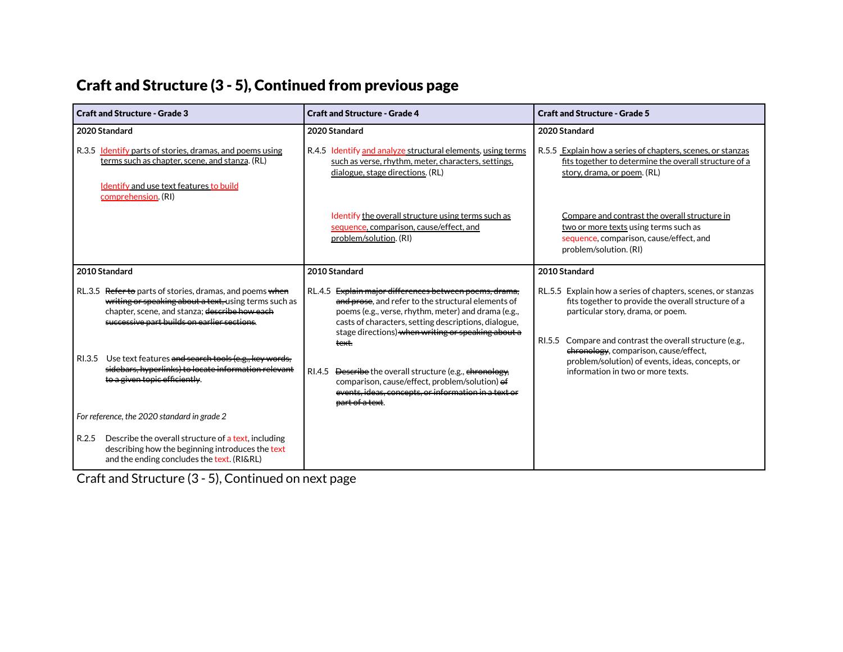#### Craft and Structure (3 - 5), Continued from previous page

| <b>Craft and Structure - Grade 3</b>                                                                                                                                                                              | <b>Craft and Structure - Grade 4</b>                                                                                                                                                                                                                                                                 | <b>Craft and Structure - Grade 5</b>                                                                                                                                                                                   |  |
|-------------------------------------------------------------------------------------------------------------------------------------------------------------------------------------------------------------------|------------------------------------------------------------------------------------------------------------------------------------------------------------------------------------------------------------------------------------------------------------------------------------------------------|------------------------------------------------------------------------------------------------------------------------------------------------------------------------------------------------------------------------|--|
| 2020 Standard                                                                                                                                                                                                     | 2020 Standard                                                                                                                                                                                                                                                                                        | 2020 Standard                                                                                                                                                                                                          |  |
| R.3.5 Identify parts of stories, dramas, and poems using<br>terms such as chapter, scene, and stanza. (RL)<br>Identify and use text features to build<br>comprehension. (RI)                                      | R.4.5 Identify and analyze structural elements, using terms<br>such as verse, rhythm, meter, characters, settings,<br>dialogue, stage directions. (RL)                                                                                                                                               | R.5.5 Explain how a series of chapters, scenes, or stanzas<br>fits together to determine the overall structure of a<br>story, drama, or poem. (RL)                                                                     |  |
|                                                                                                                                                                                                                   | Identify the overall structure using terms such as<br>sequence, comparison, cause/effect, and<br>problem/solution. (RI)                                                                                                                                                                              | Compare and contrast the overall structure in<br>two or more texts using terms such as<br>sequence, comparison, cause/effect, and<br>problem/solution. (RI)                                                            |  |
| 2010 Standard                                                                                                                                                                                                     | 2010 Standard                                                                                                                                                                                                                                                                                        | 2010 Standard                                                                                                                                                                                                          |  |
| RL.3.5 Refer to parts of stories, dramas, and poems when<br>writing or speaking about a text, using terms such as<br>chapter, scene, and stanza; describe how each<br>successive part builds on earlier sections. | Explain major differences between poems, drama,<br><b>RL.4.5</b><br>and prose, and refer to the structural elements of<br>poems (e.g., verse, rhythm, meter) and drama (e.g.,<br>casts of characters, setting descriptions, dialogue,<br>stage directions) when writing or speaking about a<br>text. | RL.5.5 Explain how a series of chapters, scenes, or stanzas<br>fits together to provide the overall structure of a<br>particular story, drama, or poem.<br>Compare and contrast the overall structure (e.g.,<br>RI.5.5 |  |
| Use text features and search tools (e.g., key words,<br>RI.3.5<br>sidebars, hyperlinks) to locate information relevant<br>to a given topic efficiently.                                                           | Describe the overall structure (e.g., chronology,<br>RI.4.5<br>comparison, cause/effect, problem/solution) of<br>events, ideas, concepts, or information in a text or<br>part of a text.                                                                                                             | chronology, comparison, cause/effect,<br>problem/solution) of events, ideas, concepts, or<br>information in two or more texts.                                                                                         |  |
| For reference, the 2020 standard in grade 2                                                                                                                                                                       |                                                                                                                                                                                                                                                                                                      |                                                                                                                                                                                                                        |  |
| Describe the overall structure of a text, including<br>R.2.5<br>describing how the beginning introduces the text<br>and the ending concludes the text. (RI&RL)                                                    |                                                                                                                                                                                                                                                                                                      |                                                                                                                                                                                                                        |  |

Craft and Structure (3 - 5), Continued on next page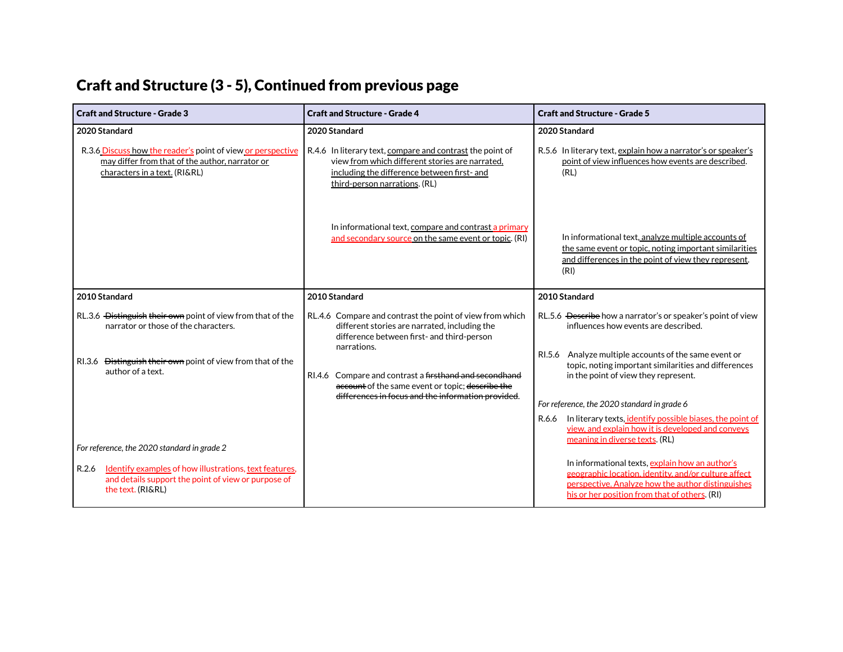# Craft and Structure (3 - 5), Continued from previous page

| <b>Craft and Structure - Grade 3</b>                                                                                                                             | <b>Craft and Structure - Grade 4</b>                                                                                                                                         | <b>Craft and Structure - Grade 5</b>                                                                                                                                                                          |
|------------------------------------------------------------------------------------------------------------------------------------------------------------------|------------------------------------------------------------------------------------------------------------------------------------------------------------------------------|---------------------------------------------------------------------------------------------------------------------------------------------------------------------------------------------------------------|
| 2020 Standard<br>R.3.6 Discuss how the reader's point of view or perspective<br>may differ from that of the author, narrator or<br>characters in a text. (RI&RL) | 2020 Standard<br>R.4.6 In literary text, compare and contrast the point of<br>view from which different stories are narrated,<br>including the difference between first- and | 2020 Standard<br>R.5.6 In literary text, explain how a narrator's or speaker's<br>point of view influences how events are described.<br>(RL)                                                                  |
|                                                                                                                                                                  | third-person narrations. (RL)                                                                                                                                                |                                                                                                                                                                                                               |
|                                                                                                                                                                  | In informational text, compare and contrast a primary<br>and secondary source on the same event or topic. (RI)                                                               | In informational text, analyze multiple accounts of<br>the same event or topic, noting important similarities<br>and differences in the point of view they represent.<br>(RI)                                 |
| 2010 Standard                                                                                                                                                    | 2010 Standard                                                                                                                                                                | 2010 Standard                                                                                                                                                                                                 |
| RL.3.6 Distinguish their own point of view from that of the<br>narrator or those of the characters.                                                              | RL.4.6 Compare and contrast the point of view from which<br>different stories are narrated, including the<br>difference between first- and third-person<br>narrations.       | RL.5.6 Describe how a narrator's or speaker's point of view<br>influences how events are described.                                                                                                           |
| RI.3.6 <del>Distinguish their own</del> point of view from that of the<br>author of a text.                                                                      | RI.4.6 Compare and contrast a firsthand and secondhand<br>account of the same event or topic; describe the<br>differences in focus and the information provided.             | Analyze multiple accounts of the same event or<br>RI.5.6<br>topic, noting important similarities and differences<br>in the point of view they represent.                                                      |
|                                                                                                                                                                  |                                                                                                                                                                              | For reference, the 2020 standard in grade 6                                                                                                                                                                   |
|                                                                                                                                                                  |                                                                                                                                                                              | In literary texts, identify possible biases, the point of<br>R.6.6<br>view, and explain how it is developed and conveys<br>meaning in diverse texts. (RL)                                                     |
| For reference, the 2020 standard in grade 2                                                                                                                      |                                                                                                                                                                              |                                                                                                                                                                                                               |
| R.2.6 Identify examples of how illustrations, text features,<br>and details support the point of view or purpose of<br>the text. (RI&RL)                         |                                                                                                                                                                              | In informational texts, explain how an author's<br>geographic location, identity, and/or culture affect<br>perspective. Analyze how the author distinguishes<br>his or her position from that of others. (RI) |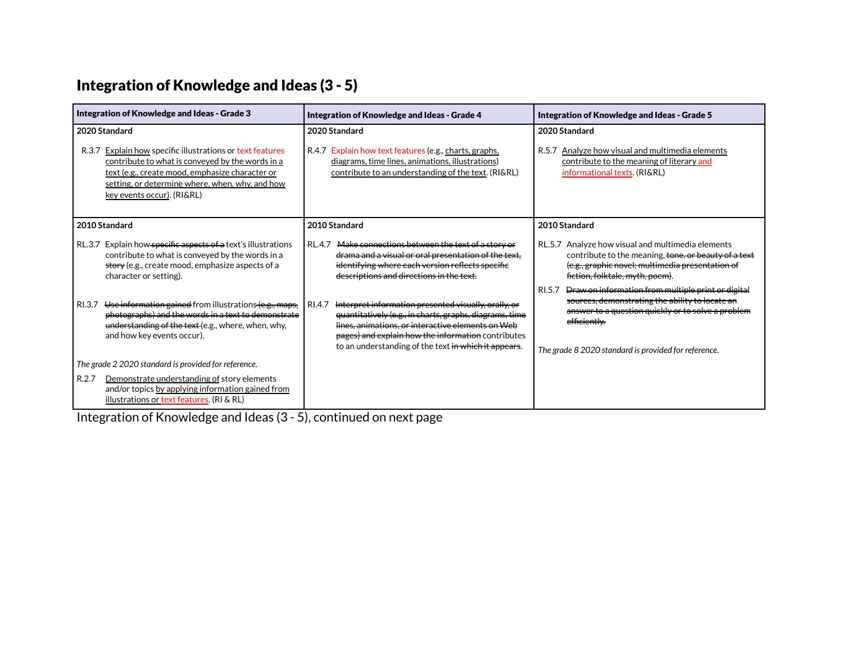# Integration of Knowledge and Ideas (3 - 5)

| Integration of Knowledge and Ideas - Grade 3                                                                                                                                                                                                                          | Integration of Knowledge and Ideas - Grade 4                                                                                                                                                                                                                                                 | Integration of Knowledge and Ideas - Grade 5                                                                                                                                                                                                  |
|-----------------------------------------------------------------------------------------------------------------------------------------------------------------------------------------------------------------------------------------------------------------------|----------------------------------------------------------------------------------------------------------------------------------------------------------------------------------------------------------------------------------------------------------------------------------------------|-----------------------------------------------------------------------------------------------------------------------------------------------------------------------------------------------------------------------------------------------|
| 2020 Standard<br>Explain how specific illustrations or text features<br>R.3.7<br>contribute to what is conveyed by the words in a<br>text (e.g., create mood, emphasize character or<br>setting, or determine where, when, why, and how<br>key events occur). (RI&RL) | 2020 Standard<br>R.4.7 Explain how text features (e.g., charts, graphs,<br>diagrams, time lines, animations, illustrations)<br>contribute to an understanding of the text. (RI&RL)                                                                                                           | 2020 Standard<br>R.5.7 Analyze how visual and multimedia elements<br>contribute to the meaning of literary and<br>informational texts. (RI&RL)                                                                                                |
| 2010 Standard                                                                                                                                                                                                                                                         | 2010 Standard                                                                                                                                                                                                                                                                                | 2010 Standard                                                                                                                                                                                                                                 |
| RL.3.7 Explain how specific aspects of a text's illustrations<br>contribute to what is conveyed by the words in a<br>story (e.g., create mood, emphasize aspects of a<br>character or setting).                                                                       | Make connections between the text of a story or<br><b>RL.4.7</b><br>drama and a visual or oral presentation of the text,<br>identifying where each version reflects specifie<br>descriptions and directions in the text.                                                                     | RL.5.7 Analyze how visual and multimedia elements<br>contribute to the meaning, tone, or beauty of a text<br>(e.g., graphic novel; multimedia presentation of<br>fiction, folktale, myth, poem).                                              |
| Use information gained from illustrations (e.g., maps,<br>RI.3.7<br>photographs) and the words in a text to demonstrate<br>understanding of the text (e.g., where, when, why,<br>and how key events occur).                                                           | Interpret information presented visually, orally, or<br>RI.4.7<br>quantitatively (e.g., in charts, graphs, diagrams, time<br>lines, animations, or interactive elements on Web<br>pages) and explain how the information contributes<br>to an understanding of the text in which it appears. | Draw on information from multiple print or digital<br>RI.5.7<br>sources, demonstrating the ability to locate an<br>answer to a question quickly or to solve a problem<br>efficiently.<br>The grade 8 2020 standard is provided for reference. |
| The grade 2 2020 standard is provided for reference.                                                                                                                                                                                                                  |                                                                                                                                                                                                                                                                                              |                                                                                                                                                                                                                                               |
| R.2.7<br>Demonstrate understanding of story elements<br>and/or topics by applying information gained from<br>illustrations or text features. (RI & RL)                                                                                                                |                                                                                                                                                                                                                                                                                              |                                                                                                                                                                                                                                               |

Integration of Knowledge and Ideas (3 - 5), continued on next page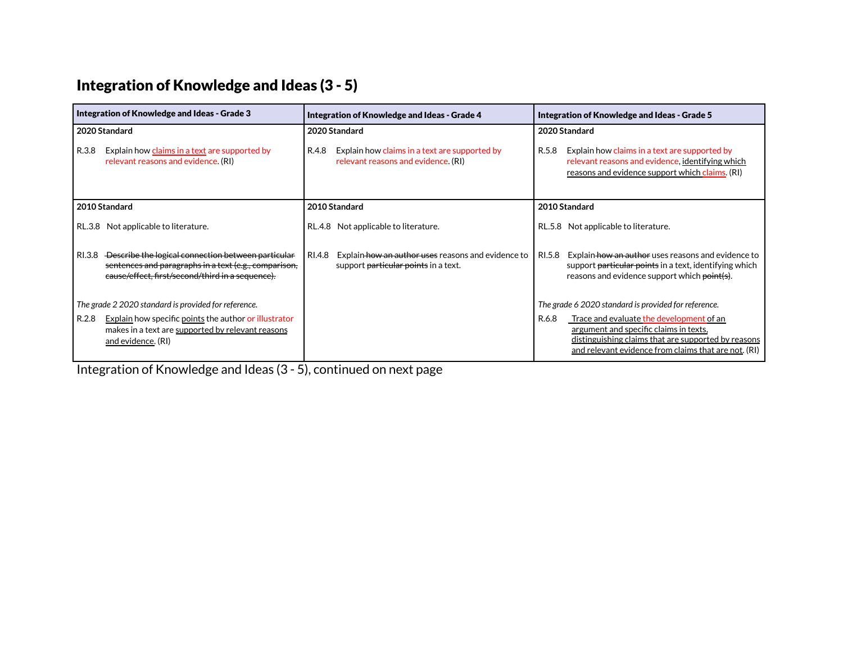# Integration of Knowledge and Ideas (3 - 5)

| Integration of Knowledge and Ideas - Grade 3                                                                                                                           | Integration of Knowledge and Ideas - Grade 4                                                         | Integration of Knowledge and Ideas - Grade 5                                                                                                                                                                      |
|------------------------------------------------------------------------------------------------------------------------------------------------------------------------|------------------------------------------------------------------------------------------------------|-------------------------------------------------------------------------------------------------------------------------------------------------------------------------------------------------------------------|
| 2020 Standard                                                                                                                                                          | 2020 Standard                                                                                        | 2020 Standard                                                                                                                                                                                                     |
| R.3.8<br>Explain how claims in a text are supported by<br>relevant reasons and evidence. (RI)                                                                          | R.4.8<br>Explain how claims in a text are supported by<br>relevant reasons and evidence. (RI)        | R.5.8<br>Explain how claims in a text are supported by<br>relevant reasons and evidence, identifying which<br>reasons and evidence support which claims. (RI)                                                     |
| 2010 Standard                                                                                                                                                          | 2010 Standard                                                                                        | 2010 Standard                                                                                                                                                                                                     |
| RL.3.8 Not applicable to literature.                                                                                                                                   | RL.4.8 Not applicable to literature.                                                                 | RL.5.8 Not applicable to literature.                                                                                                                                                                              |
| RI.3.8 Describe the logical connection between particular<br>sentences and paragraphs in a text (e.g., comparison,<br>eause/effect, first/second/third in a sequence). | RI.4.8<br>Explain how an author uses reasons and evidence to<br>support particular points in a text. | RI.5.8<br>Explain how an author uses reasons and evidence to<br>support <del>particular points</del> in a text, identifying which<br>reasons and evidence support which point(s).                                 |
| The grade 2 2020 standard is provided for reference.                                                                                                                   |                                                                                                      | The grade 6 2020 standard is provided for reference.                                                                                                                                                              |
| Explain how specific points the author or illustrator<br>R.2.8<br>makes in a text are supported by relevant reasons<br>and evidence. (RI)                              |                                                                                                      | Trace and evaluate the development of an<br>R.6.8<br>argument and specific claims in texts,<br><u>distinguishing claims that are supported by reasons</u><br>and relevant evidence from claims that are not. (RI) |

Integration of Knowledge and Ideas (3 - 5), continued on next page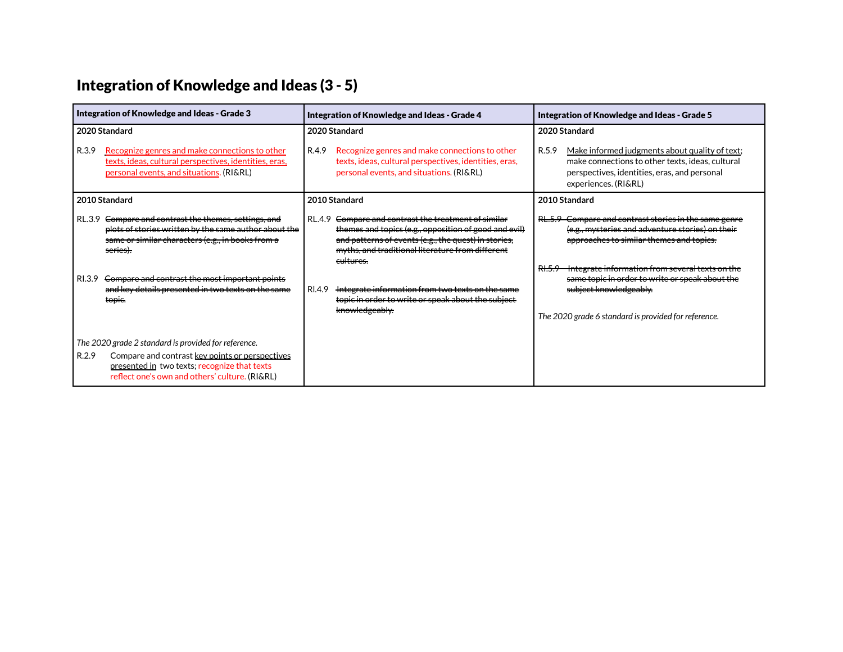# Integration of Knowledge and Ideas (3 - 5)

| Integration of Knowledge and Ideas - Grade 3                                                                                                                                                                                                                                                                                      | Integration of Knowledge and Ideas - Grade 4                                                                                                                                                                                                                                                                                                                                    | Integration of Knowledge and Ideas - Grade 5                                                                                                                                                                                                                                                                                                         |
|-----------------------------------------------------------------------------------------------------------------------------------------------------------------------------------------------------------------------------------------------------------------------------------------------------------------------------------|---------------------------------------------------------------------------------------------------------------------------------------------------------------------------------------------------------------------------------------------------------------------------------------------------------------------------------------------------------------------------------|------------------------------------------------------------------------------------------------------------------------------------------------------------------------------------------------------------------------------------------------------------------------------------------------------------------------------------------------------|
| 2020 Standard<br>Recognize genres and make connections to other<br>R.3.9<br>texts, ideas, cultural perspectives, identities, eras,<br>personal events, and situations. (RI&RL)                                                                                                                                                    | 2020 Standard<br>R.4.9<br>Recognize genres and make connections to other<br>texts, ideas, cultural perspectives, identities, eras,<br>personal events, and situations. (RI&RL)                                                                                                                                                                                                  | 2020 Standard<br>Make informed judgments about quality of text;<br>R.5.9<br>make connections to other texts, ideas, cultural<br>perspectives, identities, eras, and personal<br>experiences. (RI&RL)                                                                                                                                                 |
| 2010 Standard                                                                                                                                                                                                                                                                                                                     | 2010 Standard                                                                                                                                                                                                                                                                                                                                                                   | 2010 Standard                                                                                                                                                                                                                                                                                                                                        |
| Compare and contrast the themes, settings, and<br>RL.3.9<br>plots of stories written by the same author about the<br>same or similar characters (e.g., in books from a<br><del>series).</del><br>RI.3.9 <del>Compare and contrast the most important points</del><br>and key details presented in two texts on the same<br>topic. | Compare and contrast the treatment of similar<br>RL.4.9<br>themes and topics (e.g., opposition of good and evil)<br>and patterns of events (e.g., the quest) in stories,<br>myths, and traditional literature from different<br>eultures.<br>RI.4.9<br>Integrate information from two texts on the same<br>topic in order to write or speak about the subject<br>knowledgeably. | RL 5.9 Compare and contrast stories in the same genre<br>(e.g., mysteries and adventure stories) on their<br>approaches to similar themes and topics.<br>RI.5.9 Integrate information from several texts on the<br>same topic in order to write or speak about the<br>subject knowledgeably.<br>The 2020 grade 6 standard is provided for reference. |
| The 2020 grade 2 standard is provided for reference.<br>R.2.9<br>Compare and contrast key points or perspectives<br>presented in two texts; recognize that texts<br>reflect one's own and others' culture. (RI&RL)                                                                                                                |                                                                                                                                                                                                                                                                                                                                                                                 |                                                                                                                                                                                                                                                                                                                                                      |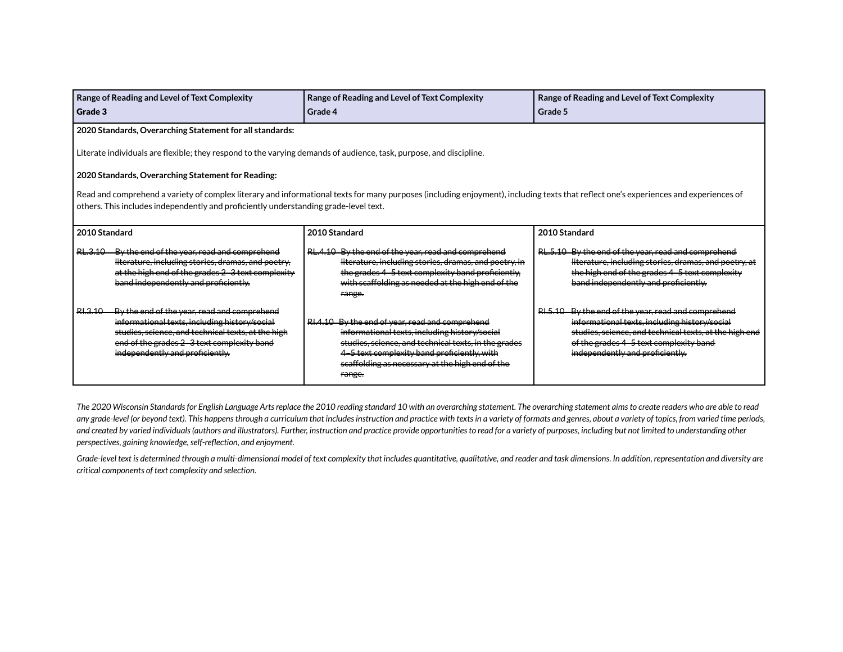|                                                                                                                                                                                                                                                                              | Range of Reading and Level of Text Complexity                                                                                                                                                                                       | Range of Reading and Level of Text Complexity                                                                                                                                                                                                                        | Range of Reading and Level of Text Complexity                                                                                                                                                                                               |
|------------------------------------------------------------------------------------------------------------------------------------------------------------------------------------------------------------------------------------------------------------------------------|-------------------------------------------------------------------------------------------------------------------------------------------------------------------------------------------------------------------------------------|----------------------------------------------------------------------------------------------------------------------------------------------------------------------------------------------------------------------------------------------------------------------|---------------------------------------------------------------------------------------------------------------------------------------------------------------------------------------------------------------------------------------------|
| Grade 3                                                                                                                                                                                                                                                                      |                                                                                                                                                                                                                                     | Grade 4                                                                                                                                                                                                                                                              | Grade 5                                                                                                                                                                                                                                     |
|                                                                                                                                                                                                                                                                              | 2020 Standards, Overarching Statement for all standards:                                                                                                                                                                            |                                                                                                                                                                                                                                                                      |                                                                                                                                                                                                                                             |
|                                                                                                                                                                                                                                                                              | Literate individuals are flexible; they respond to the varying demands of audience, task, purpose, and discipline.                                                                                                                  |                                                                                                                                                                                                                                                                      |                                                                                                                                                                                                                                             |
|                                                                                                                                                                                                                                                                              | 2020 Standards, Overarching Statement for Reading:                                                                                                                                                                                  |                                                                                                                                                                                                                                                                      |                                                                                                                                                                                                                                             |
| Read and comprehend a variety of complex literary and informational texts for many purposes (including enjoyment), including texts that reflect one's experiences and experiences of<br>others. This includes independently and proficiently understanding grade-level text. |                                                                                                                                                                                                                                     |                                                                                                                                                                                                                                                                      |                                                                                                                                                                                                                                             |
| 2010 Standard                                                                                                                                                                                                                                                                |                                                                                                                                                                                                                                     | 2010 Standard                                                                                                                                                                                                                                                        | 2010 Standard                                                                                                                                                                                                                               |
| RL.3.10                                                                                                                                                                                                                                                                      | By the end of the year, read and comprehend<br>literature, including stories, dramas, and poetry,<br>at the high end of the grades 2-3 text complexity<br>band independently and proficiently.                                      | RL.4.10 By the end of the year, read and comprehend<br>literature, including stories, dramas, and poetry, in<br>the grades 4 -5 text complexity band proficiently.<br>with scaffolding as needed at the high end of the<br>range.                                    | RL.5.10 By the end of the year, read and comprehend<br>literature, including stories, dramas, and poetry, at<br>the high end of the grades 4-5 text complexity<br>band independently and proficiently.                                      |
| RI.3.10                                                                                                                                                                                                                                                                      | By the end of the year, read and comprehend<br>informational texts, including history/social<br>studies, science, and technical texts, at the high<br>end of the grades 2 3 text complexity band<br>independently and proficiently. | RI.4.10 By the end of year, read and comprehend<br>informational texts, including history/social<br>studies, science, and technical texts, in the grades<br>4-5 text complexity band proficiently, with<br>scaffolding as necessary at the high end of the<br>range. | RI.5.10 By the end of the year, read and comprehend<br>informational texts, including history/social<br>studies, science, and technical texts, at the high end<br>of the grades 4 5 text complexity band<br>independently and proficiently. |

The 2020 Wisconsin Standards for English Language Arts replace the 2010 reading standard 10 with an overarching statement. The overarching statement aims to create readers who are able to read any grade-level (or beyond text). This happens through a curriculum that includes instruction and practice with texts in a variety of formats and genres, about a variety of topics, from varied time periods, and created by varied individuals (authors and illustrators). Further, instruction and practice provide opportunities to read for a variety of purposes, including but not limited to understanding other *perspectives, gaining knowledge,self-reflection, and enjoyment.*

Grade-level text is determined through a multi-dimensional model of text complexity that includes quantitative, qualitative, and reader and task dimensions. In addition, representation and diversity are *critical components of text complexity and selection.*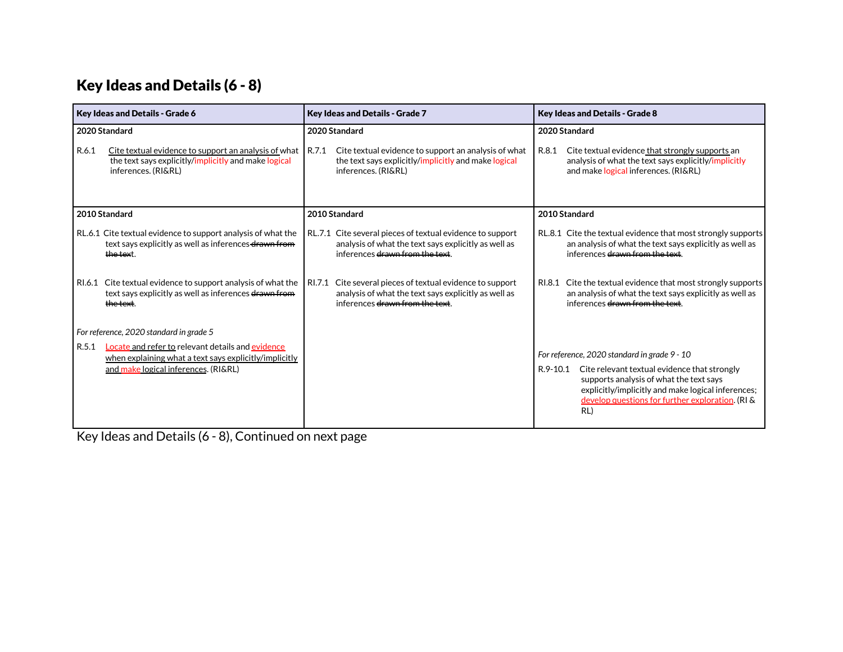#### Key Ideas and Details (6 - 8)

| Key Ideas and Details - Grade 6                                                                                                                              | <b>Key Ideas and Details - Grade 7</b>                                                                                                                  | <b>Key Ideas and Details - Grade 8</b>                                                                                                                                                                                                                              |
|--------------------------------------------------------------------------------------------------------------------------------------------------------------|---------------------------------------------------------------------------------------------------------------------------------------------------------|---------------------------------------------------------------------------------------------------------------------------------------------------------------------------------------------------------------------------------------------------------------------|
| 2020 Standard                                                                                                                                                | 2020 Standard                                                                                                                                           | 2020 Standard                                                                                                                                                                                                                                                       |
| R.6.1<br>Cite textual evidence to support an analysis of what<br>the text says explicitly/implicitly and make logical<br>inferences. (RI&RL)                 | R.7.1<br>Cite textual evidence to support an analysis of what<br>the text says explicitly/implicitly and make logical<br>inferences. (RI&RL)            | Cite textual evidence that strongly supports an<br>R.8.1<br>analysis of what the text says explicitly/implicitly<br>and make logical inferences. (RI&RL)                                                                                                            |
| 2010 Standard                                                                                                                                                | 2010 Standard                                                                                                                                           | 2010 Standard                                                                                                                                                                                                                                                       |
| RL.6.1 Cite textual evidence to support analysis of what the<br>text says explicitly as well as inferences drawn from<br>the text.                           | RL.7.1 Cite several pieces of textual evidence to support<br>analysis of what the text says explicitly as well as<br>inferences drawn from the text.    | RL.8.1 Cite the textual evidence that most strongly supports<br>an analysis of what the text says explicitly as well as<br>inferences drawn from the text.                                                                                                          |
| RI.6.1 Cite textual evidence to support analysis of what the<br>text says explicitly as well as inferences drawn from<br><del>the text</del> .               | Cite several pieces of textual evidence to support<br>RI.7.1<br>analysis of what the text says explicitly as well as<br>inferences drawn from the text. | RI.8.1 Cite the textual evidence that most strongly supports<br>an analysis of what the text says explicitly as well as<br>inferences drawn from the text.                                                                                                          |
| For reference, 2020 standard in grade 5                                                                                                                      |                                                                                                                                                         |                                                                                                                                                                                                                                                                     |
| Locate and refer to relevant details and evidence<br>R.5.1<br>when explaining what a text says explicitly/implicitly<br>and make logical inferences. (RI&RL) |                                                                                                                                                         | For reference, 2020 standard in grade 9 - 10<br>Cite relevant textual evidence that strongly<br>R.9-10.1<br>supports analysis of what the text says<br>explicitly/implicitly and make logical inferences;<br>develop questions for further exploration. (RI &<br>RL |

Key Ideas and Details (6 - 8), Continued on next page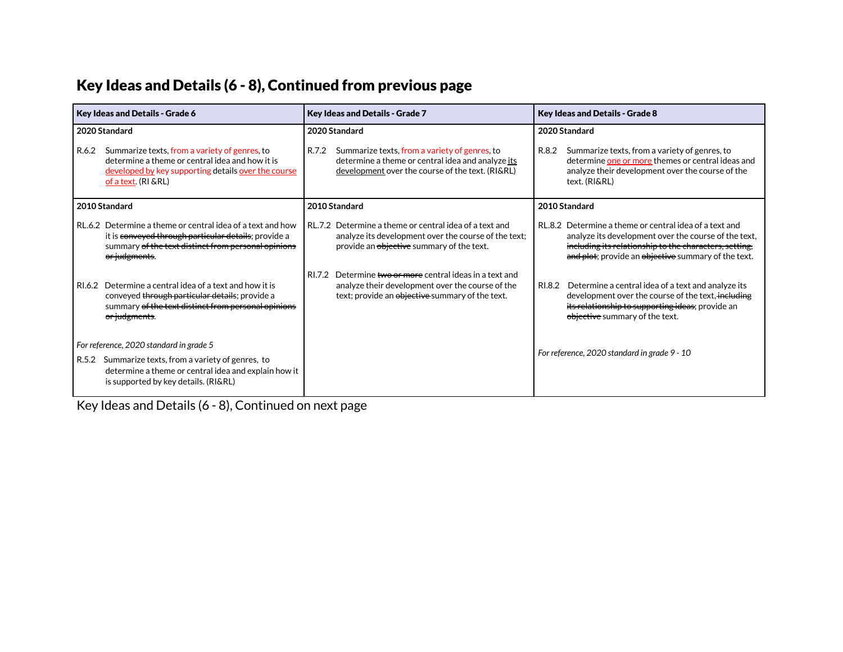# Key Ideas and Details (6 - 8), Continued from previous page

| <b>Key Ideas and Details - Grade 6</b>                                                                                                                                                           | <b>Key Ideas and Details - Grade 7</b>                                                                                                                             | <b>Key Ideas and Details - Grade 8</b>                                                                                                                                                                                          |
|--------------------------------------------------------------------------------------------------------------------------------------------------------------------------------------------------|--------------------------------------------------------------------------------------------------------------------------------------------------------------------|---------------------------------------------------------------------------------------------------------------------------------------------------------------------------------------------------------------------------------|
| 2020 Standard                                                                                                                                                                                    | 2020 Standard                                                                                                                                                      | 2020 Standard                                                                                                                                                                                                                   |
| Summarize texts, from a variety of genres, to<br>R.6.2<br>determine a theme or central idea and how it is<br>developed by key supporting details over the course<br>of a text. (RI & RL)         | R.7.2<br>Summarize texts, from a variety of genres, to<br>determine a theme or central idea and analyze its<br>development over the course of the text. (RI&RL)    | Summarize texts, from a variety of genres, to<br>R.8.2<br>determine one or more themes or central ideas and<br>analyze their development over the course of the<br>text. (RI&RL)                                                |
| 2010 Standard                                                                                                                                                                                    | 2010 Standard                                                                                                                                                      | 2010 Standard                                                                                                                                                                                                                   |
| RL.6.2 Determine a theme or central idea of a text and how<br>it is conveyed through particular details; provide a<br>summary of the text distinct from personal opinions<br>or judgments.       | RL.7.2 Determine a theme or central idea of a text and<br>analyze its development over the course of the text;<br>provide an objective summary of the text.        | RL.8.2 Determine a theme or central idea of a text and<br>analyze its development over the course of the text,<br>including its relationship to the characters, setting,<br>and plot; provide an objective summary of the text. |
| Determine a central idea of a text and how it is<br>RI.6.2<br>conveyed through particular details; provide a<br>summary of the text distinct from personal opinions<br><del>or judgments</del> . | Determine two or more central ideas in a text and<br>RI.7.2<br>analyze their development over the course of the<br>text; provide an objective summary of the text. | Determine a central idea of a text and analyze its<br>RI.8.2<br>development over the course of the text, including<br>its relationship to supporting ideas; provide an<br>objective summary of the text.                        |
| For reference, 2020 standard in grade 5<br>R.5.2 Summarize texts, from a variety of genres, to<br>determine a theme or central idea and explain how it<br>is supported by key details. (RI&RL)   |                                                                                                                                                                    | For reference, 2020 standard in grade 9 - 10                                                                                                                                                                                    |

Key Ideas and Details (6 - 8), Continued on next page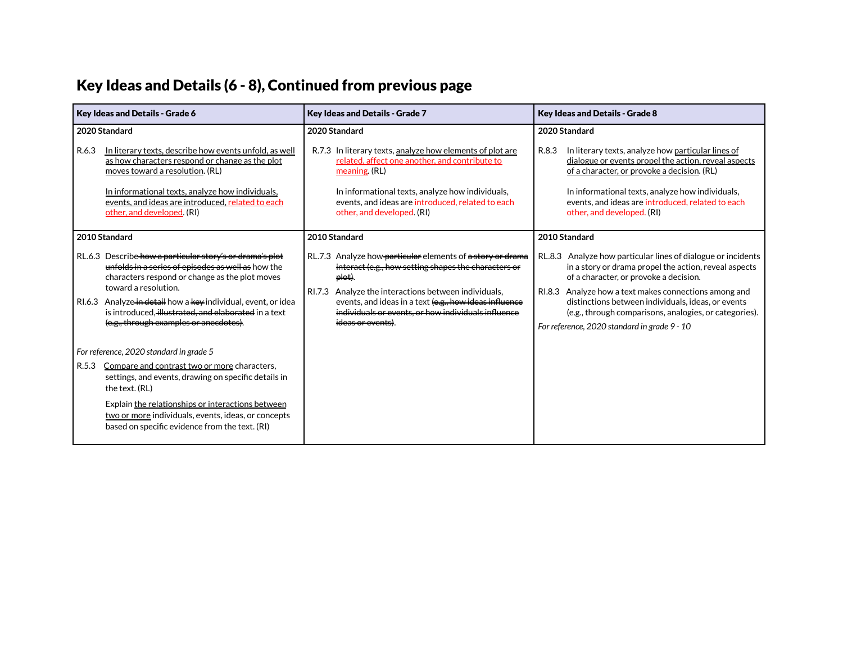#### Key Ideas and Details (6 - 8), Continued from previous page

| <b>Key Ideas and Details - Grade 6</b>                                                                                                                                                                                                                                                                                                                                       | Key Ideas and Details - Grade 7                                                                                                                                                                                                                                                                                                                | <b>Key Ideas and Details - Grade 8</b>                                                                                                                                                                                                                                                                                                                                                                    |
|------------------------------------------------------------------------------------------------------------------------------------------------------------------------------------------------------------------------------------------------------------------------------------------------------------------------------------------------------------------------------|------------------------------------------------------------------------------------------------------------------------------------------------------------------------------------------------------------------------------------------------------------------------------------------------------------------------------------------------|-----------------------------------------------------------------------------------------------------------------------------------------------------------------------------------------------------------------------------------------------------------------------------------------------------------------------------------------------------------------------------------------------------------|
| 2020 Standard<br>In literary texts, describe how events unfold, as well<br>R.6.3<br>as how characters respond or change as the plot<br>moves toward a resolution. (RL)<br>In informational texts, analyze how individuals,<br>events, and ideas are introduced, related to each<br>other, and developed. (RI)                                                                | 2020 Standard<br>In literary texts, analyze how elements of plot are<br>R.7.3<br>related, affect one another, and contribute to<br>meaning. (RL)<br>In informational texts, analyze how individuals,<br>events, and ideas are introduced, related to each<br>other, and developed. (RI)                                                        | 2020 Standard<br>R.8.3<br>In literary texts, analyze how particular lines of<br>dialogue or events propel the action, reveal aspects<br>of a character, or provoke a decision. (RL)<br>In informational texts, analyze how individuals,<br>events, and ideas are introduced, related to each<br>other, and developed. (RI)                                                                                |
| 2010 Standard<br>RL.6.3 Describe how a particular story's or drama's plot<br>unfolds in a series of episodes as well as how the<br>characters respond or change as the plot moves<br>toward a resolution.<br>RI.6.3 Analyze in detail how a key individual, event, or idea<br>is introduced. illustrated, and elaborated in a text<br>(e.g., through examples or anecdotes). | 2010 Standard<br>RL.7.3 Analyze how-particular elements of a story or drama<br>interact (e.g., how setting shapes the characters or<br>plot).<br>Analyze the interactions between individuals,<br>RI.7.3<br>events, and ideas in a text (e.g., how ideas influence<br>individuals or events, or how individuals influence<br>ideas or events). | 2010 Standard<br>RL.8.3 Analyze how particular lines of dialogue or incidents<br>in a story or drama propel the action, reveal aspects<br>of a character, or provoke a decision.<br>RI.8.3 Analyze how a text makes connections among and<br>distinctions between individuals, ideas, or events<br>(e.g., through comparisons, analogies, or categories).<br>For reference, 2020 standard in grade 9 - 10 |
| For reference, 2020 standard in grade 5<br>Compare and contrast two or more characters,<br>R.5.3<br>settings, and events, drawing on specific details in<br>the text. (RL)<br>Explain the relationships or interactions between<br>two or more individuals, events, ideas, or concepts<br>based on specific evidence from the text. (RI)                                     |                                                                                                                                                                                                                                                                                                                                                |                                                                                                                                                                                                                                                                                                                                                                                                           |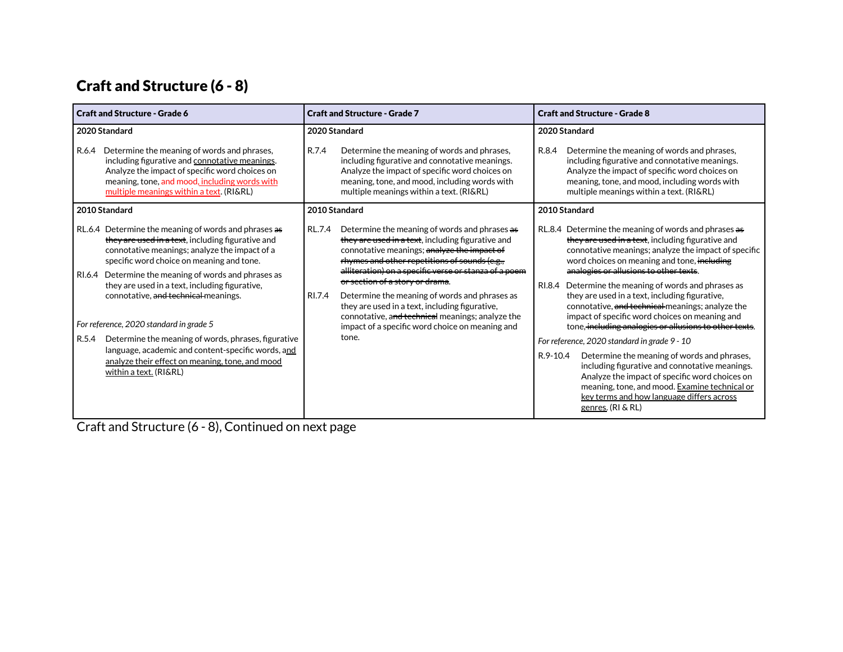# Craft and Structure (6 - 8)

| <b>Craft and Structure - Grade 6</b>                                                                                                                                                                                                                                                                                                                                                                    | <b>Craft and Structure - Grade 7</b>                                                                                                                                                                                                                                                                                                                                                                                                                                                                                                     | <b>Craft and Structure - Grade 8</b>                                                                                                                                                                                                                                                                                                                                                                                                                                                                                                            |
|---------------------------------------------------------------------------------------------------------------------------------------------------------------------------------------------------------------------------------------------------------------------------------------------------------------------------------------------------------------------------------------------------------|------------------------------------------------------------------------------------------------------------------------------------------------------------------------------------------------------------------------------------------------------------------------------------------------------------------------------------------------------------------------------------------------------------------------------------------------------------------------------------------------------------------------------------------|-------------------------------------------------------------------------------------------------------------------------------------------------------------------------------------------------------------------------------------------------------------------------------------------------------------------------------------------------------------------------------------------------------------------------------------------------------------------------------------------------------------------------------------------------|
| 2020 Standard                                                                                                                                                                                                                                                                                                                                                                                           | 2020 Standard                                                                                                                                                                                                                                                                                                                                                                                                                                                                                                                            | 2020 Standard                                                                                                                                                                                                                                                                                                                                                                                                                                                                                                                                   |
| Determine the meaning of words and phrases,<br>R.6.4<br>including figurative and connotative meanings.<br>Analyze the impact of specific word choices on<br>meaning, tone, and mood, including words with<br>multiple meanings within a text. (RI&RL)                                                                                                                                                   | R.7.4<br>Determine the meaning of words and phrases,<br>including figurative and connotative meanings.<br>Analyze the impact of specific word choices on<br>meaning, tone, and mood, including words with<br>multiple meanings within a text. (RI&RL)                                                                                                                                                                                                                                                                                    | Determine the meaning of words and phrases,<br>R.8.4<br>including figurative and connotative meanings.<br>Analyze the impact of specific word choices on<br>meaning, tone, and mood, including words with<br>multiple meanings within a text. (RI&RL)                                                                                                                                                                                                                                                                                           |
| 2010 Standard                                                                                                                                                                                                                                                                                                                                                                                           | 2010 Standard                                                                                                                                                                                                                                                                                                                                                                                                                                                                                                                            | 2010 Standard                                                                                                                                                                                                                                                                                                                                                                                                                                                                                                                                   |
| RL.6.4 Determine the meaning of words and phrases as<br>they are used in a text, including figurative and<br>connotative meanings; analyze the impact of a<br>specific word choice on meaning and tone.<br>Determine the meaning of words and phrases as<br>RI.6.4<br>they are used in a text, including figurative,<br>connotative, and technical meanings.<br>For reference, 2020 standard in grade 5 | Determine the meaning of words and phrases as<br>RL.7.4<br>they are used in a text, including figurative and<br>connotative meanings; analyze the impact of<br>rhymes and other repetitions of sounds (e.g.,<br>alliteration) on a specific verse or stanza of a poem<br><del>or section of a story or drama</del> .<br>RI.7.4<br>Determine the meaning of words and phrases as<br>they are used in a text, including figurative,<br>connotative, and technical meanings; analyze the<br>impact of a specific word choice on meaning and | RL.8.4 Determine the meaning of words and phrases as<br>they are used in a text, including figurative and<br>connotative meanings; analyze the impact of specific<br>word choices on meaning and tone. <del>including</del><br>analogies or allusions to other texts.<br>RI.8.4 Determine the meaning of words and phrases as<br>they are used in a text, including figurative,<br>connotative, and technical meanings; analyze the<br>impact of specific word choices on meaning and<br>tone, including analogies or allusions to other texts. |
| Determine the meaning of words, phrases, figurative<br>R.5.4                                                                                                                                                                                                                                                                                                                                            | tone.                                                                                                                                                                                                                                                                                                                                                                                                                                                                                                                                    | For reference, 2020 standard in grade 9 - 10                                                                                                                                                                                                                                                                                                                                                                                                                                                                                                    |
| language, academic and content-specific words, and<br>analyze their effect on meaning, tone, and mood<br>within a text. (RI&RL)                                                                                                                                                                                                                                                                         |                                                                                                                                                                                                                                                                                                                                                                                                                                                                                                                                          | Determine the meaning of words and phrases,<br>R.9-10.4<br>including figurative and connotative meanings.<br>Analyze the impact of specific word choices on<br>meaning, tone, and mood. Examine technical or<br>key terms and how language differs across<br>genres. (RI & RL)                                                                                                                                                                                                                                                                  |

Craft and Structure (6 - 8), Continued on next page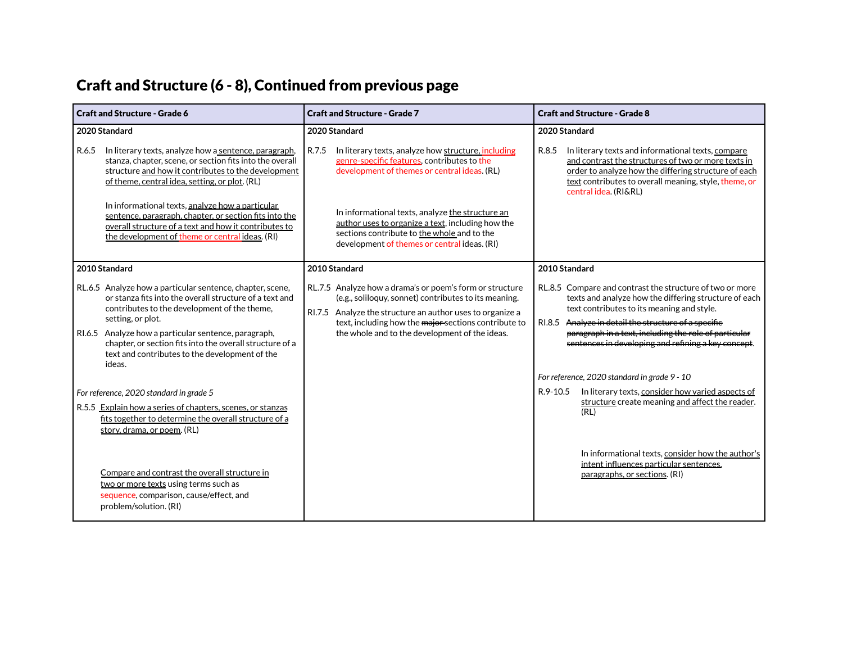#### Craft and Structure (6 - 8), Continued from previous page

| <b>Craft and Structure - Grade 6</b>                                                                                                                                                                                                                                                                                                                                      | <b>Craft and Structure - Grade 7</b>                                                                                                                                                                                                                                                     | <b>Craft and Structure - Grade 8</b>                                                                                                                                                                                                                                                                                                       |
|---------------------------------------------------------------------------------------------------------------------------------------------------------------------------------------------------------------------------------------------------------------------------------------------------------------------------------------------------------------------------|------------------------------------------------------------------------------------------------------------------------------------------------------------------------------------------------------------------------------------------------------------------------------------------|--------------------------------------------------------------------------------------------------------------------------------------------------------------------------------------------------------------------------------------------------------------------------------------------------------------------------------------------|
| 2020 Standard                                                                                                                                                                                                                                                                                                                                                             | 2020 Standard                                                                                                                                                                                                                                                                            | 2020 Standard                                                                                                                                                                                                                                                                                                                              |
| R.6.5<br>In literary texts, analyze how a sentence, paragraph,<br>stanza, chapter, scene, or section fits into the overall<br>structure and how it contributes to the development<br>of theme, central idea, setting, or plot. (RL)                                                                                                                                       | R.7.5<br>In literary texts, analyze how structure, including<br>genre-specific features, contributes to the<br>development of themes or central ideas. (RL)                                                                                                                              | R.8.5<br>In literary texts and informational texts, compare<br>and contrast the structures of two or more texts in<br>order to analyze how the differing structure of each<br>text contributes to overall meaning, style, theme, or<br>central idea. (RI&RL)                                                                               |
| In informational texts, analyze how a particular<br>sentence, paragraph, chapter, or section fits into the<br>overall structure of a text and how it contributes to<br>the development of theme or central ideas. (RI)                                                                                                                                                    | In informational texts, analyze the structure an<br>author uses to organize a text, including how the<br>sections contribute to the whole and to the<br>development of themes or central ideas. (RI)                                                                                     |                                                                                                                                                                                                                                                                                                                                            |
| 2010 Standard                                                                                                                                                                                                                                                                                                                                                             | 2010 Standard                                                                                                                                                                                                                                                                            | 2010 Standard                                                                                                                                                                                                                                                                                                                              |
| RL.6.5 Analyze how a particular sentence, chapter, scene,<br>or stanza fits into the overall structure of a text and<br>contributes to the development of the theme,<br>setting, or plot.<br>RI.6.5 Analyze how a particular sentence, paragraph,<br>chapter, or section fits into the overall structure of a<br>text and contributes to the development of the<br>ideas. | RL.7.5 Analyze how a drama's or poem's form or structure<br>(e.g., soliloguy, sonnet) contributes to its meaning.<br>RI.7.5 Analyze the structure an author uses to organize a<br>text, including how the major-sections contribute to<br>the whole and to the development of the ideas. | RL.8.5 Compare and contrast the structure of two or more<br>texts and analyze how the differing structure of each<br>text contributes to its meaning and style.<br>Analyze in detail the structure of a specifie<br>RI.8.5<br>paragraph in a text, including the role of particular<br>sentences in developing and refining a key concept. |
|                                                                                                                                                                                                                                                                                                                                                                           |                                                                                                                                                                                                                                                                                          | For reference, 2020 standard in grade 9 - 10                                                                                                                                                                                                                                                                                               |
| For reference, 2020 standard in grade 5<br>R.5.5 Explain how a series of chapters, scenes, or stanzas<br>fits together to determine the overall structure of a<br>story, drama, or poem. (RL)                                                                                                                                                                             |                                                                                                                                                                                                                                                                                          | In literary texts, consider how varied aspects of<br>R.9-10.5<br>structure create meaning and affect the reader.<br>(RL)                                                                                                                                                                                                                   |
| Compare and contrast the overall structure in<br>two or more texts using terms such as<br>sequence, comparison, cause/effect, and<br>problem/solution. (RI)                                                                                                                                                                                                               |                                                                                                                                                                                                                                                                                          | In informational texts, consider how the author's<br>intent influences particular sentences.<br>paragraphs, or sections. (RI)                                                                                                                                                                                                              |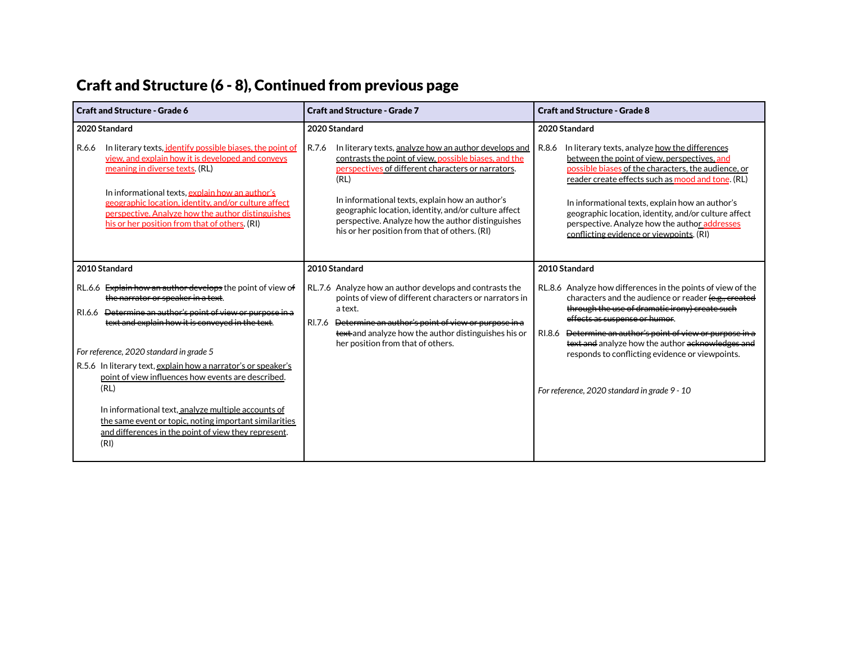# Craft and Structure (6 - 8), Continued from previous page

| <b>Craft and Structure - Grade 6</b>                                                                                                                                                                                                                                                                                                                                                                                                                                                                                                                                                     | <b>Craft and Structure - Grade 7</b>                                                                                                                                                                                                                                                                                                                                                                   | <b>Craft and Structure - Grade 8</b>                                                                                                                                                                                                                                                                                                                                                                                                   |  |
|------------------------------------------------------------------------------------------------------------------------------------------------------------------------------------------------------------------------------------------------------------------------------------------------------------------------------------------------------------------------------------------------------------------------------------------------------------------------------------------------------------------------------------------------------------------------------------------|--------------------------------------------------------------------------------------------------------------------------------------------------------------------------------------------------------------------------------------------------------------------------------------------------------------------------------------------------------------------------------------------------------|----------------------------------------------------------------------------------------------------------------------------------------------------------------------------------------------------------------------------------------------------------------------------------------------------------------------------------------------------------------------------------------------------------------------------------------|--|
| 2020 Standard                                                                                                                                                                                                                                                                                                                                                                                                                                                                                                                                                                            | 2020 Standard                                                                                                                                                                                                                                                                                                                                                                                          | 2020 Standard                                                                                                                                                                                                                                                                                                                                                                                                                          |  |
| R.6.6<br>In literary texts, <i>identify</i> possible biases, the point of<br>view, and explain how it is developed and conveys<br>meaning in diverse texts. (RL)<br>In informational texts, explain how an author's<br>geographic location, identity, and/or culture affect<br>perspective. Analyze how the author distinguishes<br>his or her position from that of others. (RI)                                                                                                                                                                                                        | R.7.6<br>In literary texts, analyze how an author develops and<br>contrasts the point of view, possible biases, and the<br>perspectives of different characters or narrators.<br>(RL)<br>In informational texts, explain how an author's<br>geographic location, identity, and/or culture affect<br>perspective. Analyze how the author distinguishes<br>his or her position from that of others. (RI) | In literary texts, analyze how the differences<br>R.8.6<br>between the point of view, perspectives, and<br>possible biases of the characters, the audience, or<br>reader create effects such as mood and tone. (RL)<br>In informational texts, explain how an author's<br>geographic location, identity, and/or culture affect<br>perspective. Analyze how the author addresses<br>conflicting evidence or viewpoints. (RI)            |  |
| 2010 Standard                                                                                                                                                                                                                                                                                                                                                                                                                                                                                                                                                                            | 2010 Standard                                                                                                                                                                                                                                                                                                                                                                                          | 2010 Standard                                                                                                                                                                                                                                                                                                                                                                                                                          |  |
| RL.6.6 Explain how an author develops the point of view of<br>the narrator or speaker in a text.<br>RI.6.6 <del>Determine an author's point of view or purpose in a</del><br>text and explain how it is conveyed in the text.<br>For reference, 2020 standard in grade 5<br>R.5.6 In literary text, explain how a narrator's or speaker's<br>point of view influences how events are described.<br>(RL)<br>In informational text, analyze multiple accounts of<br>the same event or topic, noting important similarities<br>and differences in the point of view they represent.<br>(RI) | RL.7.6 Analyze how an author develops and contrasts the<br>points of view of different characters or narrators in<br>a text.<br>RI.7.6<br>Determine an author's point of view or purpose in a<br>text and analyze how the author distinguishes his or<br>her position from that of others.                                                                                                             | RL.8.6 Analyze how differences in the points of view of the<br>characters and the audience or reader (e.g., created<br>through the use of dramatic irony) create such<br>effects as suspense or humor.<br>RI.8.6 <del>Determine an author's point of view or purpose in a</del><br>text and analyze how the author acknowledges and<br>responds to conflicting evidence or viewpoints.<br>For reference, 2020 standard in grade 9 - 10 |  |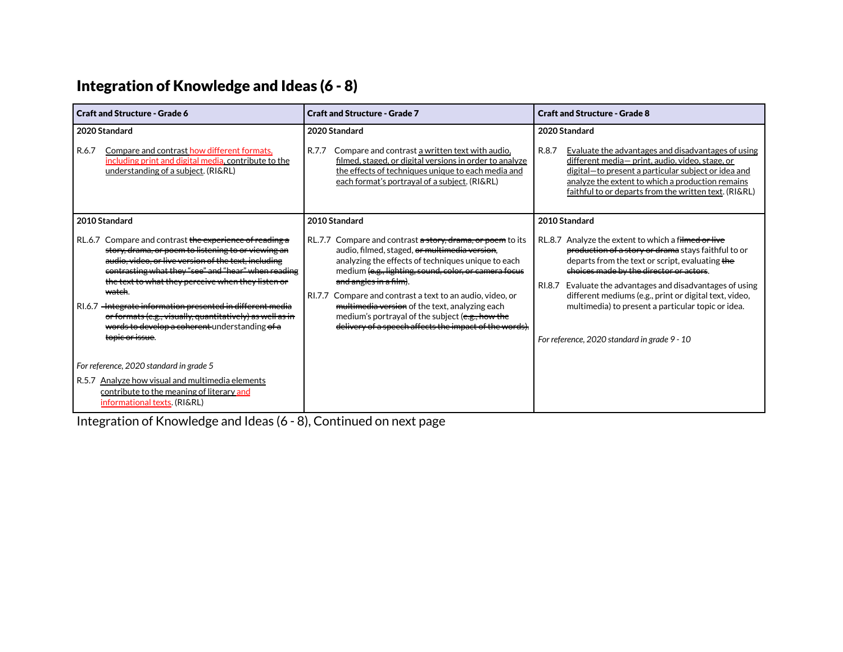# Integration of Knowledge and Ideas (6 - 8)

| <b>Craft and Structure - Grade 6</b>                                                                                                                                                                                                                                                                                                                                                                                                                                                      | <b>Craft and Structure - Grade 7</b>                                                                                                                                                                                                                                                                                                                                                                                                                                                        | <b>Craft and Structure - Grade 8</b>                                                                                                                                                                                                                                                                                                                                                     |  |  |
|-------------------------------------------------------------------------------------------------------------------------------------------------------------------------------------------------------------------------------------------------------------------------------------------------------------------------------------------------------------------------------------------------------------------------------------------------------------------------------------------|---------------------------------------------------------------------------------------------------------------------------------------------------------------------------------------------------------------------------------------------------------------------------------------------------------------------------------------------------------------------------------------------------------------------------------------------------------------------------------------------|------------------------------------------------------------------------------------------------------------------------------------------------------------------------------------------------------------------------------------------------------------------------------------------------------------------------------------------------------------------------------------------|--|--|
| 2020 Standard<br>R.6.7<br>Compare and contrast how different formats,<br>including print and digital media, contribute to the<br>understanding of a subject. (RI&RL)                                                                                                                                                                                                                                                                                                                      | 2020 Standard<br>R.7.7<br>Compare and contrast a written text with audio,<br>filmed, staged, or digital versions in order to analyze<br>the effects of techniques unique to each media and<br>each format's portrayal of a subject. (RI&RL)                                                                                                                                                                                                                                                 | 2020 Standard<br>R.8.7<br>Evaluate the advantages and disadvantages of using<br>different media- print, audio, video, stage, or<br>digital-to present a particular subject or idea and<br>analyze the extent to which a production remains<br>faithful to or departs from the written text. (RI&RL)                                                                                      |  |  |
| 2010 Standard                                                                                                                                                                                                                                                                                                                                                                                                                                                                             | 2010 Standard                                                                                                                                                                                                                                                                                                                                                                                                                                                                               | 2010 Standard                                                                                                                                                                                                                                                                                                                                                                            |  |  |
| Compare and contrast the experience of reading a<br>RL.6.7<br>story, drama, or poem to listening to or viewing an<br>audio, video, or live version of the text, including<br>contrasting what they "see" and "hear" when reading<br>the text to what they perceive when they listen or<br><del>watch</del> .<br>RI.6.7 -Integrate information presented in different media<br>or formats (e.g., visually, quantitatively) as well as in<br>words to develop a coherent understanding of a | Compare and contrast a story, drama, or poem to its<br><b>RL.7.7</b><br>audio, filmed, staged, or multimedia version,<br>analyzing the effects of techniques unique to each<br>medium (e.g., lighting, sound, color, or camera focus<br>and angles in a film).<br>RI.7.7 Compare and contrast a text to an audio, video, or<br>multimedia version of the text, analyzing each<br>medium's portrayal of the subject (e.g., how the<br>delivery of a speech affects the impact of the words). | RL.8.7 Analyze the extent to which a filmed or live<br>production of a story or drama stays faithful to or<br>departs from the text or script, evaluating the<br>choices made by the director or actors.<br>Evaluate the advantages and disadvantages of using<br>RI.8.7<br>different mediums (e.g., print or digital text, video,<br>multimedia) to present a particular topic or idea. |  |  |
| topic or issue.                                                                                                                                                                                                                                                                                                                                                                                                                                                                           |                                                                                                                                                                                                                                                                                                                                                                                                                                                                                             | For reference, 2020 standard in grade 9 - 10                                                                                                                                                                                                                                                                                                                                             |  |  |
| For reference, 2020 standard in grade 5                                                                                                                                                                                                                                                                                                                                                                                                                                                   |                                                                                                                                                                                                                                                                                                                                                                                                                                                                                             |                                                                                                                                                                                                                                                                                                                                                                                          |  |  |
| R.5.7 Analyze how visual and multimedia elements<br>contribute to the meaning of literary and<br>informational texts. (RI&RL)                                                                                                                                                                                                                                                                                                                                                             |                                                                                                                                                                                                                                                                                                                                                                                                                                                                                             |                                                                                                                                                                                                                                                                                                                                                                                          |  |  |

Integration of Knowledge and Ideas (6 - 8), Continued on next page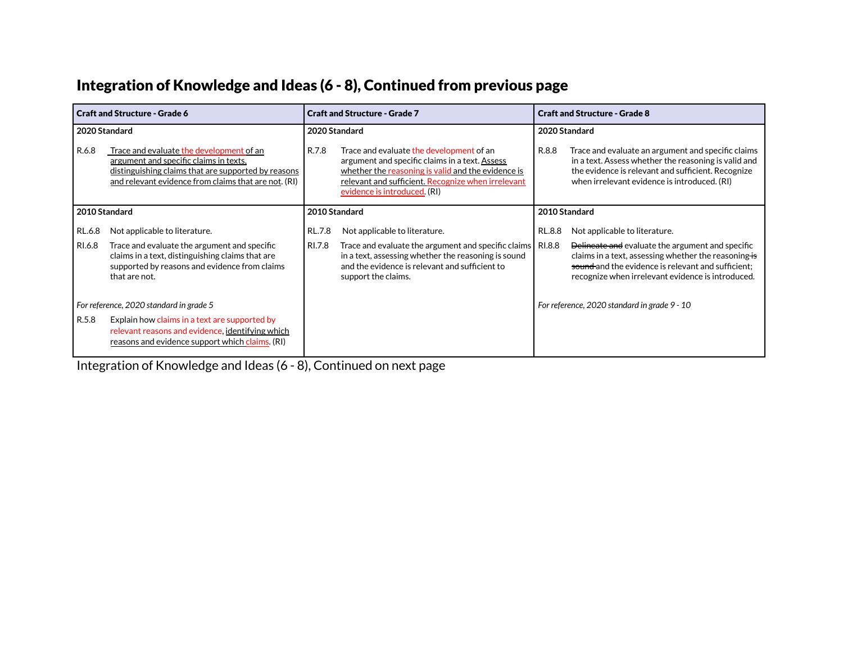# Integration of Knowledge and Ideas (6 - 8), Continued from previous page

| <b>Craft and Structure - Grade 6</b>    |                                                                                                                                                                                                   | <b>Craft and Structure - Grade 7</b> |                                                                                                                                                                                                                                        | <b>Craft and Structure - Grade 8</b> |                                                                                                                                                                                                                                 |  |
|-----------------------------------------|---------------------------------------------------------------------------------------------------------------------------------------------------------------------------------------------------|--------------------------------------|----------------------------------------------------------------------------------------------------------------------------------------------------------------------------------------------------------------------------------------|--------------------------------------|---------------------------------------------------------------------------------------------------------------------------------------------------------------------------------------------------------------------------------|--|
| 2020 Standard                           |                                                                                                                                                                                                   | 2020 Standard                        |                                                                                                                                                                                                                                        |                                      | 2020 Standard                                                                                                                                                                                                                   |  |
| R.6.8                                   | Trace and evaluate the development of an<br>argument and specific claims in texts.<br>distinguishing claims that are supported by reasons<br>and relevant evidence from claims that are not. (RI) | R.7.8                                | Trace and evaluate the development of an<br>argument and specific claims in a text. Assess<br>whether the reasoning is valid and the evidence is<br>relevant and sufficient. Recognize when irrelevant<br>evidence is introduced. (RI) | R.8.8                                | Trace and evaluate an argument and specific claims<br>in a text. Assess whether the reasoning is valid and<br>the evidence is relevant and sufficient. Recognize<br>when irrelevant evidence is introduced. (RI)                |  |
|                                         | 2010 Standard                                                                                                                                                                                     |                                      | 2010 Standard                                                                                                                                                                                                                          |                                      | 2010 Standard                                                                                                                                                                                                                   |  |
| RL.6.8                                  | Not applicable to literature.                                                                                                                                                                     | RL.7.8                               | Not applicable to literature.                                                                                                                                                                                                          | RL.8.8                               | Not applicable to literature.                                                                                                                                                                                                   |  |
| RI.6.8                                  | Trace and evaluate the argument and specific<br>claims in a text, distinguishing claims that are<br>supported by reasons and evidence from claims<br>that are not.                                | RI.7.8                               | Trace and evaluate the argument and specific claims   RI.8.8<br>in a text, assessing whether the reasoning is sound<br>and the evidence is relevant and sufficient to<br>support the claims.                                           |                                      | Delineate and evaluate the argument and specific<br>claims in a text, assessing whether the reasoning $\frac{1}{15}$<br>sound and the evidence is relevant and sufficient:<br>recognize when irrelevant evidence is introduced. |  |
| For reference, 2020 standard in grade 5 |                                                                                                                                                                                                   |                                      |                                                                                                                                                                                                                                        |                                      | For reference, 2020 standard in grade 9 - 10                                                                                                                                                                                    |  |
| R.5.8                                   | Explain how claims in a text are supported by<br>relevant reasons and evidence, identifying which<br>reasons and evidence support which claims. (RI)                                              |                                      |                                                                                                                                                                                                                                        |                                      |                                                                                                                                                                                                                                 |  |

Integration of Knowledge and Ideas (6 - 8), Continued on next page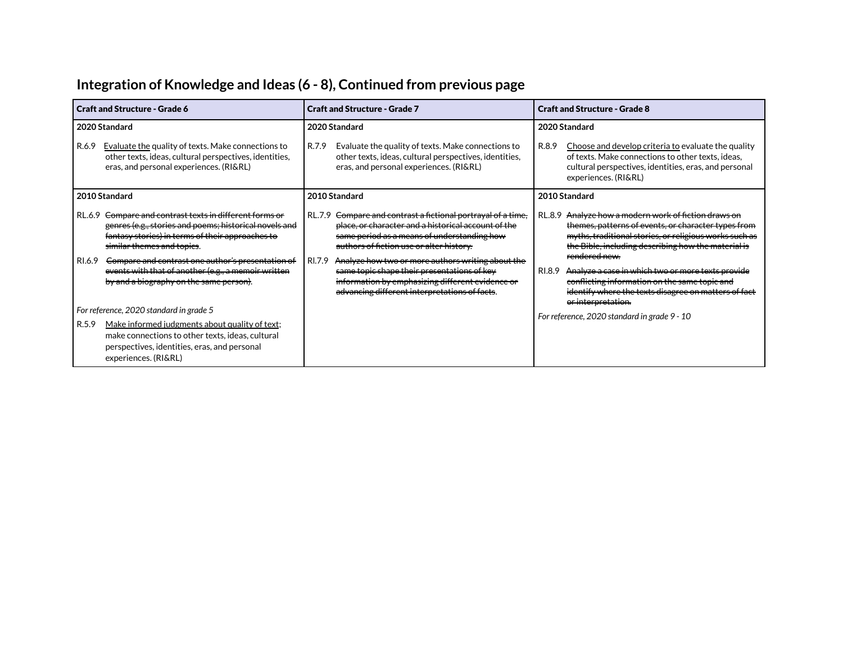# **Integration of Knowledge and Ideas (6 - 8), Continued from previous page**

| <b>Craft and Structure - Grade 6</b> |                                                                                                                                                                                                                                                                                                                                                                       | <b>Craft and Structure - Grade 7</b> |                                                                                                                                                                                                                                                                                                                                                                                                                            |  | <b>Craft and Structure - Grade 8</b>                                                                                                                                                                                                                                                                                                                                                                           |  |  |  |                                                                                                                                                                                                            |
|--------------------------------------|-----------------------------------------------------------------------------------------------------------------------------------------------------------------------------------------------------------------------------------------------------------------------------------------------------------------------------------------------------------------------|--------------------------------------|----------------------------------------------------------------------------------------------------------------------------------------------------------------------------------------------------------------------------------------------------------------------------------------------------------------------------------------------------------------------------------------------------------------------------|--|----------------------------------------------------------------------------------------------------------------------------------------------------------------------------------------------------------------------------------------------------------------------------------------------------------------------------------------------------------------------------------------------------------------|--|--|--|------------------------------------------------------------------------------------------------------------------------------------------------------------------------------------------------------------|
| R.6.9                                | 2020 Standard<br>2020 Standard<br>Evaluate the quality of texts. Make connections to<br>R.7.9<br>other texts, ideas, cultural perspectives, identities,<br>eras, and personal experiences. (RI&RL)<br>eras, and personal experiences. (RI&RL)                                                                                                                         |                                      | Evaluate the quality of texts. Make connections to<br>R.8.9<br>other texts, ideas, cultural perspectives, identities,                                                                                                                                                                                                                                                                                                      |  |                                                                                                                                                                                                                                                                                                                                                                                                                |  |  |  | 2020 Standard<br>Choose and develop criteria to evaluate the quality<br>of texts. Make connections to other texts, ideas,<br>cultural perspectives, identities, eras, and personal<br>experiences. (RI&RL) |
|                                      | 2010 Standard                                                                                                                                                                                                                                                                                                                                                         |                                      | 2010 Standard                                                                                                                                                                                                                                                                                                                                                                                                              |  | 2010 Standard                                                                                                                                                                                                                                                                                                                                                                                                  |  |  |  |                                                                                                                                                                                                            |
| RI.6.9                               | RL.6.9 <del>Compare and contrast texts in different forms or</del><br>genres (e.g., stories and poems; historical novels and<br>fantasy stories) in terms of their approaches to<br>similar themes and topics.<br>Compare and contrast one author's presentation of<br>events with that of another (e.g., a memoir written<br>by and a biography on the same person). | RL.7.9<br>RI.7.9                     | Compare and contrast a fictional portrayal of a time,<br>place, or character and a historical account of the<br>same period as a means of understanding how<br>authors of fiction use or alter history.<br>Analyze how two or more authors writing about the<br>same topic shape their presentations of key<br>RI.8.9<br>information by emphasizing different evidence or<br>advancing different interpretations of facts. |  | Analyze how a modern work of fiction draws on<br>RL.8.9<br>themes, patterns of events, or character types from<br>myths, traditional stories, or religious works such as<br>the Bible, including describing how the material is<br>rendered new.<br>Analyze a case in which two or more texts provide<br>conflicting information on the same topic and<br>identify where the texts disagree on matters of fact |  |  |  |                                                                                                                                                                                                            |
| R.5.9                                | For reference, 2020 standard in grade 5<br>Make informed judgments about quality of text;<br>make connections to other texts, ideas, cultural<br>perspectives, identities, eras, and personal<br>experiences. (RI&RL)                                                                                                                                                 |                                      |                                                                                                                                                                                                                                                                                                                                                                                                                            |  | or interpretation.<br>For reference, 2020 standard in grade 9 - 10                                                                                                                                                                                                                                                                                                                                             |  |  |  |                                                                                                                                                                                                            |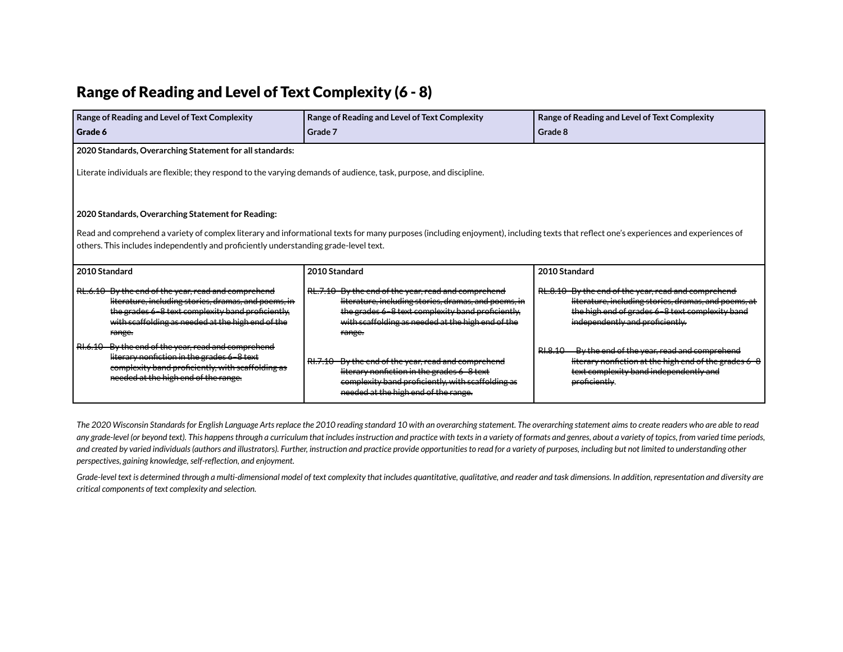#### Range of Reading and Level of Text Complexity (6 - 8)

| Range of Reading and Level of Text Complexity<br>Grade 6                                                                                                                                                                                                                                                                           | Range of Reading and Level of Text Complexity<br>Grade 7                                                                                                                                                                                   | Range of Reading and Level of Text Complexity<br>Grade 8                                                                                                                                          |  |  |  |  |  |
|------------------------------------------------------------------------------------------------------------------------------------------------------------------------------------------------------------------------------------------------------------------------------------------------------------------------------------|--------------------------------------------------------------------------------------------------------------------------------------------------------------------------------------------------------------------------------------------|---------------------------------------------------------------------------------------------------------------------------------------------------------------------------------------------------|--|--|--|--|--|
| 2020 Standards, Overarching Statement for all standards:                                                                                                                                                                                                                                                                           |                                                                                                                                                                                                                                            |                                                                                                                                                                                                   |  |  |  |  |  |
| Literate individuals are flexible; they respond to the varying demands of audience, task, purpose, and discipline.                                                                                                                                                                                                                 |                                                                                                                                                                                                                                            |                                                                                                                                                                                                   |  |  |  |  |  |
| 2020 Standards, Overarching Statement for Reading:<br>Read and comprehend a variety of complex literary and informational texts for many purposes (including enjoyment), including texts that reflect one's experiences and experiences of<br>others. This includes independently and proficiently understanding grade-level text. |                                                                                                                                                                                                                                            |                                                                                                                                                                                                   |  |  |  |  |  |
| 2010 Standard                                                                                                                                                                                                                                                                                                                      | 2010 Standard                                                                                                                                                                                                                              | 2010 Standard                                                                                                                                                                                     |  |  |  |  |  |
| RL.6.10 By the end of the year, read and comprehend<br>literature, including stories, dramas, and poems, in<br>the grades 6-8 text complexity band proficiently,<br>with scaffolding as needed at the high end of the<br>range.                                                                                                    | RL.7.10 By the end of the year, read and comprehend<br>literature, including stories, dramas, and poems, in<br>the grades 6-8 text complexity band proficiently,<br>with scaffolding as needed at the high end of the<br><del>range.</del> | RL.8.10 By the end of the year, read and comprehend<br>literature, including stories, dramas, and poems, at<br>the high end of grades 6-8 text complexity band<br>independently and proficiently. |  |  |  |  |  |
| RI.6.10 By the end of the year, read and comprehend<br>literary nonfiction in the grades 6-8 text<br>complexity band proficiently, with scaffolding as<br>needed at the high end of the range.                                                                                                                                     | RI.7.10 By the end of the year, read and comprehend<br>literary nonfiction in the grades 6 8 text<br>complexity band proficiently, with scaffolding as<br>needed at the high end of the range.                                             | By the end of the year, read and comprehend<br>RI.8.10<br>literary nonfiction at the high end of the grades 6 8<br>text complexity band independently and<br>proficiently.                        |  |  |  |  |  |

The 2020 Wisconsin Standards for English Language Arts replace the 2010 reading standard 10 with an overarching statement. The overarching statement aims to create readers who are able to read any grade-level (or beyond text). This happens through a curriculum that includes instruction and practice with texts in a variety of formats and genres, about a variety of topics, from varied time periods, and created by varied individuals (authors and illustrators). Further, instruction and practice provide opportunities to read for a variety of purposes, including but not limited to understanding other *perspectives, gaining knowledge,self-reflection, and enjoyment.*

Grade-level text is determined through a multi-dimensional model of text complexity that includes quantitative, qualitative, and reader and task dimensions. In addition, representation and diversity are *critical components of text complexity and selection.*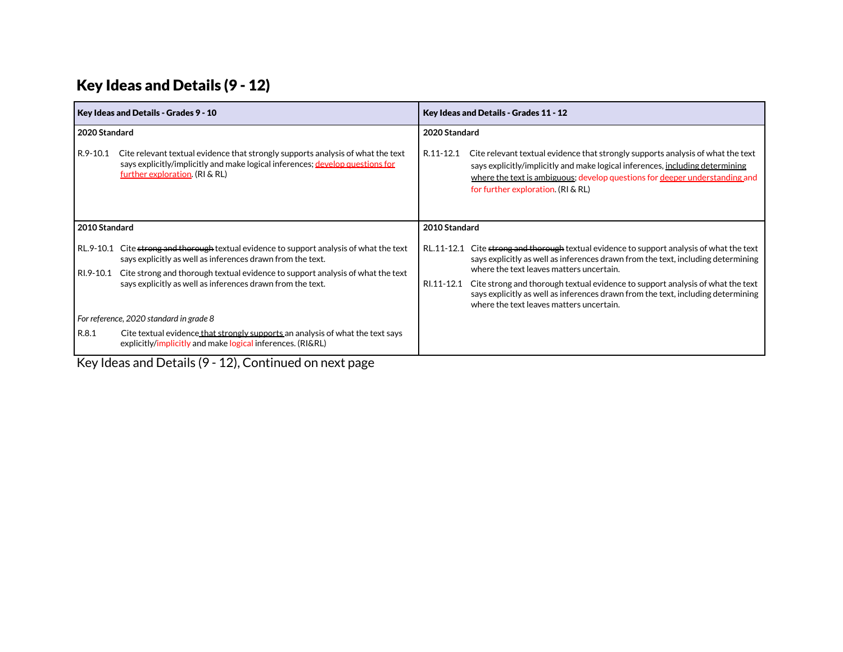## Key Ideas and Details (9 - 12)

| Key Ideas and Details - Grades 11 - 12                                                                                                                                                                                                                                                             |  |  |
|----------------------------------------------------------------------------------------------------------------------------------------------------------------------------------------------------------------------------------------------------------------------------------------------------|--|--|
| 2020 Standard                                                                                                                                                                                                                                                                                      |  |  |
| R.11-12.1<br>Cite relevant textual evidence that strongly supports analysis of what the text<br>says explicitly/implicitly and make logical inferences, including determining<br>where the text is ambiguous; develop questions for deeper understanding and<br>for further exploration. (RI & RL) |  |  |
| 2010 Standard                                                                                                                                                                                                                                                                                      |  |  |
| Cite strong and thorough textual evidence to support analysis of what the text<br>RL.11-12.1<br>says explicitly as well as inferences drawn from the text, including determining                                                                                                                   |  |  |
| where the text leaves matters uncertain.                                                                                                                                                                                                                                                           |  |  |
| Cite strong and thorough textual evidence to support analysis of what the text<br>RI.11-12.1<br>says explicitly as well as inferences drawn from the text, including determining<br>where the text leaves matters uncertain.                                                                       |  |  |
|                                                                                                                                                                                                                                                                                                    |  |  |
|                                                                                                                                                                                                                                                                                                    |  |  |
|                                                                                                                                                                                                                                                                                                    |  |  |

Key Ideas and Details (9 - 12), Continued on next page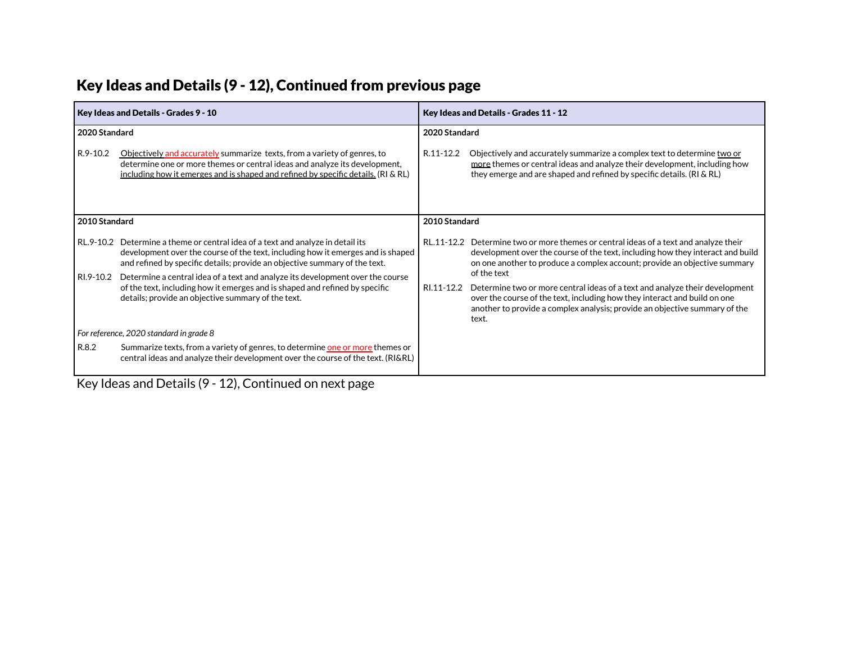| Key Ideas and Details - Grades 9 - 10   |                                                                                                                                                                                                                                                  |               | Key Ideas and Details - Grades 11 - 12                                                                                                                                                                                                              |  |
|-----------------------------------------|--------------------------------------------------------------------------------------------------------------------------------------------------------------------------------------------------------------------------------------------------|---------------|-----------------------------------------------------------------------------------------------------------------------------------------------------------------------------------------------------------------------------------------------------|--|
| 2020 Standard                           |                                                                                                                                                                                                                                                  | 2020 Standard |                                                                                                                                                                                                                                                     |  |
| R.9-10.2                                | Objectively and accurately summarize texts, from a variety of genres, to<br>determine one or more themes or central ideas and analyze its development,<br>including how it emerges and is shaped and refined by specific details. (RI & RL)      | R.11-12.2     | Objectively and accurately summarize a complex text to determine two or<br>more themes or central ideas and analyze their development, including how<br>they emerge and are shaped and refined by specific details. (RI & RL)                       |  |
| 2010 Standard                           |                                                                                                                                                                                                                                                  | 2010 Standard |                                                                                                                                                                                                                                                     |  |
|                                         | RL.9-10.2 Determine a theme or central idea of a text and analyze in detail its<br>development over the course of the text, including how it emerges and is shaped<br>and refined by specific details; provide an objective summary of the text. |               | RL.11-12.2 Determine two or more themes or central ideas of a text and analyze their<br>development over the course of the text, including how they interact and build<br>on one another to produce a complex account; provide an objective summary |  |
| RI.9-10.2                               | Determine a central idea of a text and analyze its development over the course                                                                                                                                                                   |               | of the text                                                                                                                                                                                                                                         |  |
|                                         | of the text, including how it emerges and is shaped and refined by specific<br>details; provide an objective summary of the text.                                                                                                                | RI.11-12.2    | Determine two or more central ideas of a text and analyze their development<br>over the course of the text, including how they interact and build on one<br>another to provide a complex analysis; provide an objective summary of the<br>text.     |  |
| For reference, 2020 standard in grade 8 |                                                                                                                                                                                                                                                  |               |                                                                                                                                                                                                                                                     |  |
| R.8.2                                   | Summarize texts, from a variety of genres, to determine one or more themes or<br>central ideas and analyze their development over the course of the text. (RI&RL)                                                                                |               |                                                                                                                                                                                                                                                     |  |

# Key Ideas and Details (9 - 12), Continued from previous page

Key Ideas and Details (9 - 12), Continued on next page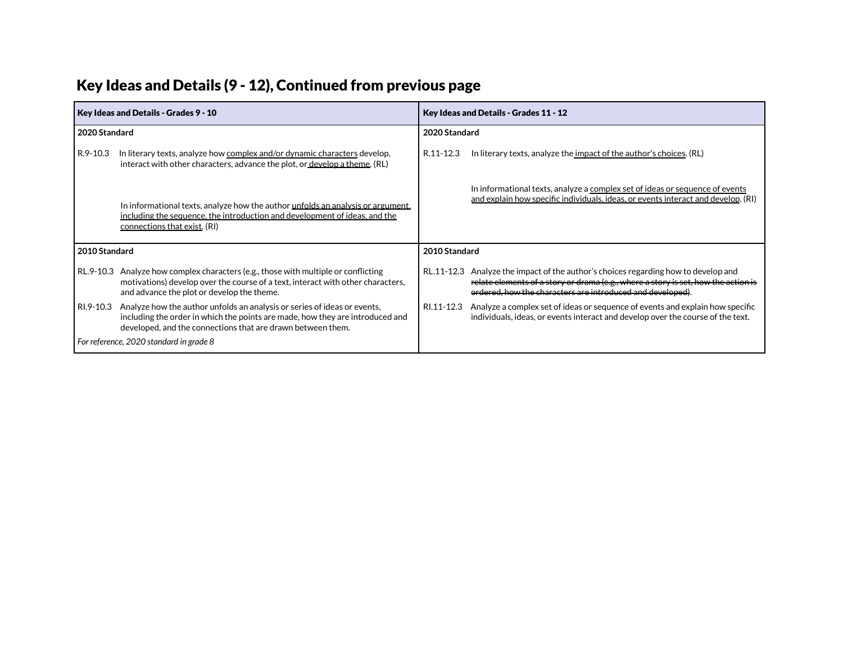| Key Ideas and Details (9 - 12), Continued from previous page |  |  |
|--------------------------------------------------------------|--|--|
|--------------------------------------------------------------|--|--|

| Key Ideas and Details - Grades 9 - 10   |                                                                                                                                                                                                                          |               | Key Ideas and Details - Grades 11 - 12                                                                                                                                                                                                 |  |  |  |
|-----------------------------------------|--------------------------------------------------------------------------------------------------------------------------------------------------------------------------------------------------------------------------|---------------|----------------------------------------------------------------------------------------------------------------------------------------------------------------------------------------------------------------------------------------|--|--|--|
| 2020 Standard                           |                                                                                                                                                                                                                          | 2020 Standard |                                                                                                                                                                                                                                        |  |  |  |
| R.9-10.3                                | In literary texts, analyze how complex and/or dynamic characters develop,<br>interact with other characters, advance the plot, or develop a theme. (RL)                                                                  | R.11-12.3     | In literary texts, analyze the impact of the author's choices. (RL)                                                                                                                                                                    |  |  |  |
|                                         | In informational texts, analyze how the author unfolds an analysis or argument,<br>including the sequence, the introduction and development of ideas, and the<br>connections that exist. (RI)                            |               | In informational texts, analyze a complex set of ideas or sequence of events<br>and explain how specific individuals, ideas, or events interact and develop. (RI)                                                                      |  |  |  |
| 2010 Standard                           |                                                                                                                                                                                                                          | 2010 Standard |                                                                                                                                                                                                                                        |  |  |  |
|                                         | RL.9-10.3 Analyze how complex characters (e.g., those with multiple or conflicting<br>motivations) develop over the course of a text, interact with other characters,<br>and advance the plot or develop the theme.      |               | RL.11-12.3 Analyze the impact of the author's choices regarding how to develop and<br>relate elements of a story or drama (e.g., where a story is set, how the action is<br>ordered, how the characters are introduced and developed). |  |  |  |
| RI.9-10.3                               | Analyze how the author unfolds an analysis or series of ideas or events,<br>including the order in which the points are made, how they are introduced and<br>developed, and the connections that are drawn between them. | RI.11-12.3    | Analyze a complex set of ideas or sequence of events and explain how specific<br>individuals, ideas, or events interact and develop over the course of the text.                                                                       |  |  |  |
| For reference, 2020 standard in grade 8 |                                                                                                                                                                                                                          |               |                                                                                                                                                                                                                                        |  |  |  |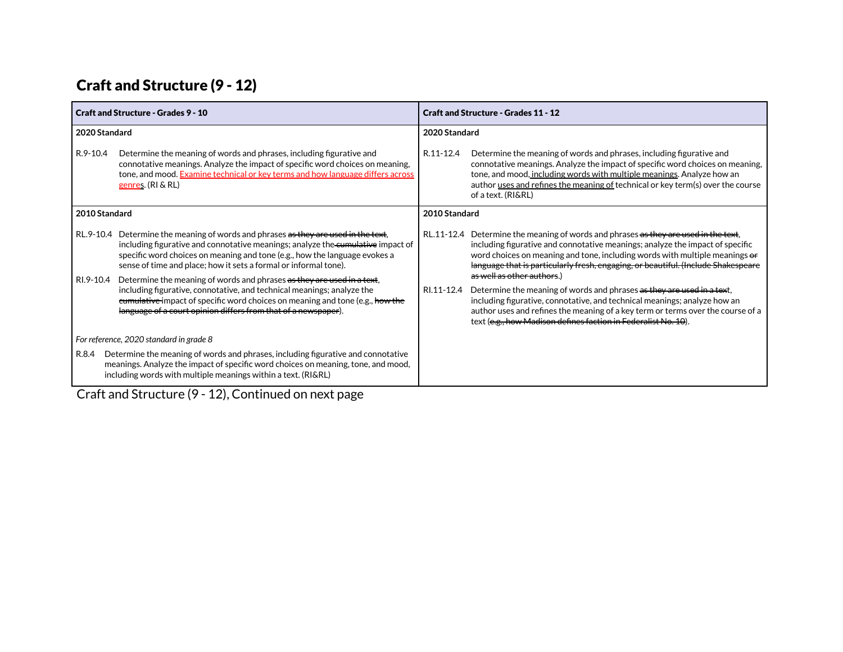# Craft and Structure (9 - 12)

| <b>Craft and Structure - Grades 11 - 12</b>                                                                                                                                                                                                                                                                                                                                                                                                                                                     |  |  |
|-------------------------------------------------------------------------------------------------------------------------------------------------------------------------------------------------------------------------------------------------------------------------------------------------------------------------------------------------------------------------------------------------------------------------------------------------------------------------------------------------|--|--|
|                                                                                                                                                                                                                                                                                                                                                                                                                                                                                                 |  |  |
| Determine the meaning of words and phrases, including figurative and<br>connotative meanings. Analyze the impact of specific word choices on meaning,<br>tone, and mood, including words with multiple meanings. Analyze how an<br>author uses and refines the meaning of technical or key term(s) over the course                                                                                                                                                                              |  |  |
|                                                                                                                                                                                                                                                                                                                                                                                                                                                                                                 |  |  |
| RL.11-12.4 Determine the meaning of words and phrases as they are used in the text,<br>including figurative and connotative meanings; analyze the impact of specific<br>word choices on meaning and tone, including words with multiple meanings of<br>language that is particularly fresh, engaging, or beautiful. (Include Shakespeare<br>Determine the meaning of words and phrases as they are used in a text,<br>including figurative, connotative, and technical meanings; analyze how an |  |  |
| author uses and refines the meaning of a key term or terms over the course of a<br>text (e.g., how Madison defines faction in Federalist No. 10).                                                                                                                                                                                                                                                                                                                                               |  |  |
|                                                                                                                                                                                                                                                                                                                                                                                                                                                                                                 |  |  |
|                                                                                                                                                                                                                                                                                                                                                                                                                                                                                                 |  |  |
|                                                                                                                                                                                                                                                                                                                                                                                                                                                                                                 |  |  |

Craft and Structure (9 - 12), Continued on next page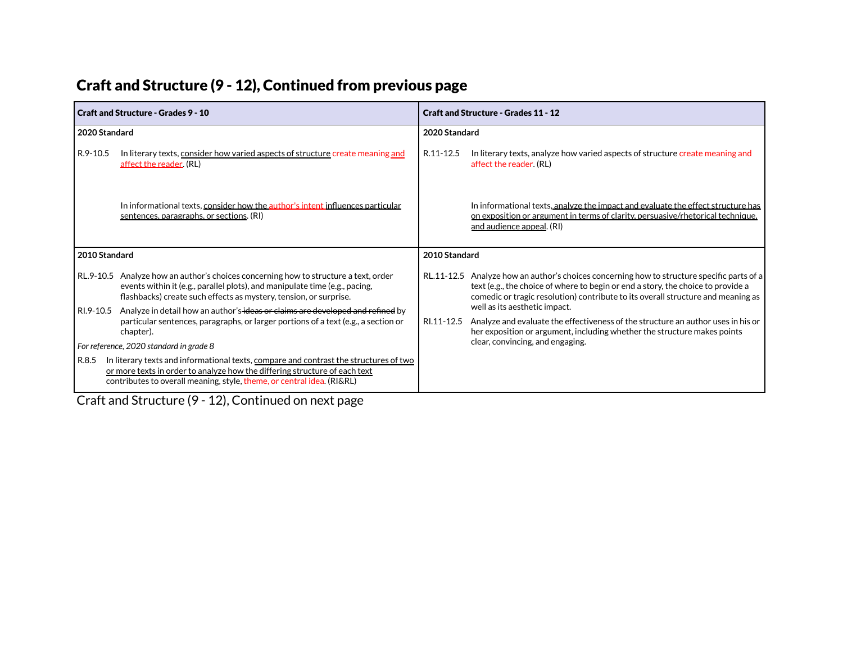| Craft and Structure (9 - 12), Continued from previous page |  |  |  |
|------------------------------------------------------------|--|--|--|
|------------------------------------------------------------|--|--|--|

| <b>Craft and Structure - Grades 9 - 10</b> |                                                                                                                                                                                                                                               | <b>Craft and Structure - Grades 11 - 12</b> |                                                                                                                                                                                                                                                                    |  |  |
|--------------------------------------------|-----------------------------------------------------------------------------------------------------------------------------------------------------------------------------------------------------------------------------------------------|---------------------------------------------|--------------------------------------------------------------------------------------------------------------------------------------------------------------------------------------------------------------------------------------------------------------------|--|--|
| 2020 Standard                              |                                                                                                                                                                                                                                               | 2020 Standard                               |                                                                                                                                                                                                                                                                    |  |  |
| R.9-10.5                                   | In literary texts, consider how varied aspects of structure create meaning and<br>affect the reader. (RL)                                                                                                                                     | R.11-12.5                                   | In literary texts, analyze how varied aspects of structure create meaning and<br>affect the reader. (RL)                                                                                                                                                           |  |  |
|                                            | In informational texts, consider how the author's intent influences particular<br>sentences, paragraphs, or sections. (RI)                                                                                                                    |                                             | In informational texts, analyze the impact and evaluate the effect structure has<br>on exposition or argument in terms of clarity, persuasive/rhetorical technique,<br><u>and audience appeal</u> . (RI)                                                           |  |  |
| 2010 Standard                              |                                                                                                                                                                                                                                               | 2010 Standard                               |                                                                                                                                                                                                                                                                    |  |  |
|                                            | RL.9-10.5 Analyze how an author's choices concerning how to structure a text, order<br>events within it (e.g., parallel plots), and manipulate time (e.g., pacing,<br>flashbacks) create such effects as mystery, tension, or surprise.       |                                             | RL.11-12.5 Analyze how an author's choices concerning how to structure specific parts of a<br>text (e.g., the choice of where to begin or end a story, the choice to provide a<br>comedic or tragic resolution) contribute to its overall structure and meaning as |  |  |
| RI.9-10.5                                  | Analyze in detail how an author's ideas or claims are developed and refined by<br>particular sentences, paragraphs, or larger portions of a text (e.g., a section or<br>chapter).                                                             | RI.11-12.5                                  | well as its aesthetic impact.<br>Analyze and evaluate the effectiveness of the structure an author uses in his or<br>her exposition or argument, including whether the structure makes points                                                                      |  |  |
|                                            | For reference, 2020 standard in grade 8                                                                                                                                                                                                       |                                             | clear, convincing, and engaging.                                                                                                                                                                                                                                   |  |  |
| R.8.5                                      | In literary texts and informational texts, compare and contrast the structures of two<br>or more texts in order to analyze how the differing structure of each text<br>contributes to overall meaning, style, theme, or central idea. (RI&RL) |                                             |                                                                                                                                                                                                                                                                    |  |  |

Craft and Structure (9 - 12), Continued on next page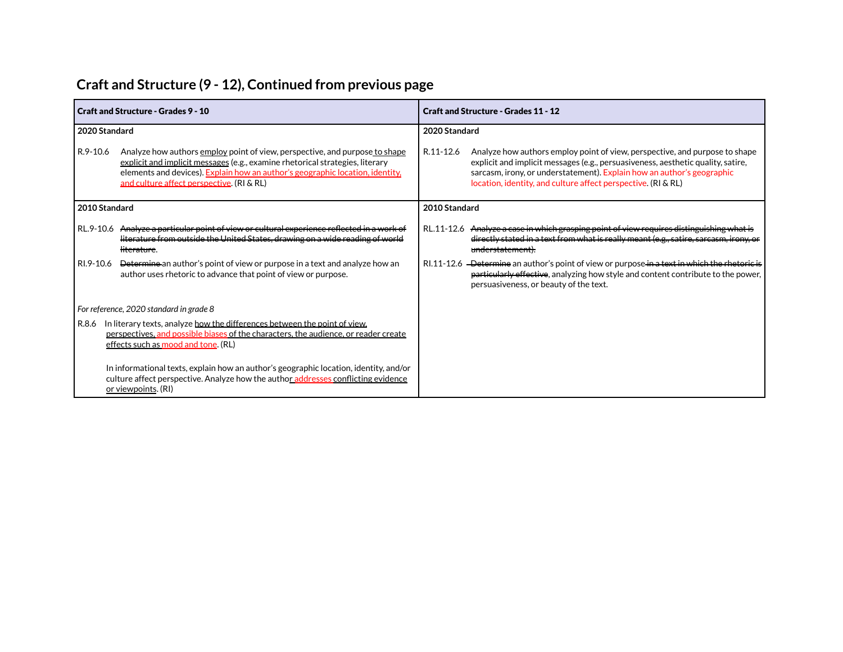# **Craft and Structure (9 - 12), Continued from previous page**

|               | Craft and Structure - Grades 9 - 10                                                                                                                                                                                                                                                        | <b>Craft and Structure - Grades 11 - 12</b>                                                                                                                                                                                                                                                                             |  |  |  |  |
|---------------|--------------------------------------------------------------------------------------------------------------------------------------------------------------------------------------------------------------------------------------------------------------------------------------------|-------------------------------------------------------------------------------------------------------------------------------------------------------------------------------------------------------------------------------------------------------------------------------------------------------------------------|--|--|--|--|
| 2020 Standard |                                                                                                                                                                                                                                                                                            | 2020 Standard                                                                                                                                                                                                                                                                                                           |  |  |  |  |
| R.9-10.6      | Analyze how authors employ point of view, perspective, and purpose to shape<br>explicit and implicit messages (e.g., examine rhetorical strategies, literary<br>elements and devices). Explain how an author's geographic location, identity,<br>and culture affect perspective. (RI & RL) | R.11-12.6<br>Analyze how authors employ point of view, perspective, and purpose to shape<br>explicit and implicit messages (e.g., persuasiveness, aesthetic quality, satire,<br>sarcasm, irony, or understatement). Explain how an author's geographic<br>location, identity, and culture affect perspective. (RI & RL) |  |  |  |  |
| 2010 Standard |                                                                                                                                                                                                                                                                                            | 2010 Standard                                                                                                                                                                                                                                                                                                           |  |  |  |  |
|               | RL.9-10.6 Analyze a particular point of view or cultural experience reflected in a work of<br>literature from outside the United States, drawing on a wide reading of world<br><del>literature</del> .                                                                                     | RL.11-12.6 Analyze a case in which grasping point of view requires distinguishing what is<br>directly stated in a text from what is really meant (e.g., satire, sarcasm, irony, or<br>understatement).                                                                                                                  |  |  |  |  |
| RI.9-10.6     | <b>Determine</b> an author's point of view or purpose in a text and analyze how an<br>author uses rhetoric to advance that point of view or purpose.                                                                                                                                       | RI.11-12.6 - Determine an author's point of view or purpose in a text in which the rhetoric is<br>particularly effective, analyzing how style and content contribute to the power,<br>persuasiveness, or beauty of the text.                                                                                            |  |  |  |  |
|               | For reference, 2020 standard in grade 8                                                                                                                                                                                                                                                    |                                                                                                                                                                                                                                                                                                                         |  |  |  |  |
| R.8.6         | In literary texts, analyze how the differences between the point of view.<br>perspectives, and possible biases of the characters, the audience, or reader create<br>effects such as mood and tone. (RL)                                                                                    |                                                                                                                                                                                                                                                                                                                         |  |  |  |  |
|               | In informational texts, explain how an author's geographic location, identity, and/or<br>culture affect perspective. Analyze how the author addresses conflicting evidence<br>or viewpoints. (RI)                                                                                          |                                                                                                                                                                                                                                                                                                                         |  |  |  |  |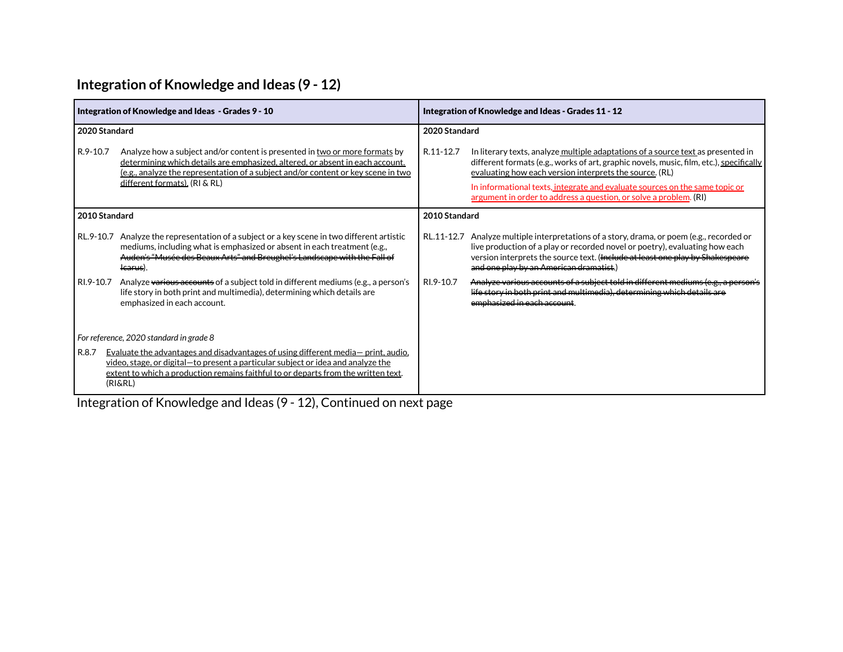### **Integration of Knowledge and Ideas (9 - 12)**

|               | Integration of Knowledge and Ideas - Grades 9 - 10                                                                                                                                                                                                                                 | Integration of Knowledge and Ideas - Grades 11 - 12 |                                                                                                                                                                                                                                                                                                                                                                                            |  |  |  |
|---------------|------------------------------------------------------------------------------------------------------------------------------------------------------------------------------------------------------------------------------------------------------------------------------------|-----------------------------------------------------|--------------------------------------------------------------------------------------------------------------------------------------------------------------------------------------------------------------------------------------------------------------------------------------------------------------------------------------------------------------------------------------------|--|--|--|
| 2020 Standard |                                                                                                                                                                                                                                                                                    | 2020 Standard                                       |                                                                                                                                                                                                                                                                                                                                                                                            |  |  |  |
| R.9-10.7      | Analyze how a subject and/or content is presented in two or more formats by<br>determining which details are emphasized, altered, or absent in each account.<br>(e.g., analyze the representation of a subject and/or content or key scene in two<br>different formats). (RI & RL) | R.11-12.7                                           | In literary texts, analyze multiple adaptations of a source text as presented in<br>different formats (e.g., works of art, graphic novels, music, film, etc.), specifically<br>evaluating how each version interprets the source. (RL)<br>In informational texts, integrate and evaluate sources on the same topic or<br>argument in order to address a question, or solve a problem. (RI) |  |  |  |
| 2010 Standard |                                                                                                                                                                                                                                                                                    | 2010 Standard                                       |                                                                                                                                                                                                                                                                                                                                                                                            |  |  |  |
| RL.9-10.7     | Analyze the representation of a subject or a key scene in two different artistic<br>mediums, including what is emphasized or absent in each treatment (e.g.,<br>Auden's "Musée des Beaux Arts" and Breughel's Landscape with the Fall of<br><del>lcarus</del> ).                   | RL.11-12.7                                          | Analyze multiple interpretations of a story, drama, or poem (e.g., recorded or<br>live production of a play or recorded novel or poetry), evaluating how each<br>version interprets the source text. (Include at least one play by Shakespeare<br>and one play by an American dramatist.)                                                                                                  |  |  |  |
| RI.9-10.7     | Analyze various accounts of a subject told in different mediums (e.g., a person's<br>life story in both print and multimedia), determining which details are<br>emphasized in each account.                                                                                        | RI.9-10.7                                           | Analyze various accounts of a subject told in different mediums (e.g., a person's<br>life story in both print and multimedia), determining which details are<br>emphasized in each account.                                                                                                                                                                                                |  |  |  |
|               | For reference, 2020 standard in grade 8                                                                                                                                                                                                                                            |                                                     |                                                                                                                                                                                                                                                                                                                                                                                            |  |  |  |
| R.8.7         | Evaluate the advantages and disadvantages of using different media- print, audio.<br>video, stage, or digital – to present a particular subject or idea and analyze the<br>extent to which a production remains faithful to or departs from the written text.<br>(RI&RL)           |                                                     |                                                                                                                                                                                                                                                                                                                                                                                            |  |  |  |

Integration of Knowledge and Ideas (9 - 12), Continued on next page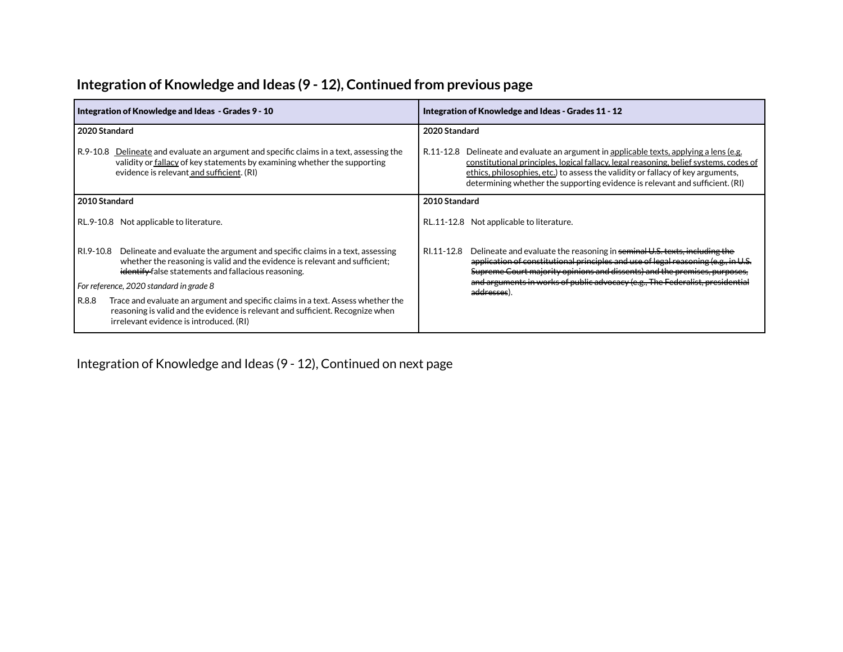|               | Integration of Knowledge and Ideas - Grades 9 - 10                                                                                                                                                                 | Integration of Knowledge and Ideas - Grades 11 - 12 |                                                                                                                                                                                                                                                                                                                                           |  |  |  |  |
|---------------|--------------------------------------------------------------------------------------------------------------------------------------------------------------------------------------------------------------------|-----------------------------------------------------|-------------------------------------------------------------------------------------------------------------------------------------------------------------------------------------------------------------------------------------------------------------------------------------------------------------------------------------------|--|--|--|--|
| 2020 Standard |                                                                                                                                                                                                                    |                                                     | 2020 Standard                                                                                                                                                                                                                                                                                                                             |  |  |  |  |
| R.9-10.8      | Delineate and evaluate an argument and specific claims in a text, assessing the<br>validity or fallacy of key statements by examining whether the supporting<br>evidence is relevant and sufficient. (RI)          | R.11-12.8                                           | Delineate and evaluate an argument in applicable texts, applying a lens (e.g.<br>constitutional principles, logical fallacy, legal reasoning, belief systems, codes of<br>ethics, philosophies, etc.) to assess the validity or fallacy of key arguments,<br>determining whether the supporting evidence is relevant and sufficient. (RI) |  |  |  |  |
| 2010 Standard |                                                                                                                                                                                                                    | 2010 Standard                                       |                                                                                                                                                                                                                                                                                                                                           |  |  |  |  |
|               | RL.9-10.8 Not applicable to literature.                                                                                                                                                                            |                                                     | RL.11-12.8 Not applicable to literature.                                                                                                                                                                                                                                                                                                  |  |  |  |  |
| RI.9-10.8     | Delineate and evaluate the argument and specific claims in a text, assessing<br>whether the reasoning is valid and the evidence is relevant and sufficient;<br>identify false statements and fallacious reasoning. | RI.11-12.8                                          | Delineate and evaluate the reasoning in seminal U.S. texts, including the<br>application of constitutional principles and use of legal reasoning (e.g., in U.S.<br>Supreme Court majority opinions and dissents) and the premises, purposes,                                                                                              |  |  |  |  |
|               | For reference, 2020 standard in grade 8                                                                                                                                                                            |                                                     | and arguments in works of public advocacy (e.g., The Federalist, presidential<br>a <del>ddresses</del> )                                                                                                                                                                                                                                  |  |  |  |  |
| R.8.8         | Trace and evaluate an argument and specific claims in a text. Assess whether the<br>reasoning is valid and the evidence is relevant and sufficient. Recognize when<br>irrelevant evidence is introduced. (RI)      |                                                     |                                                                                                                                                                                                                                                                                                                                           |  |  |  |  |

### **Integration of Knowledge and Ideas (9 - 12), Continued from previous page**

Integration of Knowledge and Ideas (9 - 12), Continued on next page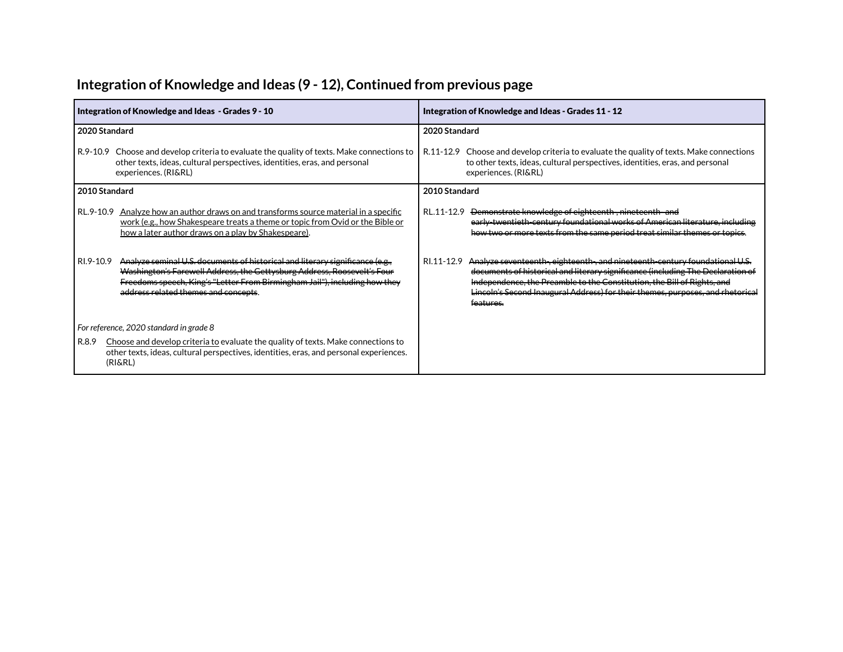|               | Integration of Knowledge and Ideas - Grades 9 - 10                                                                                                                                                                                                                             | Integration of Knowledge and Ideas - Grades 11 - 12 |                                                                                                                                                                                                                                                                                                                                          |  |  |  |  |
|---------------|--------------------------------------------------------------------------------------------------------------------------------------------------------------------------------------------------------------------------------------------------------------------------------|-----------------------------------------------------|------------------------------------------------------------------------------------------------------------------------------------------------------------------------------------------------------------------------------------------------------------------------------------------------------------------------------------------|--|--|--|--|
| 2020 Standard |                                                                                                                                                                                                                                                                                | 2020 Standard                                       |                                                                                                                                                                                                                                                                                                                                          |  |  |  |  |
| R.9-10.9      | Choose and develop criteria to evaluate the quality of texts. Make connections to<br>other texts, ideas, cultural perspectives, identities, eras, and personal<br>experiences. (RI&RL)                                                                                         |                                                     | R.11-12.9 Choose and develop criteria to evaluate the quality of texts. Make connections<br>to other texts, ideas, cultural perspectives, identities, eras, and personal<br>experiences. (RI&RL)                                                                                                                                         |  |  |  |  |
| 2010 Standard |                                                                                                                                                                                                                                                                                | 2010 Standard                                       |                                                                                                                                                                                                                                                                                                                                          |  |  |  |  |
| RL.9-10.9     | Analyze how an author draws on and transforms source material in a specific<br>work (e.g., how Shakespeare treats a theme or topic from Ovid or the Bible or<br>how a later author draws on a play by Shakespeare).                                                            |                                                     | RL.11-12.9 <del>Demonstrate knowledge of eighteenth, nineteenth and</del><br>early-twentieth-century foundational works of American literature, including<br>how two or more texts from the same period treat similar themes or topics.                                                                                                  |  |  |  |  |
| RI.9-10.9     | Analyze seminal U.S. documents of historical and literary significance (e.g.,<br>Washington's Farewell Address, the Gettysburg Address, Roosevelt's Four<br>Freedoms speech, King's "Letter From Birmingham Jail"), including how they<br>address related themes and concepts. | RI.11-12.9                                          | Analyze seventeenth-, eighteenth-, and nineteenth-century foundational U.S.<br>documents of historical and literary significance (including The Declaration of<br>Independence, the Preamble to the Constitution, the Bill of Rights, and<br>Lincoln's Second Inaugural Address) for their themes, purposes, and rhetorical<br>features. |  |  |  |  |
| R.8.9         | For reference, 2020 standard in grade 8<br>Choose and develop criteria to evaluate the quality of texts. Make connections to<br>other texts, ideas, cultural perspectives, identities, eras, and personal experiences.<br>(RI&RL)                                              |                                                     |                                                                                                                                                                                                                                                                                                                                          |  |  |  |  |

## **Integration of Knowledge and Ideas (9 - 12), Continued from previous page**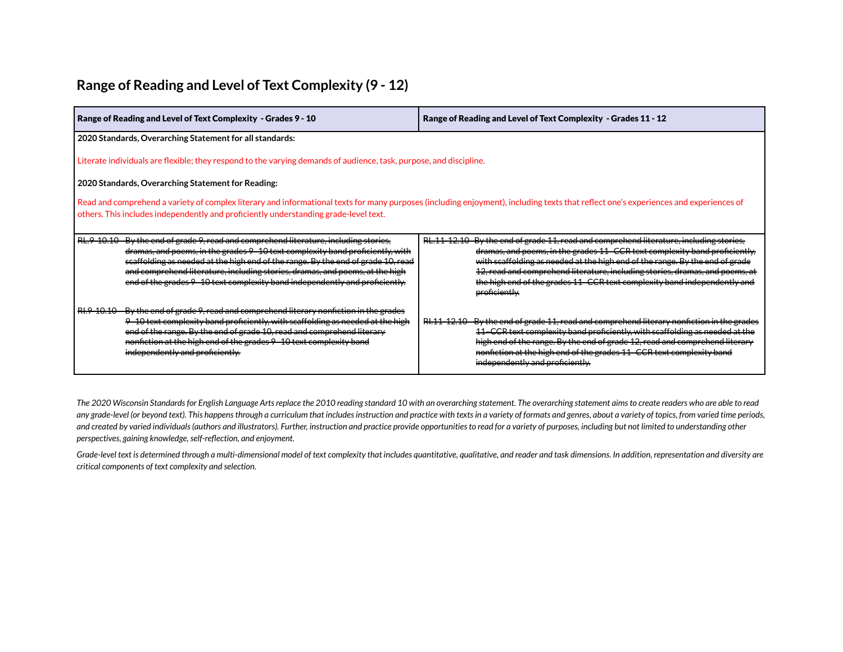#### **Range of Reading and Level of Text Complexity (9 - 12)**

| Range of Reading and Level of Text Complexity - Grades 9 - 10                                                                                                                                                                                                                                                                                                                                                            | Range of Reading and Level of Text Complexity - Grades 11 - 12                                                                                                                                                                                                                                                                                                                                                                    |  |  |  |  |  |  |  |  |
|--------------------------------------------------------------------------------------------------------------------------------------------------------------------------------------------------------------------------------------------------------------------------------------------------------------------------------------------------------------------------------------------------------------------------|-----------------------------------------------------------------------------------------------------------------------------------------------------------------------------------------------------------------------------------------------------------------------------------------------------------------------------------------------------------------------------------------------------------------------------------|--|--|--|--|--|--|--|--|
| 2020 Standards, Overarching Statement for all standards:                                                                                                                                                                                                                                                                                                                                                                 |                                                                                                                                                                                                                                                                                                                                                                                                                                   |  |  |  |  |  |  |  |  |
| Literate individuals are flexible; they respond to the varying demands of audience, task, purpose, and discipline.                                                                                                                                                                                                                                                                                                       |                                                                                                                                                                                                                                                                                                                                                                                                                                   |  |  |  |  |  |  |  |  |
| 2020 Standards, Overarching Statement for Reading:                                                                                                                                                                                                                                                                                                                                                                       |                                                                                                                                                                                                                                                                                                                                                                                                                                   |  |  |  |  |  |  |  |  |
| Read and comprehend a variety of complex literary and informational texts for many purposes (including enjoyment), including texts that reflect one's experiences and experiences of<br>others. This includes independently and proficiently understanding grade-level text.                                                                                                                                             |                                                                                                                                                                                                                                                                                                                                                                                                                                   |  |  |  |  |  |  |  |  |
| RL.9 10.10 By the end of grade 9, read and comprehend literature, including stories,<br>dramas, and poems, in the grades 9-10 text complexity band proficiently, with<br>scaffolding as needed at the high end of the range. By the end of grade 10, read<br>and comprehend literature, including stories, dramas, and poems, at the high<br>end of the grades 9 10 text complexity band independently and proficiently. | RL.11-12.10 By the end of grade 11, read and comprehend literature, including stories,<br>dramas, and poems, in the grades 11-CCR text complexity band proficiently,<br>with scaffolding as needed at the high end of the range. By the end of grade<br>12, read and comprehend literature, including stories, dramas, and poems, at<br>the high end of the grades 11 CCR text complexity band independently and<br>proficiently. |  |  |  |  |  |  |  |  |
| RI.9 10.10 By the end of grade 9, read and comprehend literary nonfiction in the grades<br>9-10 text complexity band proficiently, with scaffolding as needed at the high<br>end of the range. By the end of grade 10, read and comprehend literary<br>nonfiction at the high end of the grades 9 10 text complexity band<br>independently and proficiently.                                                             | RI.11-12.10 By the end of grade 11, read and comprehend literary nonfiction in the grades<br>11–CCR text complexity band proficiently, with scaffolding as needed at the<br>high end of the range. By the end of grade 12, read and comprehend literary<br>nonfiction at the high end of the grades 11 CCR text complexity band<br>independently and proficiently.                                                                |  |  |  |  |  |  |  |  |

The 2020 Wisconsin Standards for English Language Arts replace the 2010 reading standard 10 with an overarching statement. The overarching statement aims to create readers who are able to read any grade-level (or beyond text). This happens through a curriculum that includes instruction and practice with texts in a variety of formats and genres, about a variety of topics, from varied time periods, and created by varied individuals (authors and illustrators). Further, instruction and practice provide opportunities to read for a variety of purposes, including but not limited to understanding other *perspectives, gaining knowledge,self-reflection, and enjoyment.*

Grade-level text is determined through a multi-dimensional model of text complexity that includes quantitative, qualitative, and reader and task dimensions. In addition, representation and diversity are *critical components of text complexity and selection.*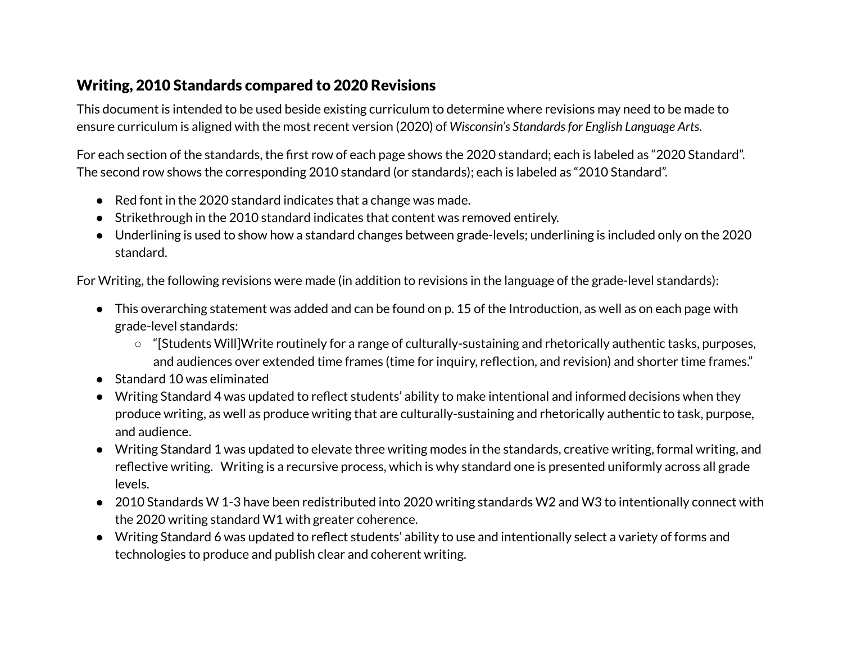#### Writing, 2010 Standards compared to 2020 Revisions

This document is intended to be used beside existing curriculum to determine where revisions may need to be made to ensure curriculum is aligned with the most recent version (2020) of *Wisconsin's Standardsfor English Language Arts*.

For each section of the standards, the first row of each page shows the 2020 standard; each is labeled as "2020 Standard". The second row shows the corresponding 2010 standard (or standards); each is labeled as "2010 Standard".

- Red font in the 2020 standard indicates that a change was made.
- Strikethrough in the 2010 standard indicates that content was removed entirely.
- Underlining is used to show how a standard changes between grade-levels; underlining is included only on the 2020 standard.

For Writing, the following revisions were made (in addition to revisions in the language of the grade-level standards):

- This overarching statement was added and can be found on p. 15 of the Introduction, as well as on each page with grade-level standards:
	- "[Students Will]Write routinely for a range of culturally-sustaining and rhetorically authentic tasks, purposes, and audiences over extended time frames (time for inquiry, reflection, and revision) and shorter time frames."
- Standard 10 was eliminated
- Writing Standard 4 was updated to reflect students' ability to make intentional and informed decisions when they produce writing, as well as produce writing that are culturally-sustaining and rhetorically authentic to task, purpose, and audience.
- Writing Standard 1 was updated to elevate three writing modes in the standards, creative writing, formal writing, and reflective writing. Writing is a recursive process, which is why standard one is presented uniformly across all grade levels.
- 2010 Standards W 1-3 have been redistributed into 2020 writing standards W2 and W3 to intentionally connect with the 2020 writing standard W1 with greater coherence.
- Writing Standard 6 was updated to reflect students' ability to use and intentionally select a variety of forms and technologies to produce and publish clear and coherent writing.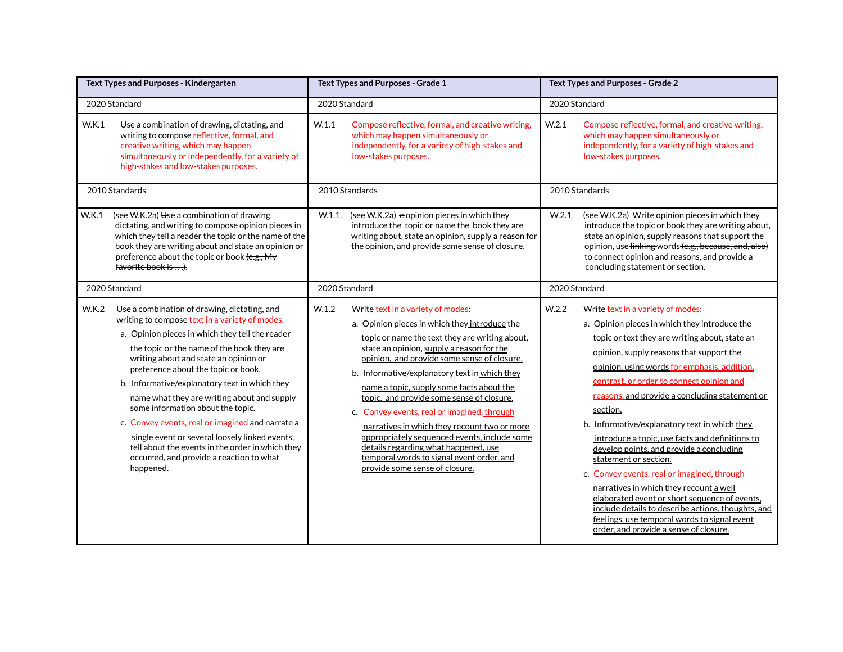| Text Types and Purposes - Kindergarten                                                                                                                                                                                                                                                                                                                                                                                                                                                                                                                                                                                                           |  | Text Types and Purposes - Grade 1                                                                                                                                                                                                                                                                                                                                                                                                                                                                                                                                                                                                                          | Text Types and Purposes - Grade 2 |                                                                                                                                                                                                                                                                                                                                                                                                                                                                                                                                                                                                                                                                                                                                                                                                                 |  |
|--------------------------------------------------------------------------------------------------------------------------------------------------------------------------------------------------------------------------------------------------------------------------------------------------------------------------------------------------------------------------------------------------------------------------------------------------------------------------------------------------------------------------------------------------------------------------------------------------------------------------------------------------|--|------------------------------------------------------------------------------------------------------------------------------------------------------------------------------------------------------------------------------------------------------------------------------------------------------------------------------------------------------------------------------------------------------------------------------------------------------------------------------------------------------------------------------------------------------------------------------------------------------------------------------------------------------------|-----------------------------------|-----------------------------------------------------------------------------------------------------------------------------------------------------------------------------------------------------------------------------------------------------------------------------------------------------------------------------------------------------------------------------------------------------------------------------------------------------------------------------------------------------------------------------------------------------------------------------------------------------------------------------------------------------------------------------------------------------------------------------------------------------------------------------------------------------------------|--|
| 2020 Standard                                                                                                                                                                                                                                                                                                                                                                                                                                                                                                                                                                                                                                    |  | 2020 Standard                                                                                                                                                                                                                                                                                                                                                                                                                                                                                                                                                                                                                                              | 2020 Standard                     |                                                                                                                                                                                                                                                                                                                                                                                                                                                                                                                                                                                                                                                                                                                                                                                                                 |  |
| <b>W.K.1</b><br>Use a combination of drawing, dictating, and<br>writing to compose reflective, formal, and<br>creative writing, which may happen<br>simultaneously or independently, for a variety of<br>high-stakes and low-stakes purposes.                                                                                                                                                                                                                                                                                                                                                                                                    |  | W.1.1<br>Compose reflective, formal, and creative writing,<br>which may happen simultaneously or<br>independently, for a variety of high-stakes and<br>low-stakes purposes.                                                                                                                                                                                                                                                                                                                                                                                                                                                                                | W.2.1                             | Compose reflective, formal, and creative writing,<br>which may happen simultaneously or<br>independently, for a variety of high-stakes and<br>low-stakes purposes.                                                                                                                                                                                                                                                                                                                                                                                                                                                                                                                                                                                                                                              |  |
| 2010 Standards                                                                                                                                                                                                                                                                                                                                                                                                                                                                                                                                                                                                                                   |  | 2010 Standards                                                                                                                                                                                                                                                                                                                                                                                                                                                                                                                                                                                                                                             | 2010 Standards                    |                                                                                                                                                                                                                                                                                                                                                                                                                                                                                                                                                                                                                                                                                                                                                                                                                 |  |
| W.K.1<br>(see W.K.2a) $\Theta$ se a combination of drawing,<br>dictating, and writing to compose opinion pieces in<br>which they tell a reader the topic or the name of the<br>book they are writing about and state an opinion or<br>preference about the topic or book (e.g., My<br>favorite book is).                                                                                                                                                                                                                                                                                                                                         |  | W.1.1.<br>(see W.K.2a) $\epsilon$ opinion pieces in which they<br>introduce the topic or name the book they are<br>writing about, state an opinion, supply a reason for<br>the opinion, and provide some sense of closure.                                                                                                                                                                                                                                                                                                                                                                                                                                 | W.2.1                             | (see W.K.2a) Write opinion pieces in which they<br>introduce the topic or book they are writing about,<br>state an opinion, supply reasons that support the<br>opinion, use tinking words (e.g., because, and, also)<br>to connect opinion and reasons, and provide a<br>concluding statement or section.                                                                                                                                                                                                                                                                                                                                                                                                                                                                                                       |  |
| 2020 Standard                                                                                                                                                                                                                                                                                                                                                                                                                                                                                                                                                                                                                                    |  | 2020 Standard                                                                                                                                                                                                                                                                                                                                                                                                                                                                                                                                                                                                                                              | 2020 Standard                     |                                                                                                                                                                                                                                                                                                                                                                                                                                                                                                                                                                                                                                                                                                                                                                                                                 |  |
| W.K.2<br>Use a combination of drawing, dictating, and<br>writing to compose text in a variety of modes:<br>a. Opinion pieces in which they tell the reader<br>the topic or the name of the book they are<br>writing about and state an opinion or<br>preference about the topic or book.<br>b. Informative/explanatory text in which they<br>name what they are writing about and supply<br>some information about the topic.<br>c. Convey events, real or imagined and narrate a<br>single event or several loosely linked events,<br>tell about the events in the order in which they<br>occurred, and provide a reaction to what<br>happened. |  | W.1.2<br>Write text in a variety of modes:<br>a. Opinion pieces in which they introduce the<br>topic or name the text they are writing about,<br>state an opinion, supply a reason for the<br>opinion, and provide some sense of closure.<br>b. Informative/explanatory text in which they<br>name a topic, supply some facts about the<br>topic, and provide some sense of closure.<br>c. Convey events, real or imagined, through<br>narratives in which they recount two or more<br>appropriately sequenced events, include some<br>details regarding what happened, use<br>temporal words to signal event order, and<br>provide some sense of closure. | W.2.2                             | Write text in a variety of modes:<br>a. Opinion pieces in which they introduce the<br>topic or text they are writing about, state an<br>opinion, supply reasons that support the<br>opinion, using words for emphasis, addition,<br>contrast, or order to connect opinion and<br>reasons, and provide a concluding statement or<br>section.<br>b. Informative/explanatory text in which they<br>introduce a topic, use facts and definitions to<br>develop points, and provide a concluding<br>statement or section.<br>c. Convey events, real or imagined, through<br>narratives in which they recount a well<br>elaborated event or short sequence of events,<br>include details to describe actions, thoughts, and<br>feelings, use temporal words to signal event<br>order, and provide a sense of closure. |  |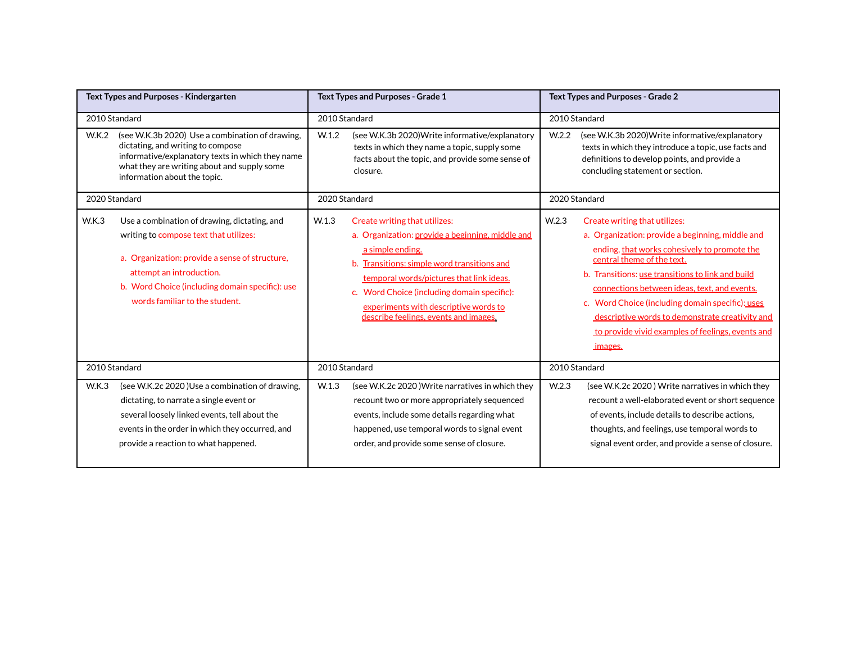| <b>Text Types and Purposes - Kindergarten</b> |                                                                                                                                                                                                                                                           | Text Types and Purposes - Grade 1 |                                                                                                                                                                                                                                                                                                                                   | Text Types and Purposes - Grade 2 |                                                                                                                                                                                                                                                                                                                                                                                                                                             |  |
|-----------------------------------------------|-----------------------------------------------------------------------------------------------------------------------------------------------------------------------------------------------------------------------------------------------------------|-----------------------------------|-----------------------------------------------------------------------------------------------------------------------------------------------------------------------------------------------------------------------------------------------------------------------------------------------------------------------------------|-----------------------------------|---------------------------------------------------------------------------------------------------------------------------------------------------------------------------------------------------------------------------------------------------------------------------------------------------------------------------------------------------------------------------------------------------------------------------------------------|--|
|                                               | 2010 Standard                                                                                                                                                                                                                                             |                                   | 2010 Standard                                                                                                                                                                                                                                                                                                                     |                                   | 2010 Standard                                                                                                                                                                                                                                                                                                                                                                                                                               |  |
| W.K.2                                         | (see W.K.3b 2020) Use a combination of drawing,<br>dictating, and writing to compose<br>informative/explanatory texts in which they name<br>what they are writing about and supply some<br>information about the topic.                                   | W.1.2                             | (see W.K.3b 2020) Write informative/explanatory<br>texts in which they name a topic, supply some<br>facts about the topic, and provide some sense of<br>closure.                                                                                                                                                                  | W <sub>.2.2</sub>                 | (see W.K.3b 2020) Write informative/explanatory<br>texts in which they introduce a topic, use facts and<br>definitions to develop points, and provide a<br>concluding statement or section.                                                                                                                                                                                                                                                 |  |
|                                               | 2020 Standard                                                                                                                                                                                                                                             |                                   | 2020 Standard                                                                                                                                                                                                                                                                                                                     |                                   | 2020 Standard                                                                                                                                                                                                                                                                                                                                                                                                                               |  |
| <b>W.K.3</b>                                  | Use a combination of drawing, dictating, and<br>writing to compose text that utilizes:<br>a. Organization: provide a sense of structure,<br>attempt an introduction.<br>b. Word Choice (including domain specific): use<br>words familiar to the student. | W <sub>1.3</sub>                  | Create writing that utilizes:<br>a. Organization: provide a beginning, middle and<br>a simple ending.<br>b. Transitions: simple word transitions and<br>temporal words/pictures that link ideas.<br>c. Word Choice (including domain specific):<br>experiments with descriptive words to<br>describe feelings, events and images. | W <sub>2.3</sub>                  | Create writing that utilizes:<br>a. Organization: provide a beginning, middle and<br>ending, that works cohesively to promote the<br>central theme of the text.<br>b. Transitions: use transitions to link and build<br>connections between ideas, text, and events.<br>c. Word Choice (including domain specific): uses<br>descriptive words to demonstrate creativity and<br>to provide vivid examples of feelings, events and<br>images. |  |
|                                               | 2010 Standard                                                                                                                                                                                                                                             |                                   | 2010 Standard                                                                                                                                                                                                                                                                                                                     |                                   | 2010 Standard                                                                                                                                                                                                                                                                                                                                                                                                                               |  |
| <b>W.K.3</b>                                  | (see W.K.2c 2020) Use a combination of drawing,<br>dictating, to narrate a single event or<br>several loosely linked events, tell about the<br>events in the order in which they occurred, and<br>provide a reaction to what happened.                    | W.1.3                             | (see W.K.2c 2020) Write narratives in which they<br>recount two or more appropriately sequenced<br>events, include some details regarding what<br>happened, use temporal words to signal event<br>order, and provide some sense of closure.                                                                                       | W <sub>2.3</sub>                  | (see W.K.2c 2020) Write narratives in which they<br>recount a well-elaborated event or short sequence<br>of events, include details to describe actions,<br>thoughts, and feelings, use temporal words to<br>signal event order, and provide a sense of closure.                                                                                                                                                                            |  |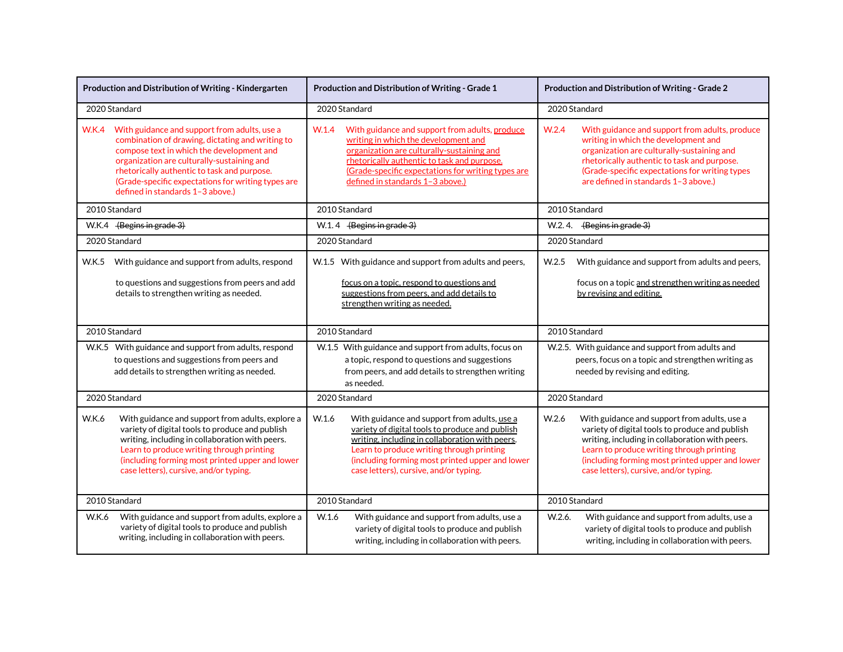| Production and Distribution of Writing - Kindergarten |                                                                                                                                                                                                                                                                                                                                      | Production and Distribution of Writing - Grade 1                                                                                                                                                                                                                                                      | Production and Distribution of Writing - Grade 2                                                                                                                                                                                                                                                      |  |  |
|-------------------------------------------------------|--------------------------------------------------------------------------------------------------------------------------------------------------------------------------------------------------------------------------------------------------------------------------------------------------------------------------------------|-------------------------------------------------------------------------------------------------------------------------------------------------------------------------------------------------------------------------------------------------------------------------------------------------------|-------------------------------------------------------------------------------------------------------------------------------------------------------------------------------------------------------------------------------------------------------------------------------------------------------|--|--|
|                                                       | 2020 Standard                                                                                                                                                                                                                                                                                                                        | 2020 Standard                                                                                                                                                                                                                                                                                         | 2020 Standard                                                                                                                                                                                                                                                                                         |  |  |
| <b>W.K.4</b>                                          | With guidance and support from adults, use a<br>combination of drawing, dictating and writing to<br>compose text in which the development and<br>organization are culturally-sustaining and<br>rhetorically authentic to task and purpose.<br>(Grade-specific expectations for writing types are<br>defined in standards 1-3 above.) | With guidance and support from adults, produce<br>W.1.4<br>writing in which the development and<br>organization are culturally-sustaining and<br>rhetorically authentic to task and purpose.<br>(Grade-specific expectations for writing types are<br>defined in standards 1-3 above.)                | W <sub>.2.4</sub><br>With guidance and support from adults, produce<br>writing in which the development and<br>organization are culturally-sustaining and<br>rhetorically authentic to task and purpose.<br>(Grade-specific expectations for writing types<br>are defined in standards 1-3 above.)    |  |  |
|                                                       | 2010 Standard                                                                                                                                                                                                                                                                                                                        | 2010 Standard                                                                                                                                                                                                                                                                                         | 2010 Standard                                                                                                                                                                                                                                                                                         |  |  |
|                                                       | W.K.4 (Begins in grade 3)                                                                                                                                                                                                                                                                                                            | $W.1.4$ (Begins in grade 3)                                                                                                                                                                                                                                                                           | W.2.4. $\left\langle \frac{\text{Begins in grade }3}{\text{Area}} \right\rangle$                                                                                                                                                                                                                      |  |  |
|                                                       | 2020 Standard                                                                                                                                                                                                                                                                                                                        | 2020 Standard                                                                                                                                                                                                                                                                                         | 2020 Standard                                                                                                                                                                                                                                                                                         |  |  |
| W.K.5                                                 | With guidance and support from adults, respond<br>to questions and suggestions from peers and add<br>details to strengthen writing as needed.                                                                                                                                                                                        | W.1.5 With guidance and support from adults and peers,<br>focus on a topic, respond to questions and<br>suggestions from peers, and add details to<br>strengthen writing as needed.                                                                                                                   | With guidance and support from adults and peers,<br>W.2.5<br>focus on a topic and strengthen writing as needed<br>by revising and editing.                                                                                                                                                            |  |  |
|                                                       | 2010 Standard                                                                                                                                                                                                                                                                                                                        | 2010 Standard                                                                                                                                                                                                                                                                                         | 2010 Standard                                                                                                                                                                                                                                                                                         |  |  |
|                                                       | W.K.5 With guidance and support from adults, respond<br>to questions and suggestions from peers and<br>add details to strengthen writing as needed.                                                                                                                                                                                  | W.1.5 With guidance and support from adults, focus on<br>a topic, respond to questions and suggestions<br>from peers, and add details to strengthen writing<br>as needed.                                                                                                                             | W.2.5. With guidance and support from adults and<br>peers, focus on a topic and strengthen writing as<br>needed by revising and editing.                                                                                                                                                              |  |  |
|                                                       | 2020 Standard                                                                                                                                                                                                                                                                                                                        | 2020 Standard                                                                                                                                                                                                                                                                                         | 2020 Standard                                                                                                                                                                                                                                                                                         |  |  |
| <b>W.K.6</b>                                          | With guidance and support from adults, explore a<br>variety of digital tools to produce and publish<br>writing, including in collaboration with peers.<br>Learn to produce writing through printing<br>(including forming most printed upper and lower<br>case letters), cursive, and/or typing.                                     | W.1.6<br>With guidance and support from adults, use a<br>variety of digital tools to produce and publish<br>writing, including in collaboration with peers.<br>Learn to produce writing through printing<br>(including forming most printed upper and lower<br>case letters), cursive, and/or typing. | W.2.6<br>With guidance and support from adults, use a<br>variety of digital tools to produce and publish<br>writing, including in collaboration with peers.<br>Learn to produce writing through printing<br>(including forming most printed upper and lower<br>case letters), cursive, and/or typing. |  |  |
|                                                       | 2010 Standard                                                                                                                                                                                                                                                                                                                        | 2010 Standard                                                                                                                                                                                                                                                                                         | 2010 Standard                                                                                                                                                                                                                                                                                         |  |  |
| W.K.6                                                 | With guidance and support from adults, explore a<br>variety of digital tools to produce and publish<br>writing, including in collaboration with peers.                                                                                                                                                                               | W.1.6<br>With guidance and support from adults, use a<br>variety of digital tools to produce and publish<br>writing, including in collaboration with peers.                                                                                                                                           | W.2.6.<br>With guidance and support from adults, use a<br>variety of digital tools to produce and publish<br>writing, including in collaboration with peers.                                                                                                                                          |  |  |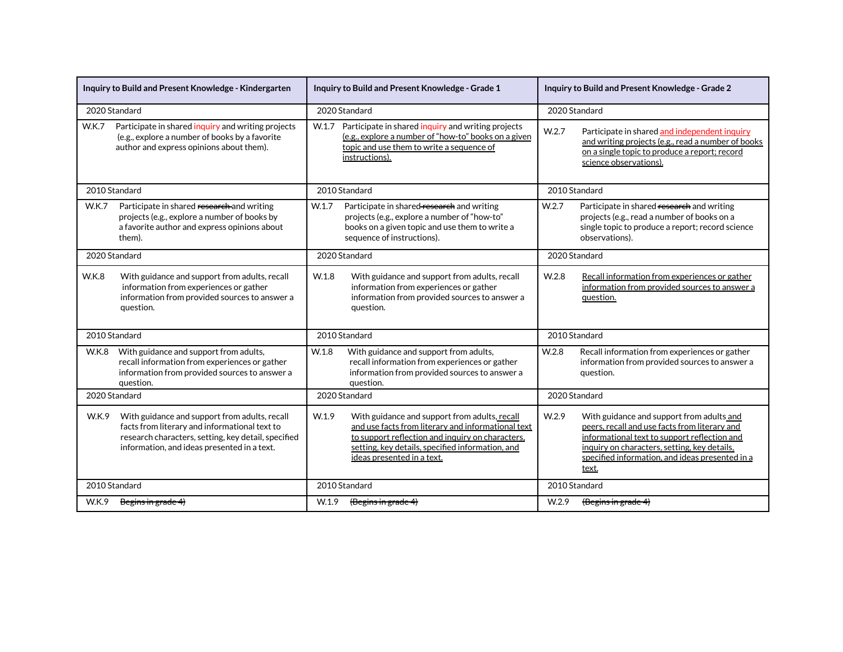|              | Inquiry to Build and Present Knowledge - Kindergarten                                                                                                                                                | Inquiry to Build and Present Knowledge - Grade 1 |                                                                                                                                                                                                                                           |                   | Inquiry to Build and Present Knowledge - Grade 2                                                                                                                                                                                                       |  |  |
|--------------|------------------------------------------------------------------------------------------------------------------------------------------------------------------------------------------------------|--------------------------------------------------|-------------------------------------------------------------------------------------------------------------------------------------------------------------------------------------------------------------------------------------------|-------------------|--------------------------------------------------------------------------------------------------------------------------------------------------------------------------------------------------------------------------------------------------------|--|--|
|              | 2020 Standard                                                                                                                                                                                        |                                                  | 2020 Standard                                                                                                                                                                                                                             |                   | 2020 Standard                                                                                                                                                                                                                                          |  |  |
| <b>W.K.7</b> | Participate in shared inquiry and writing projects<br>(e.g., explore a number of books by a favorite<br>author and express opinions about them).                                                     | W.1.7                                            | Participate in shared inquiry and writing projects<br>W.2.7<br>(e.g., explore a number of "how-to" books on a given<br>topic and use them to write a sequence of<br>instructions).                                                        |                   | Participate in shared and independent inquiry<br>and writing projects (e.g., read a number of books<br>on a single topic to produce a report; record<br>science observations).                                                                         |  |  |
|              | 2010 Standard                                                                                                                                                                                        |                                                  | 2010 Standard                                                                                                                                                                                                                             |                   | 2010 Standard                                                                                                                                                                                                                                          |  |  |
| <b>W.K.7</b> | Participate in shared research and writing<br>projects (e.g., explore a number of books by<br>a favorite author and express opinions about<br>them).                                                 | W.1.7                                            | Participate in shared-research and writing<br>projects (e.g., explore a number of "how-to"<br>books on a given topic and use them to write a<br>sequence of instructions).                                                                | W.2.7             | Participate in shared research and writing<br>projects (e.g., read a number of books on a<br>single topic to produce a report; record science<br>observations).                                                                                        |  |  |
|              | 2020 Standard                                                                                                                                                                                        | 2020 Standard                                    |                                                                                                                                                                                                                                           |                   | 2020 Standard                                                                                                                                                                                                                                          |  |  |
| <b>W.K.8</b> | With guidance and support from adults, recall<br>information from experiences or gather<br>information from provided sources to answer a<br>question.                                                | W.1.8                                            | With guidance and support from adults, recall<br>information from experiences or gather<br>information from provided sources to answer a<br>question.                                                                                     | W <sub>.2.8</sub> | Recall information from experiences or gather<br>information from provided sources to answer a<br>question.                                                                                                                                            |  |  |
|              | 2010 Standard                                                                                                                                                                                        | 2010 Standard                                    |                                                                                                                                                                                                                                           |                   | 2010 Standard                                                                                                                                                                                                                                          |  |  |
| <b>W.K.8</b> | With guidance and support from adults,<br>recall information from experiences or gather<br>information from provided sources to answer a<br>question.                                                | W.1.8                                            | With guidance and support from adults,<br>recall information from experiences or gather<br>information from provided sources to answer a<br>question.                                                                                     | W.2.8             | Recall information from experiences or gather<br>information from provided sources to answer a<br>question.                                                                                                                                            |  |  |
|              | 2020 Standard                                                                                                                                                                                        | 2020 Standard                                    |                                                                                                                                                                                                                                           |                   | 2020 Standard                                                                                                                                                                                                                                          |  |  |
| W.K.9        | With guidance and support from adults, recall<br>facts from literary and informational text to<br>research characters, setting, key detail, specified<br>information, and ideas presented in a text. | W.1.9                                            | With guidance and support from adults, recall<br>and use facts from literary and informational text<br>to support reflection and inquiry on characters,<br>setting, key details, specified information, and<br>ideas presented in a text. | W.2.9             | With guidance and support from adults and<br>peers, recall and use facts from literary and<br>informational text to support reflection and<br>inquiry on characters, setting, key details,<br>specified information, and ideas presented in a<br>text. |  |  |
|              | 2010 Standard                                                                                                                                                                                        |                                                  | 2010 Standard                                                                                                                                                                                                                             | 2010 Standard     |                                                                                                                                                                                                                                                        |  |  |
| W.K.9        | Begins in grade 4)                                                                                                                                                                                   | W.1.9                                            | $\{Begins in grade 4\}$                                                                                                                                                                                                                   | W.2.9             | $\{$ Begins in grade 4 $\}$                                                                                                                                                                                                                            |  |  |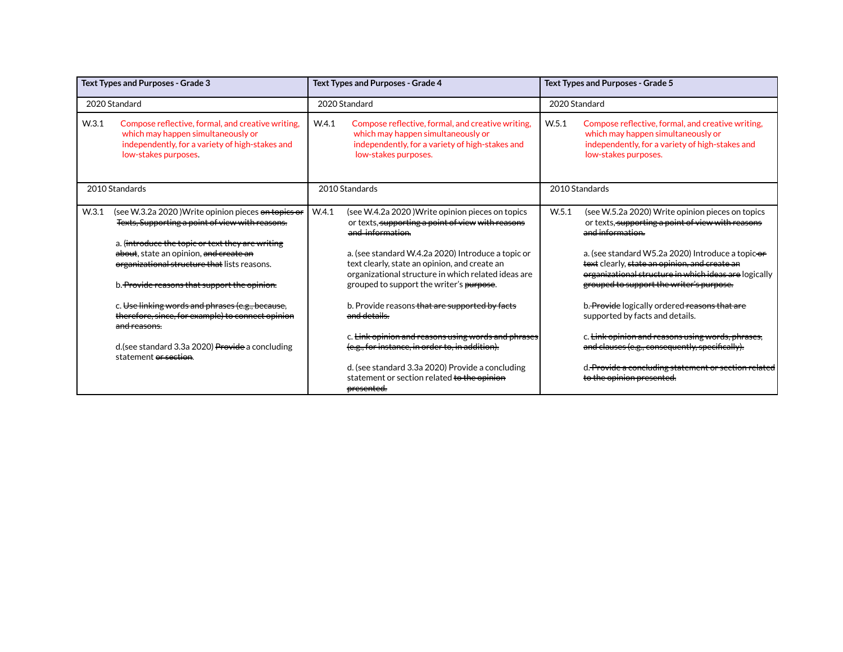| <b>Text Types and Purposes - Grade 3</b>                                  |                                                                                                                                                                                                                                                                                                      | <b>Text Types and Purposes - Grade 4</b> |                                                                                                                                                                                                                                                                                                                                     | <b>Text Types and Purposes - Grade 5</b> |                                                                                                                                                                                                                                                                                                                                      |  |  |
|---------------------------------------------------------------------------|------------------------------------------------------------------------------------------------------------------------------------------------------------------------------------------------------------------------------------------------------------------------------------------------------|------------------------------------------|-------------------------------------------------------------------------------------------------------------------------------------------------------------------------------------------------------------------------------------------------------------------------------------------------------------------------------------|------------------------------------------|--------------------------------------------------------------------------------------------------------------------------------------------------------------------------------------------------------------------------------------------------------------------------------------------------------------------------------------|--|--|
|                                                                           | 2020 Standard                                                                                                                                                                                                                                                                                        |                                          | 2020 Standard                                                                                                                                                                                                                                                                                                                       |                                          | 2020 Standard                                                                                                                                                                                                                                                                                                                        |  |  |
| W <sub>.3.1</sub>                                                         | Compose reflective, formal, and creative writing,<br>which may happen simultaneously or<br>independently, for a variety of high-stakes and<br>low-stakes purposes.                                                                                                                                   | W.4.1                                    | Compose reflective, formal, and creative writing,<br>which may happen simultaneously or<br>independently, for a variety of high-stakes and<br>low-stakes purposes.                                                                                                                                                                  | W.5.1                                    | Compose reflective, formal, and creative writing,<br>which may happen simultaneously or<br>independently, for a variety of high-stakes and<br>low-stakes purposes.                                                                                                                                                                   |  |  |
| 2010 Standards                                                            |                                                                                                                                                                                                                                                                                                      |                                          | 2010 Standards                                                                                                                                                                                                                                                                                                                      |                                          | 2010 Standards                                                                                                                                                                                                                                                                                                                       |  |  |
| W <sub>.3.1</sub>                                                         | (see W.3.2a 2020) Write opinion pieces on topics or<br>Texts, Supporting a point of view with reasons.<br>a. (introduce the topic or text they are writing<br>about, state an opinion, and create an<br>organizational structure that lists reasons.<br>b. Provide reasons that support the opinion. | W.4.1                                    | (see W.4.2a 2020) Write opinion pieces on topics<br>or texts, supporting a point of view with reasons<br>and information.<br>a. (see standard W.4.2a 2020) Introduce a topic or<br>text clearly, state an opinion, and create an<br>organizational structure in which related ideas are<br>grouped to support the writer's purpose. | W.5.1                                    | (see W.5.2a 2020) Write opinion pieces on topics<br>or texts, supporting a point of view with reasons<br>and information.<br>a. (see standard W5.2a 2020) Introduce a topic-or<br>text clearly, state an opinion, and create an<br>organizational structure in which ideas are logically<br>grouped to support the writer's purpose. |  |  |
|                                                                           | c. Use linking words and phrases (e.g., because,<br>therefore, since, for example) to connect opinion<br><del>and reasons.</del>                                                                                                                                                                     |                                          | b. Provide reasons that are supported by facts<br>and details.                                                                                                                                                                                                                                                                      |                                          | b. Provide logically ordered reasons that are<br>supported by facts and details.                                                                                                                                                                                                                                                     |  |  |
| d. (see standard 3.3a 2020) Provide a concluding<br>statement or section. |                                                                                                                                                                                                                                                                                                      |                                          | c. <del>Link opinion and reasons using words and phrases</del><br>(e.g., for instance, in order to, in addition).<br>d. (see standard 3.3a 2020) Provide a concluding<br>statement or section related to the opinion<br>presented.                                                                                                  |                                          | c. Link opinion and reasons using words, phrases,<br>and clauses (e.g., consequently, specifically).<br>d. <del>Provide a concluding statement or section r</del><br>to the opinion presented.                                                                                                                                       |  |  |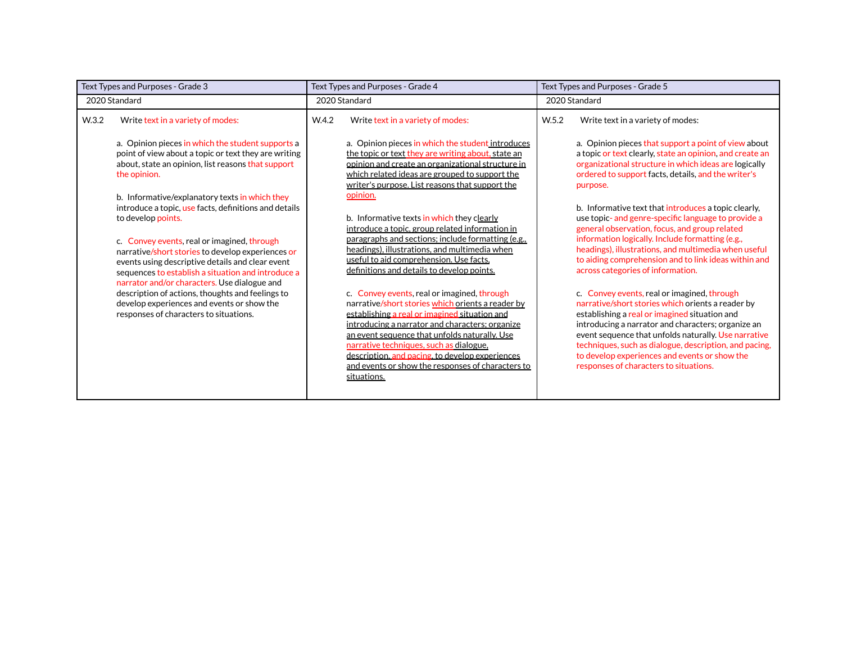| Text Types and Purposes - Grade 3 |                                                                                                                                                                                                                                                            | Text Types and Purposes - Grade 4 |                                                                                                                                                                                                                                                                                                                                                                                                                         |       | Text Types and Purposes - Grade 5                                                                                                                                                                                                                                                                                                                                                                                    |  |
|-----------------------------------|------------------------------------------------------------------------------------------------------------------------------------------------------------------------------------------------------------------------------------------------------------|-----------------------------------|-------------------------------------------------------------------------------------------------------------------------------------------------------------------------------------------------------------------------------------------------------------------------------------------------------------------------------------------------------------------------------------------------------------------------|-------|----------------------------------------------------------------------------------------------------------------------------------------------------------------------------------------------------------------------------------------------------------------------------------------------------------------------------------------------------------------------------------------------------------------------|--|
|                                   | 2020 Standard                                                                                                                                                                                                                                              | 2020 Standard                     |                                                                                                                                                                                                                                                                                                                                                                                                                         |       | 2020 Standard                                                                                                                                                                                                                                                                                                                                                                                                        |  |
| W <sub>.3.2</sub>                 | Write text in a variety of modes:                                                                                                                                                                                                                          | W.4.2                             | Write text in a variety of modes:                                                                                                                                                                                                                                                                                                                                                                                       | W.5.2 | Write text in a variety of modes:                                                                                                                                                                                                                                                                                                                                                                                    |  |
|                                   | a. Opinion pieces in which the student supports a<br>point of view about a topic or text they are writing<br>about, state an opinion, list reasons that support<br>the opinion.                                                                            |                                   | a. Opinion pieces in which the student introduces<br>the topic or text they are writing about, state an<br>opinion and create an organizational structure in<br>which related ideas are grouped to support the<br>writer's purpose. List reasons that support the                                                                                                                                                       |       | a. Opinion pieces that support a point of view about<br>a topic or text clearly, state an opinion, and create an<br>organizational structure in which ideas are logically<br>ordered to support facts, details, and the writer's<br>purpose.                                                                                                                                                                         |  |
|                                   | b. Informative/explanatory texts in which they<br>introduce a topic, use facts, definitions and details<br>to develop points.                                                                                                                              |                                   | opinion.<br>b. Informative texts in which they clearly<br>introduce a topic, group related information in                                                                                                                                                                                                                                                                                                               |       | b. Informative text that introduces a topic clearly,<br>use topic- and genre-specific language to provide a<br>general observation, focus, and group related                                                                                                                                                                                                                                                         |  |
|                                   | c. Convey events, real or imagined, through<br>narrative/short stories to develop experiences or<br>events using descriptive details and clear event<br>sequences to establish a situation and introduce a<br>narrator and/or characters. Use dialogue and |                                   | paragraphs and sections; include formatting (e.g.,<br>headings), illustrations, and multimedia when<br>useful to aid comprehension. Use facts,<br>definitions and details to develop points.                                                                                                                                                                                                                            |       | information logically. Include formatting (e.g.,<br>headings), illustrations, and multimedia when useful<br>to aiding comprehension and to link ideas within and<br>across categories of information.                                                                                                                                                                                                                |  |
|                                   | description of actions, thoughts and feelings to<br>develop experiences and events or show the<br>responses of characters to situations.                                                                                                                   |                                   | c. Convey events, real or imagined, through<br>narrative/short stories which orients a reader by<br>establishing a real or imagined situation and<br>introducing a narrator and characters; organize<br>an event sequence that unfolds naturally. Use<br>narrative techniques, such as dialogue,<br>description, and pacing, to develop experiences<br>and events or show the responses of characters to<br>situations. |       | c. Convey events, real or imagined, through<br>narrative/short stories which orients a reader by<br>establishing a real or imagined situation and<br>introducing a narrator and characters; organize an<br>event sequence that unfolds naturally. Use narrative<br>techniques, such as dialogue, description, and pacing,<br>to develop experiences and events or show the<br>responses of characters to situations. |  |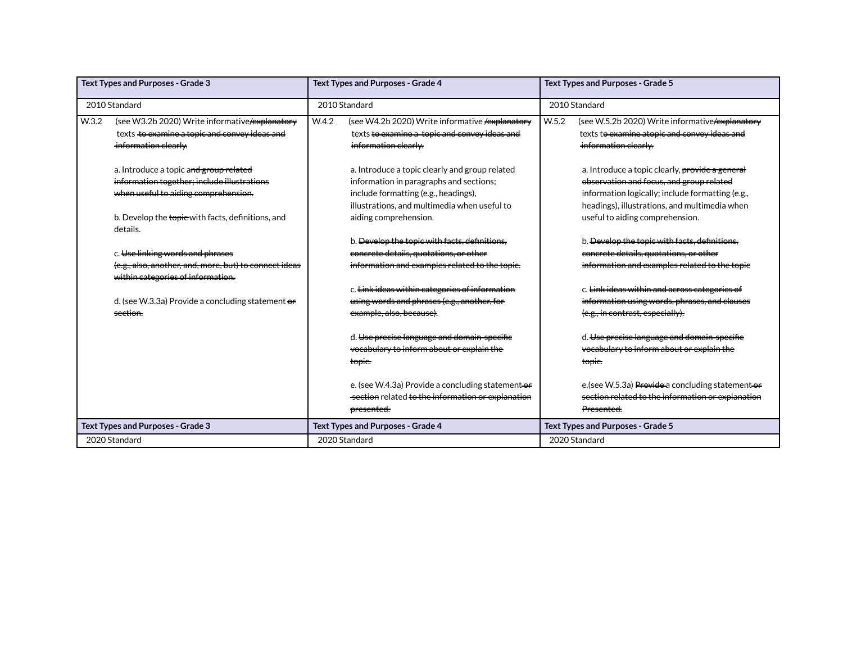| <b>Text Types and Purposes - Grade 3</b> |                                                                                             |               | <b>Text Types and Purposes - Grade 4</b>               | <b>Text Types and Purposes - Grade 5</b> |                                                    |  |
|------------------------------------------|---------------------------------------------------------------------------------------------|---------------|--------------------------------------------------------|------------------------------------------|----------------------------------------------------|--|
|                                          | 2010 Standard                                                                               | 2010 Standard |                                                        |                                          | 2010 Standard                                      |  |
| W.3.2                                    | (see W3.2b 2020) Write informative/explanatory                                              | W.4.2         | (see W4.2b 2020) Write informative <b>/explanatory</b> | W.5.2                                    | (see W.5.2b 2020) Write informative / explanatory  |  |
|                                          | texts to examine a topic and convey ideas and                                               |               | texts to examine a topic and convey ideas and          |                                          | texts to examine atopic and convey ideas and       |  |
|                                          | information clearly.                                                                        |               | information clearly.                                   |                                          | information clearly.                               |  |
|                                          | a. Introduce a topic and group related                                                      |               | a. Introduce a topic clearly and group related         |                                          | a. Introduce a topic clearly, provide a general    |  |
|                                          | information together; include illustrations                                                 |               | information in paragraphs and sections;                |                                          | observation and focus, and group related           |  |
|                                          | when useful to aiding comprehension.                                                        |               | include formatting (e.g., headings),                   |                                          | information logically; include formatting (e.g.,   |  |
|                                          |                                                                                             |               | illustrations, and multimedia when useful to           |                                          | headings), illustrations, and multimedia when      |  |
|                                          | b. Develop the topie-with facts, definitions, and<br>details.                               |               | aiding comprehension.                                  |                                          | useful to aiding comprehension.                    |  |
|                                          |                                                                                             |               | b. Develop the topic with facts, definitions,          |                                          | b. Develop the topic with facts, definitions.      |  |
|                                          | c. Use linking words and phrases                                                            |               | concrete details, quotations, or other                 |                                          | concrete details, quotations, or other             |  |
|                                          | (e.g., also, another, and, more, but) to connect ideas<br>within categories of information. |               | information and examples related to the topic.         |                                          | information and examples related to the topic      |  |
|                                          |                                                                                             |               | c. Link ideas within categories of information         |                                          | c. Link ideas within and across categories of      |  |
|                                          | d. (see W.3.3a) Provide a concluding statement or                                           |               | using words and phrases (e.g., another, for            |                                          | information using words, phrases, and clauses      |  |
|                                          | section.                                                                                    |               | example, also, because).                               |                                          | (e.g., in contrast, especially).                   |  |
|                                          |                                                                                             |               | d. Use precise language and domain-specific            |                                          | d. Use precise language and domain-specific        |  |
|                                          |                                                                                             |               | vocabulary to inform about or explain the              |                                          | vocabulary to inform about or explain the          |  |
|                                          |                                                                                             |               | topie.                                                 |                                          | topie.                                             |  |
|                                          |                                                                                             |               | e. (see W.4.3a) Provide a concluding statement-or      |                                          | e. (see W.5.3a) Provide a concluding statement-or- |  |
|                                          |                                                                                             |               | section related to the information or explanation      |                                          | section related to the information or explanation  |  |
|                                          |                                                                                             |               | <del>presented.</del>                                  |                                          | Presented.                                         |  |
|                                          | <b>Text Types and Purposes - Grade 3</b>                                                    |               | <b>Text Types and Purposes - Grade 4</b>               | Text Types and Purposes - Grade 5        |                                                    |  |
|                                          | 2020 Standard                                                                               |               | 2020 Standard                                          |                                          | 2020 Standard                                      |  |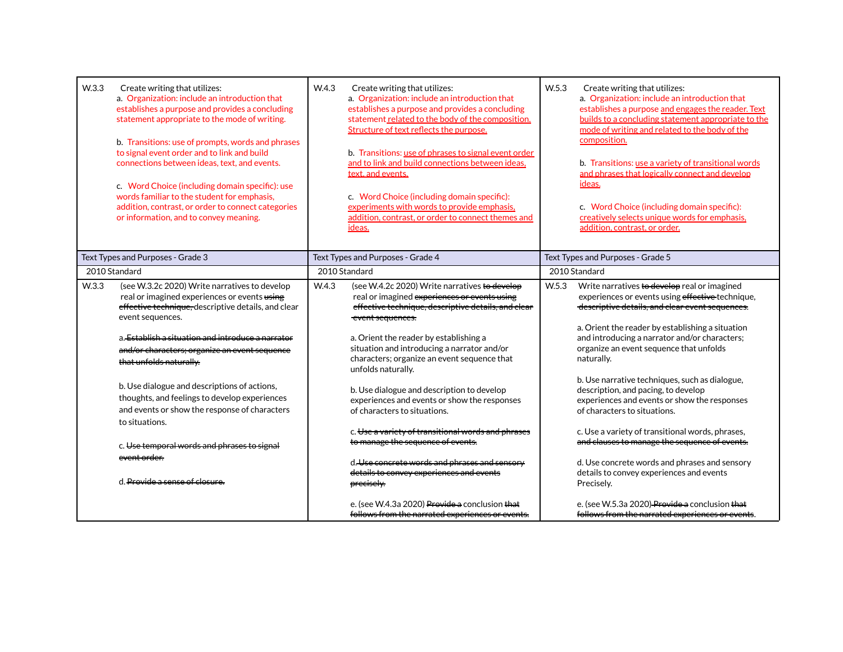| W.3.3<br>Create writing that utilizes:<br>a. Organization: include an introduction that<br>establishes a purpose and provides a concluding<br>statement appropriate to the mode of writing.<br>b. Transitions: use of prompts, words and phrases<br>to signal event order and to link and build<br>connections between ideas, text, and events.<br>c. Word Choice (including domain specific): use<br>words familiar to the student for emphasis,<br>addition, contrast, or order to connect categories<br>or information, and to convey meaning.                                      | W.4.3<br>Create writing that utilizes:<br>a. Organization: include an introduction that<br>establishes a purpose and provides a concluding<br>statement related to the body of the composition.<br>Structure of text reflects the purpose.<br>b. Transitions: use of phrases to signal event order<br>and to link and build connections between ideas,<br>text, and events.<br>c. Word Choice (including domain specific):<br>experiments with words to provide emphasis,<br>addition, contrast, or order to connect themes and<br>ideas.                                                                                                                                                                                             | W <sub>5.3</sub><br>Create writing that utilizes:<br>a. Organization: include an introduction that<br>establishes a purpose and engages the reader. Text<br>builds to a concluding statement appropriate to the<br>mode of writing and related to the body of the<br>composition.<br>b. Transitions: use a variety of transitional words<br>and phrases that logically connect and develop<br>ideas.<br>c. Word Choice (including domain specific):<br>creatively selects unique words for emphasis,<br>addition, contrast, or order.                                                                                                                                                                                                                                            |  |
|----------------------------------------------------------------------------------------------------------------------------------------------------------------------------------------------------------------------------------------------------------------------------------------------------------------------------------------------------------------------------------------------------------------------------------------------------------------------------------------------------------------------------------------------------------------------------------------|---------------------------------------------------------------------------------------------------------------------------------------------------------------------------------------------------------------------------------------------------------------------------------------------------------------------------------------------------------------------------------------------------------------------------------------------------------------------------------------------------------------------------------------------------------------------------------------------------------------------------------------------------------------------------------------------------------------------------------------|----------------------------------------------------------------------------------------------------------------------------------------------------------------------------------------------------------------------------------------------------------------------------------------------------------------------------------------------------------------------------------------------------------------------------------------------------------------------------------------------------------------------------------------------------------------------------------------------------------------------------------------------------------------------------------------------------------------------------------------------------------------------------------|--|
| Text Types and Purposes - Grade 3                                                                                                                                                                                                                                                                                                                                                                                                                                                                                                                                                      | Text Types and Purposes - Grade 4                                                                                                                                                                                                                                                                                                                                                                                                                                                                                                                                                                                                                                                                                                     | Text Types and Purposes - Grade 5                                                                                                                                                                                                                                                                                                                                                                                                                                                                                                                                                                                                                                                                                                                                                |  |
| 2010 Standard                                                                                                                                                                                                                                                                                                                                                                                                                                                                                                                                                                          | 2010 Standard                                                                                                                                                                                                                                                                                                                                                                                                                                                                                                                                                                                                                                                                                                                         | 2010 Standard                                                                                                                                                                                                                                                                                                                                                                                                                                                                                                                                                                                                                                                                                                                                                                    |  |
| W.3.3<br>(see W.3.2c 2020) Write narratives to develop<br>real or imagined experiences or events using<br>effective technique, descriptive details, and clear<br>event sequences.<br>a Establish a situation and introduce a narrator<br>and/or characters; organize an event sequence<br>that unfolds naturally.<br>b. Use dialogue and descriptions of actions,<br>thoughts, and feelings to develop experiences<br>and events or show the response of characters<br>to situations.<br>c. Use temporal words and phrases to signal<br>event order.<br>d. Provide a sense of closure. | W.4.3<br>(see W.4.2c 2020) Write narratives to develop<br>real or imagined experiences or events using<br>effective technique, descriptive details, and clear<br>event sequences.<br>a. Orient the reader by establishing a<br>situation and introducing a narrator and/or<br>characters; organize an event sequence that<br>unfolds naturally.<br>b. Use dialogue and description to develop<br>experiences and events or show the responses<br>of characters to situations.<br>c. Use a variety of transitional words and phrases<br>to manage the sequence of events.<br>d. Use concrete words and phrases and sensory<br>details to convey experiences and events<br>precisely.<br>e. (see W.4.3a 2020) Provide a conclusion that | W <sub>5.3</sub><br>Write narratives to develop real or imagined<br>experiences or events using effective technique,<br>descriptive details, and clear event sequences.<br>a. Orient the reader by establishing a situation<br>and introducing a narrator and/or characters;<br>organize an event sequence that unfolds<br>naturally.<br>b. Use narrative techniques, such as dialogue,<br>description, and pacing, to develop<br>experiences and events or show the responses<br>of characters to situations.<br>c. Use a variety of transitional words, phrases,<br>and clauses to manage the sequence of events.<br>d. Use concrete words and phrases and sensory<br>details to convey experiences and events<br>Preciselv.<br>e. (see W.5.3a 2020) Provide a conclusion that |  |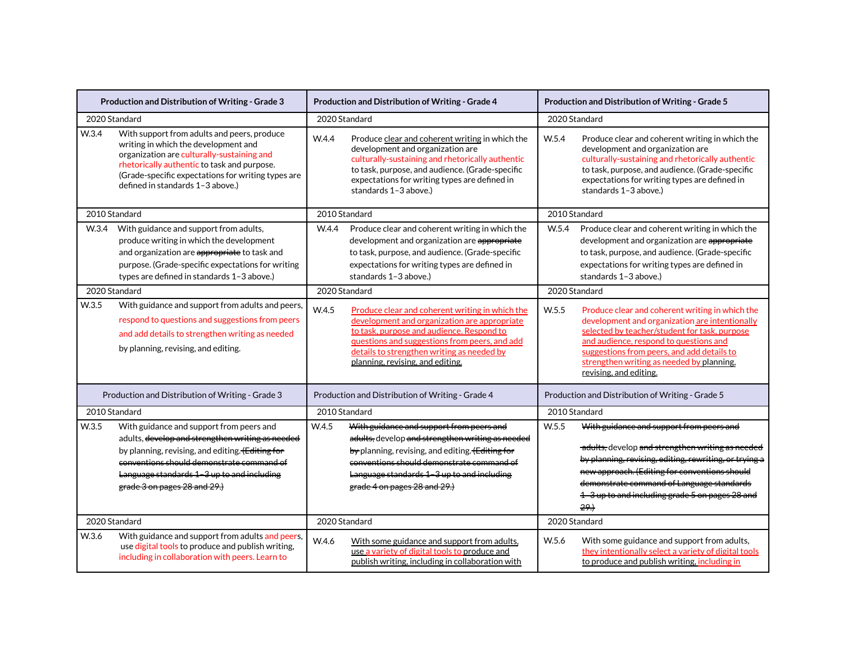| Production and Distribution of Writing - Grade 3 |                                                                                                                                                                                                                                                                             | Production and Distribution of Writing - Grade 4 |                                                                                                                                                                                                                                                                                 | Production and Distribution of Writing - Grade 5 |                                                                                                                                                                                                                                                                                                                   |  |
|--------------------------------------------------|-----------------------------------------------------------------------------------------------------------------------------------------------------------------------------------------------------------------------------------------------------------------------------|--------------------------------------------------|---------------------------------------------------------------------------------------------------------------------------------------------------------------------------------------------------------------------------------------------------------------------------------|--------------------------------------------------|-------------------------------------------------------------------------------------------------------------------------------------------------------------------------------------------------------------------------------------------------------------------------------------------------------------------|--|
|                                                  | 2020 Standard                                                                                                                                                                                                                                                               | 2020 Standard                                    |                                                                                                                                                                                                                                                                                 |                                                  | 2020 Standard                                                                                                                                                                                                                                                                                                     |  |
| W.3.4                                            | With support from adults and peers, produce<br>writing in which the development and<br>organization are culturally-sustaining and<br>rhetorically authentic to task and purpose.<br>(Grade-specific expectations for writing types are<br>defined in standards 1-3 above.)  | W.4.4                                            | Produce clear and coherent writing in which the<br>development and organization are<br>culturally-sustaining and rhetorically authentic<br>to task, purpose, and audience. (Grade-specific<br>expectations for writing types are defined in<br>standards 1-3 above.)            | W.5.4                                            | Produce clear and coherent writing in which the<br>development and organization are<br>culturally-sustaining and rhetorically authentic<br>to task, purpose, and audience. (Grade-specific<br>expectations for writing types are defined in<br>standards 1-3 above.)                                              |  |
|                                                  | 2010 Standard                                                                                                                                                                                                                                                               |                                                  | 2010 Standard                                                                                                                                                                                                                                                                   |                                                  | 2010 Standard                                                                                                                                                                                                                                                                                                     |  |
| W <sub>.3.4</sub>                                | With guidance and support from adults,<br>produce writing in which the development<br>and organization are appropriate to task and<br>purpose. (Grade-specific expectations for writing<br>types are defined in standards 1-3 above.)                                       | W.4.4                                            | Produce clear and coherent writing in which the<br>development and organization are appropriate<br>to task, purpose, and audience. (Grade-specific<br>expectations for writing types are defined in<br>standards 1-3 above.)                                                    | W.5.4                                            | Produce clear and coherent writing in which the<br>development and organization are appropriate<br>to task, purpose, and audience. (Grade-specific<br>expectations for writing types are defined in<br>standards 1-3 above.)                                                                                      |  |
| 2020 Standard                                    |                                                                                                                                                                                                                                                                             | 2020 Standard                                    |                                                                                                                                                                                                                                                                                 | 2020 Standard                                    |                                                                                                                                                                                                                                                                                                                   |  |
| W.3.5                                            | With guidance and support from adults and peers,<br>respond to questions and suggestions from peers<br>and add details to strengthen writing as needed<br>by planning, revising, and editing.                                                                               | W.4.5                                            | Produce clear and coherent writing in which the<br>development and organization are appropriate<br>to task, purpose and audience. Respond to<br>guestions and suggestions from peers, and add<br>details to strengthen writing as needed by<br>planning, revising, and editing. | W.5.5                                            | Produce clear and coherent writing in which the<br>development and organization are intentionally<br>selected by teacher/student for task, purpose<br>and audience, respond to questions and<br>suggestions from peers, and add details to<br>strengthen writing as needed by planning,<br>revising, and editing. |  |
|                                                  | Production and Distribution of Writing - Grade 3                                                                                                                                                                                                                            | Production and Distribution of Writing - Grade 4 |                                                                                                                                                                                                                                                                                 |                                                  | Production and Distribution of Writing - Grade 5                                                                                                                                                                                                                                                                  |  |
|                                                  | 2010 Standard                                                                                                                                                                                                                                                               |                                                  | 2010 Standard                                                                                                                                                                                                                                                                   |                                                  | 2010 Standard                                                                                                                                                                                                                                                                                                     |  |
| W.3.5                                            | With guidance and support from peers and<br>adults, develop and strengthen writing as needed<br>by planning, revising, and editing. (Editing for<br>conventions should demonstrate command of<br>Language standards 1-3 up to and including<br>grade 3 on pages 28 and 29.) | W.4.5                                            | With guidance and support from peers and<br>adults, develop and strengthen writing as needed<br>by planning, revising, and editing. (Editing for<br>conventions should demonstrate command of<br>Language standards 1-3 up to and including<br>grade 4 on pages 28 and 29.)     | W.5.5                                            | With guidance and support from peers and<br>adults, develop and strengthen writing as needed<br>by planning, revising, editing, rewriting, or trying a<br>new approach. (Editing for conventions should<br>demonstrate command of Language standards<br>1 - 3 up to and including grade 5 on pages 28 and<br>29.1 |  |
|                                                  | 2020 Standard                                                                                                                                                                                                                                                               | 2020 Standard                                    |                                                                                                                                                                                                                                                                                 |                                                  | 2020 Standard                                                                                                                                                                                                                                                                                                     |  |
| W.3.6                                            | With guidance and support from adults and peers,<br>use digital tools to produce and publish writing,<br>including in collaboration with peers. Learn to                                                                                                                    | W.4.6                                            | With some guidance and support from adults,<br>use a variety of digital tools to produce and<br>publish writing, including in collaboration with                                                                                                                                | W.5.6                                            | With some guidance and support from adults,<br>they intentionally select a variety of digital tools<br>to produce and publish writing, including in                                                                                                                                                               |  |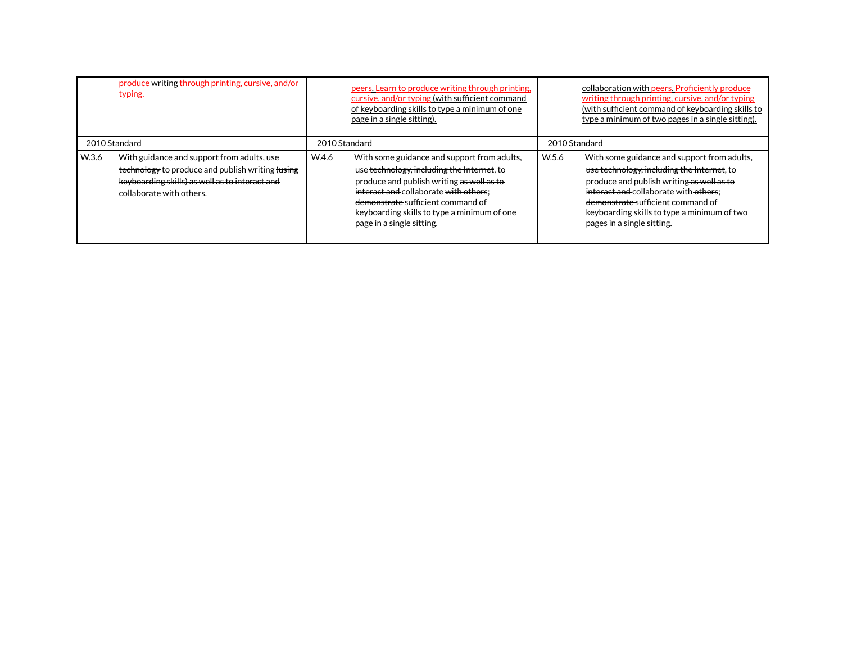|       | produce writing through printing, cursive, and/or<br>typing.                                                                                                                 |               | peers. Learn to produce writing through printing.<br>cursive, and/or typing (with sufficient command<br>of keyboarding skills to type a minimum of one<br>page in a single sitting).                                                                                                             |               | collaboration with peers. Proficiently produce<br>writing through printing, cursive, and/or typing<br>(with sufficient command of keyboarding skills to<br>type a minimum of two pages in a single sitting).                                                                                      |
|-------|------------------------------------------------------------------------------------------------------------------------------------------------------------------------------|---------------|--------------------------------------------------------------------------------------------------------------------------------------------------------------------------------------------------------------------------------------------------------------------------------------------------|---------------|---------------------------------------------------------------------------------------------------------------------------------------------------------------------------------------------------------------------------------------------------------------------------------------------------|
|       | 2010 Standard                                                                                                                                                                | 2010 Standard |                                                                                                                                                                                                                                                                                                  | 2010 Standard |                                                                                                                                                                                                                                                                                                   |
| W.3.6 | With guidance and support from adults, use<br>technology to produce and publish writing tusing<br>keyboarding skills) as well as to interact and<br>collaborate with others. | W.4.6         | With some guidance and support from adults,<br>use technology, including the Internet, to<br>produce and publish writing as well as to<br>interact and collaborate with others:<br>demonstrate sufficient command of<br>keyboarding skills to type a minimum of one<br>page in a single sitting. | W.5.6         | With some guidance and support from adults,<br>use technology, including the Internet, to<br>produce and publish writing as well as to<br>interact and collaborate with others:<br>demonstrate-sufficient command of<br>keyboarding skills to type a minimum of two<br>pages in a single sitting. |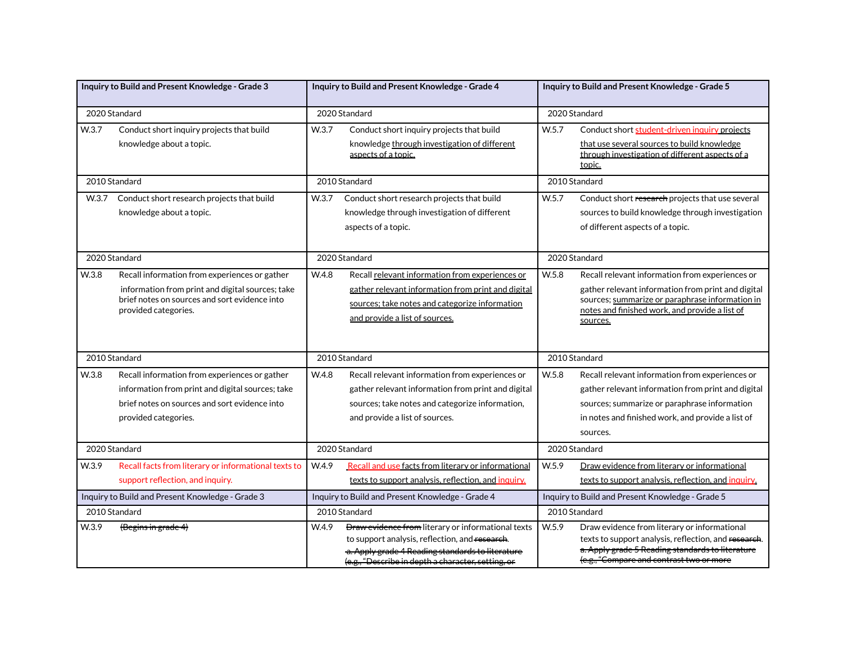|       | Inquiry to Build and Present Knowledge - Grade 3                                                                                                                           |               | Inquiry to Build and Present Knowledge - Grade 4                                                                                                                                                                       |       | Inquiry to Build and Present Knowledge - Grade 5                                                                                                                                                                       |  |
|-------|----------------------------------------------------------------------------------------------------------------------------------------------------------------------------|---------------|------------------------------------------------------------------------------------------------------------------------------------------------------------------------------------------------------------------------|-------|------------------------------------------------------------------------------------------------------------------------------------------------------------------------------------------------------------------------|--|
|       | 2020 Standard                                                                                                                                                              | 2020 Standard |                                                                                                                                                                                                                        |       | 2020 Standard                                                                                                                                                                                                          |  |
| W.3.7 | Conduct short inquiry projects that build<br>knowledge about a topic.                                                                                                      | W.3.7         | Conduct short inquiry projects that build<br>knowledge through investigation of different<br>aspects of a topic.                                                                                                       | W.5.7 | Conduct short student-driven inquiry projects<br>that use several sources to build knowledge<br>through investigation of different aspects of a<br>topic.                                                              |  |
|       | 2010 Standard                                                                                                                                                              |               | 2010 Standard                                                                                                                                                                                                          |       | 2010 Standard                                                                                                                                                                                                          |  |
| W.3.7 | Conduct short research projects that build<br>knowledge about a topic.                                                                                                     | W.3.7         | Conduct short research projects that build<br>knowledge through investigation of different<br>aspects of a topic.                                                                                                      | W.5.7 | Conduct short research projects that use several<br>sources to build knowledge through investigation<br>of different aspects of a topic.                                                                               |  |
|       | 2020 Standard                                                                                                                                                              |               | 2020 Standard                                                                                                                                                                                                          |       | 2020 Standard                                                                                                                                                                                                          |  |
| W.3.8 | Recall information from experiences or gather<br>information from print and digital sources; take<br>brief notes on sources and sort evidence into<br>provided categories. | W.4.8         | Recall relevant information from experiences or<br>gather relevant information from print and digital<br>sources; take notes and categorize information<br>and provide a list of sources.                              | W.5.8 | Recall relevant information from experiences or<br>gather relevant information from print and digital<br>sources; summarize or paraphrase information in<br>notes and finished work, and provide a list of<br>sources. |  |
|       | 2010 Standard                                                                                                                                                              |               | 2010 Standard                                                                                                                                                                                                          |       | 2010 Standard                                                                                                                                                                                                          |  |
| W.3.8 | Recall information from experiences or gather<br>information from print and digital sources; take<br>brief notes on sources and sort evidence into<br>provided categories. | W.4.8         | Recall relevant information from experiences or<br>gather relevant information from print and digital<br>sources; take notes and categorize information,<br>and provide a list of sources.                             | W.5.8 | Recall relevant information from experiences or<br>gather relevant information from print and digital<br>sources; summarize or paraphrase information<br>in notes and finished work, and provide a list of<br>sources. |  |
|       | 2020 Standard                                                                                                                                                              |               | 2020 Standard                                                                                                                                                                                                          |       | 2020 Standard                                                                                                                                                                                                          |  |
| W.3.9 | Recall facts from literary or informational texts to<br>support reflection, and inquiry.                                                                                   | W.4.9         | Recall and use facts from literary or informational<br>texts to support analysis, reflection, and inquiry.                                                                                                             | W.5.9 | Draw evidence from literary or informational<br>texts to support analysis, reflection, and inquiry.                                                                                                                    |  |
|       | Inquiry to Build and Present Knowledge - Grade 3                                                                                                                           |               | Inquiry to Build and Present Knowledge - Grade 4                                                                                                                                                                       |       | Inquiry to Build and Present Knowledge - Grade 5                                                                                                                                                                       |  |
|       | 2010 Standard                                                                                                                                                              |               | 2010 Standard                                                                                                                                                                                                          |       | 2010 Standard                                                                                                                                                                                                          |  |
| W.3.9 | (Begins in grade 4)                                                                                                                                                        | W.4.9         | <b>Draw evidence from</b> literary or informational texts<br>to support analysis, reflection, and research.<br>-a. Apply grade 4 Reading standards to literature<br>(e.g., "Describe in depth a character, setting, or | W.5.9 | Draw evidence from literary or informational<br>texts to support analysis, reflection, and research.<br>a. Apply grade 5 Reading standards to literature<br>(e.g., "Compare and contrast two or more                   |  |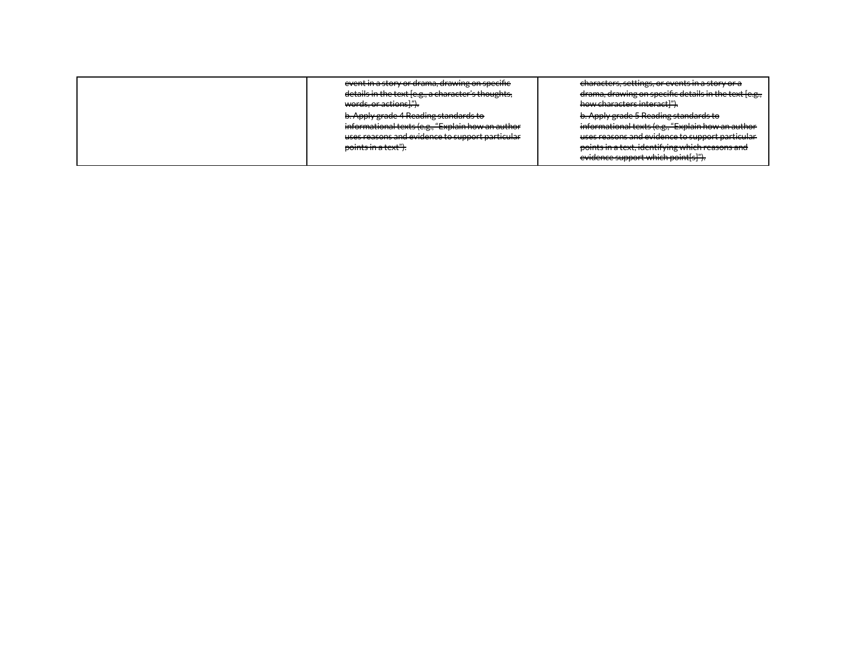| event in a story or drama, drawing on specifie<br>details in the text [e.g., a character's thoughts,<br>words, or actions]."). | <del>characters, settings, or events in a story or a</del><br>drama, drawing on specific details in the text [e.g.,<br>how characters interact]").                                                  |
|--------------------------------------------------------------------------------------------------------------------------------|-----------------------------------------------------------------------------------------------------------------------------------------------------------------------------------------------------|
| b. Apply grade 4 Reading standards to<br>informational texts (e.g., "Explain how an author                                     | b. Apply grade 5 Reading standards to<br>informational texts (e.g., "Explain how an author                                                                                                          |
| uses reasons and evidence to support particular<br>points in a text").                                                         | uses reasons and evidence to support particular<br>points in a tout identifying which reasons and<br><u>points in a text, identifying whileh reasons and </u><br>evidence support which point[s]"). |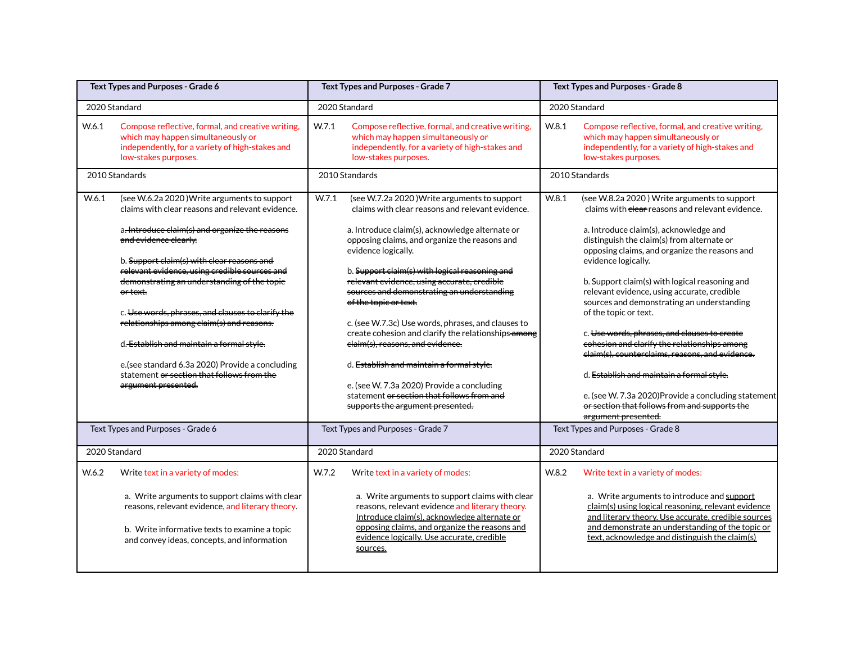| Text Types and Purposes - Grade 6 |                                                                                                                                                                                                                                                                                                                                                                                                                                                                                                                                                                                                                          | Text Types and Purposes - Grade 7 |                                                                                                                                                                                                                                                                                                                                                                                                                                                                                                                                                                                                                                                                                                                                   | Text Types and Purposes - Grade 8 |                                                                                                                                                                                                                                                                                                                                                                                                                                                                                                                                                                                                                                                                                                                                                   |
|-----------------------------------|--------------------------------------------------------------------------------------------------------------------------------------------------------------------------------------------------------------------------------------------------------------------------------------------------------------------------------------------------------------------------------------------------------------------------------------------------------------------------------------------------------------------------------------------------------------------------------------------------------------------------|-----------------------------------|-----------------------------------------------------------------------------------------------------------------------------------------------------------------------------------------------------------------------------------------------------------------------------------------------------------------------------------------------------------------------------------------------------------------------------------------------------------------------------------------------------------------------------------------------------------------------------------------------------------------------------------------------------------------------------------------------------------------------------------|-----------------------------------|---------------------------------------------------------------------------------------------------------------------------------------------------------------------------------------------------------------------------------------------------------------------------------------------------------------------------------------------------------------------------------------------------------------------------------------------------------------------------------------------------------------------------------------------------------------------------------------------------------------------------------------------------------------------------------------------------------------------------------------------------|
|                                   | 2020 Standard                                                                                                                                                                                                                                                                                                                                                                                                                                                                                                                                                                                                            |                                   | 2020 Standard                                                                                                                                                                                                                                                                                                                                                                                                                                                                                                                                                                                                                                                                                                                     |                                   | 2020 Standard                                                                                                                                                                                                                                                                                                                                                                                                                                                                                                                                                                                                                                                                                                                                     |
| W.6.1                             | Compose reflective, formal, and creative writing,<br>which may happen simultaneously or<br>independently, for a variety of high-stakes and<br>low-stakes purposes.                                                                                                                                                                                                                                                                                                                                                                                                                                                       | W.7.1                             | Compose reflective, formal, and creative writing,<br>which may happen simultaneously or<br>independently, for a variety of high-stakes and<br>low-stakes purposes.                                                                                                                                                                                                                                                                                                                                                                                                                                                                                                                                                                | W.8.1                             | Compose reflective, formal, and creative writing,<br>which may happen simultaneously or<br>independently, for a variety of high-stakes and<br>low-stakes purposes.                                                                                                                                                                                                                                                                                                                                                                                                                                                                                                                                                                                |
|                                   | 2010 Standards                                                                                                                                                                                                                                                                                                                                                                                                                                                                                                                                                                                                           |                                   | 2010 Standards                                                                                                                                                                                                                                                                                                                                                                                                                                                                                                                                                                                                                                                                                                                    |                                   | 2010 Standards                                                                                                                                                                                                                                                                                                                                                                                                                                                                                                                                                                                                                                                                                                                                    |
| W.6.1                             | (see W.6.2a 2020) Write arguments to support<br>claims with clear reasons and relevant evidence.<br>a. Introduce claim(s) and organize the reasons<br>and evidence clearly:<br>b. Support claim(s) with clear reasons and<br>relevant evidence, using credible sources and<br>demonstrating an understanding of the topic<br><del>or text.</del><br>c. Use words, phrases, and clauses to clarify the<br>relationships among claim(s) and reasons.<br>d. Establish and maintain a formal style.<br>e. (see standard 6.3a 2020) Provide a concluding<br>statement or section that follows from the<br>argument presented. | W.7.1                             | (see W.7.2a 2020) Write arguments to support<br>claims with clear reasons and relevant evidence.<br>a. Introduce claim(s), acknowledge alternate or<br>opposing claims, and organize the reasons and<br>evidence logically.<br>b. Support claim(s) with logical reasoning and<br>relevant evidence, using accurate, credible<br>sources and demonstrating an understanding<br>of the topic or text.<br>c. (see W.7.3c) Use words, phrases, and clauses to<br>create cohesion and clarify the relationships-among<br>elaim(s), reasons, and evidence.<br>d. Establish and maintain a formal style.<br>e. (see W. 7.3a 2020) Provide a concluding<br>statement or section that follows from and<br>supports the argument presented. | W.8.1                             | (see W.8.2a 2020) Write arguments to support<br>claims with clear reasons and relevant evidence.<br>a. Introduce claim(s), acknowledge and<br>distinguish the claim(s) from alternate or<br>opposing claims, and organize the reasons and<br>evidence logically.<br>b. Support claim(s) with logical reasoning and<br>relevant evidence, using accurate, credible<br>sources and demonstrating an understanding<br>of the topic or text.<br>c. Use words, phrases, and clauses to create<br>cohesion and clarify the relationships among<br>claim(s), counterclaims, reasons, and evidence.<br>d. Establish and maintain a formal style.<br>e. (see W. 7.3a 2020) Provide a concluding statement<br>or section that follows from and supports the |
|                                   | Text Types and Purposes - Grade 6                                                                                                                                                                                                                                                                                                                                                                                                                                                                                                                                                                                        |                                   | Text Types and Purposes - Grade 7                                                                                                                                                                                                                                                                                                                                                                                                                                                                                                                                                                                                                                                                                                 |                                   | argument presented.<br>Text Types and Purposes - Grade 8                                                                                                                                                                                                                                                                                                                                                                                                                                                                                                                                                                                                                                                                                          |
|                                   |                                                                                                                                                                                                                                                                                                                                                                                                                                                                                                                                                                                                                          |                                   |                                                                                                                                                                                                                                                                                                                                                                                                                                                                                                                                                                                                                                                                                                                                   |                                   |                                                                                                                                                                                                                                                                                                                                                                                                                                                                                                                                                                                                                                                                                                                                                   |
|                                   | 2020 Standard                                                                                                                                                                                                                                                                                                                                                                                                                                                                                                                                                                                                            |                                   | 2020 Standard                                                                                                                                                                                                                                                                                                                                                                                                                                                                                                                                                                                                                                                                                                                     |                                   | 2020 Standard                                                                                                                                                                                                                                                                                                                                                                                                                                                                                                                                                                                                                                                                                                                                     |
| W.6.2                             | Write text in a variety of modes:<br>a. Write arguments to support claims with clear<br>reasons, relevant evidence, and literary theory.<br>b. Write informative texts to examine a topic<br>and convey ideas, concepts, and information                                                                                                                                                                                                                                                                                                                                                                                 | W.7.2                             | Write text in a variety of modes:<br>a. Write arguments to support claims with clear<br>reasons, relevant evidence and literary theory.<br>Introduce claim(s), acknowledge alternate or<br>opposing claims, and organize the reasons and<br>evidence logically. Use accurate, credible<br>sources.                                                                                                                                                                                                                                                                                                                                                                                                                                | W.8.2                             | Write text in a variety of modes:<br>a. Write arguments to introduce and support<br>claim(s) using logical reasoning, relevant evidence<br>and literary theory. Use accurate, credible sources<br>and demonstrate an understanding of the topic or<br>text, acknowledge and distinguish the claim(s)                                                                                                                                                                                                                                                                                                                                                                                                                                              |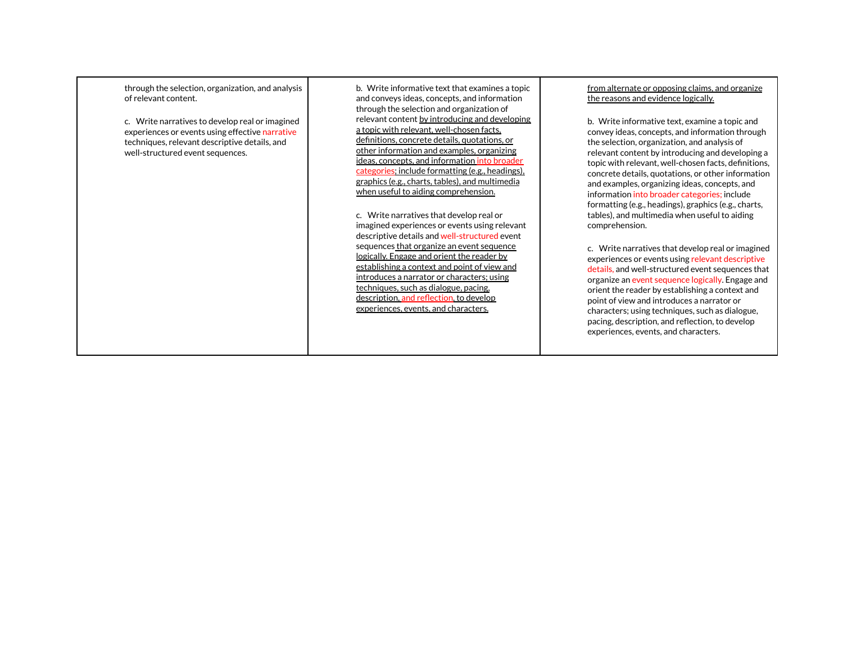through the selection, organization, and analysis of relevant content.

c. Write narratives to develop real or imagined experiences or events using effective narrative techniques, relevant descriptive details, and well-structured event sequences.

b. Write informative text that examines a topic and conveys ideas, concepts, and information through the selection and organization of relevant content by introducing and developing a topic with relevant, well-chosen facts, definitions, concrete details, quotations, or other information and examples, organizing ideas, concepts, and information into broader categories; include formatting (e.g., headings), graphics (e.g., charts, tables), and multimedia when useful to aiding comprehension.

c. Write narratives that develop real or imagined experiences or events using relevant descriptive details and well-structured event sequences that organize an event sequence logically. Engage and orient the reader by establishing a context and point of view and introduces a narrator or characters; using techniques, such as dialogue, pacing, description, and reflection, to develop experiences, events, and characters.

from alternate or opposing claims, and organize the reasons and evidence logically.

b. Write informative text, examine a topic and convey ideas, concepts, and information through the selection, organization, and analysis of relevant content by introducing and developing a topic with relevant, well-chosen facts, definitions, concrete details, quotations, or other information and examples, organizing ideas, concepts, and information into broader categories; include formatting (e.g., headings), graphics (e.g., charts, tables), and multimedia when useful to aiding comprehension.

c. Write narratives that develop real or imagined experiences or events using relevant descriptive details, and well-structured event sequences that organize an event sequence logically. Engage and orient the reader by establishing a context and point of view and introduces a narrator or characters; using techniques, such as dialogue, pacing, description, and reflection, to develop experiences, events, and characters.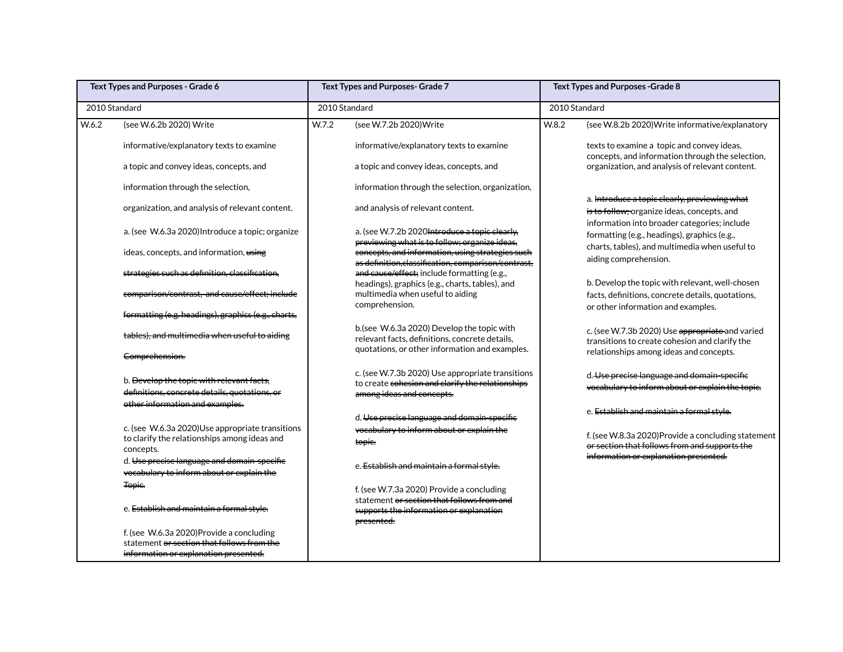| Text Types and Purposes - Grade 6 |                                                                                                                                 | Text Types and Purposes- Grade 7 |                                                                                                         | Text Types and Purposes - Grade 8 |                                                                                                      |  |
|-----------------------------------|---------------------------------------------------------------------------------------------------------------------------------|----------------------------------|---------------------------------------------------------------------------------------------------------|-----------------------------------|------------------------------------------------------------------------------------------------------|--|
| 2010 Standard                     |                                                                                                                                 | 2010 Standard                    |                                                                                                         |                                   | 2010 Standard                                                                                        |  |
| W.6.2                             | (see W.6.2b 2020) Write                                                                                                         | W.7.2                            | (see W.7.2b 2020) Write                                                                                 | W.8.2                             | (see W.8.2b 2020) Write informative/explanatory                                                      |  |
|                                   | informative/explanatory texts to examine                                                                                        |                                  | informative/explanatory texts to examine                                                                |                                   | texts to examine a topic and convey ideas,<br>concepts, and information through the selection,       |  |
|                                   | a topic and convey ideas, concepts, and                                                                                         |                                  | a topic and convey ideas, concepts, and                                                                 |                                   | organization, and analysis of relevant content.                                                      |  |
|                                   | information through the selection,                                                                                              |                                  | information through the selection, organization,                                                        |                                   |                                                                                                      |  |
|                                   | organization, and analysis of relevant content.                                                                                 |                                  | and analysis of relevant content.                                                                       |                                   | a. Introduce a topic clearly, previewing what<br>is to follow; organize ideas, concepts, and         |  |
|                                   | a. (see W.6.3a 2020) Introduce a topic; organize                                                                                |                                  | a. (see W.7.2b 2020 Introduce a topic clearly.<br>previewing what is to follow; organize ideas,         |                                   | information into broader categories; include<br>formatting (e.g., headings), graphics (e.g.,         |  |
|                                   | ideas, concepts, and information, using                                                                                         |                                  | concepts, and information, using strategies such<br>as definition, classification, comparison/contrast, |                                   | charts, tables), and multimedia when useful to<br>aiding comprehension.                              |  |
|                                   | strategies such as definition, classification,                                                                                  |                                  | and cause/effect; include formatting (e.g.,<br>headings), graphics (e.g., charts, tables), and          |                                   | b. Develop the topic with relevant, well-chosen                                                      |  |
|                                   | comparison/contrast, and cause/effect; include                                                                                  |                                  | multimedia when useful to aiding<br>comprehension.                                                      |                                   | facts, definitions, concrete details, quotations,<br>or other information and examples.              |  |
|                                   | formatting (e.g. headings), graphics (e.g., charts,                                                                             |                                  |                                                                                                         |                                   |                                                                                                      |  |
|                                   | tables), and multimedia when useful to aiding                                                                                   |                                  | b.(see W.6.3a 2020) Develop the topic with<br>relevant facts, definitions, concrete details,            |                                   | c. (see W.7.3b 2020) Use appropriate and varied<br>transitions to create cohesion and clarify the    |  |
|                                   | Comprehension.                                                                                                                  |                                  | quotations, or other information and examples.                                                          |                                   | relationships among ideas and concepts.                                                              |  |
|                                   | b. Develop the topic with relevant facts,                                                                                       |                                  | c. (see W.7.3b 2020) Use appropriate transitions<br>to create cohesion and clarify the relationships    |                                   | d. Use precise language and domain-specific<br>vocabulary to inform about or explain the topic.      |  |
|                                   | definitions, concrete details, quotations, or<br>other information and examples.                                                |                                  | among ideas and concepts.                                                                               |                                   |                                                                                                      |  |
|                                   |                                                                                                                                 |                                  | d. Use precise language and domain-specific                                                             |                                   | e. Establish and maintain a formal style.                                                            |  |
|                                   | c. (see W.6.3a 2020)Use appropriate transitions<br>to clarify the relationships among ideas and<br>concepts.                    |                                  | vocabulary to inform about or explain the<br>topie.                                                     |                                   | f. (see W.8.3a 2020) Provide a concluding statement<br>or section that follows from and supports the |  |
|                                   | d. Use precise language and domain-specific<br>vocabulary to inform about or explain the                                        |                                  | e. Establish and maintain a formal style.                                                               |                                   | information or explanation presented.                                                                |  |
|                                   | Topic.                                                                                                                          |                                  | f. (see W.7.3a 2020) Provide a concluding                                                               |                                   |                                                                                                      |  |
|                                   | e. Establish and maintain a formal style.                                                                                       |                                  | statement or section that follows from and<br>supports the information or explanation<br>presented.     |                                   |                                                                                                      |  |
|                                   | f. (see W.6.3a 2020)Provide a concluding<br>statement or section that follows from the<br>information or explanation presented. |                                  |                                                                                                         |                                   |                                                                                                      |  |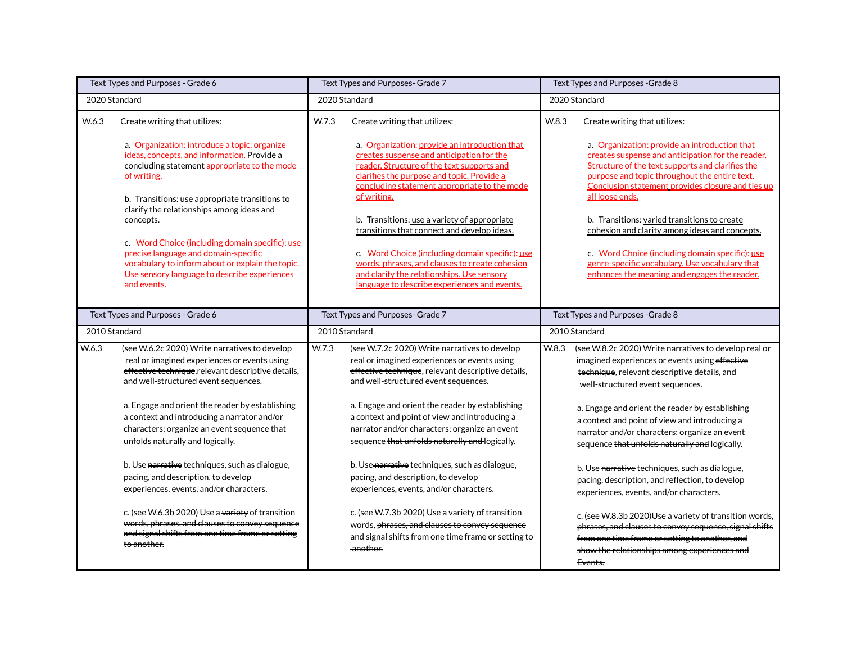|                                   | Text Types and Purposes - Grade 6                                                                                                                                                                          |               | Text Types and Purposes- Grade 7                                                                                                                                                                    | Text Types and Purposes - Grade 8 |                                                                                                                                                                                                                                |
|-----------------------------------|------------------------------------------------------------------------------------------------------------------------------------------------------------------------------------------------------------|---------------|-----------------------------------------------------------------------------------------------------------------------------------------------------------------------------------------------------|-----------------------------------|--------------------------------------------------------------------------------------------------------------------------------------------------------------------------------------------------------------------------------|
|                                   | 2020 Standard                                                                                                                                                                                              |               | 2020 Standard                                                                                                                                                                                       |                                   | 2020 Standard                                                                                                                                                                                                                  |
| W.6.3                             | Create writing that utilizes:<br>a. Organization: introduce a topic; organize                                                                                                                              | W.7.3         | Create writing that utilizes:<br>a. Organization: provide an introduction that                                                                                                                      | W.8.3                             | Create writing that utilizes:<br>a. Organization: provide an introduction that                                                                                                                                                 |
|                                   | ideas, concepts, and information. Provide a<br>concluding statement appropriate to the mode<br>of writing.                                                                                                 |               | creates suspense and anticipation for the<br>reader. Structure of the text supports and<br>clarifies the purpose and topic. Provide a<br>concluding statement appropriate to the mode               |                                   | creates suspense and anticipation for the reader.<br>Structure of the text supports and clarifies the<br>purpose and topic throughout the entire text.<br>Conclusion statement provides closure and ties up                    |
|                                   | b. Transitions: use appropriate transitions to<br>clarify the relationships among ideas and<br>concepts.                                                                                                   |               | of writing.<br>b. Transitions: use a variety of appropriate<br>transitions that connect and develop ideas.                                                                                          |                                   | all loose ends.<br>b. Transitions: varied transitions to create<br>cohesion and clarity among ideas and concepts.                                                                                                              |
|                                   | c. Word Choice (including domain specific): use<br>precise language and domain-specific<br>vocabulary to inform about or explain the topic.<br>Use sensory language to describe experiences<br>and events. |               | c. Word Choice (including domain specific): use<br>words, phrases, and clauses to create cohesion<br>and clarify the relationships. Use sensory<br>language to describe experiences and events.     |                                   | c. Word Choice (including domain specific): use<br>genre-specific vocabulary. Use vocabulary that<br>enhances the meaning and engages the reader.                                                                              |
| Text Types and Purposes - Grade 6 |                                                                                                                                                                                                            |               | Text Types and Purposes- Grade 7                                                                                                                                                                    |                                   | Text Types and Purposes - Grade 8                                                                                                                                                                                              |
|                                   | 2010 Standard                                                                                                                                                                                              | 2010 Standard |                                                                                                                                                                                                     | 2010 Standard                     |                                                                                                                                                                                                                                |
| W.6.3                             | (see W.6.2c 2020) Write narratives to develop<br>real or imagined experiences or events using<br>effective technique, relevant descriptive details,<br>and well-structured event sequences.                | W.7.3         | (see W.7.2c 2020) Write narratives to develop<br>real or imagined experiences or events using<br>effective technique, relevant descriptive details,<br>and well-structured event sequences.         | W.8.3                             | (see W.8.2c 2020) Write narratives to develop real or<br>imagined experiences or events using effective<br>technique, relevant descriptive details, and<br>well-structured event sequences.                                    |
|                                   | a. Engage and orient the reader by establishing<br>a context and introducing a narrator and/or<br>characters; organize an event sequence that<br>unfolds naturally and logically.                          |               | a. Engage and orient the reader by establishing<br>a context and point of view and introducing a<br>narrator and/or characters; organize an event<br>sequence that unfolds naturally and logically. |                                   | a. Engage and orient the reader by establishing<br>a context and point of view and introducing a<br>narrator and/or characters; organize an event<br>sequence that unfolds naturally and logically.                            |
|                                   | b. Use narrative techniques, such as dialogue,<br>pacing, and description, to develop<br>experiences, events, and/or characters.                                                                           |               | b. Use narrative techniques, such as dialogue,<br>pacing, and description, to develop<br>experiences, events, and/or characters.                                                                    |                                   | b. Use narrative techniques, such as dialogue,<br>pacing, description, and reflection, to develop<br>experiences, events, and/or characters.                                                                                   |
|                                   | c. (see W.6.3b 2020) Use a variety of transition<br>words, phrases, and clauses to convey sequence<br>and signal shifts from one time frame or setting<br>to another.                                      |               | c. (see W.7.3b 2020) Use a variety of transition<br>words, phrases, and clauses to convey sequence<br>and signal shifts from one time frame or setting to<br>another.                               |                                   | c. (see W.8.3b 2020) Use a variety of transition words,<br>phrases, and clauses to convey sequence, signal shifts<br>from one time frame or setting to another, and<br>show the relationships among experiences and<br>Events. |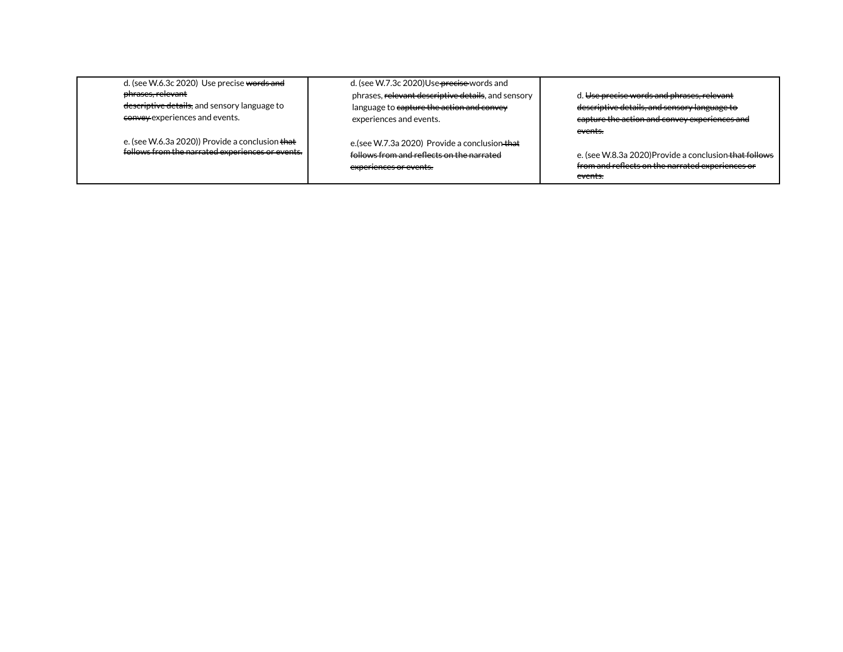| d. (see W.6.3c 2020) Use precise words and<br>phrases, relevant<br>descriptive details, and sensory language to<br>convey experiences and events. | d. (see W.7.3c 2020)Use <del>precise</del> words and<br>phrases, relevant descriptive details, and sensory<br>language to capture the action and convey | d. Use precise words and phrases, relevant<br>descriptive details, and sensory language to                                                                                                             |
|---------------------------------------------------------------------------------------------------------------------------------------------------|---------------------------------------------------------------------------------------------------------------------------------------------------------|--------------------------------------------------------------------------------------------------------------------------------------------------------------------------------------------------------|
| e. (see W.6.3a 2020)) Provide a conclusion that<br>follows from the narrated experiences or events.                                               | experiences and events.<br>e.(see W.7.3a 2020) Provide a conclusion that<br>follows from and reflects on the narrated<br>experiences or events.         | eapture the action and convey experiences and<br><del>events.</del><br>e. (see W.8.3a 2020)Provide a conclusion that follows<br>from and reflects on the narrated experiences or<br><del>events.</del> |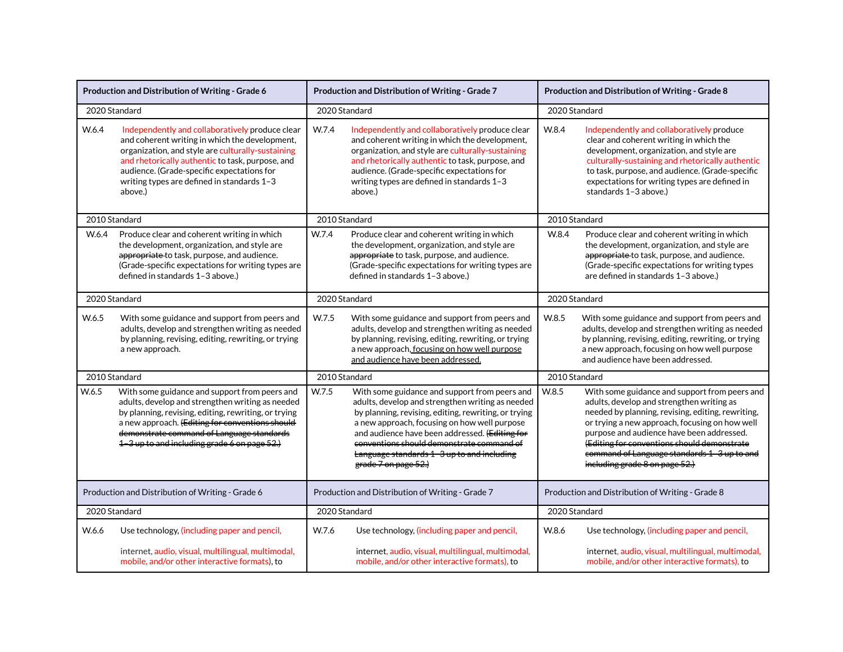|                                                  | Production and Distribution of Writing - Grade 6                                                                                                                                                                                                                                                                  |               | Production and Distribution of Writing - Grade 7                                                                                                                                                                                                                                                                                                                               | Production and Distribution of Writing - Grade 8 |                                                                                                                                                                                                                                                                                                                                                                                |
|--------------------------------------------------|-------------------------------------------------------------------------------------------------------------------------------------------------------------------------------------------------------------------------------------------------------------------------------------------------------------------|---------------|--------------------------------------------------------------------------------------------------------------------------------------------------------------------------------------------------------------------------------------------------------------------------------------------------------------------------------------------------------------------------------|--------------------------------------------------|--------------------------------------------------------------------------------------------------------------------------------------------------------------------------------------------------------------------------------------------------------------------------------------------------------------------------------------------------------------------------------|
| 2020 Standard                                    |                                                                                                                                                                                                                                                                                                                   |               | 2020 Standard                                                                                                                                                                                                                                                                                                                                                                  | 2020 Standard                                    |                                                                                                                                                                                                                                                                                                                                                                                |
| W.6.4                                            | Independently and collaboratively produce clear<br>and coherent writing in which the development,<br>organization, and style are culturally-sustaining<br>and rhetorically authentic to task, purpose, and<br>audience. (Grade-specific expectations for<br>writing types are defined in standards 1-3<br>above.) | W.7.4         | Independently and collaboratively produce clear<br>and coherent writing in which the development,<br>organization, and style are culturally-sustaining<br>and rhetorically authentic to task, purpose, and<br>audience. (Grade-specific expectations for<br>writing types are defined in standards 1-3<br>above.)                                                              | W.8.4                                            | Independently and collaboratively produce<br>clear and coherent writing in which the<br>development, organization, and style are<br>culturally-sustaining and rhetorically authentic<br>to task, purpose, and audience. (Grade-specific<br>expectations for writing types are defined in<br>standards 1-3 above.)                                                              |
|                                                  | 2010 Standard                                                                                                                                                                                                                                                                                                     |               | 2010 Standard                                                                                                                                                                                                                                                                                                                                                                  | 2010 Standard                                    |                                                                                                                                                                                                                                                                                                                                                                                |
| W.6.4                                            | Produce clear and coherent writing in which<br>the development, organization, and style are<br>appropriate to task, purpose, and audience.<br>(Grade-specific expectations for writing types are<br>defined in standards 1-3 above.)                                                                              | W.7.4         | Produce clear and coherent writing in which<br>the development, organization, and style are<br>appropriate to task, purpose, and audience.<br>(Grade-specific expectations for writing types are<br>defined in standards 1-3 above.)                                                                                                                                           | W.8.4                                            | Produce clear and coherent writing in which<br>the development, organization, and style are<br>appropriate-to task, purpose, and audience.<br>(Grade-specific expectations for writing types<br>are defined in standards 1-3 above.)                                                                                                                                           |
|                                                  | 2020 Standard                                                                                                                                                                                                                                                                                                     | 2020 Standard |                                                                                                                                                                                                                                                                                                                                                                                | 2020 Standard                                    |                                                                                                                                                                                                                                                                                                                                                                                |
| W.6.5                                            | With some guidance and support from peers and<br>adults, develop and strengthen writing as needed<br>by planning, revising, editing, rewriting, or trying<br>a new approach.                                                                                                                                      | W.7.5         | With some guidance and support from peers and<br>adults, develop and strengthen writing as needed<br>by planning, revising, editing, rewriting, or trying<br>a new approach, focusing on how well purpose<br>and audience have been addressed.                                                                                                                                 | W.8.5                                            | With some guidance and support from peers and<br>adults, develop and strengthen writing as needed<br>by planning, revising, editing, rewriting, or trying<br>a new approach, focusing on how well purpose<br>and audience have been addressed.                                                                                                                                 |
| 2010 Standard                                    |                                                                                                                                                                                                                                                                                                                   |               | 2010 Standard                                                                                                                                                                                                                                                                                                                                                                  | 2010 Standard                                    |                                                                                                                                                                                                                                                                                                                                                                                |
| W.6.5                                            | With some guidance and support from peers and<br>adults, develop and strengthen writing as needed<br>by planning, revising, editing, rewriting, or trying<br>a new approach. (Editing for conventions should<br>demonstrate command of Language standards<br>1-3 up to and including grade 6 on page 52.)         | W.7.5         | With some guidance and support from peers and<br>adults, develop and strengthen writing as needed<br>by planning, revising, editing, rewriting, or trying<br>a new approach, focusing on how well purpose<br>and audience have been addressed. (Editing for<br>conventions should demonstrate command of<br>Language standards 1-3 up to and including<br>grade 7 on page 52.) | W.8.5                                            | With some guidance and support from peers and<br>adults, develop and strengthen writing as<br>needed by planning, revising, editing, rewriting,<br>or trying a new approach, focusing on how well<br>purpose and audience have been addressed.<br>(Editing for conventions should demonstrate<br>command of Language standards 1 3 up to and<br>including grade 8 on page 52.) |
| Production and Distribution of Writing - Grade 6 |                                                                                                                                                                                                                                                                                                                   |               | Production and Distribution of Writing - Grade 7                                                                                                                                                                                                                                                                                                                               |                                                  | Production and Distribution of Writing - Grade 8                                                                                                                                                                                                                                                                                                                               |
| 2020 Standard                                    |                                                                                                                                                                                                                                                                                                                   |               | 2020 Standard                                                                                                                                                                                                                                                                                                                                                                  | 2020 Standard                                    |                                                                                                                                                                                                                                                                                                                                                                                |
| W.6.6                                            | Use technology, (including paper and pencil,<br>internet, audio, visual, multilingual, multimodal,<br>mobile, and/or other interactive formats), to                                                                                                                                                               | W.7.6         | Use technology, (including paper and pencil,<br>internet, audio, visual, multilingual, multimodal,<br>mobile, and/or other interactive formats), to                                                                                                                                                                                                                            | W.8.6                                            | Use technology, (including paper and pencil,<br>internet, audio, visual, multilingual, multimodal,<br>mobile, and/or other interactive formats), to                                                                                                                                                                                                                            |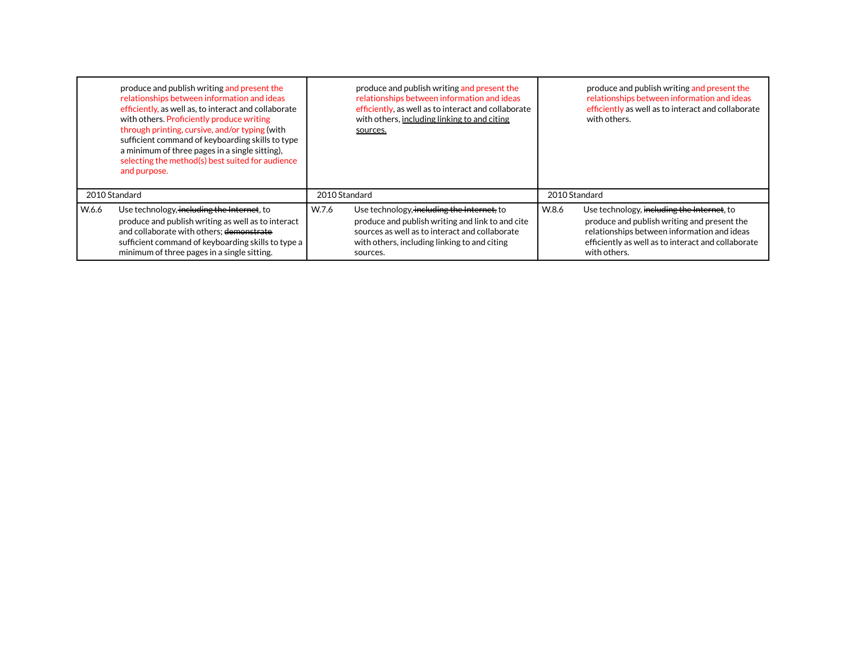|       | produce and publish writing and present the<br>relationships between information and ideas<br>efficiently, as well as, to interact and collaborate<br>with others. Proficiently produce writing<br>through printing, cursive, and/or typing (with<br>sufficient command of keyboarding skills to type<br>a minimum of three pages in a single sitting).<br>selecting the method(s) best suited for audience<br>and purpose. |               | produce and publish writing and present the<br>relationships between information and ideas<br>efficiently, as well as to interact and collaborate<br>with others, including linking to and citing<br>sources. |               | produce and publish writing and present the<br>relationships between information and ideas<br>efficiently as well as to interact and collaborate<br>with others.                                               |
|-------|-----------------------------------------------------------------------------------------------------------------------------------------------------------------------------------------------------------------------------------------------------------------------------------------------------------------------------------------------------------------------------------------------------------------------------|---------------|---------------------------------------------------------------------------------------------------------------------------------------------------------------------------------------------------------------|---------------|----------------------------------------------------------------------------------------------------------------------------------------------------------------------------------------------------------------|
|       | 2010 Standard                                                                                                                                                                                                                                                                                                                                                                                                               | 2010 Standard |                                                                                                                                                                                                               | 2010 Standard |                                                                                                                                                                                                                |
| W.6.6 | Use technology, including the Internet, to<br>produce and publish writing as well as to interact<br>and collaborate with others; demonstrate<br>sufficient command of keyboarding skills to type a<br>minimum of three pages in a single sitting.                                                                                                                                                                           | W.7.6         | Use technology, including the Internet, to<br>produce and publish writing and link to and cite<br>sources as well as to interact and collaborate<br>with others, including linking to and citing<br>sources.  | W.8.6         | Use technology, including the Internet, to<br>produce and publish writing and present the<br>relationships between information and ideas<br>efficiently as well as to interact and collaborate<br>with others. |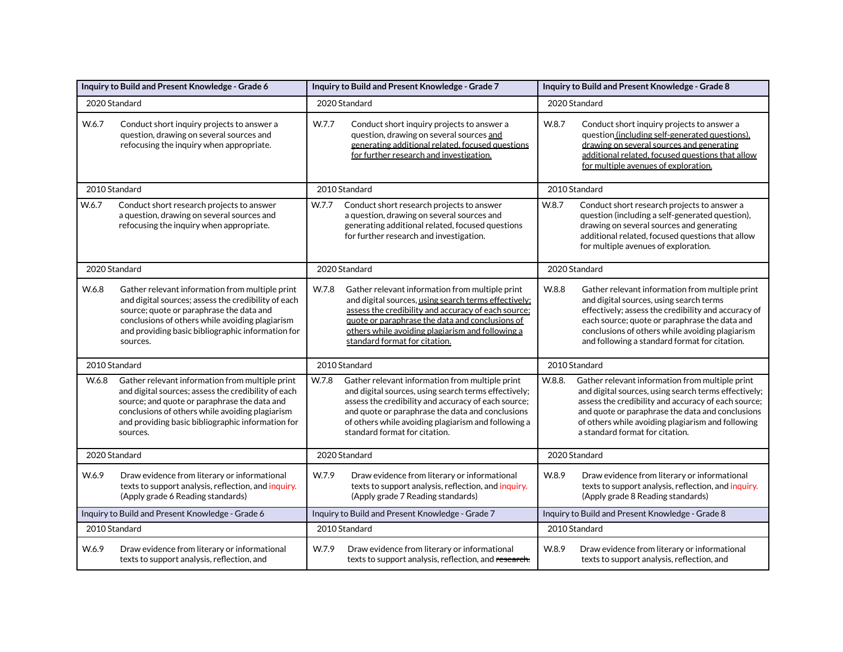|       | Inquiry to Build and Present Knowledge - Grade 6                                                                                                                                                                                                                           | Inquiry to Build and Present Knowledge - Grade 7                                                                                                                                                                                                                                                                    | Inquiry to Build and Present Knowledge - Grade 8                                                                                                                                                                                                                                                                     |  |
|-------|----------------------------------------------------------------------------------------------------------------------------------------------------------------------------------------------------------------------------------------------------------------------------|---------------------------------------------------------------------------------------------------------------------------------------------------------------------------------------------------------------------------------------------------------------------------------------------------------------------|----------------------------------------------------------------------------------------------------------------------------------------------------------------------------------------------------------------------------------------------------------------------------------------------------------------------|--|
|       | 2020 Standard                                                                                                                                                                                                                                                              | 2020 Standard                                                                                                                                                                                                                                                                                                       | 2020 Standard                                                                                                                                                                                                                                                                                                        |  |
| W.6.7 | Conduct short inquiry projects to answer a<br>question, drawing on several sources and<br>refocusing the inquiry when appropriate.                                                                                                                                         | W.7.7<br>Conduct short inquiry projects to answer a<br>question, drawing on several sources and<br>generating additional related, focused questions<br>for further research and investigation.                                                                                                                      | W.8.7<br>Conduct short inquiry projects to answer a<br>question (including self-generated questions),<br>drawing on several sources and generating<br>additional related, focused questions that allow<br>for multiple avenues of exploration.                                                                       |  |
|       | 2010 Standard                                                                                                                                                                                                                                                              | 2010 Standard                                                                                                                                                                                                                                                                                                       | 2010 Standard                                                                                                                                                                                                                                                                                                        |  |
| W.6.7 | Conduct short research projects to answer<br>a question, drawing on several sources and<br>refocusing the inquiry when appropriate.                                                                                                                                        | W.7.7<br>Conduct short research projects to answer<br>a question, drawing on several sources and<br>generating additional related, focused questions<br>for further research and investigation.                                                                                                                     | W.8.7<br>Conduct short research projects to answer a<br>question (including a self-generated question),<br>drawing on several sources and generating<br>additional related, focused questions that allow<br>for multiple avenues of exploration.                                                                     |  |
|       | 2020 Standard                                                                                                                                                                                                                                                              | 2020 Standard                                                                                                                                                                                                                                                                                                       | 2020 Standard                                                                                                                                                                                                                                                                                                        |  |
| W.6.8 | Gather relevant information from multiple print<br>and digital sources; assess the credibility of each<br>source; quote or paraphrase the data and<br>conclusions of others while avoiding plagiarism<br>and providing basic bibliographic information for<br>sources.     | W.7.8<br>Gather relevant information from multiple print<br>and digital sources, using search terms effectively;<br>assess the credibility and accuracy of each source;<br>quote or paraphrase the data and conclusions of<br>others while avoiding plagiarism and following a<br>standard format for citation.     | W.8.8<br>Gather relevant information from multiple print<br>and digital sources, using search terms<br>effectively; assess the credibility and accuracy of<br>each source; quote or paraphrase the data and<br>conclusions of others while avoiding plagiarism<br>and following a standard format for citation.      |  |
|       | 2010 Standard                                                                                                                                                                                                                                                              | 2010 Standard                                                                                                                                                                                                                                                                                                       | 2010 Standard                                                                                                                                                                                                                                                                                                        |  |
| W.6.8 | Gather relevant information from multiple print<br>and digital sources; assess the credibility of each<br>source; and quote or paraphrase the data and<br>conclusions of others while avoiding plagiarism<br>and providing basic bibliographic information for<br>sources. | W.7.8<br>Gather relevant information from multiple print<br>and digital sources, using search terms effectively;<br>assess the credibility and accuracy of each source;<br>and quote or paraphrase the data and conclusions<br>of others while avoiding plagiarism and following a<br>standard format for citation. | W.8.8.<br>Gather relevant information from multiple print<br>and digital sources, using search terms effectively;<br>assess the credibility and accuracy of each source;<br>and quote or paraphrase the data and conclusions<br>of others while avoiding plagiarism and following<br>a standard format for citation. |  |
|       | 2020 Standard                                                                                                                                                                                                                                                              | 2020 Standard                                                                                                                                                                                                                                                                                                       | 2020 Standard                                                                                                                                                                                                                                                                                                        |  |
| W.6.9 | Draw evidence from literary or informational<br>texts to support analysis, reflection, and inquiry.<br>(Apply grade 6 Reading standards)                                                                                                                                   | W.7.9<br>Draw evidence from literary or informational<br>texts to support analysis, reflection, and inquiry.<br>(Apply grade 7 Reading standards)                                                                                                                                                                   | W.8.9<br>Draw evidence from literary or informational<br>texts to support analysis, reflection, and inquiry.<br>(Apply grade 8 Reading standards)                                                                                                                                                                    |  |
|       | Inquiry to Build and Present Knowledge - Grade 6                                                                                                                                                                                                                           | Inquiry to Build and Present Knowledge - Grade 7                                                                                                                                                                                                                                                                    | Inquiry to Build and Present Knowledge - Grade 8                                                                                                                                                                                                                                                                     |  |
|       | 2010 Standard                                                                                                                                                                                                                                                              | 2010 Standard                                                                                                                                                                                                                                                                                                       | 2010 Standard                                                                                                                                                                                                                                                                                                        |  |
| W.6.9 | Draw evidence from literary or informational<br>texts to support analysis, reflection, and                                                                                                                                                                                 | W.7.9<br>Draw evidence from literary or informational<br>texts to support analysis, reflection, and research.                                                                                                                                                                                                       | W.8.9<br>Draw evidence from literary or informational<br>texts to support analysis, reflection, and                                                                                                                                                                                                                  |  |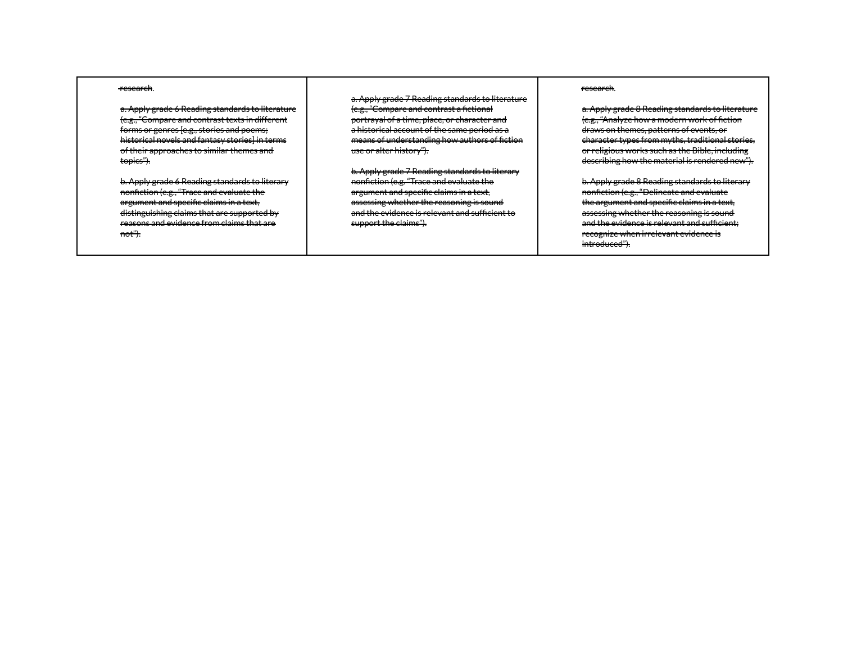#### research.

a. Apply grade 6 Reading standards to literature (e.g., "Compare and contrast texts in different forms or genres [e.g., stories and poems; historical novels and fantasy stories] in terms of their approaches to similar themes and topics").

b. Apply grade 6 Reading standards to literary nonfiction (e.g., "Trace and evaluate the argument and specific claims in a text, distinguishing claims that are supported by reasons and evidence from claims that are not").

a. Apply grade 7 Reading standards to literature (e.g., "Compare and contrast a fictional portrayal of a time, place, or character and a historical account of the same period as a means of understanding how authors of fiction use or alter history").

b. Apply grade 7 Reading standards to literary nonfiction (e.g. "Trace and evaluate the argument and specific claims in a text, assessing whether the reasoning is sound and the evidence is relevant and sufficient to support the claims").

#### research.

a. Apply grade 8 Reading standards to literature (e.g., "Analyze how a modern work of fiction draws on themes, patterns of events, or character types from myths, traditional stories, or religious works such as the Bible, including describing how the material is rendered new").

b. Apply grade 8 Reading standards to literary nonfiction (e.g., "Delineate and evaluate the argument and specific claims in a text, assessing whether the reasoning is sound and the evidence is relevant and sufficient; recognize when irrelevant evidence is introduced").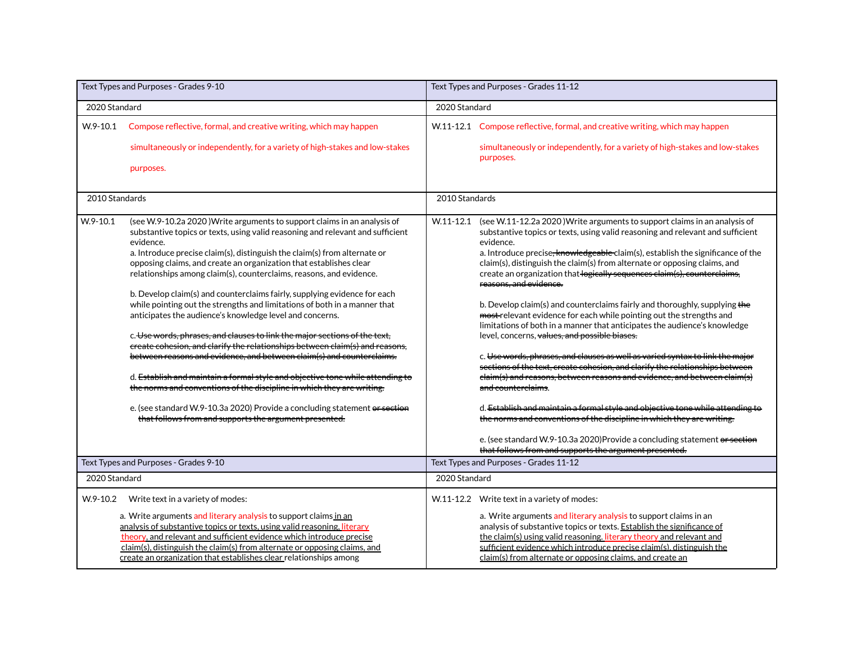| Text Types and Purposes - Grades 9-10 |                                                                                                                                                                                                                                                                                                                                                                                                                                                                                                                                                                                                                                                                                                                                                                                                                                                                                                                                                                                                                                                                                                                                                                    | Text Types and Purposes - Grades 11-12 |                                                                                                                                                                                                                                                                                                                                                                                                                                                                                                                                                                                                                                                                                                                                                                                                                                                                                                                                                                                                                                                                                                                                                                                                                                                                                                                                 |  |
|---------------------------------------|--------------------------------------------------------------------------------------------------------------------------------------------------------------------------------------------------------------------------------------------------------------------------------------------------------------------------------------------------------------------------------------------------------------------------------------------------------------------------------------------------------------------------------------------------------------------------------------------------------------------------------------------------------------------------------------------------------------------------------------------------------------------------------------------------------------------------------------------------------------------------------------------------------------------------------------------------------------------------------------------------------------------------------------------------------------------------------------------------------------------------------------------------------------------|----------------------------------------|---------------------------------------------------------------------------------------------------------------------------------------------------------------------------------------------------------------------------------------------------------------------------------------------------------------------------------------------------------------------------------------------------------------------------------------------------------------------------------------------------------------------------------------------------------------------------------------------------------------------------------------------------------------------------------------------------------------------------------------------------------------------------------------------------------------------------------------------------------------------------------------------------------------------------------------------------------------------------------------------------------------------------------------------------------------------------------------------------------------------------------------------------------------------------------------------------------------------------------------------------------------------------------------------------------------------------------|--|
| 2020 Standard                         |                                                                                                                                                                                                                                                                                                                                                                                                                                                                                                                                                                                                                                                                                                                                                                                                                                                                                                                                                                                                                                                                                                                                                                    | 2020 Standard                          |                                                                                                                                                                                                                                                                                                                                                                                                                                                                                                                                                                                                                                                                                                                                                                                                                                                                                                                                                                                                                                                                                                                                                                                                                                                                                                                                 |  |
| $W.9 - 10.1$                          | Compose reflective, formal, and creative writing, which may happen<br>simultaneously or independently, for a variety of high-stakes and low-stakes<br>purposes.                                                                                                                                                                                                                                                                                                                                                                                                                                                                                                                                                                                                                                                                                                                                                                                                                                                                                                                                                                                                    |                                        | W.11-12.1 Compose reflective, formal, and creative writing, which may happen<br>simultaneously or independently, for a variety of high-stakes and low-stakes<br>purposes.                                                                                                                                                                                                                                                                                                                                                                                                                                                                                                                                                                                                                                                                                                                                                                                                                                                                                                                                                                                                                                                                                                                                                       |  |
| 2010 Standards                        |                                                                                                                                                                                                                                                                                                                                                                                                                                                                                                                                                                                                                                                                                                                                                                                                                                                                                                                                                                                                                                                                                                                                                                    | 2010 Standards                         |                                                                                                                                                                                                                                                                                                                                                                                                                                                                                                                                                                                                                                                                                                                                                                                                                                                                                                                                                                                                                                                                                                                                                                                                                                                                                                                                 |  |
| $W.9-10.1$                            | (see W.9-10.2a 2020) Write arguments to support claims in an analysis of<br>substantive topics or texts, using valid reasoning and relevant and sufficient<br>evidence.<br>a. Introduce precise claim(s), distinguish the claim(s) from alternate or<br>opposing claims, and create an organization that establishes clear<br>relationships among claim(s), counterclaims, reasons, and evidence.<br>b. Develop claim(s) and counterclaims fairly, supplying evidence for each<br>while pointing out the strengths and limitations of both in a manner that<br>anticipates the audience's knowledge level and concerns.<br>c. Use words, phrases, and clauses to link the major sections of the text,<br>ereate cohesion, and clarify the relationships between claim(s) and reasons,<br>between reasons and evidence, and between claim(s) and counterclaims.<br>d. Establish and maintain a formal style and objective tone while attending to<br>the norms and conventions of the discipline in which they are writing.<br>e. (see standard W.9-10.3a 2020) Provide a concluding statement or section<br>that follows from and supports the argument presented. |                                        | W.11-12.1 (see W.11-12.2a 2020) Write arguments to support claims in an analysis of<br>substantive topics or texts, using valid reasoning and relevant and sufficient<br>evidence.<br>a. Introduce precise <del>, knowledgeable</del> claim(s), establish the significance of the<br>claim(s), distinguish the claim(s) from alternate or opposing claims, and<br>create an organization that logically sequences claim(s), counterclaims,<br>reasons, and evidence,<br>b. Develop claim(s) and counterclaims fairly and thoroughly, supplying the<br>most-relevant evidence for each while pointing out the strengths and<br>limitations of both in a manner that anticipates the audience's knowledge<br>level, concerns, values, and possible biases.<br>c. Use words, phrases, and clauses as well as varied syntax to link the major<br>sections of the text, create cohesion, and clarify the relationships between<br>elaim(s) and reasons, between reasons and evidence, and between claim(s)<br>and counterclaims.<br>d. Establish and maintain a formal style and objective tone while attending to<br>the norms and conventions of the discipline in which they are writing.<br>e. (see standard W.9-10.3a 2020) Provide a concluding statement or section<br>that follows from and supports the argument presented. |  |
|                                       | Text Types and Purposes - Grades 9-10                                                                                                                                                                                                                                                                                                                                                                                                                                                                                                                                                                                                                                                                                                                                                                                                                                                                                                                                                                                                                                                                                                                              | Text Types and Purposes - Grades 11-12 |                                                                                                                                                                                                                                                                                                                                                                                                                                                                                                                                                                                                                                                                                                                                                                                                                                                                                                                                                                                                                                                                                                                                                                                                                                                                                                                                 |  |
| 2020 Standard                         |                                                                                                                                                                                                                                                                                                                                                                                                                                                                                                                                                                                                                                                                                                                                                                                                                                                                                                                                                                                                                                                                                                                                                                    | 2020 Standard                          |                                                                                                                                                                                                                                                                                                                                                                                                                                                                                                                                                                                                                                                                                                                                                                                                                                                                                                                                                                                                                                                                                                                                                                                                                                                                                                                                 |  |
| $W.9-10.2$                            | Write text in a variety of modes:<br>a. Write arguments and literary analysis to support claims in an<br>analysis of substantive topics or texts, using valid reasoning, literary<br>theory, and relevant and sufficient evidence which introduce precise<br>claim(s), distinguish the claim(s) from alternate or opposing claims, and<br>create an organization that establishes clear relationships among                                                                                                                                                                                                                                                                                                                                                                                                                                                                                                                                                                                                                                                                                                                                                        |                                        | W.11-12.2 Write text in a variety of modes:<br>a. Write arguments and literary analysis to support claims in an<br>analysis of substantive topics or texts. Establish the significance of<br>the claim(s) using valid reasoning. literary theory and relevant and<br>sufficient evidence which introduce precise claim(s), distinguish the<br>claim(s) from alternate or opposing claims, and create an                                                                                                                                                                                                                                                                                                                                                                                                                                                                                                                                                                                                                                                                                                                                                                                                                                                                                                                         |  |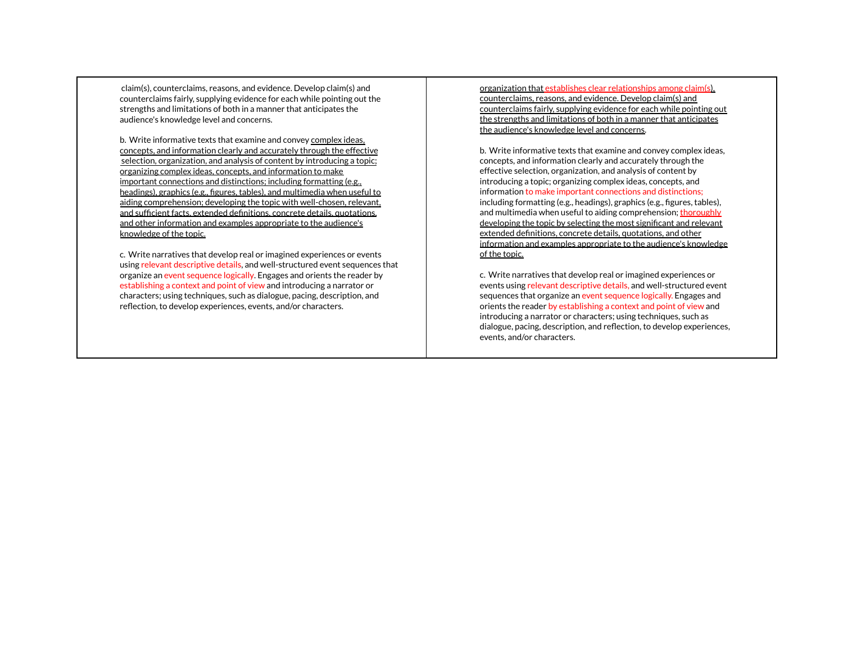claim(s), counterclaims, reasons, and evidence. Develop claim(s) and counterclaims fairly, supplying evidence for each while pointing out the strengths and limitations of both in a manner that anticipates the audience's knowledge level and concerns.

b. Write informative texts that examine and convey complex ideas, concepts, and information clearly and accurately through the effective selection, organization, and analysis of content by introducing a topic; organizing complex ideas, concepts, and information to make important connections and distinctions; including formatting (e.g., headings), graphics (e.g., figures, tables), and multimedia when useful to aiding comprehension; developing the topic with well-chosen, relevant, and sufficient facts, extended definitions, concrete details, quotations, and other information and examples appropriate to the audience's knowledge of the topic.

c. Write narratives that develop real or imagined experiences or events using relevant descriptive details, and well-structured event sequences that organize an event sequence logically. Engages and orients the reader by establishing a context and point of view and introducing a narrator or characters; using techniques, such as dialogue, pacing, description, and reflection, to develop experiences, events, and/or characters.

organization that establishes clear relationships among claim(s), counterclaims, reasons, and evidence. Develop claim(s) and counterclaims fairly, supplying evidence for each while pointing out the strengths and limitations of both in a manner that anticipates the audience's knowledge level and concerns.

b. Write informative texts that examine and convey complex ideas, concepts, and information clearly and accurately through the effective selection, organization, and analysis of content by introducing a topic; organizing complex ideas, concepts, and information to make important connections and distinctions; including formatting (e.g., headings), graphics (e.g., figures, tables), and multimedia when useful to aiding comprehension; thoroughly developing the topic by selecting the most significant and relevant extended definitions, concrete details, quotations, and other information and examples appropriate to the audience's knowledge of the topic.

c. Write narratives that develop real or imagined experiences or events using relevant descriptive details, and well-structured event sequences that organize an event sequence logically. Engages and orients the reader by establishing a context and point of view and introducing a narrator or characters; using techniques, such as dialogue, pacing, description, and reflection, to develop experiences, events, and/or characters.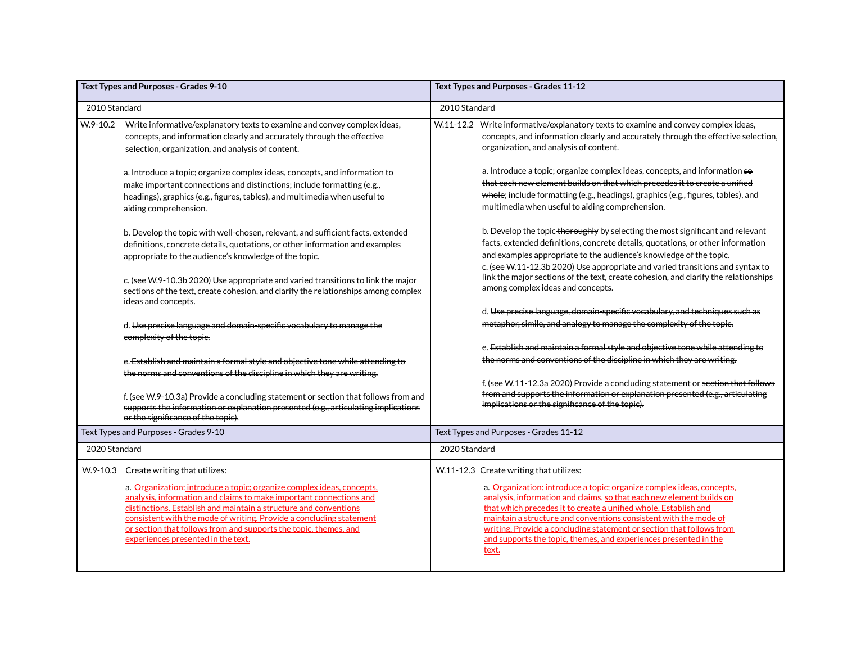| Text Types and Purposes - Grades 9-10 |                                                                                                                                                                                                                                                                                                                                                                                                                                            | Text Types and Purposes - Grades 11-12                                                                                                                                                                                                                                                                                                                                                                                                                                               |  |  |
|---------------------------------------|--------------------------------------------------------------------------------------------------------------------------------------------------------------------------------------------------------------------------------------------------------------------------------------------------------------------------------------------------------------------------------------------------------------------------------------------|--------------------------------------------------------------------------------------------------------------------------------------------------------------------------------------------------------------------------------------------------------------------------------------------------------------------------------------------------------------------------------------------------------------------------------------------------------------------------------------|--|--|
| 2010 Standard                         |                                                                                                                                                                                                                                                                                                                                                                                                                                            | 2010 Standard                                                                                                                                                                                                                                                                                                                                                                                                                                                                        |  |  |
| W.9-10.2                              | Write informative/explanatory texts to examine and convey complex ideas,<br>concepts, and information clearly and accurately through the effective<br>selection, organization, and analysis of content.                                                                                                                                                                                                                                    | Write informative/explanatory texts to examine and convey complex ideas,<br>W.11-12.2<br>concepts, and information clearly and accurately through the effective selection,<br>organization, and analysis of content.                                                                                                                                                                                                                                                                 |  |  |
|                                       | a. Introduce a topic; organize complex ideas, concepts, and information to<br>make important connections and distinctions; include formatting (e.g.,<br>headings), graphics (e.g., figures, tables), and multimedia when useful to<br>aiding comprehension.                                                                                                                                                                                | a. Introduce a topic; organize complex ideas, concepts, and information so<br>that each new element builds on that which precedes it to create a unified<br>whole; include formatting (e.g., headings), graphics (e.g., figures, tables), and<br>multimedia when useful to aiding comprehension.                                                                                                                                                                                     |  |  |
|                                       | b. Develop the topic with well-chosen, relevant, and sufficient facts, extended<br>definitions, concrete details, quotations, or other information and examples<br>appropriate to the audience's knowledge of the topic.                                                                                                                                                                                                                   | b. Develop the topic the reughly by selecting the most significant and relevant<br>facts, extended definitions, concrete details, quotations, or other information<br>and examples appropriate to the audience's knowledge of the topic.<br>c. (see W.11-12.3b 2020) Use appropriate and varied transitions and syntax to                                                                                                                                                            |  |  |
|                                       | c. (see W.9-10.3b 2020) Use appropriate and varied transitions to link the major<br>sections of the text, create cohesion, and clarify the relationships among complex<br>ideas and concepts.                                                                                                                                                                                                                                              | link the major sections of the text, create cohesion, and clarify the relationships<br>among complex ideas and concepts.                                                                                                                                                                                                                                                                                                                                                             |  |  |
|                                       | d. Use precise language and domain-specific vocabulary to manage the                                                                                                                                                                                                                                                                                                                                                                       | d. Use precise language, domain-specific vocabulary, and techniques such as<br>metaphor, simile, and analogy to manage the complexity of the topic.                                                                                                                                                                                                                                                                                                                                  |  |  |
|                                       | complexity of the topic.<br>e. Establish and maintain a formal style and objective tone while attending to                                                                                                                                                                                                                                                                                                                                 | e. Establish and maintain a formal style and objective tone while attending to<br>the norms and conventions of the discipline in which they are writing.                                                                                                                                                                                                                                                                                                                             |  |  |
|                                       | the norms and conventions of the discipline in which they are writing.<br>f. (see W.9-10.3a) Provide a concluding statement or section that follows from and<br>supports the information or explanation presented (e.g., articulating implications<br>or the significance of the topic).                                                                                                                                                   | f. (see W.11-12.3a 2020) Provide a concluding statement or section that follows<br>from and supports the information or explanation presented (e.g., articulating<br>implications or the significance of the topic).                                                                                                                                                                                                                                                                 |  |  |
|                                       | Text Types and Purposes - Grades 9-10                                                                                                                                                                                                                                                                                                                                                                                                      | Text Types and Purposes - Grades 11-12                                                                                                                                                                                                                                                                                                                                                                                                                                               |  |  |
| 2020 Standard                         |                                                                                                                                                                                                                                                                                                                                                                                                                                            | 2020 Standard                                                                                                                                                                                                                                                                                                                                                                                                                                                                        |  |  |
|                                       | W.9-10.3 Create writing that utilizes:<br>a. Organization: introduce a topic; organize complex ideas, concepts,<br>analysis, information and claims to make important connections and<br>distinctions. Establish and maintain a structure and conventions<br>consistent with the mode of writing. Provide a concluding statement<br>or section that follows from and supports the topic, themes, and<br>experiences presented in the text. | W.11-12.3 Create writing that utilizes:<br>a. Organization: introduce a topic; organize complex ideas, concepts,<br>analysis, information and claims, so that each new element builds on<br>that which precedes it to create a unified whole. Establish and<br>maintain a structure and conventions consistent with the mode of<br>writing. Provide a concluding statement or section that follows from<br>and supports the topic, themes, and experiences presented in the<br>text. |  |  |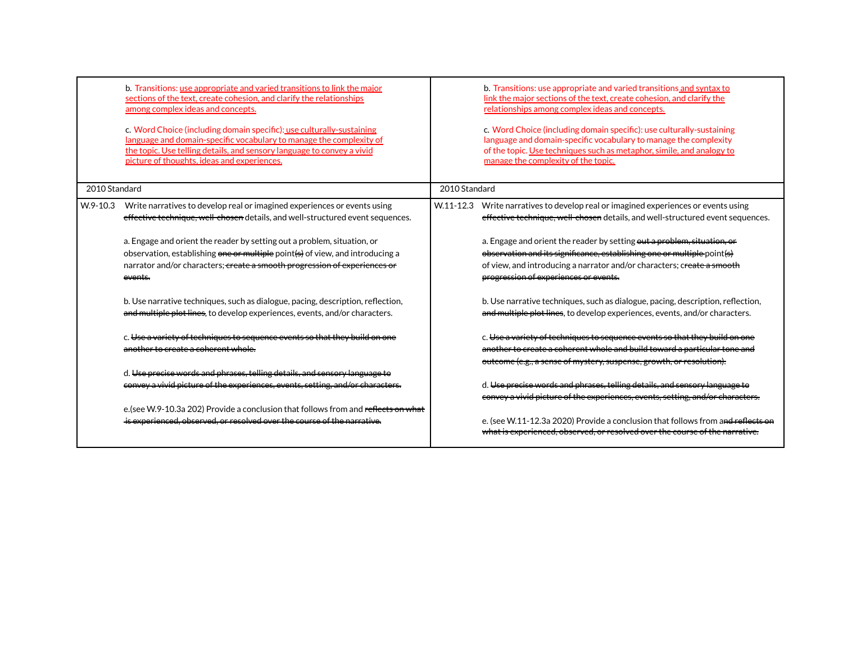|               | b. Transitions: use appropriate and varied transitions to link the major<br>sections of the text, create cohesion, and clarify the relationships<br>among complex ideas and concepts.<br>c. Word Choice (including domain specific): use culturally-sustaining<br>language and domain-specific vocabulary to manage the complexity of<br>the topic. Use telling details, and sensory language to convey a vivid<br>picture of thoughts, ideas and experiences. |               | b. Transitions: use appropriate and varied transitions and syntax to<br>link the major sections of the text, create cohesion, and clarify the<br>relationships among complex ideas and concepts.<br>c. Word Choice (including domain specific): use culturally-sustaining<br>language and domain-specific vocabulary to manage the complexity<br>of the topic. Use techniques such as metaphor, simile, and analogy to<br>manage the complexity of the topic. |
|---------------|----------------------------------------------------------------------------------------------------------------------------------------------------------------------------------------------------------------------------------------------------------------------------------------------------------------------------------------------------------------------------------------------------------------------------------------------------------------|---------------|---------------------------------------------------------------------------------------------------------------------------------------------------------------------------------------------------------------------------------------------------------------------------------------------------------------------------------------------------------------------------------------------------------------------------------------------------------------|
| 2010 Standard |                                                                                                                                                                                                                                                                                                                                                                                                                                                                | 2010 Standard |                                                                                                                                                                                                                                                                                                                                                                                                                                                               |
| $W.9-10.3$    | Write narratives to develop real or imagined experiences or events using<br>effective technique, well chosen details, and well-structured event sequences.                                                                                                                                                                                                                                                                                                     | $W.11 - 12.3$ | Write narratives to develop real or imagined experiences or events using<br>effective technique, well chosen details, and well-structured event sequences.                                                                                                                                                                                                                                                                                                    |
|               | a. Engage and orient the reader by setting out a problem, situation, or<br>observation, establishing one or multiple point(s) of view, and introducing a<br>narrator and/or characters; create a smooth progression of experiences or<br>events                                                                                                                                                                                                                |               | a. Engage and orient the reader by setting out a problem, situation, or<br>observation and its significance, establishing one or multiple point(s)<br>of view, and introducing a narrator and/or characters; create a smooth<br>progression of experiences or events.                                                                                                                                                                                         |
|               | b. Use narrative techniques, such as dialogue, pacing, description, reflection,<br>and multiple plot lines, to develop experiences, events, and/or characters.                                                                                                                                                                                                                                                                                                 |               | b. Use narrative techniques, such as dialogue, pacing, description, reflection,<br>and multiple plot lines, to develop experiences, events, and/or characters.                                                                                                                                                                                                                                                                                                |
|               | c. Use a variety of techniques to sequence events so that they build on one<br>another to create a coherent whole.                                                                                                                                                                                                                                                                                                                                             |               | c. Use a variety of techniques to sequence events so that they build on one<br>another to create a coherent whole and build toward a particular tone and<br>outcome (e.g., a sense of mystery, suspense, growth, or resolution).                                                                                                                                                                                                                              |
|               | d. Use precise words and phrases, telling details, and sensory language to<br>convey a vivid picture of the experiences, events, setting, and/or characters.                                                                                                                                                                                                                                                                                                   |               | d. Use precise words and phrases, telling details, and sensory language to<br>convey a vivid picture of the experiences, events, setting, and/or characters.                                                                                                                                                                                                                                                                                                  |
|               | e. (see W.9-10.3a 202) Provide a conclusion that follows from and reflects on what<br>is experienced, observed, or resolved over the course of the narrative.                                                                                                                                                                                                                                                                                                  |               | e. (see W.11-12.3a 2020) Provide a conclusion that follows from and reflects on<br>what is experienced, observed, or resolved over the course of the narrative.                                                                                                                                                                                                                                                                                               |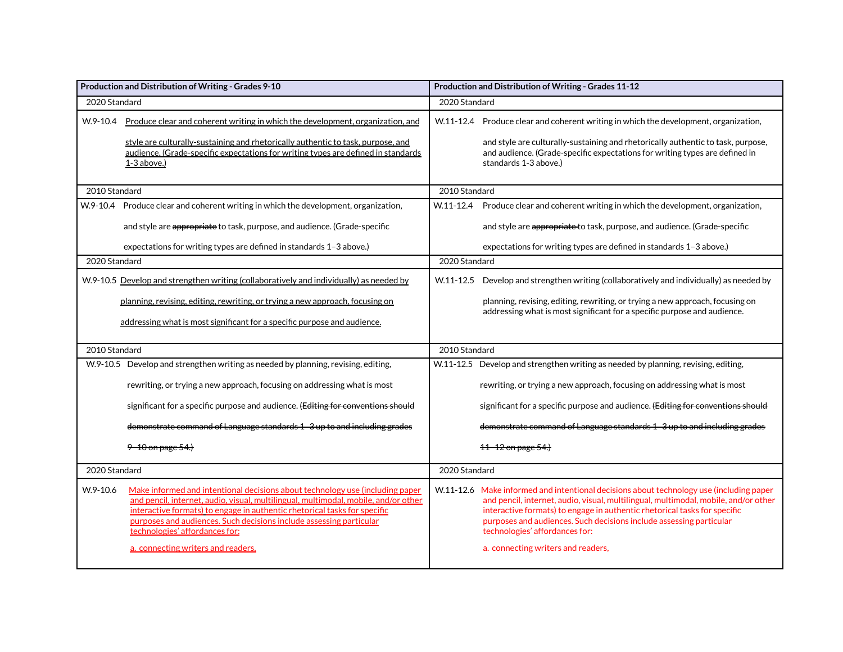| Production and Distribution of Writing - Grades 9-10 |                                                                                                                                                                                                                                                                                                                                                                                                  | Production and Distribution of Writing - Grades 11-12 |                                                                                                                                                                                                                                                                                                                                                                                                            |  |  |
|------------------------------------------------------|--------------------------------------------------------------------------------------------------------------------------------------------------------------------------------------------------------------------------------------------------------------------------------------------------------------------------------------------------------------------------------------------------|-------------------------------------------------------|------------------------------------------------------------------------------------------------------------------------------------------------------------------------------------------------------------------------------------------------------------------------------------------------------------------------------------------------------------------------------------------------------------|--|--|
| 2020 Standard                                        |                                                                                                                                                                                                                                                                                                                                                                                                  | 2020 Standard                                         |                                                                                                                                                                                                                                                                                                                                                                                                            |  |  |
| W.9-10.4                                             | Produce clear and coherent writing in which the development, organization, and<br>style are culturally-sustaining and rhetorically authentic to task, purpose, and<br>audience. (Grade-specific expectations for writing types are defined in standards<br>$1-3$ above.)                                                                                                                         |                                                       | W.11-12.4 Produce clear and coherent writing in which the development, organization,<br>and style are culturally-sustaining and rhetorically authentic to task, purpose,<br>and audience. (Grade-specific expectations for writing types are defined in<br>standards 1-3 above.)                                                                                                                           |  |  |
| 2010 Standard                                        |                                                                                                                                                                                                                                                                                                                                                                                                  |                                                       | 2010 Standard                                                                                                                                                                                                                                                                                                                                                                                              |  |  |
|                                                      | W.9-10.4 Produce clear and coherent writing in which the development, organization,                                                                                                                                                                                                                                                                                                              | $W.11 - 12.4$                                         | Produce clear and coherent writing in which the development, organization,                                                                                                                                                                                                                                                                                                                                 |  |  |
|                                                      | and style are appropriate to task, purpose, and audience. (Grade-specific                                                                                                                                                                                                                                                                                                                        |                                                       | and style are appropriate to task, purpose, and audience. (Grade-specific                                                                                                                                                                                                                                                                                                                                  |  |  |
|                                                      | expectations for writing types are defined in standards 1-3 above.)                                                                                                                                                                                                                                                                                                                              |                                                       | expectations for writing types are defined in standards 1-3 above.)                                                                                                                                                                                                                                                                                                                                        |  |  |
| 2020 Standard                                        |                                                                                                                                                                                                                                                                                                                                                                                                  | 2020 Standard                                         |                                                                                                                                                                                                                                                                                                                                                                                                            |  |  |
|                                                      | W.9-10.5 Develop and strengthen writing (collaboratively and individually) as needed by                                                                                                                                                                                                                                                                                                          | $W.11 - 12.5$                                         | Develop and strengthen writing (collaboratively and individually) as needed by                                                                                                                                                                                                                                                                                                                             |  |  |
|                                                      | planning, revising, editing, rewriting, or trying a new approach, focusing on                                                                                                                                                                                                                                                                                                                    |                                                       | planning, revising, editing, rewriting, or trying a new approach, focusing on                                                                                                                                                                                                                                                                                                                              |  |  |
|                                                      | addressing what is most significant for a specific purpose and audience.                                                                                                                                                                                                                                                                                                                         |                                                       | addressing what is most significant for a specific purpose and audience.                                                                                                                                                                                                                                                                                                                                   |  |  |
| 2010 Standard                                        |                                                                                                                                                                                                                                                                                                                                                                                                  | 2010 Standard                                         |                                                                                                                                                                                                                                                                                                                                                                                                            |  |  |
|                                                      | W.9-10.5 Develop and strengthen writing as needed by planning, revising, editing,                                                                                                                                                                                                                                                                                                                |                                                       | W.11-12.5 Develop and strengthen writing as needed by planning, revising, editing,                                                                                                                                                                                                                                                                                                                         |  |  |
|                                                      | rewriting, or trying a new approach, focusing on addressing what is most                                                                                                                                                                                                                                                                                                                         |                                                       | rewriting, or trying a new approach, focusing on addressing what is most                                                                                                                                                                                                                                                                                                                                   |  |  |
|                                                      | significant for a specific purpose and audience. (Editing for conventions should                                                                                                                                                                                                                                                                                                                 |                                                       | significant for a specific purpose and audience. (Editing for conventions should                                                                                                                                                                                                                                                                                                                           |  |  |
|                                                      | demonstrate command of Language standards 1-3 up to and including grades                                                                                                                                                                                                                                                                                                                         |                                                       | demonstrate command of Language standards 1-3 up to and including grades                                                                                                                                                                                                                                                                                                                                   |  |  |
|                                                      | <del>9–10 on page 54.)</del>                                                                                                                                                                                                                                                                                                                                                                     |                                                       | <del>11 12 on page 54.)</del>                                                                                                                                                                                                                                                                                                                                                                              |  |  |
| 2020 Standard                                        |                                                                                                                                                                                                                                                                                                                                                                                                  | 2020 Standard                                         |                                                                                                                                                                                                                                                                                                                                                                                                            |  |  |
| W.9-10.6                                             | Make informed and intentional decisions about technology use (including paper<br>and pencil, internet, audio, visual, multilingual, multimodal, mobile, and/or other<br>interactive formats) to engage in authentic rhetorical tasks for specific<br>purposes and audiences. Such decisions include assessing particular<br>technologies' affordances for:<br>a. connecting writers and readers, |                                                       | W.11-12.6 Make informed and intentional decisions about technology use (including paper<br>and pencil, internet, audio, visual, multilingual, multimodal, mobile, and/or other<br>interactive formats) to engage in authentic rhetorical tasks for specific<br>purposes and audiences. Such decisions include assessing particular<br>technologies' affordances for:<br>a. connecting writers and readers, |  |  |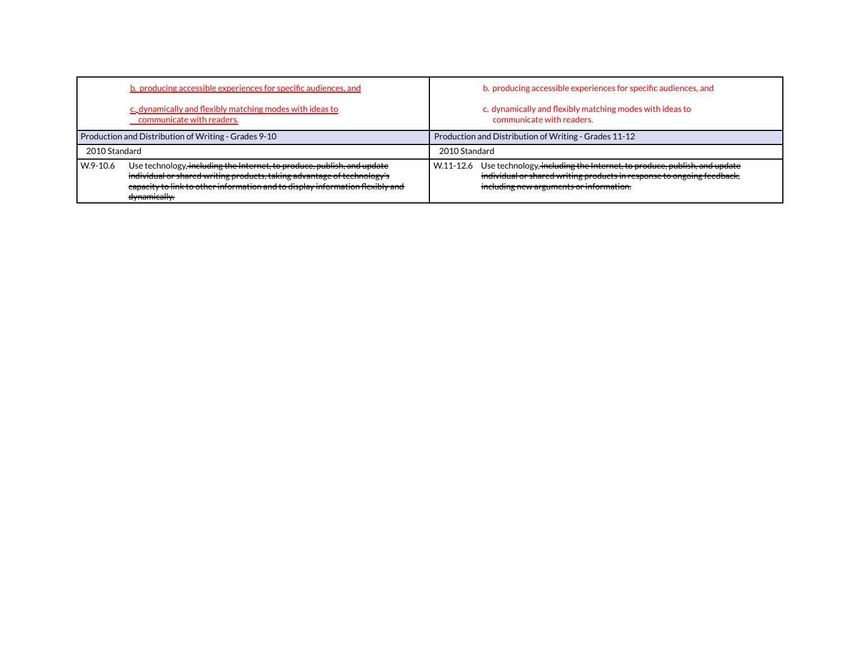| b. producing accessible experiences for specific audiences, and                                                                                                                                                                                                   | b. producing accessible experiences for specific audiences, and                                                                                                                                           |
|-------------------------------------------------------------------------------------------------------------------------------------------------------------------------------------------------------------------------------------------------------------------|-----------------------------------------------------------------------------------------------------------------------------------------------------------------------------------------------------------|
| c. dynamically and flexibly matching modes with ideas to<br>communicate with readers.                                                                                                                                                                             | c. dynamically and flexibly matching modes with ideas to<br>communicate with readers.                                                                                                                     |
| Production and Distribution of Writing - Grades 9-10                                                                                                                                                                                                              | Production and Distribution of Writing - Grades 11-12                                                                                                                                                     |
| 2010 Standard                                                                                                                                                                                                                                                     | 2010 Standard                                                                                                                                                                                             |
| Use technology, including the Internet, to produce, publish, and update<br>l W.9-10.6<br>individual or shared writing products, taking advantage of technology's<br>capacity to link to other information and to display information flexibly and<br>dynamically. | Use technology, including the Internet, to produce, publish, and update<br>W.11-12.6<br>individual or shared writing products in response to ongoing feedback,<br>including new arguments or information. |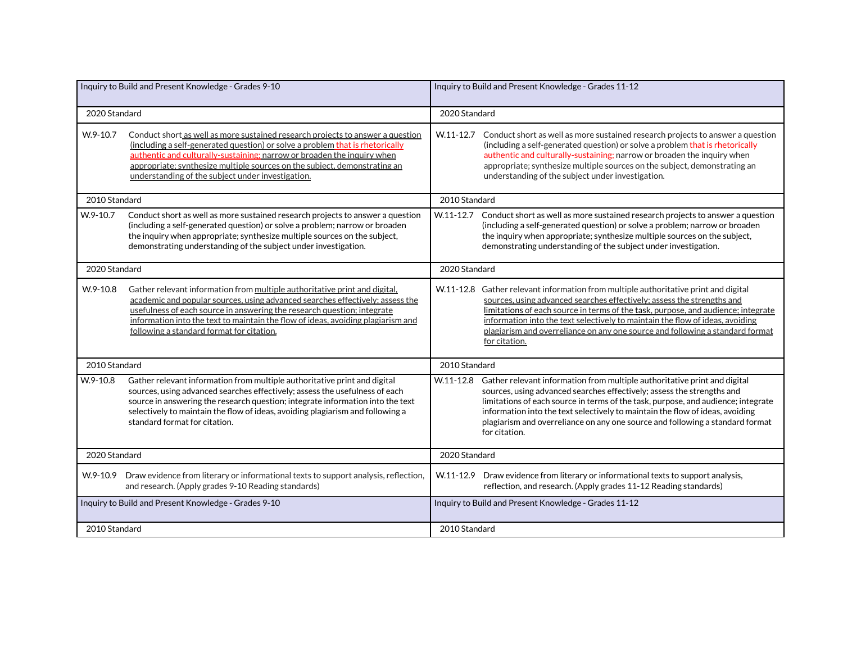| Inquiry to Build and Present Knowledge - Grades 9-10 |                                                                                                                                                                                                                                                                                                                                                                              | Inquiry to Build and Present Knowledge - Grades 11-12 |                                                                                                                                                                                                                                                                                                                                                                                                                                       |  |
|------------------------------------------------------|------------------------------------------------------------------------------------------------------------------------------------------------------------------------------------------------------------------------------------------------------------------------------------------------------------------------------------------------------------------------------|-------------------------------------------------------|---------------------------------------------------------------------------------------------------------------------------------------------------------------------------------------------------------------------------------------------------------------------------------------------------------------------------------------------------------------------------------------------------------------------------------------|--|
| 2020 Standard                                        |                                                                                                                                                                                                                                                                                                                                                                              | 2020 Standard                                         |                                                                                                                                                                                                                                                                                                                                                                                                                                       |  |
| W.9-10.7                                             | Conduct short as well as more sustained research projects to answer a question<br>(including a self-generated question) or solve a problem that is rhetorically<br>authentic and culturally-sustaining; narrow or broaden the inquiry when<br>appropriate; synthesize multiple sources on the subject, demonstrating an<br>understanding of the subject under investigation. | W.11-12.7                                             | Conduct short as well as more sustained research projects to answer a question<br>(including a self-generated question) or solve a problem that is rhetorically<br>authentic and culturally-sustaining; narrow or broaden the inquiry when<br>appropriate; synthesize multiple sources on the subject, demonstrating an<br>understanding of the subject under investigation.                                                          |  |
| 2010 Standard                                        |                                                                                                                                                                                                                                                                                                                                                                              | 2010 Standard                                         |                                                                                                                                                                                                                                                                                                                                                                                                                                       |  |
| W.9-10.7                                             | Conduct short as well as more sustained research projects to answer a question<br>(including a self-generated question) or solve a problem; narrow or broaden<br>the inquiry when appropriate; synthesize multiple sources on the subject,<br>demonstrating understanding of the subject under investigation.                                                                | $W.11 - 12.7$                                         | Conduct short as well as more sustained research projects to answer a question<br>(including a self-generated question) or solve a problem; narrow or broaden<br>the inquiry when appropriate; synthesize multiple sources on the subject,<br>demonstrating understanding of the subject under investigation.                                                                                                                         |  |
| 2020 Standard                                        |                                                                                                                                                                                                                                                                                                                                                                              | 2020 Standard                                         |                                                                                                                                                                                                                                                                                                                                                                                                                                       |  |
| W.9-10.8                                             | Gather relevant information from multiple authoritative print and digital.<br>academic and popular sources, using advanced searches effectively; assess the<br>usefulness of each source in answering the research question; integrate<br>information into the text to maintain the flow of ideas, avoiding plagiarism and<br>following a standard format for citation.      |                                                       | W.11-12.8 Gather relevant information from multiple authoritative print and digital<br>sources, using advanced searches effectively; assess the strengths and<br>limitations of each source in terms of the task, purpose, and audience; integrate<br>information into the text selectively to maintain the flow of ideas, avoiding<br>plagiarism and overreliance on any one source and following a standard format<br>for citation. |  |
| 2010 Standard                                        |                                                                                                                                                                                                                                                                                                                                                                              | 2010 Standard                                         |                                                                                                                                                                                                                                                                                                                                                                                                                                       |  |
| W.9-10.8                                             | Gather relevant information from multiple authoritative print and digital<br>sources, using advanced searches effectively; assess the usefulness of each<br>source in answering the research question; integrate information into the text<br>selectively to maintain the flow of ideas, avoiding plagiarism and following a<br>standard format for citation.                | $W.11-12.8$                                           | Gather relevant information from multiple authoritative print and digital<br>sources, using advanced searches effectively; assess the strengths and<br>limitations of each source in terms of the task, purpose, and audience; integrate<br>information into the text selectively to maintain the flow of ideas, avoiding<br>plagiarism and overreliance on any one source and following a standard format<br>for citation.           |  |
| 2020 Standard                                        |                                                                                                                                                                                                                                                                                                                                                                              | 2020 Standard                                         |                                                                                                                                                                                                                                                                                                                                                                                                                                       |  |
| W.9-10.9                                             | Draw evidence from literary or informational texts to support analysis, reflection,<br>and research. (Apply grades 9-10 Reading standards)                                                                                                                                                                                                                                   | W.11-12.9                                             | Draw evidence from literary or informational texts to support analysis,<br>reflection, and research. (Apply grades 11-12 Reading standards)                                                                                                                                                                                                                                                                                           |  |
| Inquiry to Build and Present Knowledge - Grades 9-10 |                                                                                                                                                                                                                                                                                                                                                                              | Inquiry to Build and Present Knowledge - Grades 11-12 |                                                                                                                                                                                                                                                                                                                                                                                                                                       |  |
| 2010 Standard                                        |                                                                                                                                                                                                                                                                                                                                                                              | 2010 Standard                                         |                                                                                                                                                                                                                                                                                                                                                                                                                                       |  |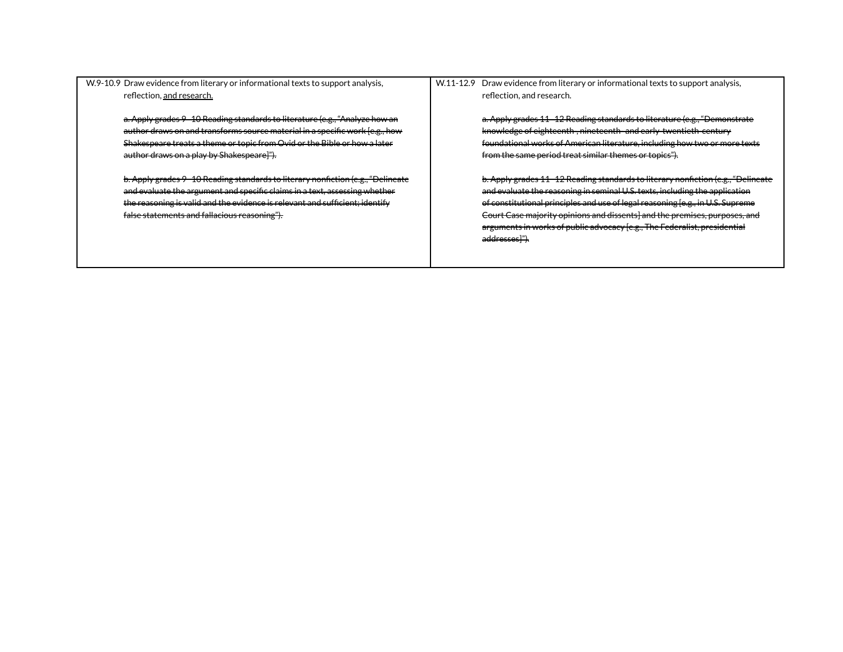W.9-10.9 Draw evidence from literary or informational texts to support analysis, reflection, and research.

> a. Apply grades 9–10 Reading standards to literature (e.g., "Analyze how an author draws on and transforms source material in a specific work [e.g., how Shakespeare treats a theme or topic from Ovid or the Bible or how a later author draws on a play by Shakespeare]").

b. Apply grades 9–10 Reading standards to literary nonfiction (e.g., "Delineate and evaluate the argument and specific claims in a text, assessing whether the reasoning is valid and the evidence is relevant and sufficient; identify false statements and fallacious reasoning").

W.11-12.9 Draw evidence from literary or informational texts to support analysis, reflection, and research.

> a. Apply grades 11–12 Reading standards to literature (e.g., "Demonstrate knowledge of eighteenth-, nineteenth- and early-twentieth-century foundational works of American literature, including how two or more texts from the same period treat similar themes or topics").

b. Apply grades 11–12 Reading standards to literary nonfiction (e.g., "Delineate and evaluate the reasoning in seminal U.S. texts, including the application of constitutional principles and use of legal reasoning [e.g., in U.S. Supreme Court Case majority opinions and dissents] and the premises, purposes, and arguments in works of public advocacy [e.g., The Federalist, presidential addresses]").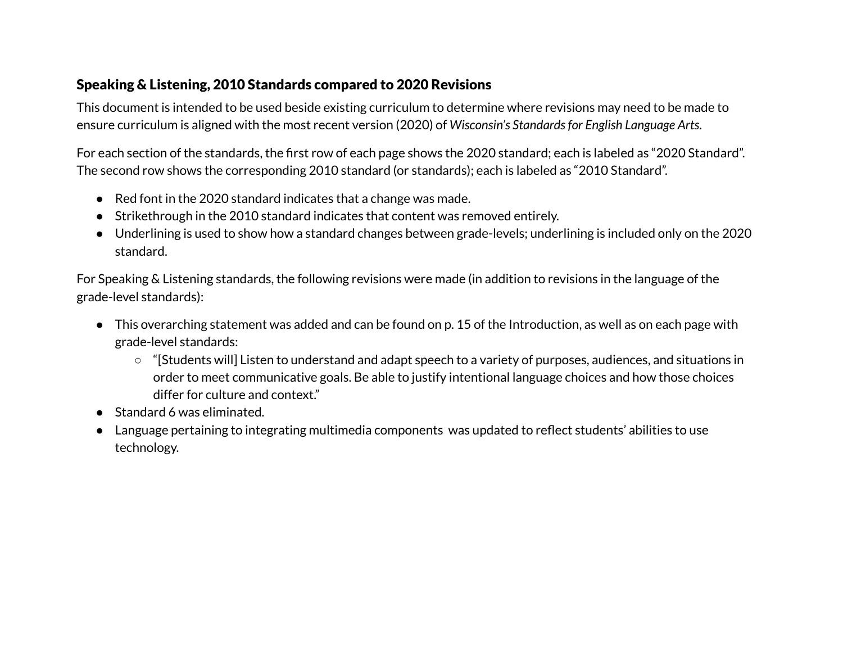## Speaking & Listening, 2010 Standards compared to 2020 Revisions

This document is intended to be used beside existing curriculum to determine where revisions may need to be made to ensure curriculum is aligned with the most recent version (2020) of *Wisconsin's Standardsfor English Language Arts*.

For each section of the standards, the first row of each page shows the 2020 standard; each is labeled as "2020 Standard". The second row shows the corresponding 2010 standard (or standards); each is labeled as "2010 Standard".

- Red font in the 2020 standard indicates that a change was made.
- Strikethrough in the 2010 standard indicates that content was removed entirely.
- Underlining is used to show how a standard changes between grade-levels; underlining is included only on the 2020 standard.

For Speaking & Listening standards, the following revisions were made (in addition to revisions in the language of the grade-level standards):

- This overarching statement was added and can be found on p. 15 of the Introduction, as well as on each page with grade-level standards:
	- "[Students will] Listen to understand and adapt speech to a variety of purposes, audiences, and situations in order to meet communicative goals. Be able to justify intentional language choices and how those choices differ for culture and context."
- Standard 6 was eliminated.
- Language pertaining to integrating multimedia components was updated to reflect students' abilities to use technology.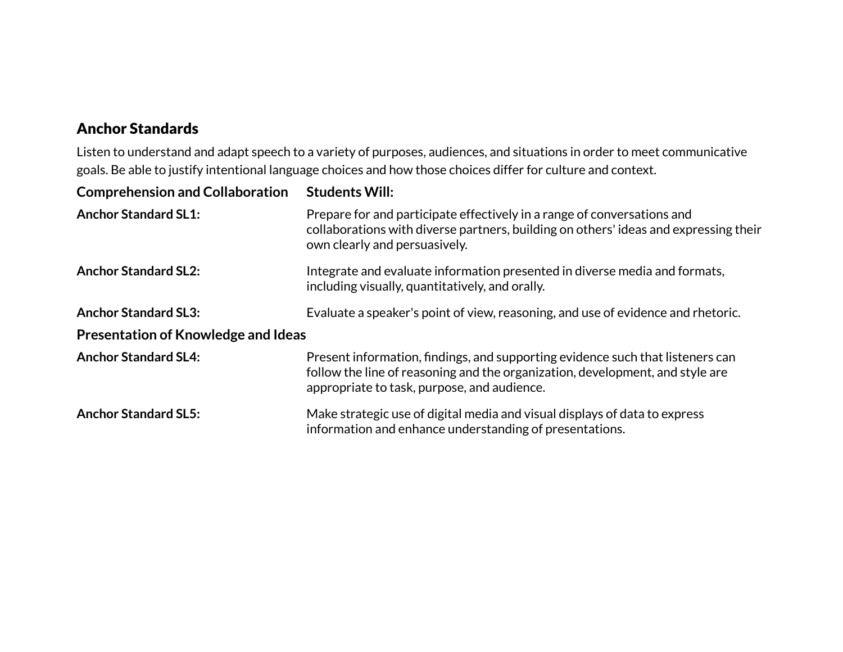# Anchor Standards

Listen to understand and adapt speech to a variety of purposes, audiences, and situations in order to meet communicative goals. Be able to justify intentional language choices and how those choices differ for culture and context.

| <b>Comprehension and Collaboration</b>     | <b>Students Will:</b>                                                                                                                                                                                          |  |
|--------------------------------------------|----------------------------------------------------------------------------------------------------------------------------------------------------------------------------------------------------------------|--|
| <b>Anchor Standard SL1:</b>                | Prepare for and participate effectively in a range of conversations and<br>collaborations with diverse partners, building on others' ideas and expressing their<br>own clearly and persuasively.               |  |
| <b>Anchor Standard SL2:</b>                | Integrate and evaluate information presented in diverse media and formats,<br>including visually, quantitatively, and orally.                                                                                  |  |
| <b>Anchor Standard SL3:</b>                | Evaluate a speaker's point of view, reasoning, and use of evidence and rhetoric.                                                                                                                               |  |
| <b>Presentation of Knowledge and Ideas</b> |                                                                                                                                                                                                                |  |
| <b>Anchor Standard SL4:</b>                | Present information, findings, and supporting evidence such that listeners can<br>follow the line of reasoning and the organization, development, and style are<br>appropriate to task, purpose, and audience. |  |
| <b>Anchor Standard SL5:</b>                | Make strategic use of digital media and visual displays of data to express<br>information and enhance understanding of presentations.                                                                          |  |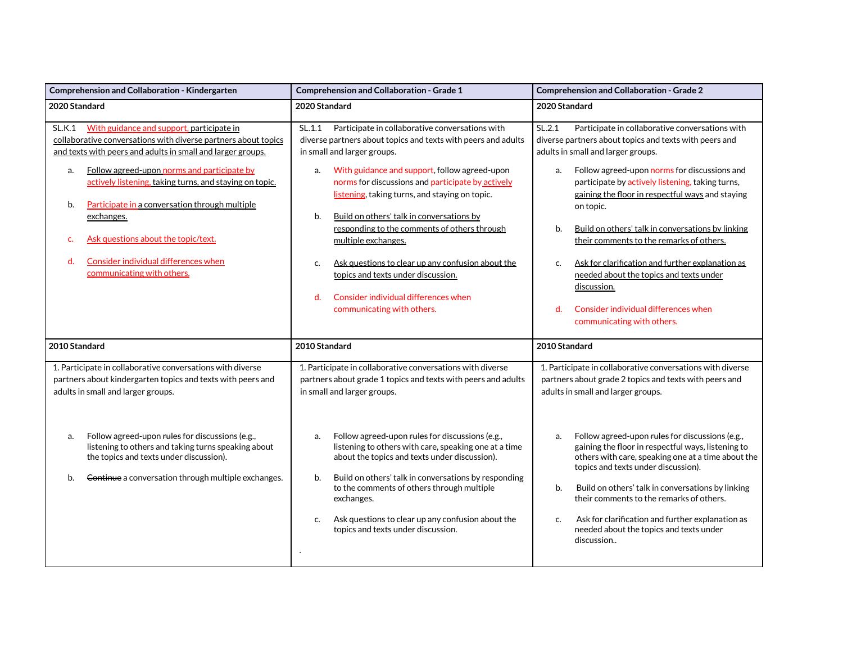| Comprehension and Collaboration - Kindergarten                                                                                                                                                                                                                                                                                                                                                                                                                                                     | <b>Comprehension and Collaboration - Grade 1</b>                                                                                                                                                                                                                                                                                                                                                                                                                                                                                                                                                                            | <b>Comprehension and Collaboration - Grade 2</b>                                                                                                                                                                                                                                                                                                                                                                                                                                                                                                                                                                                            |  |
|----------------------------------------------------------------------------------------------------------------------------------------------------------------------------------------------------------------------------------------------------------------------------------------------------------------------------------------------------------------------------------------------------------------------------------------------------------------------------------------------------|-----------------------------------------------------------------------------------------------------------------------------------------------------------------------------------------------------------------------------------------------------------------------------------------------------------------------------------------------------------------------------------------------------------------------------------------------------------------------------------------------------------------------------------------------------------------------------------------------------------------------------|---------------------------------------------------------------------------------------------------------------------------------------------------------------------------------------------------------------------------------------------------------------------------------------------------------------------------------------------------------------------------------------------------------------------------------------------------------------------------------------------------------------------------------------------------------------------------------------------------------------------------------------------|--|
| 2020 Standard                                                                                                                                                                                                                                                                                                                                                                                                                                                                                      | 2020 Standard                                                                                                                                                                                                                                                                                                                                                                                                                                                                                                                                                                                                               | 2020 Standard                                                                                                                                                                                                                                                                                                                                                                                                                                                                                                                                                                                                                               |  |
| SLK.1<br>With guidance and support, participate in<br>collaborative conversations with diverse partners about topics<br>and texts with peers and adults in small and larger groups.<br>Follow agreed-upon norms and participate by<br>a.<br>actively listening, taking turns, and staying on topic.<br>Participate in a conversation through multiple<br>b.<br>exchanges.<br>Ask questions about the topic/text.<br>c.<br>Consider individual differences when<br>d.<br>communicating with others. | SL.1.1 Participate in collaborative conversations with<br>diverse partners about topics and texts with peers and adults<br>in small and larger groups.<br>With guidance and support, follow agreed-upon<br>a.<br>norms for discussions and participate by actively<br>listening, taking turns, and staying on topic.<br>Build on others' talk in conversations by<br>b.<br>responding to the comments of others through<br>multiple exchanges.<br>Ask questions to clear up any confusion about the<br>c.<br>topics and texts under discussion.<br>Consider individual differences when<br>d.<br>communicating with others. | SL.2.1<br>Participate in collaborative conversations with<br>diverse partners about topics and texts with peers and<br>adults in small and larger groups.<br>Follow agreed-upon norms for discussions and<br>a.<br>participate by actively listening, taking turns,<br>gaining the floor in respectful ways and staying<br>on topic.<br>Build on others' talk in conversations by linking<br>b.<br>their comments to the remarks of others.<br>Ask for clarification and further explanation as<br>c.<br>needed about the topics and texts under<br>discussion.<br>d.<br>Consider individual differences when<br>communicating with others. |  |
| 2010 Standard                                                                                                                                                                                                                                                                                                                                                                                                                                                                                      | 2010 Standard                                                                                                                                                                                                                                                                                                                                                                                                                                                                                                                                                                                                               | 2010 Standard                                                                                                                                                                                                                                                                                                                                                                                                                                                                                                                                                                                                                               |  |
| 1. Participate in collaborative conversations with diverse<br>partners about kindergarten topics and texts with peers and<br>adults in small and larger groups.                                                                                                                                                                                                                                                                                                                                    | 1. Participate in collaborative conversations with diverse<br>partners about grade 1 topics and texts with peers and adults<br>in small and larger groups.                                                                                                                                                                                                                                                                                                                                                                                                                                                                  | 1. Participate in collaborative conversations with diverse<br>partners about grade 2 topics and texts with peers and<br>adults in small and larger groups.                                                                                                                                                                                                                                                                                                                                                                                                                                                                                  |  |
| Follow agreed-upon rules for discussions (e.g.,<br>a.<br>listening to others and taking turns speaking about<br>the topics and texts under discussion).<br>Continue a conversation through multiple exchanges.<br>b.                                                                                                                                                                                                                                                                               | Follow agreed-upon rules for discussions (e.g.,<br>a.<br>listening to others with care, speaking one at a time<br>about the topics and texts under discussion).<br>Build on others' talk in conversations by responding<br>b.<br>to the comments of others through multiple<br>exchanges.<br>Ask questions to clear up any confusion about the<br>c.<br>topics and texts under discussion.                                                                                                                                                                                                                                  | Follow agreed-upon rules for discussions (e.g.,<br>a.<br>gaining the floor in respectful ways, listening to<br>others with care, speaking one at a time about the<br>topics and texts under discussion).<br>Build on others' talk in conversations by linking<br>b.<br>their comments to the remarks of others.<br>Ask for clarification and further explanation as<br>c.<br>needed about the topics and texts under<br>discussion                                                                                                                                                                                                          |  |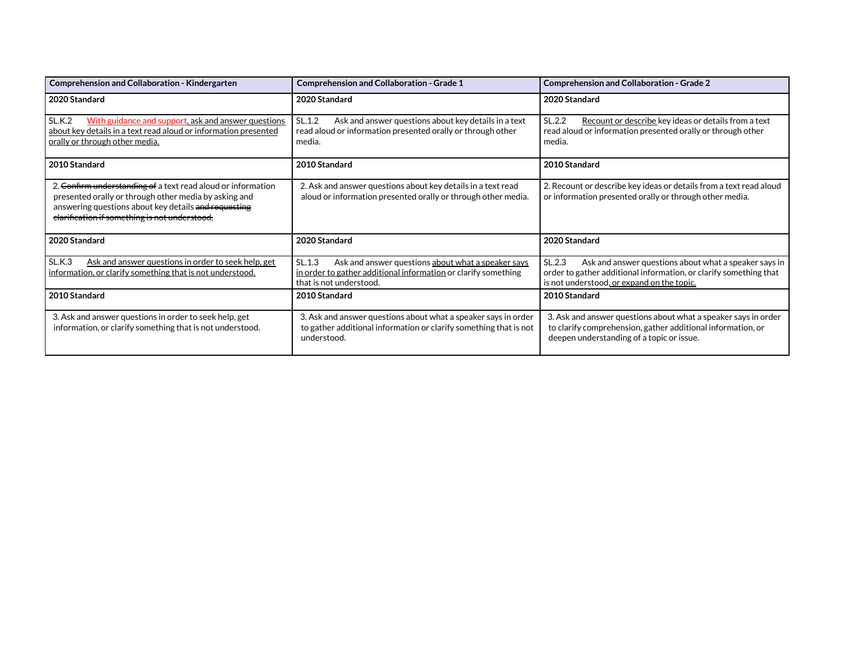| <b>Comprehension and Collaboration - Kindergarten</b>                                                                                                                                                                                                                                                                                                           | <b>Comprehension and Collaboration - Grade 1</b>                                                                                                          | <b>Comprehension and Collaboration - Grade 2</b>                                                                                                                                   |  |  |
|-----------------------------------------------------------------------------------------------------------------------------------------------------------------------------------------------------------------------------------------------------------------------------------------------------------------------------------------------------------------|-----------------------------------------------------------------------------------------------------------------------------------------------------------|------------------------------------------------------------------------------------------------------------------------------------------------------------------------------------|--|--|
| 2020 Standard                                                                                                                                                                                                                                                                                                                                                   | 2020 Standard                                                                                                                                             | 2020 Standard                                                                                                                                                                      |  |  |
| SL.K.2<br>With guidance and support, ask and answer questions<br>about key details in a text read aloud or information presented<br>orally or through other media.                                                                                                                                                                                              | SL.1.2<br>Ask and answer questions about key details in a text<br>read aloud or information presented orally or through other<br>media.                   | SL.2.2<br>Recount or describe key ideas or details from a text<br>read aloud or information presented orally or through other<br>media.                                            |  |  |
| 2010 Standard                                                                                                                                                                                                                                                                                                                                                   | 2010 Standard                                                                                                                                             | 2010 Standard                                                                                                                                                                      |  |  |
| 2. Confirm understanding of a text read aloud or information<br>2. Ask and answer questions about key details in a text read<br>presented orally or through other media by asking and<br>aloud or information presented orally or through other media.<br>answering questions about key details and requesting<br>clarification if something is not understood. |                                                                                                                                                           | 2. Recount or describe key ideas or details from a text read aloud<br>or information presented orally or through other media.                                                      |  |  |
| 2020 Standard                                                                                                                                                                                                                                                                                                                                                   | 2020 Standard                                                                                                                                             | 2020 Standard                                                                                                                                                                      |  |  |
| SL.K.3<br>Ask and answer questions in order to seek help, get<br>information, or clarify something that is not understood.                                                                                                                                                                                                                                      | SL.1.3<br>Ask and answer questions about what a speaker says<br>in order to gather additional information or clarify something<br>that is not understood. | SL.2.3<br>Ask and answer questions about what a speaker says in<br>order to gather additional information, or clarify something that<br>is not understood, or expand on the topic. |  |  |
| 2010 Standard                                                                                                                                                                                                                                                                                                                                                   | 2010 Standard                                                                                                                                             | 2010 Standard                                                                                                                                                                      |  |  |
| 3. Ask and answer questions in order to seek help, get<br>information, or clarify something that is not understood.                                                                                                                                                                                                                                             | 3. Ask and answer questions about what a speaker says in order<br>to gather additional information or clarify something that is not<br>understood.        | 3. Ask and answer questions about what a speaker says in order<br>to clarify comprehension, gather additional information, or<br>deepen understanding of a topic or issue.         |  |  |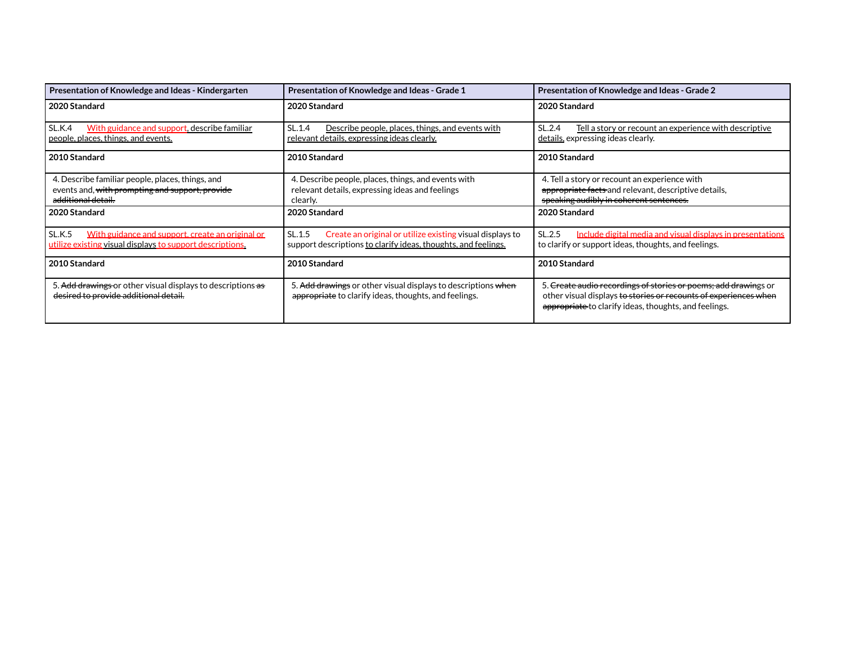| Presentation of Knowledge and Ideas - Kindergarten                                                                        | Presentation of Knowledge and Ideas - Grade 1<br>Presentation of Knowledge and Ideas - Grade 2                                        |                                                                                                                                                                                              |  |
|---------------------------------------------------------------------------------------------------------------------------|---------------------------------------------------------------------------------------------------------------------------------------|----------------------------------------------------------------------------------------------------------------------------------------------------------------------------------------------|--|
| 2020 Standard                                                                                                             | 2020 Standard                                                                                                                         | 2020 Standard                                                                                                                                                                                |  |
| <b>SL.K.4</b><br>With guidance and support, describe familiar<br>people, places, things, and events.                      | SL.2.4<br>SL.1.4<br>Describe people, places, things, and events with<br><u>relevant details, expressing ideas clearly.</u>            |                                                                                                                                                                                              |  |
| 2010 Standard                                                                                                             | 2010 Standard                                                                                                                         | 2010 Standard                                                                                                                                                                                |  |
| 4. Describe familiar people, places, things, and<br>events and, with prompting and support, provide<br>additional detail. | 4. Describe people, places, things, and events with<br>relevant details, expressing ideas and feelings<br>clearly.                    | 4. Tell a story or recount an experience with<br>appropriate facts and relevant, descriptive details,<br>speaking audibly in coherent sentences.                                             |  |
| 2020 Standard                                                                                                             | 2020 Standard                                                                                                                         | 2020 Standard                                                                                                                                                                                |  |
| SL.K.5<br>With guidance and support, create an original or<br>utilize existing visual displays to support descriptions.   | SL.1.5<br>Create an original or utilize existing visual displays to<br>support descriptions to clarify ideas, thoughts, and feelings. | SL.2.5<br>Include digital media and visual displays in presentations<br>to clarify or support ideas, thoughts, and feelings.                                                                 |  |
| 2010 Standard                                                                                                             | 2010 Standard                                                                                                                         | 2010 Standard                                                                                                                                                                                |  |
| 5. Add drawings or other visual displays to descriptions as<br>desired to provide additional detail.                      | 5. Add drawings or other visual displays to descriptions when<br>appropriate to clarify ideas, thoughts, and feelings.                | 5. Create audio recordings of stories or poems; add drawings or<br>other visual displays to stories or recounts of experiences when<br>appropriate to clarify ideas, thoughts, and feelings. |  |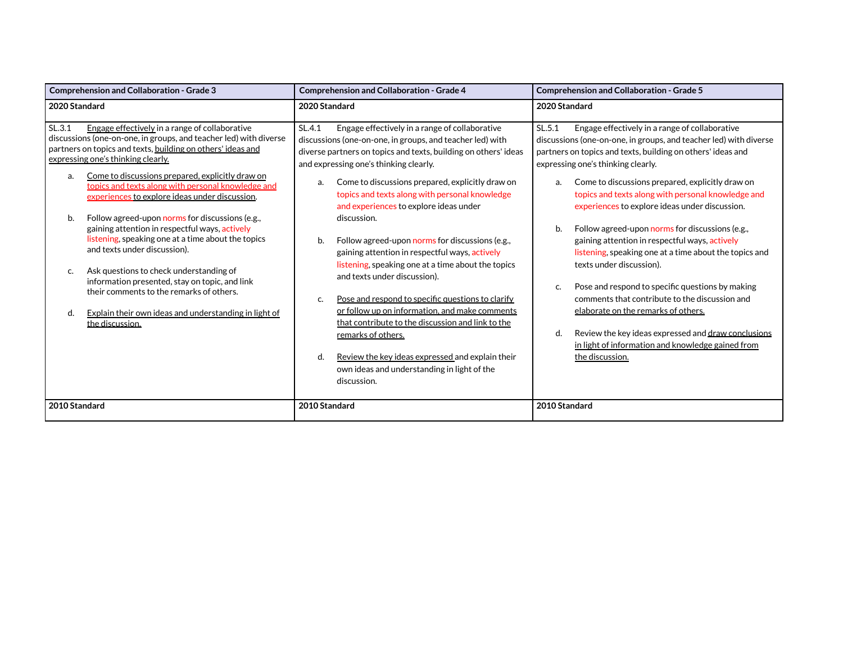| <b>Comprehension and Collaboration - Grade 3</b>                                                                                                                                                                                                                                                                                             | <b>Comprehension and Collaboration - Grade 4</b>                                                                                                                                                                                                                        | <b>Comprehension and Collaboration - Grade 5</b>                                                                                                                                                                                                                                                    |  |  |
|----------------------------------------------------------------------------------------------------------------------------------------------------------------------------------------------------------------------------------------------------------------------------------------------------------------------------------------------|-------------------------------------------------------------------------------------------------------------------------------------------------------------------------------------------------------------------------------------------------------------------------|-----------------------------------------------------------------------------------------------------------------------------------------------------------------------------------------------------------------------------------------------------------------------------------------------------|--|--|
| 2020 Standard                                                                                                                                                                                                                                                                                                                                | 2020 Standard                                                                                                                                                                                                                                                           | 2020 Standard<br>SL.5.1<br>Engage effectively in a range of collaborative<br>discussions (one-on-one, in groups, and teacher led) with diverse<br>partners on topics and texts, building on others' ideas and<br>expressing one's thinking clearly.                                                 |  |  |
| SL.3.1<br>Engage effectively in a range of collaborative<br>discussions (one-on-one, in groups, and teacher led) with diverse<br>partners on topics and texts, building on others' ideas and<br>expressing one's thinking clearly.                                                                                                           | SL.4.1<br>Engage effectively in a range of collaborative<br>discussions (one-on-one, in groups, and teacher led) with<br>diverse partners on topics and texts, building on others' ideas<br>and expressing one's thinking clearly.                                      |                                                                                                                                                                                                                                                                                                     |  |  |
| Come to discussions prepared, explicitly draw on<br>a.<br>topics and texts along with personal knowledge and<br>experiences to explore ideas under discussion.                                                                                                                                                                               | Come to discussions prepared, explicitly draw on<br>a.<br>topics and texts along with personal knowledge<br>and experiences to explore ideas under                                                                                                                      | Come to discussions prepared, explicitly draw on<br>a.<br>topics and texts along with personal knowledge and<br>experiences to explore ideas under discussion.                                                                                                                                      |  |  |
| Follow agreed-upon norms for discussions (e.g.,<br>b.<br>gaining attention in respectful ways, actively<br>listening, speaking one at a time about the topics<br>and texts under discussion).<br>Ask questions to check understanding of<br>C.<br>information presented, stay on topic, and link<br>their comments to the remarks of others. | discussion.<br>Follow agreed-upon norms for discussions (e.g.,<br>b.<br>gaining attention in respectful ways, actively<br>listening, speaking one at a time about the topics<br>and texts under discussion).<br>Pose and respond to specific questions to clarify<br>c. | Follow agreed-upon norms for discussions (e.g.,<br>gaining attention in respectful ways, actively<br>listening, speaking one at a time about the topics and<br>texts under discussion).<br>Pose and respond to specific questions by making<br>C.<br>comments that contribute to the discussion and |  |  |
| Explain their own ideas and understanding in light of<br>d.<br>the discussion.                                                                                                                                                                                                                                                               | or follow up on information, and make comments<br>that contribute to the discussion and link to the<br>remarks of others.<br>Review the key ideas expressed and explain their<br>d.<br>own ideas and understanding in light of the<br>discussion.                       | elaborate on the remarks of others.<br>Review the key ideas expressed and draw conclusions<br>d.<br>in light of information and knowledge gained from<br>the discussion.                                                                                                                            |  |  |
| 2010 Standard                                                                                                                                                                                                                                                                                                                                | 2010 Standard                                                                                                                                                                                                                                                           | 2010 Standard                                                                                                                                                                                                                                                                                       |  |  |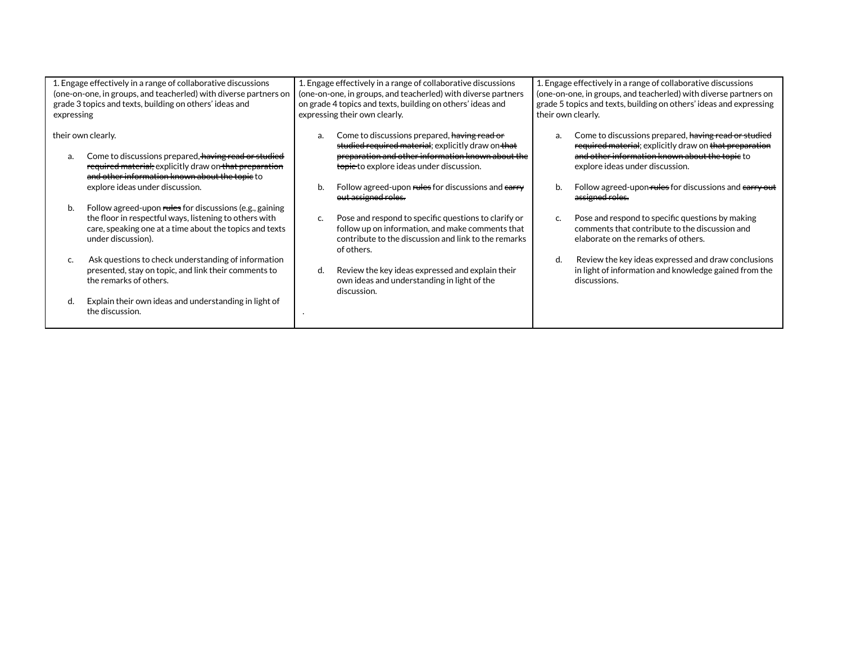| 1. Engage effectively in a range of collaborative discussions<br>(one-on-one, in groups, and teacherled) with diverse partners on<br>grade 3 topics and texts, building on others' ideas and<br>expressing |                                                                                                                                                                                                    | 1. Engage effectively in a range of collaborative discussions<br>(one-on-one, in groups, and teacherled) with diverse partners<br>on grade 4 topics and texts, building on others' ideas and<br>expressing their own clearly. |                                                                                                                                                                                                                 | 1. Engage effectively in a range of collaborative discussions<br>(one-on-one, in groups, and teacherled) with diverse partners on<br>grade 5 topics and texts, building on others' ideas and expressing<br>their own clearly. |                                                                                                                                                                                                     |
|------------------------------------------------------------------------------------------------------------------------------------------------------------------------------------------------------------|----------------------------------------------------------------------------------------------------------------------------------------------------------------------------------------------------|-------------------------------------------------------------------------------------------------------------------------------------------------------------------------------------------------------------------------------|-----------------------------------------------------------------------------------------------------------------------------------------------------------------------------------------------------------------|-------------------------------------------------------------------------------------------------------------------------------------------------------------------------------------------------------------------------------|-----------------------------------------------------------------------------------------------------------------------------------------------------------------------------------------------------|
| their own clearly.<br>a.                                                                                                                                                                                   | Come to discussions prepared, having read or studied<br>required material: explicitly draw on that preparation                                                                                     | a.                                                                                                                                                                                                                            | Come to discussions prepared, having read or<br>studied required material; explicitly draw on that<br>preparation and other information known about the<br><del>topic </del> to explore ideas under discussion. | a.                                                                                                                                                                                                                            | Come to discussions prepared, having read or studied<br>required material; explicitly draw on that preparation<br>and other information known about the topic to<br>explore ideas under discussion. |
|                                                                                                                                                                                                            | and other information known about the topie to<br>explore ideas under discussion.                                                                                                                  | b.                                                                                                                                                                                                                            | Follow agreed-upon rules for discussions and earry<br>out assigned roles.                                                                                                                                       |                                                                                                                                                                                                                               | Follow agreed-upon rules for discussions and earry out<br>assigned roles.                                                                                                                           |
| b.                                                                                                                                                                                                         | Follow agreed-upon rules for discussions (e.g., gaining<br>the floor in respectful ways, listening to others with<br>care, speaking one at a time about the topics and texts<br>under discussion). | c.                                                                                                                                                                                                                            | Pose and respond to specific questions to clarify or<br>follow up on information, and make comments that<br>contribute to the discussion and link to the remarks<br>of others.                                  |                                                                                                                                                                                                                               | Pose and respond to specific questions by making<br>comments that contribute to the discussion and<br>elaborate on the remarks of others.                                                           |
|                                                                                                                                                                                                            | Ask questions to check understanding of information<br>presented, stay on topic, and link their comments to<br>the remarks of others.                                                              | d.                                                                                                                                                                                                                            | Review the key ideas expressed and explain their<br>own ideas and understanding in light of the<br>discussion.                                                                                                  | d.                                                                                                                                                                                                                            | Review the key ideas expressed and draw conclusions<br>in light of information and knowledge gained from the<br>discussions.                                                                        |
|                                                                                                                                                                                                            | Explain their own ideas and understanding in light of<br>the discussion.                                                                                                                           |                                                                                                                                                                                                                               |                                                                                                                                                                                                                 |                                                                                                                                                                                                                               |                                                                                                                                                                                                     |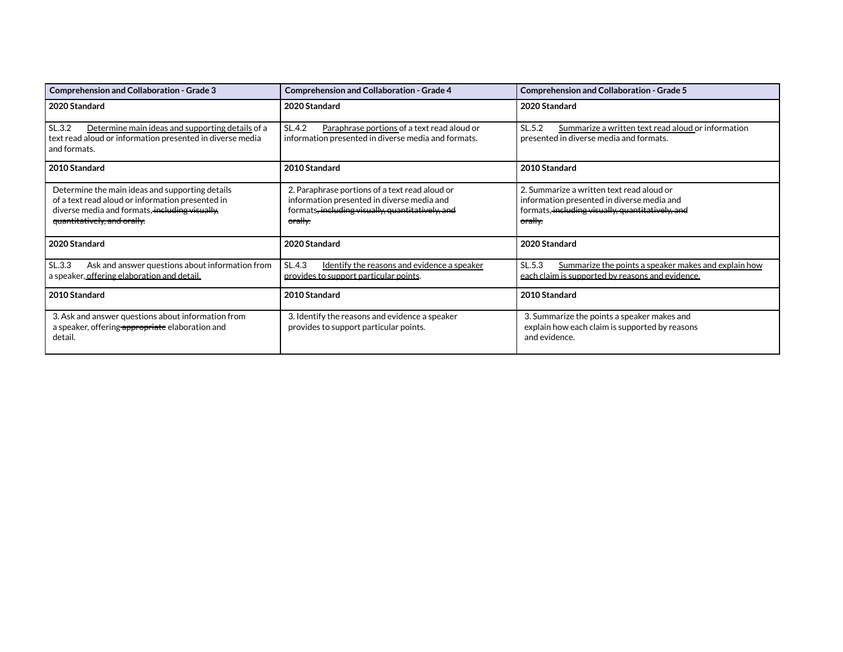| <b>Comprehension and Collaboration - Grade 3</b><br><b>Comprehension and Collaboration - Grade 4</b>                                                                                 |                                                                                                                                                                        | <b>Comprehension and Collaboration - Grade 5</b>                                                                                                                  |
|--------------------------------------------------------------------------------------------------------------------------------------------------------------------------------------|------------------------------------------------------------------------------------------------------------------------------------------------------------------------|-------------------------------------------------------------------------------------------------------------------------------------------------------------------|
| 2020 Standard                                                                                                                                                                        | 2020 Standard                                                                                                                                                          | 2020 Standard                                                                                                                                                     |
| SL.3.2<br>Determine main ideas and supporting details of a<br>text read aloud or information presented in diverse media<br>and formats.                                              | SL.4.2<br>Paraphrase portions of a text read aloud or<br>information presented in diverse media and formats.                                                           | SL.5.2<br>Summarize a written text read aloud or information<br>presented in diverse media and formats.                                                           |
| 2010 Standard                                                                                                                                                                        | 2010 Standard                                                                                                                                                          | 2010 Standard                                                                                                                                                     |
| Determine the main ideas and supporting details<br>of a text read aloud or information presented in<br>diverse media and formats, including visually,<br>quantitatively, and orally. | 2. Paraphrase portions of a text read aloud or<br>information presented in diverse media and<br>formats, including visually, quantitatively, and<br><del>orally.</del> | 2. Summarize a written text read aloud or<br>information presented in diverse media and<br>formats, including visually, quantitatively, and<br><del>orally.</del> |
| 2020 Standard                                                                                                                                                                        | 2020 Standard                                                                                                                                                          | 2020 Standard                                                                                                                                                     |
| SL.3.3<br>Ask and answer questions about information from<br>a speaker, offering elaboration and detail.                                                                             | SL.4.3<br>Identify the reasons and evidence a speaker<br>provides to support particular points.                                                                        | SL.5.3<br>Summarize the points a speaker makes and explain how<br>each claim is supported by reasons and evidence.                                                |
| 2010 Standard                                                                                                                                                                        | 2010 Standard                                                                                                                                                          | 2010 Standard                                                                                                                                                     |
| 3. Ask and answer questions about information from<br>a speaker, offering appropriate elaboration and<br>detail.                                                                     | 3. Identify the reasons and evidence a speaker<br>provides to support particular points.                                                                               | 3. Summarize the points a speaker makes and<br>explain how each claim is supported by reasons<br>and evidence.                                                    |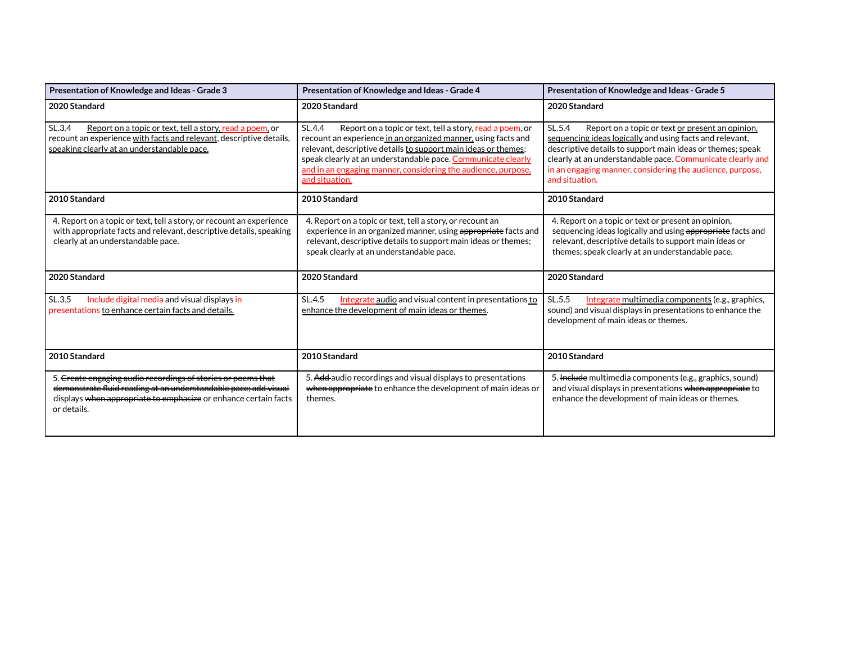| Presentation of Knowledge and Ideas - Grade 3                                                                                                                                                                     | Presentation of Knowledge and Ideas - Grade 4                                                                                                                                                                                                                                                                                                            | Presentation of Knowledge and Ideas - Grade 5                                                                                                                                                                                                                                                                                     |
|-------------------------------------------------------------------------------------------------------------------------------------------------------------------------------------------------------------------|----------------------------------------------------------------------------------------------------------------------------------------------------------------------------------------------------------------------------------------------------------------------------------------------------------------------------------------------------------|-----------------------------------------------------------------------------------------------------------------------------------------------------------------------------------------------------------------------------------------------------------------------------------------------------------------------------------|
| 2020 Standard                                                                                                                                                                                                     | 2020 Standard                                                                                                                                                                                                                                                                                                                                            | 2020 Standard                                                                                                                                                                                                                                                                                                                     |
| SL.3.4<br>Report on a topic or text, tell a story, read a poem, or<br>recount an experience with facts and relevant, descriptive details,<br>speaking clearly at an understandable pace.                          | SL.4.4<br>Report on a topic or text, tell a story, read a poem, or<br>recount an experience in an organized manner, using facts and<br>relevant, descriptive details to support main ideas or themes;<br>speak clearly at an understandable pace. Communicate clearly<br>and in an engaging manner, considering the audience, purpose,<br>and situation. | SL.5.4<br>Report on a topic or text or present an opinion,<br>sequencing ideas logically and using facts and relevant,<br>descriptive details to support main ideas or themes; speak<br>clearly at an understandable pace. Communicate clearly and<br>in an engaging manner, considering the audience, purpose,<br>and situation. |
| 2010 Standard                                                                                                                                                                                                     | 2010 Standard                                                                                                                                                                                                                                                                                                                                            | 2010 Standard                                                                                                                                                                                                                                                                                                                     |
| 4. Report on a topic or text, tell a story, or recount an experience<br>with appropriate facts and relevant, descriptive details, speaking<br>clearly at an understandable pace.                                  | 4. Report on a topic or text, tell a story, or recount an<br>experience in an organized manner, using appropriate facts and<br>relevant, descriptive details to support main ideas or themes;<br>speak clearly at an understandable pace.                                                                                                                | 4. Report on a topic or text or present an opinion,<br>sequencing ideas logically and using appropriate facts and<br>relevant, descriptive details to support main ideas or<br>themes; speak clearly at an understandable pace.                                                                                                   |
| 2020 Standard                                                                                                                                                                                                     | 2020 Standard                                                                                                                                                                                                                                                                                                                                            | 2020 Standard                                                                                                                                                                                                                                                                                                                     |
| Include digital media and visual displays in<br>SL.3.5<br>presentations to enhance certain facts and details.                                                                                                     | SL.4.5<br>Integrate audio and visual content in presentations to<br>enhance the development of main ideas or themes.                                                                                                                                                                                                                                     | Integrate multimedia components (e.g., graphics,<br>SL.5.5<br>sound) and visual displays in presentations to enhance the<br>development of main ideas or themes.                                                                                                                                                                  |
| 2010 Standard                                                                                                                                                                                                     | 2010 Standard                                                                                                                                                                                                                                                                                                                                            | 2010 Standard                                                                                                                                                                                                                                                                                                                     |
| 5. Create engaging audio recordings of stories or poems that<br>demonstrate fluid reading at an understandable pace; add visual<br>displays when appropriate to emphasize or enhance certain facts<br>or details. | 5. Add-audio recordings and visual displays to presentations<br>when appropriate to enhance the development of main ideas or<br>themes.                                                                                                                                                                                                                  | 5. He tude multimedia components (e.g., graphics, sound)<br>and visual displays in presentations when appropriate to<br>enhance the development of main ideas or themes.                                                                                                                                                          |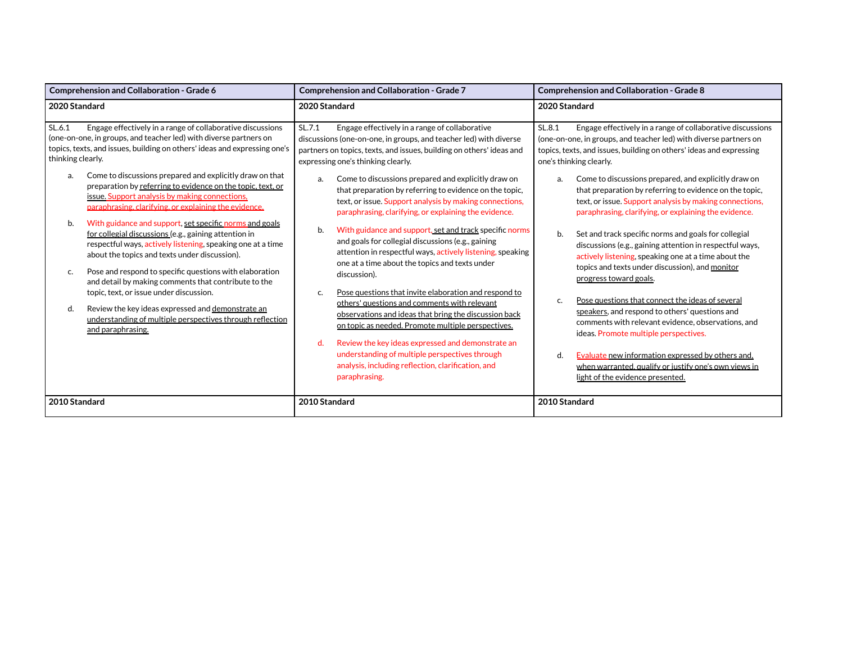| Comprehension and Collaboration - Grade 6                                                                                                                                                                                                                                                                                                                       | <b>Comprehension and Collaboration - Grade 7</b>                                                                                                                                                                                                                                                                                                                                                               | Comprehension and Collaboration - Grade 8                                                                                                                                                                                                                                                                                                                       |  |
|-----------------------------------------------------------------------------------------------------------------------------------------------------------------------------------------------------------------------------------------------------------------------------------------------------------------------------------------------------------------|----------------------------------------------------------------------------------------------------------------------------------------------------------------------------------------------------------------------------------------------------------------------------------------------------------------------------------------------------------------------------------------------------------------|-----------------------------------------------------------------------------------------------------------------------------------------------------------------------------------------------------------------------------------------------------------------------------------------------------------------------------------------------------------------|--|
| 2020 Standard                                                                                                                                                                                                                                                                                                                                                   | 2020 Standard                                                                                                                                                                                                                                                                                                                                                                                                  | 2020 Standard                                                                                                                                                                                                                                                                                                                                                   |  |
| SL.6.1<br>Engage effectively in a range of collaborative discussions<br>(one-on-one, in groups, and teacher led) with diverse partners on<br>topics, texts, and issues, building on others' ideas and expressing one's<br>thinking clearly.                                                                                                                     | SL.7.1<br>Engage effectively in a range of collaborative<br>discussions (one-on-one, in groups, and teacher led) with diverse<br>partners on topics, texts, and issues, building on others' ideas and<br>expressing one's thinking clearly.                                                                                                                                                                    | SL.8.1<br>Engage effectively in a range of collaborative discussions<br>(one-on-one, in groups, and teacher led) with diverse partners on<br>topics, texts, and issues, building on others' ideas and expressing<br>one's thinking clearly.                                                                                                                     |  |
| Come to discussions prepared and explicitly draw on that<br>a.<br>preparation by referring to evidence on the topic, text, or<br>issue. Support analysis by making connections,<br>paraphrasing, clarifying, or explaining the evidence.                                                                                                                        | Come to discussions prepared and explicitly draw on<br>a.<br>that preparation by referring to evidence on the topic,<br>text, or issue. Support analysis by making connections,<br>paraphrasing, clarifying, or explaining the evidence.                                                                                                                                                                       | Come to discussions prepared, and explicitly draw on<br>a.<br>that preparation by referring to evidence on the topic,<br>text, or issue. Support analysis by making connections,<br>paraphrasing, clarifying, or explaining the evidence.                                                                                                                       |  |
| With guidance and support, set specific norms and goals<br>b.<br>for collegial discussions (e.g., gaining attention in<br>respectful ways, actively listening, speaking one at a time<br>about the topics and texts under discussion).<br>Pose and respond to specific questions with elaboration<br>c.<br>and detail by making comments that contribute to the | b.<br>With guidance and support, set and track specific norms<br>and goals for collegial discussions (e.g., gaining<br>attention in respectful ways, actively listening, speaking<br>one at a time about the topics and texts under<br>discussion).                                                                                                                                                            | Set and track specific norms and goals for collegial<br>b.<br>discussions (e.g., gaining attention in respectful ways,<br>actively listening, speaking one at a time about the<br>topics and texts under discussion), and monitor<br>progress toward goals.                                                                                                     |  |
| topic, text, or issue under discussion.<br>Review the key ideas expressed and demonstrate an<br>d.<br>understanding of multiple perspectives through reflection<br>and paraphrasing.                                                                                                                                                                            | Pose questions that invite elaboration and respond to<br>c.<br>others' questions and comments with relevant<br>observations and ideas that bring the discussion back<br>on topic as needed. Promote multiple perspectives.<br>Review the key ideas expressed and demonstrate an<br>d.<br>understanding of multiple perspectives through<br>analysis, including reflection, clarification, and<br>paraphrasing. | Pose questions that connect the ideas of several<br>c.<br>speakers, and respond to others' questions and<br>comments with relevant evidence, observations, and<br>ideas. Promote multiple perspectives.<br>Evaluate new information expressed by others and,<br>d.<br>when warranted, qualify or justify one's own views in<br>light of the evidence presented. |  |
| 2010 Standard                                                                                                                                                                                                                                                                                                                                                   | 2010 Standard                                                                                                                                                                                                                                                                                                                                                                                                  | 2010 Standard                                                                                                                                                                                                                                                                                                                                                   |  |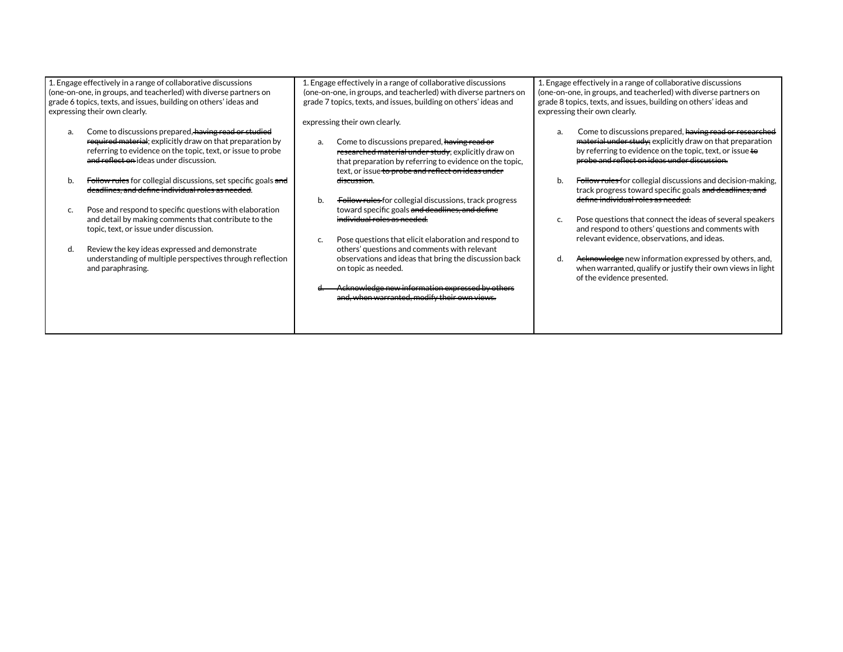| 1. Engage effectively in a range of collaborative discussions<br>(one-on-one, in groups, and teacherled) with diverse partners on<br>grade 6 topics, texts, and issues, building on others' ideas and<br>expressing their own clearly. | 1. Engage effectively in a range of collaborative discussions<br>(one-on-one, in groups, and teacherled) with diverse partners on<br>grade 7 topics, texts, and issues, building on others' ideas and                                                       | 1. Engage effectively in a range of collaborative discussions<br>(one-on-one, in groups, and teacherled) with diverse partners on<br>grade 8 topics, texts, and issues, building on others' ideas and<br>expressing their own clearly. |
|----------------------------------------------------------------------------------------------------------------------------------------------------------------------------------------------------------------------------------------|-------------------------------------------------------------------------------------------------------------------------------------------------------------------------------------------------------------------------------------------------------------|----------------------------------------------------------------------------------------------------------------------------------------------------------------------------------------------------------------------------------------|
| Come to discussions prepared, having read or studied<br>a.<br>required material; explicitly draw on that preparation by<br>referring to evidence on the topic, text, or issue to probe<br>and reflect on ideas under discussion.       | expressing their own clearly.<br>Come to discussions prepared, having read or<br>a.<br>researched material under study; explicitly draw on<br>that preparation by referring to evidence on the topic,<br>text, or issue to probe and reflect on ideas under | Come to discussions prepared, having read or researched<br>material under study; explicitly draw on that preparation<br>by referring to evidence on the topic, text, or issue to<br>probe and reflect on ideas under discussion.       |
| Follow rules for collegial discussions, set specific goals and<br>b.<br>deadlines, and define individual roles as needed.                                                                                                              | discussion.<br>Follow rules for collegial discussions, track progress<br>b.                                                                                                                                                                                 | Follow rules for collegial discussions and decision-making,<br>b.<br>track progress toward specific goals and deadlines, and<br>define individual roles as needed.                                                                     |
| Pose and respond to specific questions with elaboration<br>C.<br>and detail by making comments that contribute to the<br>topic, text, or issue under discussion.                                                                       | toward specific goals and deadlines, and define<br>individual roles as needed.<br>Pose questions that elicit elaboration and respond to<br>c.                                                                                                               | Pose questions that connect the ideas of several speakers<br>and respond to others' questions and comments with<br>relevant evidence, observations, and ideas.                                                                         |
| Review the key ideas expressed and demonstrate<br>d.<br>understanding of multiple perspectives through reflection<br>and paraphrasing.                                                                                                 | others' questions and comments with relevant<br>observations and ideas that bring the discussion back<br>on topic as needed.<br>Acknowledge new information expressed by others<br>and, when warranted, modify their own views.                             | Acknowledge new information expressed by others, and,<br>d.<br>when warranted, qualify or justify their own views in light<br>of the evidence presented.                                                                               |
|                                                                                                                                                                                                                                        |                                                                                                                                                                                                                                                             |                                                                                                                                                                                                                                        |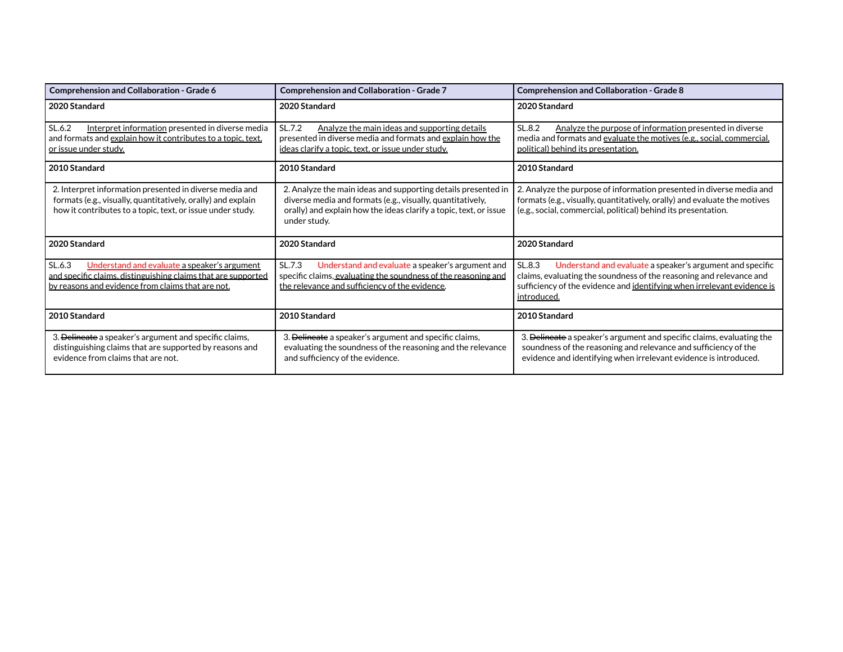| Comprehension and Collaboration - Grade 6                                                                                                                                             | Comprehension and Collaboration - Grade 7                                                                                                                                                                        | <b>Comprehension and Collaboration - Grade 8</b>                                                                                                                                                                                     |
|---------------------------------------------------------------------------------------------------------------------------------------------------------------------------------------|------------------------------------------------------------------------------------------------------------------------------------------------------------------------------------------------------------------|--------------------------------------------------------------------------------------------------------------------------------------------------------------------------------------------------------------------------------------|
| 2020 Standard                                                                                                                                                                         | 2020 Standard                                                                                                                                                                                                    | 2020 Standard                                                                                                                                                                                                                        |
| SL.6.2<br>Interpret information presented in diverse media<br>and formats and explain how it contributes to a topic, text.<br><u>or issue under study.</u>                            | Analyze the main ideas and supporting details<br>SL.7.2<br>presented in diverse media and formats and explain how the<br>ideas clarify a topic, text, or issue under study.                                      | SL.8.2<br>Analyze the purpose of information presented in diverse<br>media and formats and evaluate the motives (e.g., social, commercial,<br>political) behind its presentation.                                                    |
| 2010 Standard                                                                                                                                                                         | 2010 Standard                                                                                                                                                                                                    | 2010 Standard                                                                                                                                                                                                                        |
| 2. Interpret information presented in diverse media and<br>formats (e.g., visually, quantitatively, orally) and explain<br>how it contributes to a topic, text, or issue under study. | 2. Analyze the main ideas and supporting details presented in<br>diverse media and formats (e.g., visually, quantitatively,<br>orally) and explain how the ideas clarify a topic, text, or issue<br>under study. | 2. Analyze the purpose of information presented in diverse media and<br>formats (e.g., visually, quantitatively, orally) and evaluate the motives<br>(e.g., social, commercial, political) behind its presentation.                  |
| 2020 Standard                                                                                                                                                                         | 2020 Standard                                                                                                                                                                                                    | 2020 Standard                                                                                                                                                                                                                        |
| SL.6.3<br>Understand and evaluate a speaker's argument<br>and specific claims, distinguishing claims that are supported<br>by reasons and evidence from claims that are not.          | Understand and evaluate a speaker's argument and<br>SL.7.3<br>specific claims, evaluating the soundness of the reasoning and<br>the relevance and sufficiency of the evidence.                                   | SL.8.3<br>Understand and evaluate a speaker's argument and specific<br>claims, evaluating the soundness of the reasoning and relevance and<br>sufficiency of the evidence and identifying when irrelevant evidence is<br>introduced. |
| 2010 Standard                                                                                                                                                                         | 2010 Standard                                                                                                                                                                                                    | 2010 Standard                                                                                                                                                                                                                        |
| 3. Delineate a speaker's argument and specific claims,<br>distinguishing claims that are supported by reasons and<br>evidence from claims that are not.                               | 3. Delineate a speaker's argument and specific claims,<br>evaluating the soundness of the reasoning and the relevance<br>and sufficiency of the evidence.                                                        | 3. Delineate a speaker's argument and specific claims, evaluating the<br>soundness of the reasoning and relevance and sufficiency of the<br>evidence and identifying when irrelevant evidence is introduced.                         |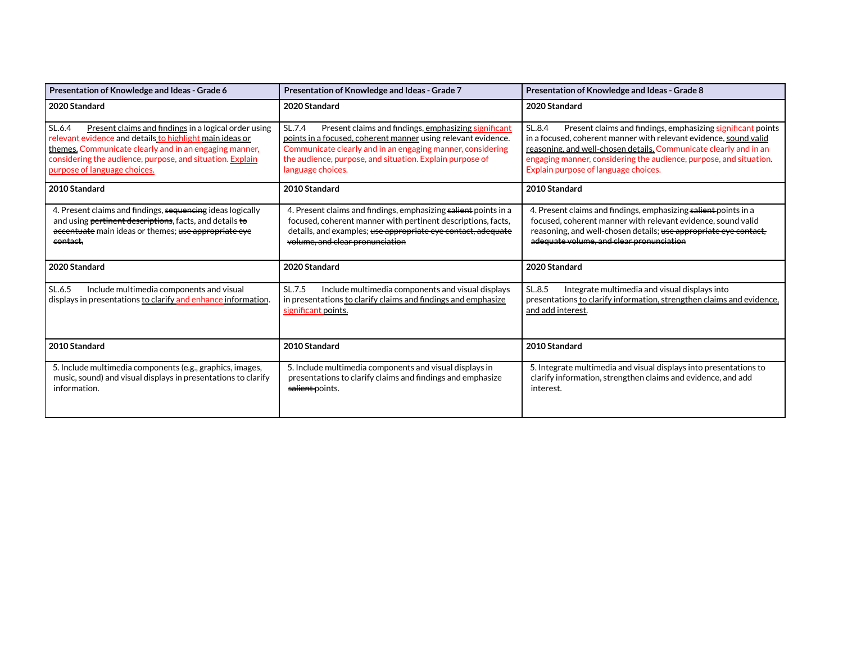| Presentation of Knowledge and Ideas - Grade 6                                                                                                                                                                                                                                     | Presentation of Knowledge and Ideas - Grade 7                                                                                                                                                                                                                                  | Presentation of Knowledge and Ideas - Grade 8                                                                                                                                                                                                                                                                                 |
|-----------------------------------------------------------------------------------------------------------------------------------------------------------------------------------------------------------------------------------------------------------------------------------|--------------------------------------------------------------------------------------------------------------------------------------------------------------------------------------------------------------------------------------------------------------------------------|-------------------------------------------------------------------------------------------------------------------------------------------------------------------------------------------------------------------------------------------------------------------------------------------------------------------------------|
| 2020 Standard                                                                                                                                                                                                                                                                     | 2020 Standard                                                                                                                                                                                                                                                                  | 2020 Standard                                                                                                                                                                                                                                                                                                                 |
| Present claims and findings in a logical order using<br>SL.6.4<br>relevant evidence and details to highlight main ideas or<br>themes. Communicate clearly and in an engaging manner,<br>considering the audience, purpose, and situation. Explain<br>purpose of language choices. | SL.7.4<br>Present claims and findings, emphasizing significant<br>points in a focused, coherent manner using relevant evidence.<br>Communicate clearly and in an engaging manner, considering<br>the audience, purpose, and situation. Explain purpose of<br>language choices. | Present claims and findings, emphasizing significant points<br>SL.8.4<br>in a focused, coherent manner with relevant evidence, sound valid<br>reasoning, and well-chosen details. Communicate clearly and in an<br>engaging manner, considering the audience, purpose, and situation.<br>Explain purpose of language choices. |
| 2010 Standard                                                                                                                                                                                                                                                                     | 2010 Standard                                                                                                                                                                                                                                                                  | 2010 Standard                                                                                                                                                                                                                                                                                                                 |
| 4. Present claims and findings, sequencing ideas logically<br>and using pertinent descriptions, facts, and details to<br>accentuate main ideas or themes; use appropriate eye<br>contact.                                                                                         | 4. Present claims and findings, emphasizing salient points in a<br>focused, coherent manner with pertinent descriptions, facts,<br>details, and examples; use appropriate eye contact, adequate<br>volume, and clear pronunciation                                             | 4. Present claims and findings, emphasizing salient points in a<br>focused, coherent manner with relevant evidence, sound valid<br>reasoning, and well-chosen details; use appropriate eye contact,<br>adequate volume, and clear pronunciation                                                                               |
| 2020 Standard                                                                                                                                                                                                                                                                     | 2020 Standard                                                                                                                                                                                                                                                                  | 2020 Standard                                                                                                                                                                                                                                                                                                                 |
| Include multimedia components and visual<br>SL.6.5<br>displays in presentations to clarify and enhance information.                                                                                                                                                               | SL.7.5<br>Include multimedia components and visual displays<br>in presentations to clarify claims and findings and emphasize<br>significant points.                                                                                                                            | SL.8.5<br>Integrate multimedia and visual displays into<br>presentations to clarify information, strengthen claims and evidence,<br>and add interest.                                                                                                                                                                         |
| 2010 Standard                                                                                                                                                                                                                                                                     | 2010 Standard                                                                                                                                                                                                                                                                  | 2010 Standard                                                                                                                                                                                                                                                                                                                 |
| 5. Include multimedia components (e.g., graphics, images,<br>music, sound) and visual displays in presentations to clarify<br>information.                                                                                                                                        | 5. Include multimedia components and visual displays in<br>presentations to clarify claims and findings and emphasize<br>salient-points.                                                                                                                                       | 5. Integrate multimedia and visual displays into presentations to<br>clarify information, strengthen claims and evidence, and add<br>interest.                                                                                                                                                                                |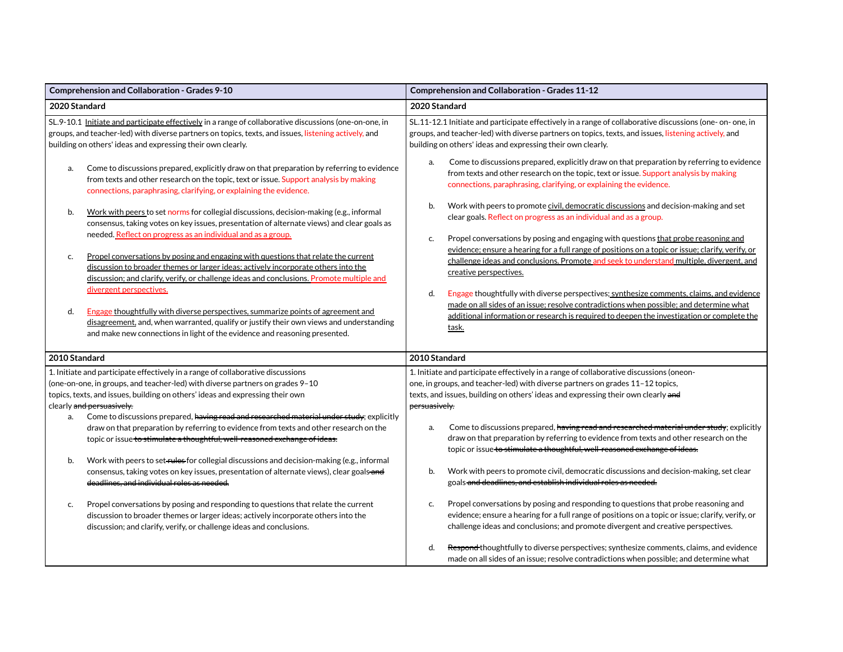| Comprehension and Collaboration - Grades 9-10                                                                                                                                                                                                                                              | <b>Comprehension and Collaboration - Grades 11-12</b>                                                                                                                                                                                                                                                                |  |
|--------------------------------------------------------------------------------------------------------------------------------------------------------------------------------------------------------------------------------------------------------------------------------------------|----------------------------------------------------------------------------------------------------------------------------------------------------------------------------------------------------------------------------------------------------------------------------------------------------------------------|--|
| 2020 Standard                                                                                                                                                                                                                                                                              | 2020 Standard                                                                                                                                                                                                                                                                                                        |  |
| SL.9-10.1 Initiate and participate effectively in a range of collaborative discussions (one-on-one, in<br>groups, and teacher-led) with diverse partners on topics, texts, and issues, listening actively, and<br>building on others' ideas and expressing their own clearly.              | SL.11-12.1 Initiate and participate effectively in a range of collaborative discussions (one- on- one, in<br>groups, and teacher-led) with diverse partners on topics, texts, and issues, listening actively, and<br>building on others' ideas and expressing their own clearly.                                     |  |
| Come to discussions prepared, explicitly draw on that preparation by referring to evidence<br>a.<br>from texts and other research on the topic, text or issue. Support analysis by making<br>connections, paraphrasing, clarifying, or explaining the evidence.                            | Come to discussions prepared, explicitly draw on that preparation by referring to evidence<br>a.<br>from texts and other research on the topic, text or issue. Support analysis by making<br>connections, paraphrasing, clarifying, or explaining the evidence.                                                      |  |
| Work with peers to set norms for collegial discussions, decision-making (e.g., informal<br>b.<br>consensus, taking votes on key issues, presentation of alternate views) and clear goals as<br>needed. Reflect on progress as an individual and as a group.                                | Work with peers to promote civil, democratic discussions and decision-making and set<br>b.<br>clear goals. Reflect on progress as an individual and as a group.                                                                                                                                                      |  |
| Propel conversations by posing and engaging with questions that relate the current<br>c.<br>discussion to broader themes or larger ideas; actively incorporate others into the<br>discussion; and clarify, verify, or challenge ideas and conclusions. Promote multiple and                | Propel conversations by posing and engaging with questions that probe reasoning and<br>c.<br>evidence; ensure a hearing for a full range of positions on a topic or issue; clarify, verify, or<br>challenge ideas and conclusions. Promote and seek to understand multiple, divergent, and<br>creative perspectives. |  |
| divergent perspectives.<br>d.<br>Engage thoughtfully with diverse perspectives, summarize points of agreement and<br>disagreement, and, when warranted, qualify or justify their own views and understanding<br>and make new connections in light of the evidence and reasoning presented. | Engage thoughtfully with diverse perspectives; synthesize comments, claims, and evidence<br>d.<br>made on all sides of an issue; resolve contradictions when possible; and determine what<br>additional information or research is required to deepen the investigation or complete the<br>task.                     |  |
| 2010 Standard                                                                                                                                                                                                                                                                              | 2010 Standard                                                                                                                                                                                                                                                                                                        |  |
| 1. Initiate and participate effectively in a range of collaborative discussions<br>(one-on-one, in groups, and teacher-led) with diverse partners on grades 9-10<br>topics, texts, and issues, building on others' ideas and expressing their own<br>clearly and persuasively.             | 1. Initiate and participate effectively in a range of collaborative discussions (oneon-<br>one, in groups, and teacher-led) with diverse partners on grades 11-12 topics,<br>texts, and issues, building on others' ideas and expressing their own clearly and<br>persuasively.                                      |  |
| Come to discussions prepared, having read and researched material under study; explicitly<br>a.<br>draw on that preparation by referring to evidence from texts and other research on the<br>topic or issue to stimulate a thoughtful, well-reasoned exchange of ideas.                    | Come to discussions prepared, having read and researched material under study; explicitly<br>a.<br>draw on that preparation by referring to evidence from texts and other research on the<br>topic or issue to stimulate a thoughtful, well reasoned exchange of ideas.                                              |  |
| Work with peers to set rules for collegial discussions and decision-making (e.g., informal<br>b.<br>consensus, taking votes on key issues, presentation of alternate views), clear goals-and<br>deadlines, and individual roles as needed.                                                 | Work with peers to promote civil, democratic discussions and decision-making, set clear<br>b.<br>goals and deadlines, and establish individual roles as needed.                                                                                                                                                      |  |
| Propel conversations by posing and responding to questions that relate the current<br>c.<br>discussion to broader themes or larger ideas; actively incorporate others into the<br>discussion; and clarify, verify, or challenge ideas and conclusions.                                     | Propel conversations by posing and responding to questions that probe reasoning and<br>c.<br>evidence; ensure a hearing for a full range of positions on a topic or issue; clarify, verify, or<br>challenge ideas and conclusions; and promote divergent and creative perspectives.                                  |  |
|                                                                                                                                                                                                                                                                                            | Respond thoughtfully to diverse perspectives; synthesize comments, claims, and evidence<br>d.<br>made on all sides of an issue; resolve contradictions when possible; and determine what                                                                                                                             |  |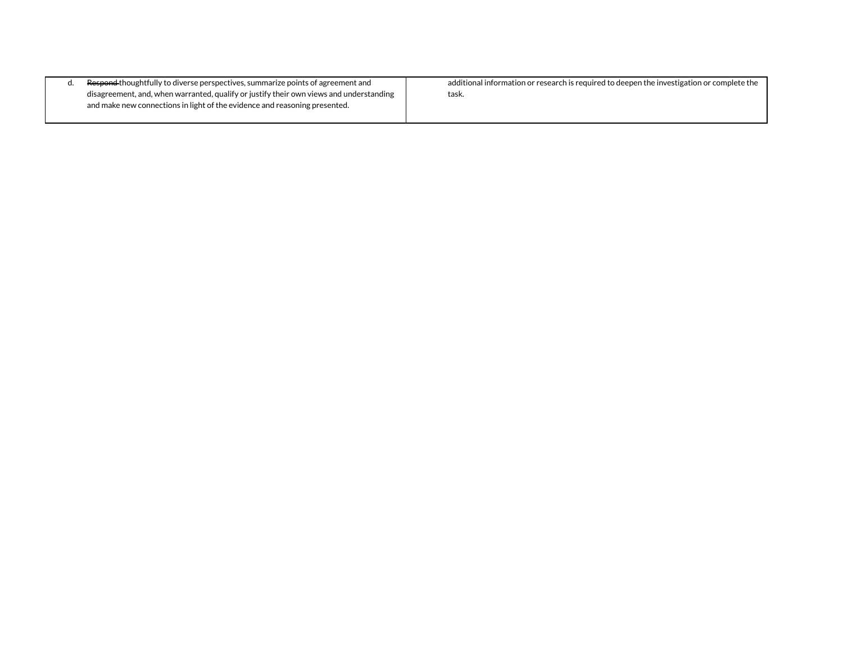| <del>Respond t</del> houghtfully to diverse perspectives, summarize points of agreement and | additional information or research is required to deepen the investigation or complete the |
|---------------------------------------------------------------------------------------------|--------------------------------------------------------------------------------------------|
| disagreement, and, when warranted, qualify or justify their own views and understanding     | task.                                                                                      |
| and make new connections in light of the evidence and reasoning presented.                  |                                                                                            |
|                                                                                             |                                                                                            |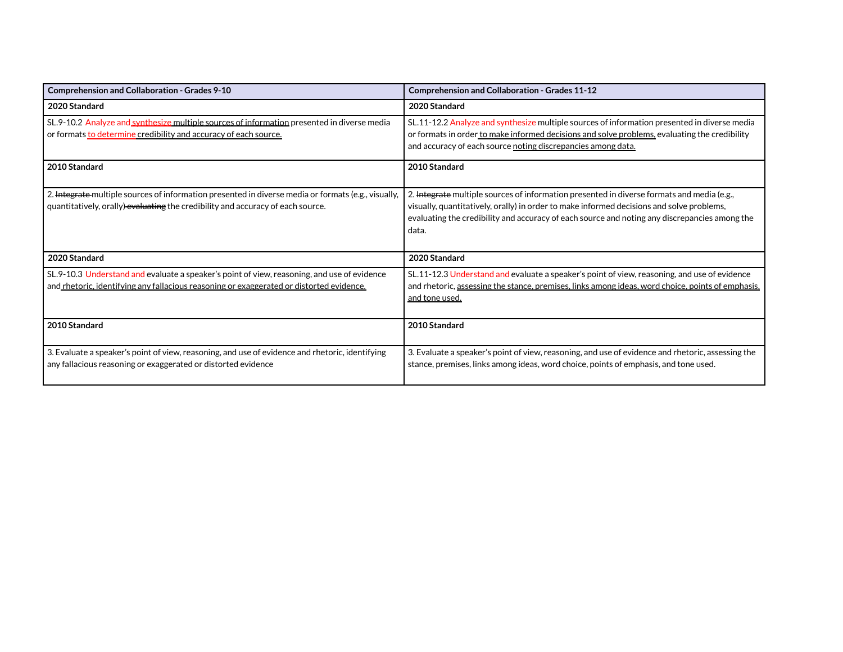| Comprehension and Collaboration - Grades 9-10                                                                                                                                           | <b>Comprehension and Collaboration - Grades 11-12</b>                                                                                                                                                                                                                                             |
|-----------------------------------------------------------------------------------------------------------------------------------------------------------------------------------------|---------------------------------------------------------------------------------------------------------------------------------------------------------------------------------------------------------------------------------------------------------------------------------------------------|
| 2020 Standard                                                                                                                                                                           | 2020 Standard                                                                                                                                                                                                                                                                                     |
| SL.9-10.2 Analyze and synthesize multiple sources of information presented in diverse media<br>or formats to determine credibility and accuracy of each source.                         | SL.11-12.2 Analyze and synthesize multiple sources of information presented in diverse media<br>or formats in order to make informed decisions and solve problems, evaluating the credibility<br>and accuracy of each source noting discrepancies among data.                                     |
| 2010 Standard                                                                                                                                                                           | 2010 Standard                                                                                                                                                                                                                                                                                     |
| 2. Integrate multiple sources of information presented in diverse media or formats (e.g., visually,<br>quantitatively, orally) evaluating the credibility and accuracy of each source.  | 2. Integrate multiple sources of information presented in diverse formats and media (e.g.,<br>visually, quantitatively, orally) in order to make informed decisions and solve problems,<br>evaluating the credibility and accuracy of each source and noting any discrepancies among the<br>data. |
| 2020 Standard                                                                                                                                                                           | 2020 Standard                                                                                                                                                                                                                                                                                     |
| SL.9-10.3 Understand and evaluate a speaker's point of view, reasoning, and use of evidence<br>and rhetoric, identifying any fallacious reasoning or exaggerated or distorted evidence. | SL.11-12.3 Understand and evaluate a speaker's point of view, reasoning, and use of evidence<br>and rhetoric, assessing the stance, premises, links among ideas, word choice, points of emphasis,<br>and tone used.                                                                               |
| 2010 Standard                                                                                                                                                                           | 2010 Standard                                                                                                                                                                                                                                                                                     |
| 3. Evaluate a speaker's point of view, reasoning, and use of evidence and rhetoric, identifying<br>any fallacious reasoning or exaggerated or distorted evidence                        | 3. Evaluate a speaker's point of view, reasoning, and use of evidence and rhetoric, assessing the<br>stance, premises, links among ideas, word choice, points of emphasis, and tone used.                                                                                                         |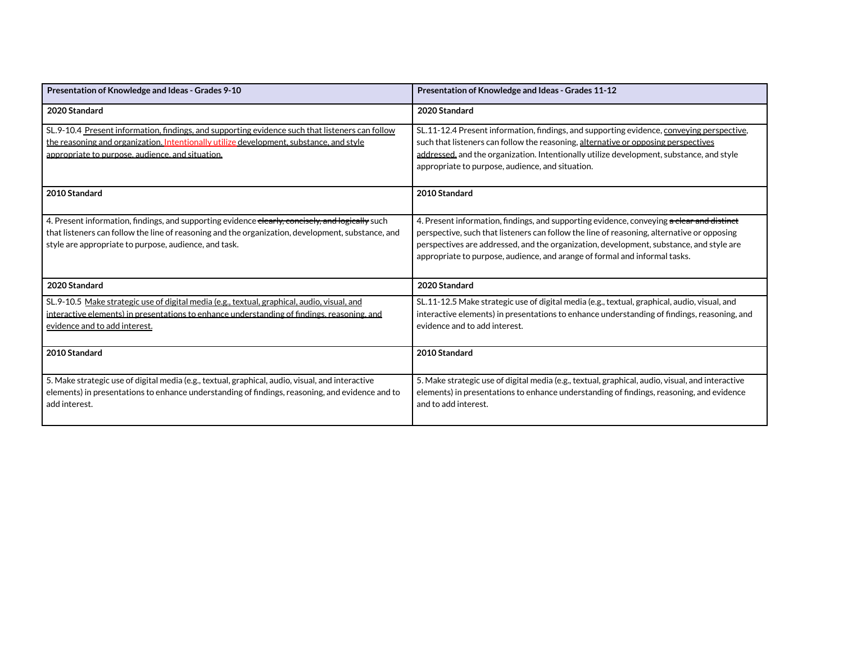| Presentation of Knowledge and Ideas - Grades 9-10                                                                                                                                                                                                              | Presentation of Knowledge and Ideas - Grades 11-12                                                                                                                                                                                                                                                                                                               |
|----------------------------------------------------------------------------------------------------------------------------------------------------------------------------------------------------------------------------------------------------------------|------------------------------------------------------------------------------------------------------------------------------------------------------------------------------------------------------------------------------------------------------------------------------------------------------------------------------------------------------------------|
| 2020 Standard                                                                                                                                                                                                                                                  | 2020 Standard                                                                                                                                                                                                                                                                                                                                                    |
| SL.9-10.4 Present information, findings, and supporting evidence such that listeners can follow<br>the reasoning and organization. Intentionally utilize development, substance, and style<br>appropriate to purpose, audience, and situation.                 | SL.11-12.4 Present information, findings, and supporting evidence, conveying perspective,<br>such that listeners can follow the reasoning, alternative or opposing perspectives<br>addressed, and the organization. Intentionally utilize development, substance, and style<br>appropriate to purpose, audience, and situation.                                  |
| 2010 Standard                                                                                                                                                                                                                                                  | 2010 Standard                                                                                                                                                                                                                                                                                                                                                    |
| 4. Present information, findings, and supporting evidence elearly, concisely, and logically such<br>that listeners can follow the line of reasoning and the organization, development, substance, and<br>style are appropriate to purpose, audience, and task. | 4. Present information, findings, and supporting evidence, conveying a clear and distinct<br>perspective, such that listeners can follow the line of reasoning, alternative or opposing<br>perspectives are addressed, and the organization, development, substance, and style are<br>appropriate to purpose, audience, and arange of formal and informal tasks. |
| 2020 Standard                                                                                                                                                                                                                                                  | 2020 Standard                                                                                                                                                                                                                                                                                                                                                    |
| SL.9-10.5 Make strategic use of digital media (e.g., textual, graphical, audio, visual, and<br>interactive elements) in presentations to enhance understanding of findings, reasoning, and<br>evidence and to add interest.                                    | SL.11-12.5 Make strategic use of digital media (e.g., textual, graphical, audio, visual, and<br>interactive elements) in presentations to enhance understanding of findings, reasoning, and<br>evidence and to add interest.                                                                                                                                     |
| 2010 Standard                                                                                                                                                                                                                                                  | 2010 Standard                                                                                                                                                                                                                                                                                                                                                    |
| 5. Make strategic use of digital media (e.g., textual, graphical, audio, visual, and interactive<br>elements) in presentations to enhance understanding of findings, reasoning, and evidence and to<br>add interest.                                           | 5. Make strategic use of digital media (e.g., textual, graphical, audio, visual, and interactive<br>elements) in presentations to enhance understanding of findings, reasoning, and evidence<br>and to add interest.                                                                                                                                             |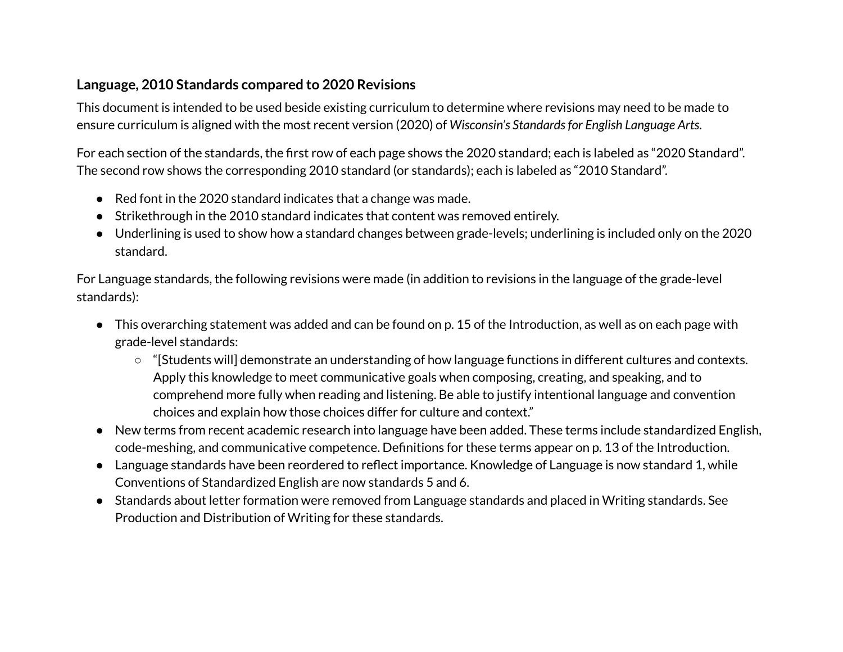### **Language, 2010 Standards compared to 2020 Revisions**

This document is intended to be used beside existing curriculum to determine where revisions may need to be made to ensure curriculum is aligned with the most recent version (2020) of *Wisconsin's Standardsfor English Language Arts*.

For each section of the standards, the first row of each page shows the 2020 standard; each is labeled as "2020 Standard". The second row shows the corresponding 2010 standard (or standards); each is labeled as "2010 Standard".

- Red font in the 2020 standard indicates that a change was made.
- Strikethrough in the 2010 standard indicates that content was removed entirely.
- Underlining is used to show how a standard changes between grade-levels; underlining is included only on the 2020 standard.

For Language standards, the following revisions were made (in addition to revisions in the language of the grade-level standards):

- This overarching statement was added and can be found on p. 15 of the Introduction, as well as on each page with grade-level standards:
	- "[Students will] demonstrate an understanding of how language functions in different cultures and contexts. Apply this knowledge to meet communicative goals when composing, creating, and speaking, and to comprehend more fully when reading and listening. Be able to justify intentional language and convention choices and explain how those choices differ for culture and context."
- New terms from recent academic research into language have been added. These terms include standardized English, code-meshing, and communicative competence. Definitions for these terms appear on p. 13 of the Introduction.
- Language standards have been reordered to reflect importance. Knowledge of Language is now standard 1, while Conventions of Standardized English are now standards 5 and 6.
- Standards about letter formation were removed from Language standards and placed in Writing standards. See Production and Distribution of Writing for these standards.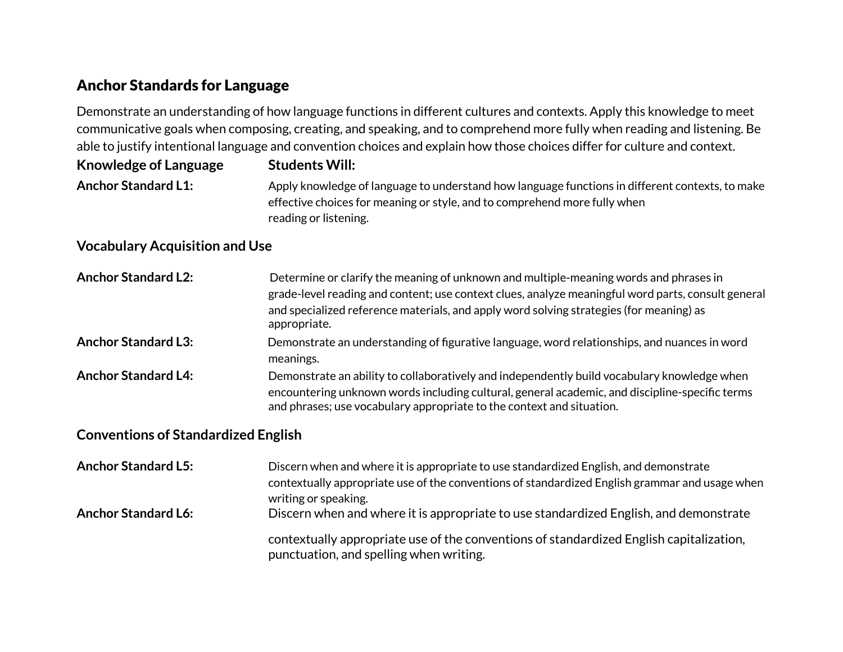# Anchor Standards for Language

Demonstrate an understanding of how language functions in different cultures and contexts. Apply this knowledge to meet communicative goals when composing, creating, and speaking, and to comprehend more fully when reading and listening. Be able to justify intentional language and convention choices and explain how those choices differ for culture and context.

| <b>Knowledge of Language</b> | <b>Students Will:</b>                                                                           |
|------------------------------|-------------------------------------------------------------------------------------------------|
| <b>Anchor Standard L1:</b>   | Apply knowledge of language to understand how language functions in different contexts, to make |
|                              | effective choices for meaning or style, and to comprehend more fully when                       |
|                              | reading or listening.                                                                           |

### **Vocabulary Acquisition and Use**

| <b>Anchor Standard L2:</b> | Determine or clarify the meaning of unknown and multiple-meaning words and phrases in<br>grade-level reading and content; use context clues, analyze meaningful word parts, consult general<br>and specialized reference materials, and apply word solving strategies (for meaning) as<br>appropriate. |
|----------------------------|--------------------------------------------------------------------------------------------------------------------------------------------------------------------------------------------------------------------------------------------------------------------------------------------------------|
| <b>Anchor Standard L3:</b> | Demonstrate an understanding of figurative language, word relationships, and nuances in word<br>meanings.                                                                                                                                                                                              |
| <b>Anchor Standard L4:</b> | Demonstrate an ability to collaboratively and independently build vocabulary knowledge when<br>encountering unknown words including cultural, general academic, and discipline-specific terms<br>and phrases; use vocabulary appropriate to the context and situation.                                 |

#### **Conventions of Standardized English**

| <b>Anchor Standard L5:</b> | Discern when and where it is appropriate to use standardized English, and demonstrate<br>contextually appropriate use of the conventions of standardized English grammar and usage when<br>writing or speaking. |
|----------------------------|-----------------------------------------------------------------------------------------------------------------------------------------------------------------------------------------------------------------|
| <b>Anchor Standard L6:</b> | Discern when and where it is appropriate to use standardized English, and demonstrate                                                                                                                           |
|                            | contextually appropriate use of the conventions of standardized English capitalization,<br>punctuation, and spelling when writing.                                                                              |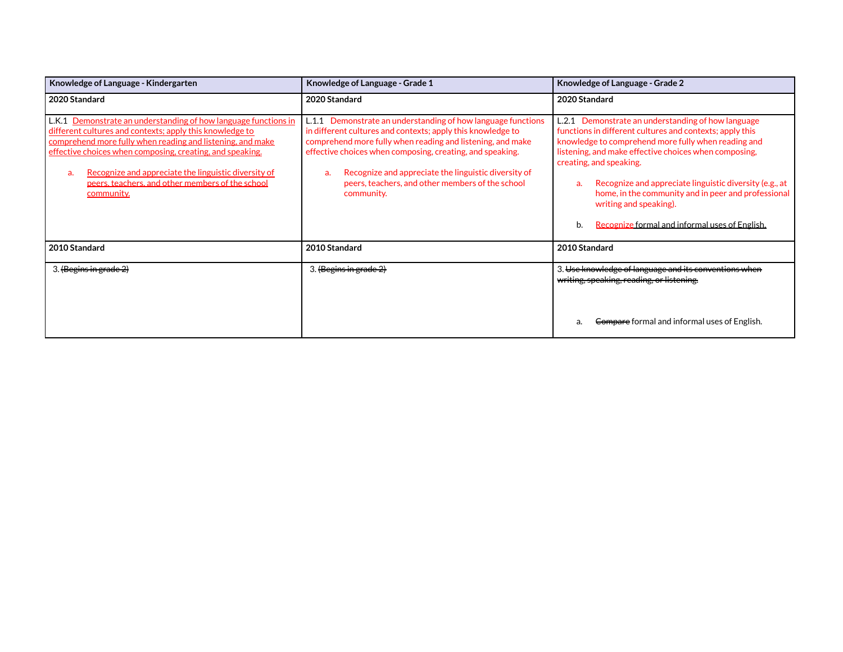| Knowledge of Language - Kindergarten                                                                                                                                                                                                                                                                                                                                                   | Knowledge of Language - Grade 1                                                                                                                                                                                                                                                                                                                                                        | Knowledge of Language - Grade 2                                                                                                                                                                                                                                                                                                                                                                                                                                     |
|----------------------------------------------------------------------------------------------------------------------------------------------------------------------------------------------------------------------------------------------------------------------------------------------------------------------------------------------------------------------------------------|----------------------------------------------------------------------------------------------------------------------------------------------------------------------------------------------------------------------------------------------------------------------------------------------------------------------------------------------------------------------------------------|---------------------------------------------------------------------------------------------------------------------------------------------------------------------------------------------------------------------------------------------------------------------------------------------------------------------------------------------------------------------------------------------------------------------------------------------------------------------|
| 2020 Standard                                                                                                                                                                                                                                                                                                                                                                          | 2020 Standard                                                                                                                                                                                                                                                                                                                                                                          | 2020 Standard                                                                                                                                                                                                                                                                                                                                                                                                                                                       |
| L.K.1 Demonstrate an understanding of how language functions in<br>different cultures and contexts; apply this knowledge to<br>comprehend more fully when reading and listening, and make<br>effective choices when composing, creating, and speaking.<br>Recognize and appreciate the linguistic diversity of<br>a.<br>peers, teachers, and other members of the school<br>community. | L.1.1 Demonstrate an understanding of how language functions<br>in different cultures and contexts; apply this knowledge to<br>comprehend more fully when reading and listening, and make<br>effective choices when composing, creating, and speaking.<br>Recognize and appreciate the linguistic diversity of<br>a.<br>peers, teachers, and other members of the school<br>community. | L.2.1 Demonstrate an understanding of how language<br>functions in different cultures and contexts; apply this<br>knowledge to comprehend more fully when reading and<br>listening, and make effective choices when composing,<br>creating, and speaking.<br>Recognize and appreciate linguistic diversity (e.g., at<br>a.<br>home, in the community and in peer and professional<br>writing and speaking).<br>Recognize formal and informal uses of English.<br>b. |
| 2010 Standard                                                                                                                                                                                                                                                                                                                                                                          | 2010 Standard                                                                                                                                                                                                                                                                                                                                                                          | 2010 Standard                                                                                                                                                                                                                                                                                                                                                                                                                                                       |
| 3. (Begins in grade 2)                                                                                                                                                                                                                                                                                                                                                                 | 3. (Begins in grade 2)                                                                                                                                                                                                                                                                                                                                                                 | 3. Use knowledge of language and its conventions when<br>writing, speaking, reading, or listening.                                                                                                                                                                                                                                                                                                                                                                  |
|                                                                                                                                                                                                                                                                                                                                                                                        |                                                                                                                                                                                                                                                                                                                                                                                        | Compare formal and informal uses of English.<br>a.                                                                                                                                                                                                                                                                                                                                                                                                                  |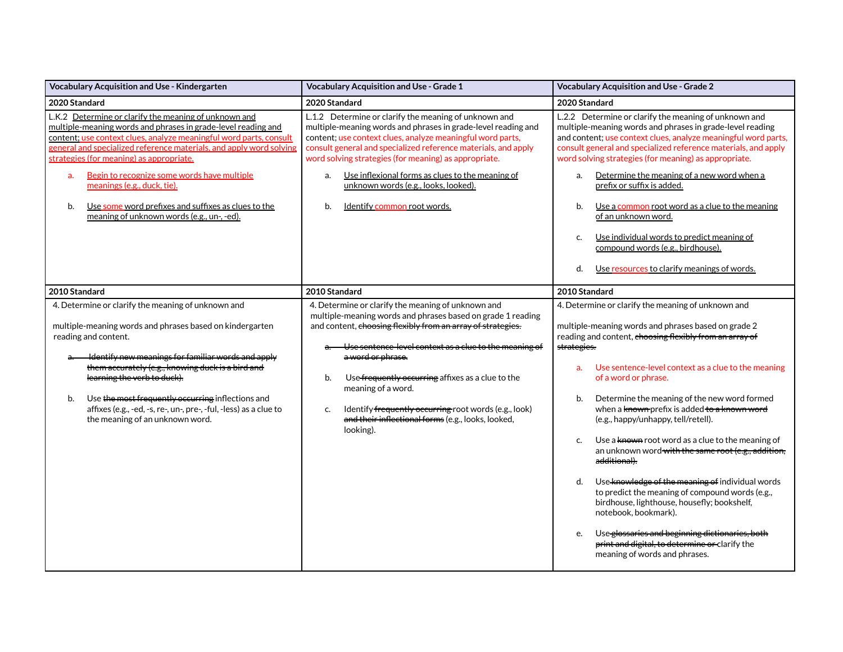| Vocabulary Acquisition and Use - Kindergarten                                                                                                                                                                                                                                                                                                                                                                                                                                                                  | <b>Vocabulary Acquisition and Use - Grade 1</b>                                                                                                                                                                                                                                                                                                                                                                                                                                    | <b>Vocabulary Acquisition and Use - Grade 2</b>                                                                                                                                                                                                                                                                                                                                                                                                                                                                                                                                                                                                                                                                                                                                                                                                                                                     |
|----------------------------------------------------------------------------------------------------------------------------------------------------------------------------------------------------------------------------------------------------------------------------------------------------------------------------------------------------------------------------------------------------------------------------------------------------------------------------------------------------------------|------------------------------------------------------------------------------------------------------------------------------------------------------------------------------------------------------------------------------------------------------------------------------------------------------------------------------------------------------------------------------------------------------------------------------------------------------------------------------------|-----------------------------------------------------------------------------------------------------------------------------------------------------------------------------------------------------------------------------------------------------------------------------------------------------------------------------------------------------------------------------------------------------------------------------------------------------------------------------------------------------------------------------------------------------------------------------------------------------------------------------------------------------------------------------------------------------------------------------------------------------------------------------------------------------------------------------------------------------------------------------------------------------|
| 2020 Standard                                                                                                                                                                                                                                                                                                                                                                                                                                                                                                  | 2020 Standard                                                                                                                                                                                                                                                                                                                                                                                                                                                                      | 2020 Standard                                                                                                                                                                                                                                                                                                                                                                                                                                                                                                                                                                                                                                                                                                                                                                                                                                                                                       |
| L.K.2 Determine or clarify the meaning of unknown and<br>multiple-meaning words and phrases in grade-level reading and<br>content; use context clues, analyze meaningful word parts, consult<br>general and specialized reference materials, and apply word solving<br>strategies (for meaning) as appropriate.<br>Begin to recognize some words have multiple<br>a.<br>meanings (e.g., duck, tie).<br>b.<br>Use some word prefixes and suffixes as clues to the<br>meaning of unknown words (e.g., un-, -ed). | L.1.2 Determine or clarify the meaning of unknown and<br>multiple-meaning words and phrases in grade-level reading and<br>content; use context clues, analyze meaningful word parts,<br>consult general and specialized reference materials, and apply<br>word solving strategies (for meaning) as appropriate.<br>Use inflexional forms as clues to the meaning of<br>a.<br>unknown words (e.g., looks, looked).<br>Identify common root words.<br>b.                             | L.2.2 Determine or clarify the meaning of unknown and<br>multiple-meaning words and phrases in grade-level reading<br>and content; use context clues, analyze meaningful word parts,<br>consult general and specialized reference materials, and apply<br>word solving strategies (for meaning) as appropriate.<br>Determine the meaning of a new word when a<br>a.<br>prefix or suffix is added.<br>b.<br>Use a common root word as a clue to the meaning<br>of an unknown word.<br>Use individual words to predict meaning of<br>C.<br>compound words (e.g., birdhouse).<br>Use resources to clarify meanings of words.<br>d.                                                                                                                                                                                                                                                                     |
| 2010 Standard                                                                                                                                                                                                                                                                                                                                                                                                                                                                                                  | 2010 Standard                                                                                                                                                                                                                                                                                                                                                                                                                                                                      | 2010 Standard                                                                                                                                                                                                                                                                                                                                                                                                                                                                                                                                                                                                                                                                                                                                                                                                                                                                                       |
| 4. Determine or clarify the meaning of unknown and<br>multiple-meaning words and phrases based on kindergarten<br>reading and content.<br>Identify new meanings for familiar words and apply<br>them accurately (e.g., knowing duck is a bird and<br>learning the verb to duck).<br>Use the most frequently occurring inflections and<br>b.<br>affixes (e.g., -ed, -s, re-, un-, pre-, -ful, -less) as a clue to<br>the meaning of an unknown word.                                                            | 4. Determine or clarify the meaning of unknown and<br>multiple-meaning words and phrases based on grade 1 reading<br>and content, choosing flexibly from an array of strategies.<br>Use sentence-level context as a clue to the meaning of<br>a word or phrase.<br>Use-frequently occurring affixes as a clue to the<br>b.<br>meaning of a word.<br>Identify frequently occurring root words (e.g., look)<br>c.<br>and their inflectional forms (e.g., looks, looked,<br>looking). | 4. Determine or clarify the meaning of unknown and<br>multiple-meaning words and phrases based on grade 2<br>reading and content, choosing flexibly from an array of<br>strategies.<br>Use sentence-level context as a clue to the meaning<br>a.<br>of a word or phrase.<br>Determine the meaning of the new word formed<br>b.<br>when a known-prefix is added to a known word<br>(e.g., happy/unhappy, tell/retell).<br>Use a known root word as a clue to the meaning of<br>c.<br>an unknown word with the same root (e.g., addition,<br>a <del>dditional).</del><br>Use knowledge of the meaning of individual words<br>d.<br>to predict the meaning of compound words (e.g.,<br>birdhouse, lighthouse, housefly; bookshelf,<br>notebook, bookmark).<br>Use glossaries and beginning dictionaries, both<br>e.<br>print and digital, to determine or clarify the<br>meaning of words and phrases. |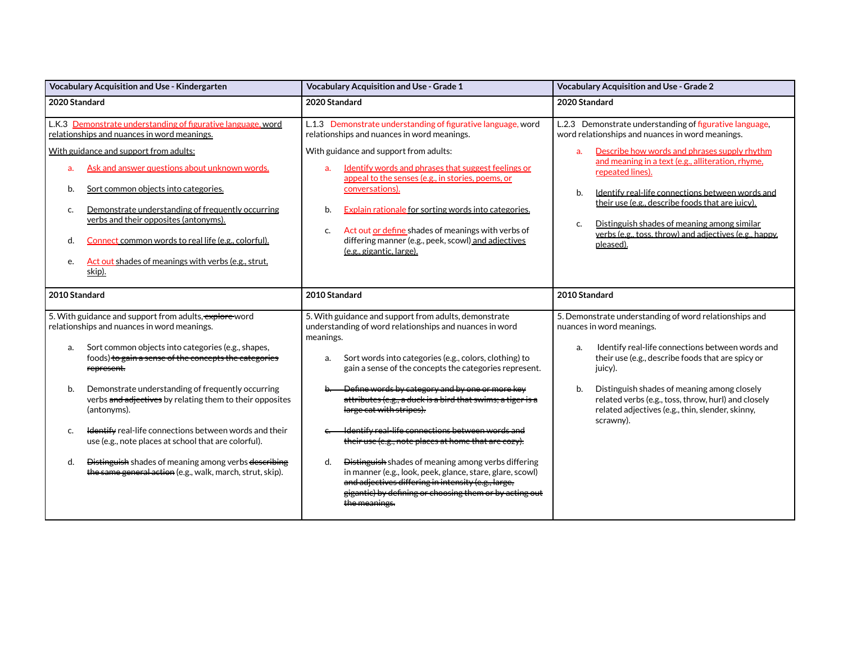| Vocabulary Acquisition and Use - Kindergarten                                                                                                                                                                                                                                                                                                                                                                                                                                                                                                                                                                                            | Vocabulary Acquisition and Use - Grade 1                                                                                                                                                                                                                                                                                                                                                                                                                                                                                                                                                                                                                                                                                                                                       | Vocabulary Acquisition and Use - Grade 2                                                                                                                                                                                                                                                                                                                                                                                                                                                         |
|------------------------------------------------------------------------------------------------------------------------------------------------------------------------------------------------------------------------------------------------------------------------------------------------------------------------------------------------------------------------------------------------------------------------------------------------------------------------------------------------------------------------------------------------------------------------------------------------------------------------------------------|--------------------------------------------------------------------------------------------------------------------------------------------------------------------------------------------------------------------------------------------------------------------------------------------------------------------------------------------------------------------------------------------------------------------------------------------------------------------------------------------------------------------------------------------------------------------------------------------------------------------------------------------------------------------------------------------------------------------------------------------------------------------------------|--------------------------------------------------------------------------------------------------------------------------------------------------------------------------------------------------------------------------------------------------------------------------------------------------------------------------------------------------------------------------------------------------------------------------------------------------------------------------------------------------|
| 2020 Standard                                                                                                                                                                                                                                                                                                                                                                                                                                                                                                                                                                                                                            | 2020 Standard                                                                                                                                                                                                                                                                                                                                                                                                                                                                                                                                                                                                                                                                                                                                                                  | 2020 Standard                                                                                                                                                                                                                                                                                                                                                                                                                                                                                    |
| L.K.3 Demonstrate understanding of figurative language, word<br>relationships and nuances in word meanings.<br>With guidance and support from adults:<br>Ask and answer questions about unknown words.<br>a.<br>Sort common objects into categories.<br>b.<br>Demonstrate understanding of frequently occurring<br>c.<br>verbs and their opposites (antonyms).<br>Connect common words to real life (e.g., colorful).<br>d.<br>Act out shades of meanings with verbs (e.g., strut,<br>e.<br>skip).                                                                                                                                       | L.1.3 Demonstrate understanding of figurative language, word<br>relationships and nuances in word meanings.<br>With guidance and support from adults:<br>Identify words and phrases that suggest feelings or<br>a.<br>appeal to the senses (e.g., in stories, poems, or<br>conversations).<br>Explain rationale for sorting words into categories.<br>b.<br>Act out or define shades of meanings with verbs of<br>C.<br>differing manner (e.g., peek, scowl) and adiectives<br>(e.g., gigantic, large).                                                                                                                                                                                                                                                                        | L.2.3 Demonstrate understanding of figurative language,<br>word relationships and nuances in word meanings.<br>Describe how words and phrases supply rhythm<br>a <sub>r</sub><br>and meaning in a text (e.g., alliteration, rhyme,<br>repeated lines).<br>Identify real-life connections between words and<br>b.<br>their use (e.g., describe foods that are juicy).<br>Distinguish shades of meaning among similar<br>c.<br>verbs (e.g., toss, throw) and adjectives (e.g., happy,<br>pleased). |
| 2010 Standard                                                                                                                                                                                                                                                                                                                                                                                                                                                                                                                                                                                                                            | 2010 Standard                                                                                                                                                                                                                                                                                                                                                                                                                                                                                                                                                                                                                                                                                                                                                                  | 2010 Standard                                                                                                                                                                                                                                                                                                                                                                                                                                                                                    |
| 5. With guidance and support from adults, explore word<br>relationships and nuances in word meanings.<br>Sort common objects into categories (e.g., shapes,<br>a.<br>foods) to gain a sense of the concepts the categories<br>represent.<br>Demonstrate understanding of frequently occurring<br>b.<br>verbs and adjectives by relating them to their opposites<br>(antonyms).<br><b>Identify</b> real-life connections between words and their<br>c.<br>use (e.g., note places at school that are colorful).<br>Distinguish shades of meaning among verbs describing<br>d.<br>the same general action (e.g., walk, march, strut, skip). | 5. With guidance and support from adults, demonstrate<br>understanding of word relationships and nuances in word<br>meanings.<br>Sort words into categories (e.g., colors, clothing) to<br>a.<br>gain a sense of the concepts the categories represent.<br>Define words by category and by one or more key<br>attributes (e.g., a duck is a bird that swims; a tiger is a<br>large cat with stripes).<br>Identify real-life connections between words and<br>their use (e.g., note places at home that are cozy).<br>Distinguish shades of meaning among verbs differing<br>d.<br>in manner (e.g., look, peek, glance, stare, glare, scowl)<br>and adjectives differing in intensity (e.g., large,<br>gigantic) by defining or choosing them or by acting out<br>the meanings. | 5. Demonstrate understanding of word relationships and<br>nuances in word meanings.<br>Identify real-life connections between words and<br>a.<br>their use (e.g., describe foods that are spicy or<br>juicy).<br>Distinguish shades of meaning among closely<br>b.<br>related verbs (e.g., toss, throw, hurl) and closely<br>related adjectives (e.g., thin, slender, skinny,<br>scrawny).                                                                                                       |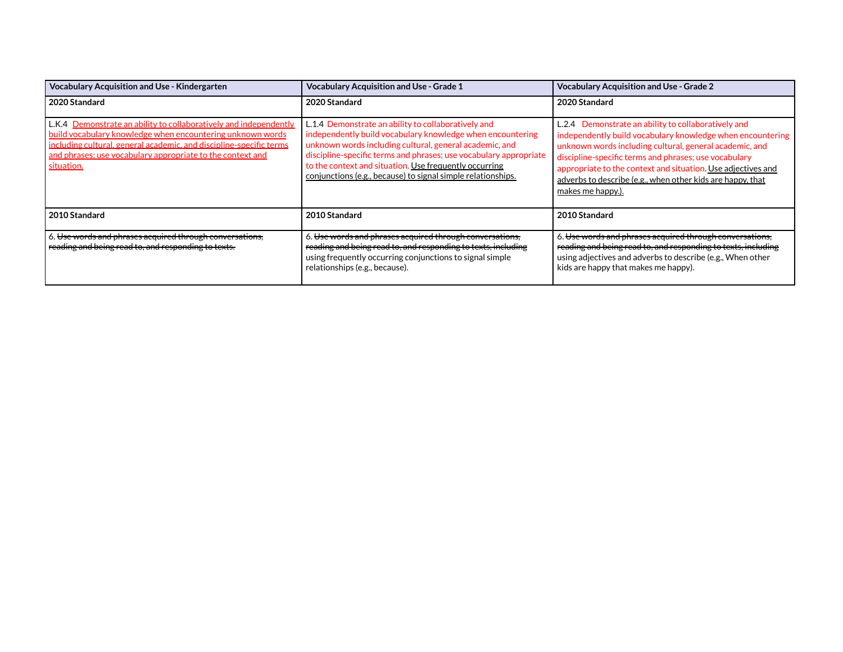| <b>Vocabulary Acquisition and Use - Kindergarten</b>                                                                                                                                                                                                                               | <b>Vocabulary Acquisition and Use - Grade 1</b>                                                                                                                                                                                                                                                                                                                             | <b>Vocabulary Acquisition and Use - Grade 2</b>                                                                                                                                                                                                                                                                                                                                          |
|------------------------------------------------------------------------------------------------------------------------------------------------------------------------------------------------------------------------------------------------------------------------------------|-----------------------------------------------------------------------------------------------------------------------------------------------------------------------------------------------------------------------------------------------------------------------------------------------------------------------------------------------------------------------------|------------------------------------------------------------------------------------------------------------------------------------------------------------------------------------------------------------------------------------------------------------------------------------------------------------------------------------------------------------------------------------------|
| 2020 Standard                                                                                                                                                                                                                                                                      | 2020 Standard                                                                                                                                                                                                                                                                                                                                                               | 2020 Standard                                                                                                                                                                                                                                                                                                                                                                            |
| L.K.4 Demonstrate an ability to collaboratively and independently<br>build vocabulary knowledge when encountering unknown words<br>including cultural, general academic, and discipline-specific terms<br>and phrases; use vocabulary appropriate to the context and<br>situation. | L.1.4 Demonstrate an ability to collaboratively and<br>independently build vocabulary knowledge when encountering<br>unknown words including cultural, general academic, and<br>discipline-specific terms and phrases; use vocabulary appropriate<br>to the context and situation. Use frequently occurring<br>conjunctions (e.g., because) to signal simple relationships. | L.2.4 Demonstrate an ability to collaboratively and<br>independently build vocabulary knowledge when encountering<br>unknown words including cultural, general academic, and<br>discipline-specific terms and phrases; use vocabulary<br>appropriate to the context and situation. Use adjectives and<br>adverbs to describe (e.g., when other kids are happy, that<br>makes me happy.). |
| 2010 Standard                                                                                                                                                                                                                                                                      | 2010 Standard                                                                                                                                                                                                                                                                                                                                                               | 2010 Standard                                                                                                                                                                                                                                                                                                                                                                            |
| . <del>Use words and phrases acquired through conversations,</del><br>reading and being read to, and responding to texts.                                                                                                                                                          | 6. Use words and phrases acquired through conversations,<br>reading and being read to, and responding to texts, including<br>using frequently occurring conjunctions to signal simple<br>relationships (e.g., because).                                                                                                                                                     | 6. Use words and phrases acquired through conversations,<br>reading and being read to, and responding to texts, including<br>using adjectives and adverbs to describe (e.g., When other<br>kids are happy that makes me happy).                                                                                                                                                          |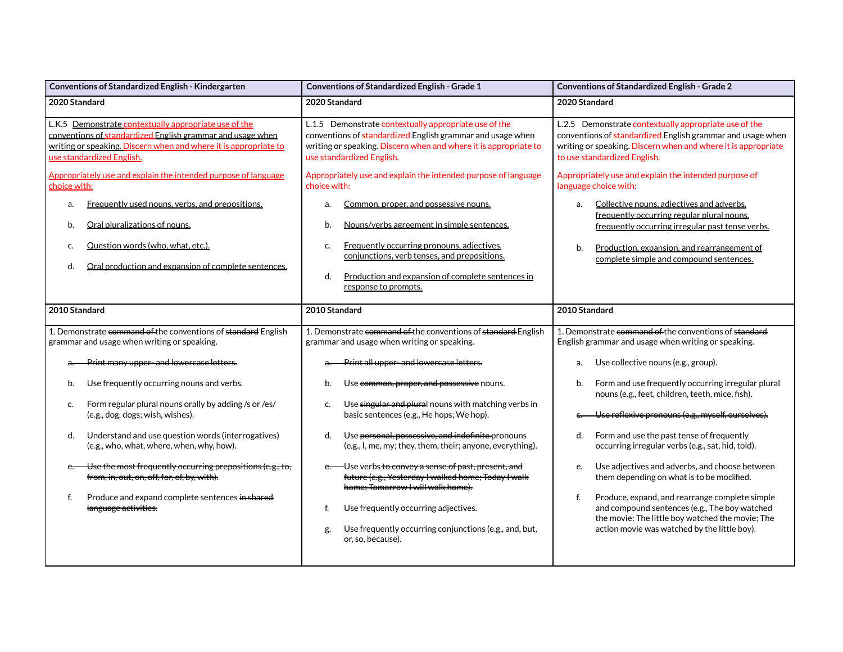| Conventions of Standardized English - Kindergarten                                                                                                                                                                   | Conventions of Standardized English - Grade 1                                                                                                                                                                                                                  | <b>Conventions of Standardized English - Grade 2</b>                                                                                                                                                                                              |
|----------------------------------------------------------------------------------------------------------------------------------------------------------------------------------------------------------------------|----------------------------------------------------------------------------------------------------------------------------------------------------------------------------------------------------------------------------------------------------------------|---------------------------------------------------------------------------------------------------------------------------------------------------------------------------------------------------------------------------------------------------|
| 2020 Standard                                                                                                                                                                                                        | 2020 Standard                                                                                                                                                                                                                                                  | 2020 Standard                                                                                                                                                                                                                                     |
| L.K.5 Demonstrate contextually appropriate use of the<br>conventions of standardized English grammar and usage when<br>writing or speaking. Discern when and where it is appropriate to<br>use standardized English. | L.1.5 Demonstrate contextually appropriate use of the<br>conventions of standardized English grammar and usage when<br>writing or speaking. Discern when and where it is appropriate to<br>use standardized English.                                           | L.2.5 Demonstrate contextually appropriate use of the<br>conventions of standardized English grammar and usage when<br>writing or speaking. Discern when and where it is appropriate<br>to use standardized English.                              |
| Appropriately use and explain the intended purpose of language<br>choice with:                                                                                                                                       | Appropriately use and explain the intended purpose of language<br>choice with:                                                                                                                                                                                 | Appropriately use and explain the intended purpose of<br>language choice with:                                                                                                                                                                    |
| Frequently used nouns, verbs, and prepositions.<br>a.<br>Oral pluralizations of nouns.<br>b.<br>Question words (who, what, etc.).<br>c.<br>Oral production and expansion of complete sentences.<br>d.                | Common, proper, and possessive nouns.<br>a.<br>Nouns/verbs agreement in simple sentences.<br>b.<br>Frequently occurring pronouns, adjectives,<br>c.<br>conjunctions, verb tenses, and prepositions.<br>Production and expansion of complete sentences in<br>d. | Collective nouns, adjectives and adverbs,<br>a.<br>frequently occurring regular plural nouns.<br>frequently occurring irregular past tense verbs.<br>Production, expansion, and rearrangement of<br>b.<br>complete simple and compound sentences. |
|                                                                                                                                                                                                                      | response to prompts.                                                                                                                                                                                                                                           |                                                                                                                                                                                                                                                   |
| 2010 Standard                                                                                                                                                                                                        | 2010 Standard                                                                                                                                                                                                                                                  | 2010 Standard                                                                                                                                                                                                                                     |
| 1. Demonstrate command of the conventions of standard English<br>grammar and usage when writing or speaking.                                                                                                         | 1. Demonstrate command of the conventions of standard English<br>grammar and usage when writing or speaking.                                                                                                                                                   | 1. Demonstrate command of the conventions of standard<br>English grammar and usage when writing or speaking.                                                                                                                                      |
| Print many upper-and lowercase letters.                                                                                                                                                                              | Print all upper-and lowercase letters.                                                                                                                                                                                                                         | Use collective nouns (e.g., group).<br>a.                                                                                                                                                                                                         |
| Use frequently occurring nouns and verbs.<br>b.                                                                                                                                                                      | Use common, proper, and possessive nouns.<br>b.                                                                                                                                                                                                                | Form and use frequently occurring irregular plural<br>b.<br>nouns (e.g., feet, children, teeth, mice, fish).                                                                                                                                      |
| Form regular plural nouns orally by adding /s or /es/<br>c.<br>(e.g., dog, dogs; wish, wishes).                                                                                                                      | Use singular and plural nouns with matching verbs in<br>c.<br>basic sentences (e.g., He hops; We hop).                                                                                                                                                         | Use reflexive pronouns (e.g., myself, ourselves).                                                                                                                                                                                                 |
| Understand and use question words (interrogatives)<br>d.<br>(e.g., who, what, where, when, why, how).                                                                                                                | Use personal, possessive, and indefinite pronouns<br>d.<br>(e.g., I, me, my; they, them, their; anyone, everything).                                                                                                                                           | d.<br>Form and use the past tense of frequently<br>occurring irregular verbs (e.g., sat, hid, told).                                                                                                                                              |
| Use the most frequently occurring prepositions (e.g., to,<br>$e$ .<br>from, in, out, on, off, for, of, by, with).                                                                                                    | e. - Use verbs to convey a sense of past, present, and<br>future (e.g., Yesterday I walked home; Today I walk<br>home; Tomorrow I will walk home).                                                                                                             | Use adjectives and adverbs, and choose between<br>e.<br>them depending on what is to be modified.                                                                                                                                                 |
| f.<br>Produce and expand complete sentences in shared<br>language activities.                                                                                                                                        | Use frequently occurring adjectives.<br>f.<br>Use frequently occurring conjunctions (e.g., and, but,<br>g.<br>or, so, because).                                                                                                                                | f.<br>Produce, expand, and rearrange complete simple<br>and compound sentences (e.g., The boy watched<br>the movie; The little boy watched the movie; The<br>action movie was watched by the little boy).                                         |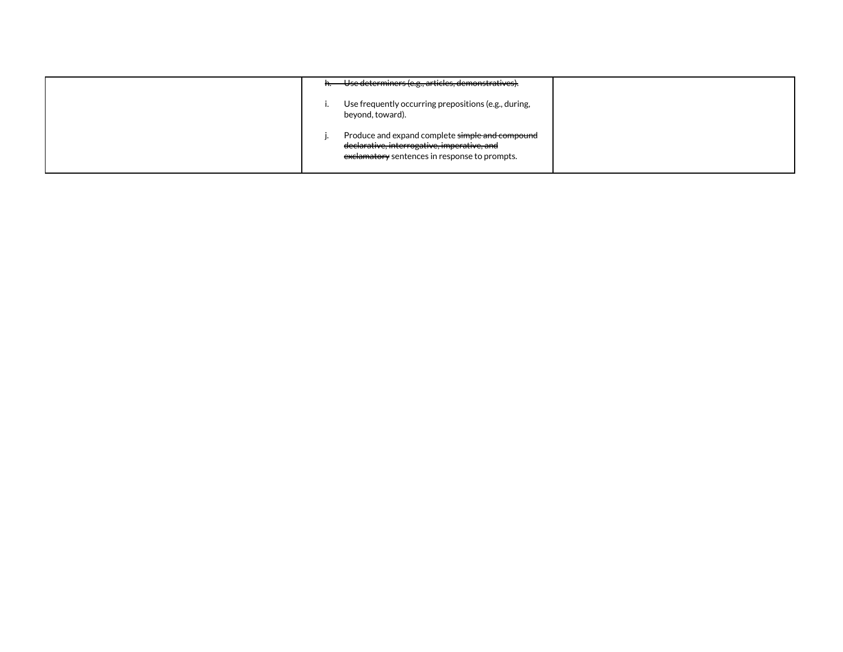| h. Use determiners (e.g., articles, demonstratives).                                                                                            |
|-------------------------------------------------------------------------------------------------------------------------------------------------|
| Use frequently occurring prepositions (e.g., during,<br>beyond, toward).                                                                        |
| Produce and expand complete simple and compound<br>declarative, interrogative, imperative, and<br>exclamatory sentences in response to prompts. |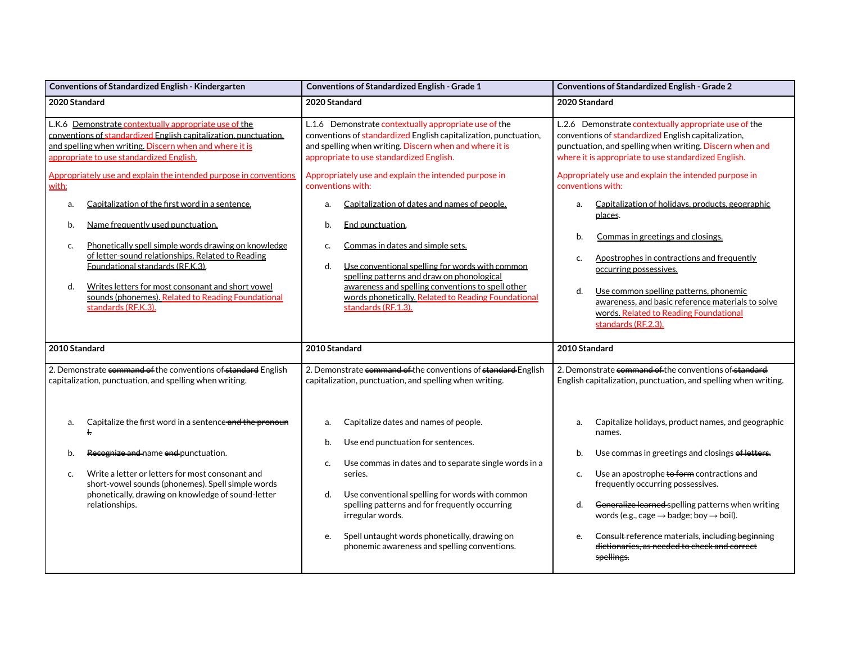| Conventions of Standardized English - Kindergarten                                                                                                                                                                                                                                                                                                                                                                                                                                                                                                                                                                                                                                                                | <b>Conventions of Standardized English - Grade 1</b>                                                                                                                                                                                                                                                                                                                                                                                                                                                                                                                                                                                                                               | <b>Conventions of Standardized English - Grade 2</b>                                                                                                                                                                                                                                                                                                                                                                                                                                                                                                                                                                                                                               |
|-------------------------------------------------------------------------------------------------------------------------------------------------------------------------------------------------------------------------------------------------------------------------------------------------------------------------------------------------------------------------------------------------------------------------------------------------------------------------------------------------------------------------------------------------------------------------------------------------------------------------------------------------------------------------------------------------------------------|------------------------------------------------------------------------------------------------------------------------------------------------------------------------------------------------------------------------------------------------------------------------------------------------------------------------------------------------------------------------------------------------------------------------------------------------------------------------------------------------------------------------------------------------------------------------------------------------------------------------------------------------------------------------------------|------------------------------------------------------------------------------------------------------------------------------------------------------------------------------------------------------------------------------------------------------------------------------------------------------------------------------------------------------------------------------------------------------------------------------------------------------------------------------------------------------------------------------------------------------------------------------------------------------------------------------------------------------------------------------------|
| 2020 Standard                                                                                                                                                                                                                                                                                                                                                                                                                                                                                                                                                                                                                                                                                                     | 2020 Standard                                                                                                                                                                                                                                                                                                                                                                                                                                                                                                                                                                                                                                                                      | 2020 Standard                                                                                                                                                                                                                                                                                                                                                                                                                                                                                                                                                                                                                                                                      |
| L.K.6 Demonstrate contextually appropriate use of the<br>conventions of standardized English capitalization, punctuation,<br>and spelling when writing. Discern when and where it is<br>appropriate to use standardized English.<br>Appropriately use and explain the intended purpose in conventions<br>with:<br>Capitalization of the first word in a sentence.<br>a.<br>Name frequently used punctuation.<br>b.<br>Phonetically spell simple words drawing on knowledge<br>c.<br>of letter-sound relationships. Related to Reading<br>Foundational standards (RF.K.3).<br>Writes letters for most consonant and short vowel<br>d.<br>sounds (phonemes). Related to Reading Foundational<br>standards (RF.K.3). | L.1.6 Demonstrate contextually appropriate use of the<br>conventions of standardized English capitalization, punctuation,<br>and spelling when writing. Discern when and where it is<br>appropriate to use standardized English.<br>Appropriately use and explain the intended purpose in<br>conventions with:<br>Capitalization of dates and names of people.<br>a.<br>End punctuation.<br>b.<br>Commas in dates and simple sets.<br>c.<br>Use conventional spelling for words with common<br>d.<br>spelling patterns and draw on phonological<br>awareness and spelling conventions to spell other<br>words phonetically. Related to Reading Foundational<br>standards (RF.1.3). | L.2.6 Demonstrate contextually appropriate use of the<br>conventions of standardized English capitalization,<br>punctuation, and spelling when writing. Discern when and<br>where it is appropriate to use standardized English.<br>Appropriately use and explain the intended purpose in<br>conventions with:<br>Capitalization of holidays, products, geographic<br>a.<br>places.<br>Commas in greetings and closings.<br>b.<br>Apostrophes in contractions and frequently<br>c.<br>occurring possessives.<br>d.<br>Use common spelling patterns, phonemic<br>awareness, and basic reference materials to solve<br>words. Related to Reading Foundational<br>standards (RF.2.3). |
| 2010 Standard                                                                                                                                                                                                                                                                                                                                                                                                                                                                                                                                                                                                                                                                                                     | 2010 Standard                                                                                                                                                                                                                                                                                                                                                                                                                                                                                                                                                                                                                                                                      | 2010 Standard                                                                                                                                                                                                                                                                                                                                                                                                                                                                                                                                                                                                                                                                      |
| 2. Demonstrate command of the conventions of standard English<br>capitalization, punctuation, and spelling when writing.                                                                                                                                                                                                                                                                                                                                                                                                                                                                                                                                                                                          | 2. Demonstrate command of the conventions of standard English<br>capitalization, punctuation, and spelling when writing.                                                                                                                                                                                                                                                                                                                                                                                                                                                                                                                                                           | 2. Demonstrate command of the conventions of standard<br>English capitalization, punctuation, and spelling when writing.                                                                                                                                                                                                                                                                                                                                                                                                                                                                                                                                                           |
| Capitalize the first word in a sentence and the pronoun<br>a.<br>ŧ.<br>Recognize and name end punctuation.<br>b.<br>Write a letter or letters for most consonant and<br>c.<br>short-vowel sounds (phonemes). Spell simple words<br>phonetically, drawing on knowledge of sound-letter<br>relationships.                                                                                                                                                                                                                                                                                                                                                                                                           | Capitalize dates and names of people.<br>a.<br>Use end punctuation for sentences.<br>b.<br>Use commas in dates and to separate single words in a<br>C.<br>series.<br>Use conventional spelling for words with common<br>d.<br>spelling patterns and for frequently occurring<br>irregular words.<br>Spell untaught words phonetically, drawing on<br>e.<br>phonemic awareness and spelling conventions.                                                                                                                                                                                                                                                                            | Capitalize holidays, product names, and geographic<br>a.<br>names.<br>Use commas in greetings and closings of letters.<br>b.<br>Use an apostrophe to form contractions and<br>c.<br>frequently occurring possessives.<br>Generalize learned spelling patterns when writing<br>d.<br>words (e.g., cage $\rightarrow$ badge; boy $\rightarrow$ boil).<br>Consult reference materials, including beginning<br>e.<br>dictionaries, as needed to check and correct<br>spellings.                                                                                                                                                                                                        |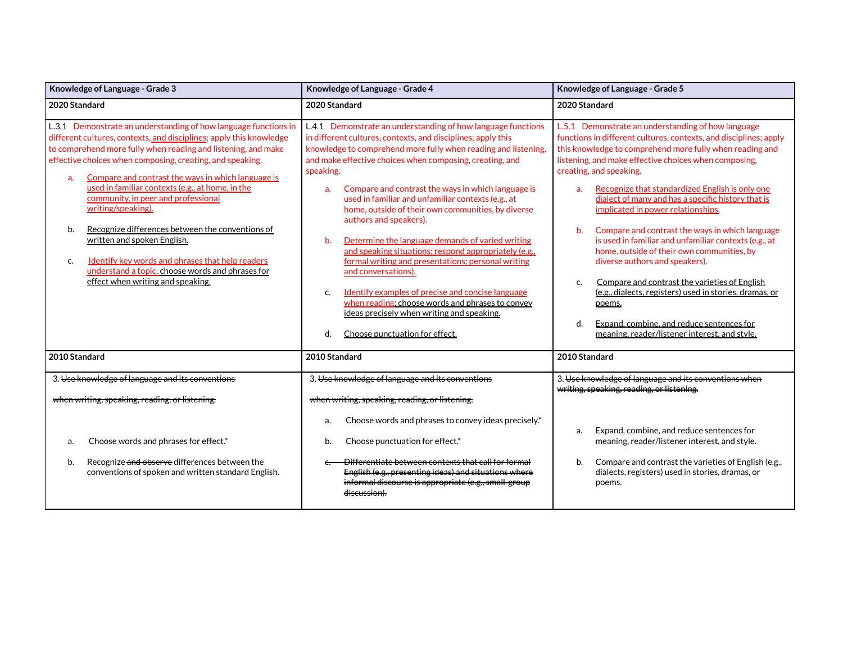| Knowledge of Language - Grade 3                                                                                                                                                                                                                                                                                                                                                                                                                                                                                                            | Knowledge of Language - Grade 4                                                                                                                                                                                                                                                                                                                                                                                                                                                                                                                                                              | Knowledge of Language - Grade 5                                                                                                                                                                                                                                                                                                                                                                                                                                                                                                                                                              |  |
|--------------------------------------------------------------------------------------------------------------------------------------------------------------------------------------------------------------------------------------------------------------------------------------------------------------------------------------------------------------------------------------------------------------------------------------------------------------------------------------------------------------------------------------------|----------------------------------------------------------------------------------------------------------------------------------------------------------------------------------------------------------------------------------------------------------------------------------------------------------------------------------------------------------------------------------------------------------------------------------------------------------------------------------------------------------------------------------------------------------------------------------------------|----------------------------------------------------------------------------------------------------------------------------------------------------------------------------------------------------------------------------------------------------------------------------------------------------------------------------------------------------------------------------------------------------------------------------------------------------------------------------------------------------------------------------------------------------------------------------------------------|--|
| 2020 Standard                                                                                                                                                                                                                                                                                                                                                                                                                                                                                                                              | 2020 Standard                                                                                                                                                                                                                                                                                                                                                                                                                                                                                                                                                                                | 2020 Standard                                                                                                                                                                                                                                                                                                                                                                                                                                                                                                                                                                                |  |
| L.3.1 Demonstrate an understanding of how language functions in<br>different cultures, contexts, and disciplines; apply this knowledge<br>to comprehend more fully when reading and listening, and make<br>effective choices when composing, creating, and speaking.<br>Compare and contrast the ways in which language is<br>a.<br>used in familiar contexts (e.g., at home, in the<br>community, in peer and professional<br>writing/speaking).<br>b.<br>Recognize differences between the conventions of<br>written and spoken English. | L.4.1 Demonstrate an understanding of how language functions<br>in different cultures, contexts, and disciplines; apply this<br>knowledge to comprehend more fully when reading and listening,<br>and make effective choices when composing, creating, and<br>speaking.<br>Compare and contrast the ways in which language is<br>a.<br>used in familiar and unfamiliar contexts (e.g., at<br>home, outside of their own communities, by diverse<br>authors and speakers).<br>Determine the language demands of varied writing<br>b.<br>and speaking situations; respond appropriately (e.g., | L.5.1 Demonstrate an understanding of how language<br>functions in different cultures, contexts, and disciplines; apply<br>this knowledge to comprehend more fully when reading and<br>listening, and make effective choices when composing,<br>creating, and speaking.<br>Recognize that standardized English is only one<br>a.<br>dialect of many and has a specific history that is<br>implicated in power relationships.<br>b.<br>Compare and contrast the ways in which language<br>is used in familiar and unfamiliar contexts (e.g., at<br>home, outside of their own communities, by |  |
| Identify key words and phrases that help readers<br>c.<br>understand a topic; choose words and phrases for<br>effect when writing and speaking.<br>2010 Standard                                                                                                                                                                                                                                                                                                                                                                           | formal writing and presentations; personal writing<br>and conversations).<br>Identify examples of precise and concise language<br>c.<br>when reading; choose words and phrases to convey<br>ideas precisely when writing and speaking.<br>d.<br>Choose punctuation for effect.<br>2010 Standard                                                                                                                                                                                                                                                                                              | diverse authors and speakers).<br>Compare and contrast the varieties of English<br>C.<br>(e.g., dialects, registers) used in stories, dramas, or<br>poems.<br>d.<br>Expand, combine, and reduce sentences for<br>meaning, reader/listener interest, and style.<br>2010 Standard                                                                                                                                                                                                                                                                                                              |  |
| 3. Use knowledge of language and its conventions                                                                                                                                                                                                                                                                                                                                                                                                                                                                                           | 3. Use knowledge of language and its conventions                                                                                                                                                                                                                                                                                                                                                                                                                                                                                                                                             | 3. Use knowledge of language and its conventions when                                                                                                                                                                                                                                                                                                                                                                                                                                                                                                                                        |  |
| when writing, speaking, reading, or listening.                                                                                                                                                                                                                                                                                                                                                                                                                                                                                             | when writing, speaking, reading, or listening.<br>Choose words and phrases to convey ideas precisely.*<br>a.                                                                                                                                                                                                                                                                                                                                                                                                                                                                                 | writing, speaking, reading, or listening.<br>Expand, combine, and reduce sentences for<br>a.                                                                                                                                                                                                                                                                                                                                                                                                                                                                                                 |  |
| Choose words and phrases for effect.*<br>a.                                                                                                                                                                                                                                                                                                                                                                                                                                                                                                | Choose punctuation for effect.*<br>b.                                                                                                                                                                                                                                                                                                                                                                                                                                                                                                                                                        | meaning, reader/listener interest, and style.                                                                                                                                                                                                                                                                                                                                                                                                                                                                                                                                                |  |
| Recognize and observe differences between the<br>b.<br>conventions of spoken and written standard English.                                                                                                                                                                                                                                                                                                                                                                                                                                 | Differentiate between contexts that call for formal<br>English (e.g., presenting ideas) and situations where<br>informal discourse is appropriate (e.g., small group<br><del>discussion).</del>                                                                                                                                                                                                                                                                                                                                                                                              | Compare and contrast the varieties of English (e.g.,<br>b.<br>dialects, registers) used in stories, dramas, or<br>poems.                                                                                                                                                                                                                                                                                                                                                                                                                                                                     |  |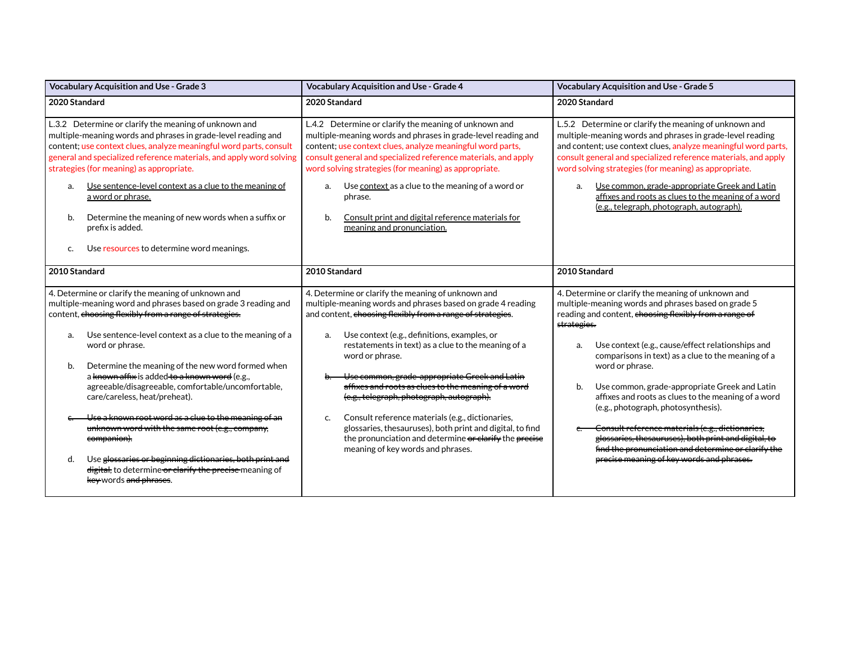| Vocabulary Acquisition and Use - Grade 3                                                                                                                                                                                                                                                                                                                                                                                                                                                                                                                                                                                                                                                                                                                | Vocabulary Acquisition and Use - Grade 4                                                                                                                                                                                                                                                                                                                                                                                                                                                                                                                                                                                                                                                   | <b>Vocabulary Acquisition and Use - Grade 5</b>                                                                                                                                                                                                                                                                                                                                                                                                                                                                                                                                                                                                                                             |
|---------------------------------------------------------------------------------------------------------------------------------------------------------------------------------------------------------------------------------------------------------------------------------------------------------------------------------------------------------------------------------------------------------------------------------------------------------------------------------------------------------------------------------------------------------------------------------------------------------------------------------------------------------------------------------------------------------------------------------------------------------|--------------------------------------------------------------------------------------------------------------------------------------------------------------------------------------------------------------------------------------------------------------------------------------------------------------------------------------------------------------------------------------------------------------------------------------------------------------------------------------------------------------------------------------------------------------------------------------------------------------------------------------------------------------------------------------------|---------------------------------------------------------------------------------------------------------------------------------------------------------------------------------------------------------------------------------------------------------------------------------------------------------------------------------------------------------------------------------------------------------------------------------------------------------------------------------------------------------------------------------------------------------------------------------------------------------------------------------------------------------------------------------------------|
| 2020 Standard                                                                                                                                                                                                                                                                                                                                                                                                                                                                                                                                                                                                                                                                                                                                           | 2020 Standard                                                                                                                                                                                                                                                                                                                                                                                                                                                                                                                                                                                                                                                                              | 2020 Standard                                                                                                                                                                                                                                                                                                                                                                                                                                                                                                                                                                                                                                                                               |
| L.3.2 Determine or clarify the meaning of unknown and<br>multiple-meaning words and phrases in grade-level reading and<br>content; use context clues, analyze meaningful word parts, consult<br>general and specialized reference materials, and apply word solving<br>strategies (for meaning) as appropriate.<br>Use sentence-level context as a clue to the meaning of<br>a.<br>a word or phrase.<br>Determine the meaning of new words when a suffix or<br>b.<br>prefix is added.<br>Use resources to determine word meanings.<br>c.                                                                                                                                                                                                                | L.4.2 Determine or clarify the meaning of unknown and<br>multiple-meaning words and phrases in grade-level reading and<br>content; use context clues, analyze meaningful word parts,<br>consult general and specialized reference materials, and apply<br>word solving strategies (for meaning) as appropriate.<br>Use context as a clue to the meaning of a word or<br>a.<br>phrase.<br>Consult print and digital reference materials for<br>b.<br>meaning and pronunciation.                                                                                                                                                                                                             | L.5.2 Determine or clarify the meaning of unknown and<br>multiple-meaning words and phrases in grade-level reading<br>and content; use context clues, analyze meaningful word parts,<br>consult general and specialized reference materials, and apply<br>word solving strategies (for meaning) as appropriate.<br>Use common, grade-appropriate Greek and Latin<br>a.<br>affixes and roots as clues to the meaning of a word<br>(e.g., telegraph, photograph, autograph).                                                                                                                                                                                                                  |
| 2010 Standard                                                                                                                                                                                                                                                                                                                                                                                                                                                                                                                                                                                                                                                                                                                                           | 2010 Standard                                                                                                                                                                                                                                                                                                                                                                                                                                                                                                                                                                                                                                                                              | 2010 Standard                                                                                                                                                                                                                                                                                                                                                                                                                                                                                                                                                                                                                                                                               |
| 4. Determine or clarify the meaning of unknown and<br>multiple-meaning word and phrases based on grade 3 reading and<br>content, choosing flexibly from a range of strategies.<br>Use sentence-level context as a clue to the meaning of a<br>a.<br>word or phrase.<br>Determine the meaning of the new word formed when<br>b.<br>a known affix is added to a known word (e.g.,<br>agreeable/disagreeable, comfortable/uncomfortable,<br>care/careless, heat/preheat).<br>Use a known root word as a clue to the meaning of an<br>unknown word with the same root (e.g., company,<br>companion).<br>Use glossaries or beginning dictionaries, both print and<br>d.<br>digital, to determine or clarify the precise meaning of<br>key words and phrases. | 4. Determine or clarify the meaning of unknown and<br>multiple-meaning words and phrases based on grade 4 reading<br>and content, choosing flexibly from a range of strategies.<br>Use context (e.g., definitions, examples, or<br>a.<br>restatements in text) as a clue to the meaning of a<br>word or phrase.<br>Use common, grade-appropriate Greek and Latin<br>affixes and roots as clues to the meaning of a word<br>(e.g., telegraph, photograph, autograph).<br>Consult reference materials (e.g., dictionaries,<br>C.<br>glossaries, thesauruses), both print and digital, to find<br>the pronunciation and determine or clarify the precise<br>meaning of key words and phrases. | 4. Determine or clarify the meaning of unknown and<br>multiple-meaning words and phrases based on grade 5<br>reading and content, choosing flexibly from a range of<br>strategies.<br>Use context (e.g., cause/effect relationships and<br>a.<br>comparisons in text) as a clue to the meaning of a<br>word or phrase.<br>Use common, grade-appropriate Greek and Latin<br>b.<br>affixes and roots as clues to the meaning of a word<br>(e.g., photograph, photosynthesis).<br>Consult reference materials (e.g., dictionaries,<br>glossaries, thesauruses), both print and digital, to<br>find the pronunciation and determine or clarify the<br>precise meaning of key words and phrases. |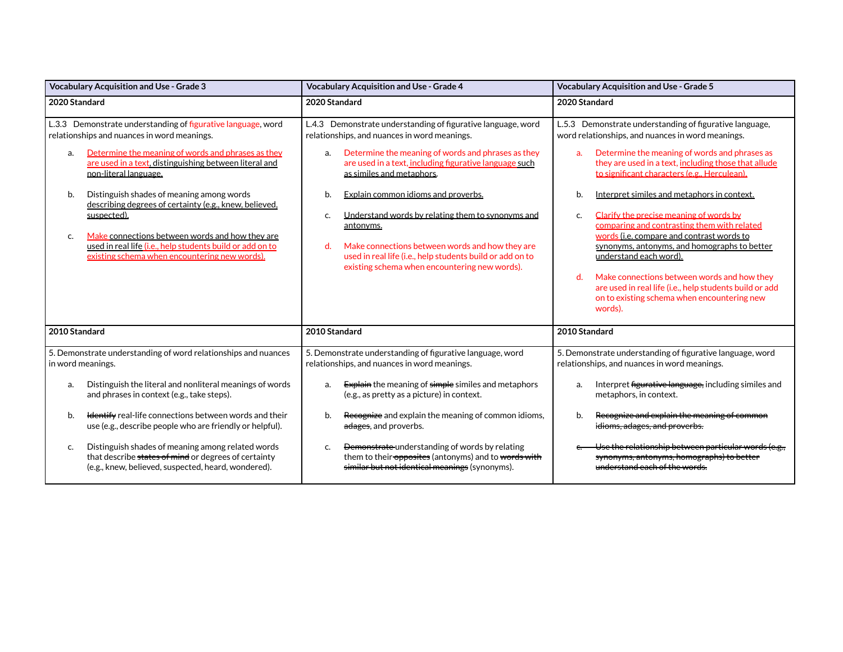| <b>Vocabulary Acquisition and Use - Grade 3</b>                                                                                                                                                                                                                                                                                                                                                                                                                                                                                                               | <b>Vocabulary Acquisition and Use - Grade 4</b>                                                                                                                                                                                                                                                                                                                                                                                                                                                                                                             | <b>Vocabulary Acquisition and Use - Grade 5</b>                                                                                                                                                                                                                                                                                                                                                                                                                                                                                                                                                                                                                                                                                   |
|---------------------------------------------------------------------------------------------------------------------------------------------------------------------------------------------------------------------------------------------------------------------------------------------------------------------------------------------------------------------------------------------------------------------------------------------------------------------------------------------------------------------------------------------------------------|-------------------------------------------------------------------------------------------------------------------------------------------------------------------------------------------------------------------------------------------------------------------------------------------------------------------------------------------------------------------------------------------------------------------------------------------------------------------------------------------------------------------------------------------------------------|-----------------------------------------------------------------------------------------------------------------------------------------------------------------------------------------------------------------------------------------------------------------------------------------------------------------------------------------------------------------------------------------------------------------------------------------------------------------------------------------------------------------------------------------------------------------------------------------------------------------------------------------------------------------------------------------------------------------------------------|
| 2020 Standard                                                                                                                                                                                                                                                                                                                                                                                                                                                                                                                                                 | 2020 Standard                                                                                                                                                                                                                                                                                                                                                                                                                                                                                                                                               | 2020 Standard                                                                                                                                                                                                                                                                                                                                                                                                                                                                                                                                                                                                                                                                                                                     |
| L.3.3 Demonstrate understanding of figurative language, word<br>relationships and nuances in word meanings.<br>Determine the meaning of words and phrases as they<br>a.<br>are used in a text, distinguishing between literal and<br>non-literal language.<br>b.<br>Distinguish shades of meaning among words<br>describing degrees of certainty (e.g., knew, believed,<br>suspected).<br>Make connections between words and how they are<br>c.<br>used in real life (i.e., help students build or add on to<br>existing schema when encountering new words). | L.4.3 Demonstrate understanding of figurative language, word<br>relationships, and nuances in word meanings.<br>Determine the meaning of words and phrases as they<br>a.<br>are used in a text, including figurative language such<br>as similes and metaphors.<br>Explain common idioms and proverbs.<br>b.<br>Understand words by relating them to synonyms and<br>c.<br>antonyms.<br>Make connections between words and how they are<br>d.<br>used in real life (i.e., help students build or add on to<br>existing schema when encountering new words). | L.5.3 Demonstrate understanding of figurative language,<br>word relationships, and nuances in word meanings.<br>Determine the meaning of words and phrases as<br>a.<br>they are used in a text, including those that allude<br>to significant characters (e.g., Herculean).<br>b.<br>Interpret similes and metaphors in context.<br>Clarify the precise meaning of words by<br>c.<br>comparing and contrasting them with related<br>words (i.e. compare and contrast words to<br>synonyms, antonyms, and homographs to better<br>understand each word).<br>Make connections between words and how they<br>d.<br>are used in real life (i.e., help students build or add<br>on to existing schema when encountering new<br>words). |
| 2010 Standard                                                                                                                                                                                                                                                                                                                                                                                                                                                                                                                                                 | 2010 Standard                                                                                                                                                                                                                                                                                                                                                                                                                                                                                                                                               | 2010 Standard                                                                                                                                                                                                                                                                                                                                                                                                                                                                                                                                                                                                                                                                                                                     |
| 5. Demonstrate understanding of word relationships and nuances<br>in word meanings.                                                                                                                                                                                                                                                                                                                                                                                                                                                                           | 5. Demonstrate understanding of figurative language, word<br>relationships, and nuances in word meanings.                                                                                                                                                                                                                                                                                                                                                                                                                                                   | 5. Demonstrate understanding of figurative language, word<br>relationships, and nuances in word meanings.                                                                                                                                                                                                                                                                                                                                                                                                                                                                                                                                                                                                                         |
| Distinguish the literal and nonliteral meanings of words<br>a.<br>and phrases in context (e.g., take steps).<br>Hentify real-life connections between words and their<br>b.<br>use (e.g., describe people who are friendly or helpful).<br>Distinguish shades of meaning among related words<br>c.<br>that describe states of mind or degrees of certainty<br>(e.g., knew, believed, suspected, heard, wondered).                                                                                                                                             | <b>Explain</b> the meaning of simple similes and metaphors<br>a.<br>(e.g., as pretty as a picture) in context.<br>Recognize and explain the meaning of common idioms,<br>b.<br>adages, and proverbs.<br>Demonstrate understanding of words by relating<br>c.<br>them to their opposites (antonyms) and to words with<br>similar but not identical meanings (synonyms).                                                                                                                                                                                      | Interpret figurative language, including similes and<br>a.<br>metaphors, in context.<br>Recognize and explain the meaning of common<br>b.<br>idioms, adages, and proverbs.<br>Use the relationship between particular words (e.g.,<br>synonyms, antonyms, homographs) to better<br>understand each of the words.                                                                                                                                                                                                                                                                                                                                                                                                                  |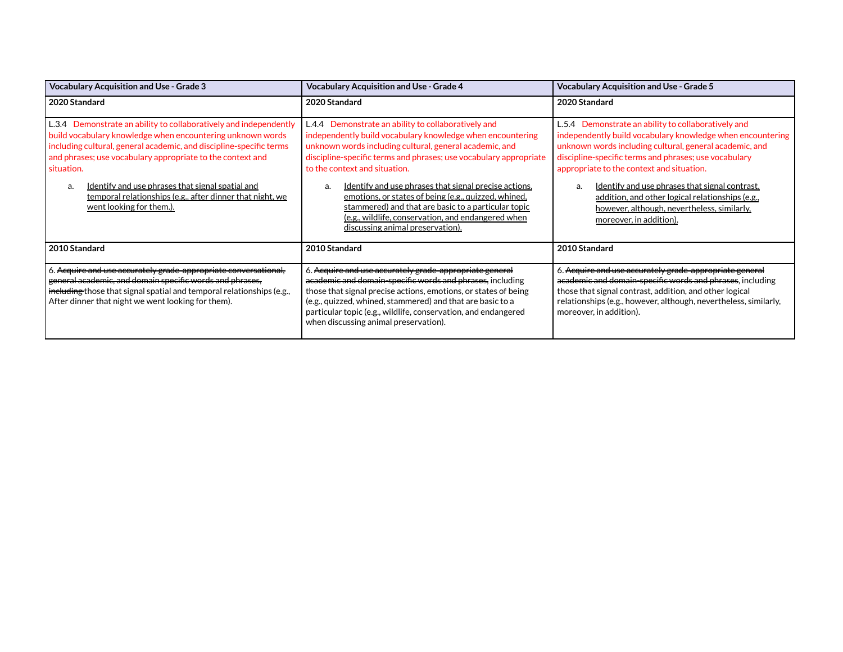| <b>Vocabulary Acquisition and Use - Grade 3</b>                                                                                                                                                                                                                                                                                                                                                                                                                                                                                                                                                                                                                                                                                                                                                                                                                                                                                                                                                      | <b>Vocabulary Acquisition and Use - Grade 4</b>                                                                                                                                                                                                                                                                                                                  | <b>Vocabulary Acquisition and Use - Grade 5</b>                                                                                                                                                                                                                                                                                                                                                                                                                            |
|------------------------------------------------------------------------------------------------------------------------------------------------------------------------------------------------------------------------------------------------------------------------------------------------------------------------------------------------------------------------------------------------------------------------------------------------------------------------------------------------------------------------------------------------------------------------------------------------------------------------------------------------------------------------------------------------------------------------------------------------------------------------------------------------------------------------------------------------------------------------------------------------------------------------------------------------------------------------------------------------------|------------------------------------------------------------------------------------------------------------------------------------------------------------------------------------------------------------------------------------------------------------------------------------------------------------------------------------------------------------------|----------------------------------------------------------------------------------------------------------------------------------------------------------------------------------------------------------------------------------------------------------------------------------------------------------------------------------------------------------------------------------------------------------------------------------------------------------------------------|
| 2020 Standard                                                                                                                                                                                                                                                                                                                                                                                                                                                                                                                                                                                                                                                                                                                                                                                                                                                                                                                                                                                        | 2020 Standard                                                                                                                                                                                                                                                                                                                                                    | 2020 Standard                                                                                                                                                                                                                                                                                                                                                                                                                                                              |
| L.3.4 Demonstrate an ability to collaboratively and independently<br>L.4.4 Demonstrate an ability to collaboratively and<br>build vocabulary knowledge when encountering unknown words<br>independently build vocabulary knowledge when encountering<br>including cultural, general academic, and discipline-specific terms<br>unknown words including cultural, general academic, and<br>and phrases; use vocabulary appropriate to the context and<br>discipline-specific terms and phrases; use vocabulary appropriate<br>to the context and situation.<br>situation.<br>Identify and use phrases that signal precise actions,<br>Identify and use phrases that signal spatial and<br>a.<br>temporal relationships (e.g., after dinner that night, we<br>emotions, or states of being (e.g., quizzed, whined,<br>went looking for them.).<br>stammered) and that are basic to a particular topic<br>(e.g., wildlife, conservation, and endangered when<br><u>discussing animal preservation).</u> |                                                                                                                                                                                                                                                                                                                                                                  | L.5.4 Demonstrate an ability to collaboratively and<br>independently build vocabulary knowledge when encountering<br>unknown words including cultural, general academic, and<br>discipline-specific terms and phrases; use vocabulary<br>appropriate to the context and situation.<br>Identify and use phrases that signal contrast.<br>addition, and other logical relationships (e.g.,<br><u>however, although, nevertheless, similarly, </u><br>moreover, in addition). |
| 2010 Standard                                                                                                                                                                                                                                                                                                                                                                                                                                                                                                                                                                                                                                                                                                                                                                                                                                                                                                                                                                                        | <b>2010 Standard</b>                                                                                                                                                                                                                                                                                                                                             | 2010 Standard                                                                                                                                                                                                                                                                                                                                                                                                                                                              |
| 6. Acquire and use accurately grade-appropriate conversational,<br>general academic, and domain specific words and phrases,<br>including those that signal spatial and temporal relationships (e.g.,<br>After dinner that night we went looking for them).                                                                                                                                                                                                                                                                                                                                                                                                                                                                                                                                                                                                                                                                                                                                           | 6. Acquire and use accurately grade appropriate general<br>academic and domain-specific words and phrases, including<br>those that signal precise actions, emotions, or states of being<br>(e.g., quizzed, whined, stammered) and that are basic to a<br>particular topic (e.g., wildlife, conservation, and endangered<br>when discussing animal preservation). | 6. Acquire and use accurately grade appropriate general<br>academic and domain-specific words and phrases, including<br>those that signal contrast, addition, and other logical<br>relationships (e.g., however, although, nevertheless, similarly,<br>moreover, in addition).                                                                                                                                                                                             |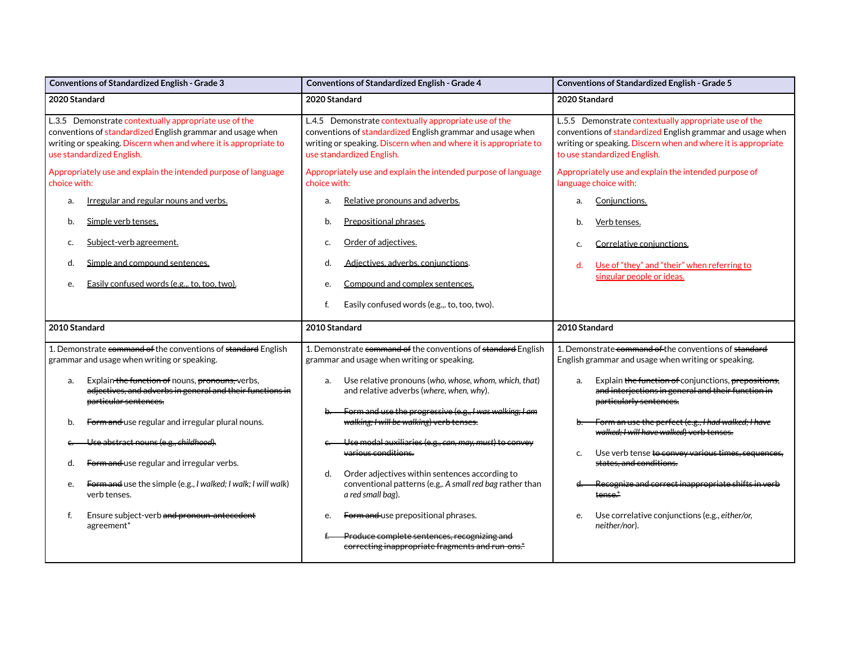| Conventions of Standardized English - Grade 3                                                                                                                                                                        | Conventions of Standardized English - Grade 4                                                                                                                                                                        | Conventions of Standardized English - Grade 5                                                                                                                                                                        |
|----------------------------------------------------------------------------------------------------------------------------------------------------------------------------------------------------------------------|----------------------------------------------------------------------------------------------------------------------------------------------------------------------------------------------------------------------|----------------------------------------------------------------------------------------------------------------------------------------------------------------------------------------------------------------------|
| 2020 Standard                                                                                                                                                                                                        | 2020 Standard                                                                                                                                                                                                        | 2020 Standard                                                                                                                                                                                                        |
| L.3.5 Demonstrate contextually appropriate use of the<br>conventions of standardized English grammar and usage when<br>writing or speaking. Discern when and where it is appropriate to<br>use standardized English. | L.4.5 Demonstrate contextually appropriate use of the<br>conventions of standardized English grammar and usage when<br>writing or speaking. Discern when and where it is appropriate to<br>use standardized English. | L.5.5 Demonstrate contextually appropriate use of the<br>conventions of standardized English grammar and usage when<br>writing or speaking. Discern when and where it is appropriate<br>to use standardized English. |
| Appropriately use and explain the intended purpose of language<br>choice with:                                                                                                                                       | Appropriately use and explain the intended purpose of language<br>choice with:                                                                                                                                       | Appropriately use and explain the intended purpose of<br>language choice with:                                                                                                                                       |
| Irregular and regular nouns and verbs.<br>a.                                                                                                                                                                         | Relative pronouns and adverbs.<br>a.                                                                                                                                                                                 | Conjunctions.<br>a.                                                                                                                                                                                                  |
| Simple verb tenses.<br>b.                                                                                                                                                                                            | Prepositional phrases.<br>b.                                                                                                                                                                                         | Verb tenses.<br>b.                                                                                                                                                                                                   |
| Subject-verb agreement.<br>c.                                                                                                                                                                                        | Order of adjectives.<br>c.                                                                                                                                                                                           | Correlative conjunctions.<br>c.                                                                                                                                                                                      |
| Simple and compound sentences.<br>d.                                                                                                                                                                                 | Adjectives, adverbs, conjunctions.<br>d.                                                                                                                                                                             | Use of "they" and "their" when referring to<br>d.<br>singular people or ideas.                                                                                                                                       |
| Easily confused words (e.g., to, too, two).<br>e.                                                                                                                                                                    | Compound and complex sentences.<br>e.                                                                                                                                                                                |                                                                                                                                                                                                                      |
|                                                                                                                                                                                                                      | Easily confused words (e.g.,. to, too, two).<br>f.                                                                                                                                                                   |                                                                                                                                                                                                                      |
|                                                                                                                                                                                                                      |                                                                                                                                                                                                                      |                                                                                                                                                                                                                      |
| 2010 Standard                                                                                                                                                                                                        | 2010 Standard                                                                                                                                                                                                        | 2010 Standard                                                                                                                                                                                                        |
| 1. Demonstrate command of the conventions of standard English<br>grammar and usage when writing or speaking.                                                                                                         | 1. Demonstrate command of the conventions of standard English<br>grammar and usage when writing or speaking.                                                                                                         | 1. Demonstrate command of the conventions of standard<br>English grammar and usage when writing or speaking.                                                                                                         |
| Explain the function of nouns, pronouns, verbs,<br>a.<br>adjectives, and adverbs in general and their functions in<br>particular sentences.                                                                          | Use relative pronouns (who, whose, whom, which, that)<br>a.<br>and relative adverbs (where, when, why).                                                                                                              | Explain the function of conjunctions, prepositions,<br>a.<br>and interjections in general and their function in<br>particularly sentences.                                                                           |
| Form and use regular and irregular plural nouns.<br>b.                                                                                                                                                               | Form and use the progressive (e.g., I was walking; I am<br>walking; I will be walking) verb tenses.                                                                                                                  | Form an use the perfect (e.g., I had walked; I have<br>walked; I will have walked) verb tenses.                                                                                                                      |
| Use abstract nouns (e.g., childhood).                                                                                                                                                                                | Use modal auxiliaries (e.g., can, may, must) to convey<br>various conditions.                                                                                                                                        | Use verb tense to convey various times, sequences,<br>c.                                                                                                                                                             |
| Form and use regular and irregular verbs.<br>d.                                                                                                                                                                      | d.<br>Order adjectives within sentences according to                                                                                                                                                                 | states, and conditions.                                                                                                                                                                                              |
| Form and use the simple (e.g., I walked; I walk; I will walk)<br>e.<br>verb tenses.                                                                                                                                  | conventional patterns (e.g,. A small red bag rather than<br>a red small bag).                                                                                                                                        | Recognize and correct inappropriate shifts in verb<br>tense.*                                                                                                                                                        |
| f.<br>Ensure subject-verb and pronoun-antecedent<br>agreement*                                                                                                                                                       | Form and use prepositional phrases.<br>e.                                                                                                                                                                            | Use correlative conjunctions (e.g., either/or,<br>e.<br>neither/nor).                                                                                                                                                |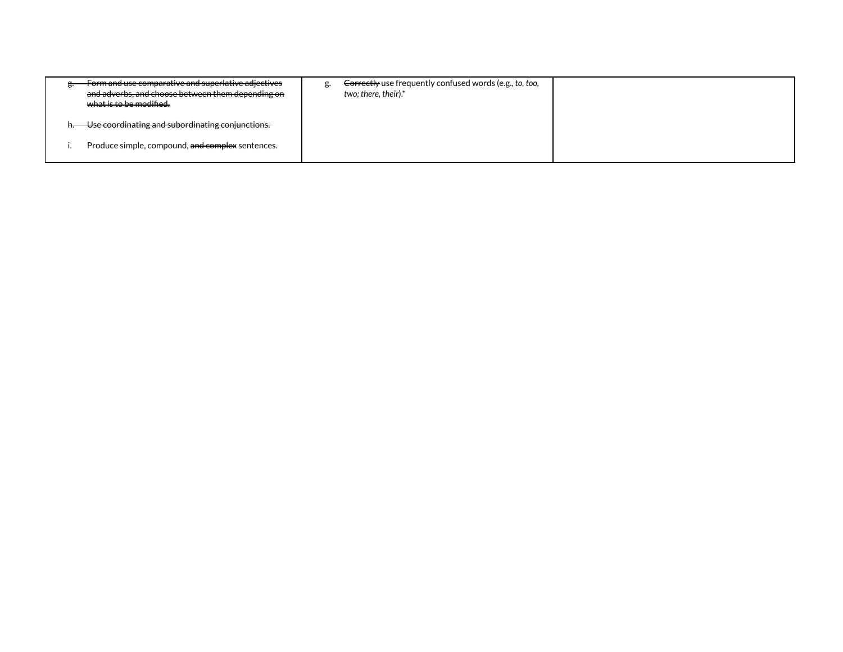| Form and use comparative and superlative adjectives<br>and adverbs, and choose between them depending on<br><del>what is to be modified.</del> | <del>Correctly</del> use frequently confused words (e.g., to, too,<br>two; there, their).* |  |
|------------------------------------------------------------------------------------------------------------------------------------------------|--------------------------------------------------------------------------------------------|--|
| Use coordinating and subordinating conjunctions.                                                                                               |                                                                                            |  |
| Produce simple, compound, and complex sentences.                                                                                               |                                                                                            |  |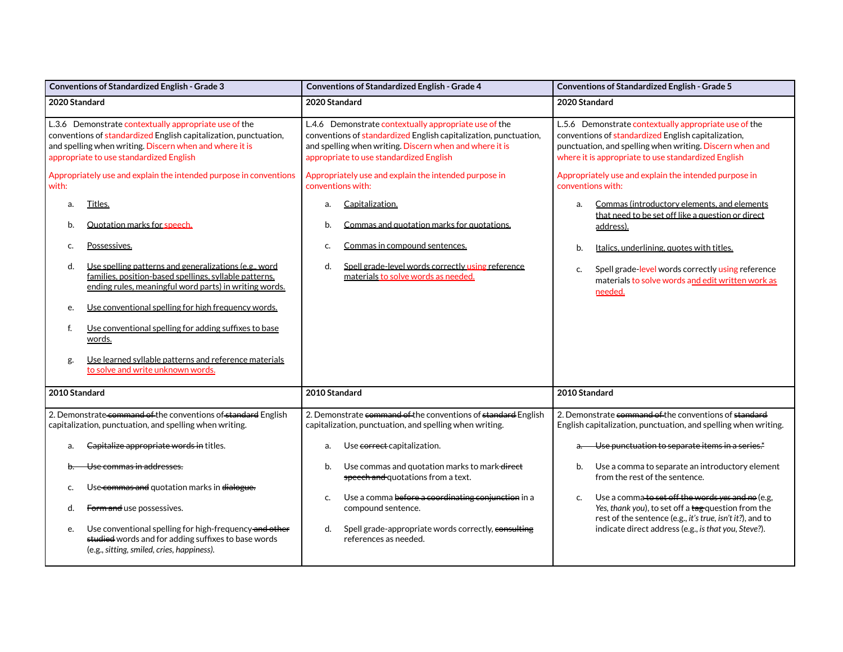| <b>Conventions of Standardized English - Grade 3</b>                                                                                                                                                                            | <b>Conventions of Standardized English - Grade 4</b>                                                                                                                                                                            | <b>Conventions of Standardized English - Grade 5</b>                                                                                                                                                                            |
|---------------------------------------------------------------------------------------------------------------------------------------------------------------------------------------------------------------------------------|---------------------------------------------------------------------------------------------------------------------------------------------------------------------------------------------------------------------------------|---------------------------------------------------------------------------------------------------------------------------------------------------------------------------------------------------------------------------------|
| 2020 Standard                                                                                                                                                                                                                   | 2020 Standard                                                                                                                                                                                                                   | 2020 Standard                                                                                                                                                                                                                   |
| L.3.6 Demonstrate contextually appropriate use of the<br>conventions of standardized English capitalization, punctuation,<br>and spelling when writing. Discern when and where it is<br>appropriate to use standardized English | L.4.6 Demonstrate contextually appropriate use of the<br>conventions of standardized English capitalization, punctuation,<br>and spelling when writing. Discern when and where it is<br>appropriate to use standardized English | L.5.6 Demonstrate contextually appropriate use of the<br>conventions of standardized English capitalization,<br>punctuation, and spelling when writing. Discern when and<br>where it is appropriate to use standardized English |
| Appropriately use and explain the intended purpose in conventions<br>with:                                                                                                                                                      | Appropriately use and explain the intended purpose in<br>conventions with:                                                                                                                                                      | Appropriately use and explain the intended purpose in<br>conventions with:                                                                                                                                                      |
| Titles.<br>a.<br>Quotation marks for speech.<br>b.                                                                                                                                                                              | Capitalization.<br>a.<br>Commas and quotation marks for quotations.<br>b.                                                                                                                                                       | Commas (introductory elements, and elements<br>a.<br>that need to be set off like a question or direct                                                                                                                          |
| Possessives.<br>c.                                                                                                                                                                                                              | Commas in compound sentences.<br>c.                                                                                                                                                                                             | address).<br>Italics, underlining, quotes with titles.<br>b.                                                                                                                                                                    |
| Use spelling patterns and generalizations (e.g., word<br>d.<br>families, position-based spellings, syllable patterns,<br>ending rules, meaningful word parts) in writing words.                                                 | Spell grade-level words correctly using reference<br>d.<br>materials to solve words as needed.                                                                                                                                  | Spell grade-level words correctly using reference<br>c.<br>materials to solve words and edit written work as<br>needed.                                                                                                         |
| Use conventional spelling for high frequency words.<br>e.                                                                                                                                                                       |                                                                                                                                                                                                                                 |                                                                                                                                                                                                                                 |
| Use conventional spelling for adding suffixes to base<br>f.<br>words.                                                                                                                                                           |                                                                                                                                                                                                                                 |                                                                                                                                                                                                                                 |
| Use learned syllable patterns and reference materials<br>g.<br>to solve and write unknown words.                                                                                                                                |                                                                                                                                                                                                                                 |                                                                                                                                                                                                                                 |
| 2010 Standard                                                                                                                                                                                                                   | 2010 Standard                                                                                                                                                                                                                   | 2010 Standard                                                                                                                                                                                                                   |
| 2. Demonstrate command of the conventions of standard English<br>capitalization, punctuation, and spelling when writing.                                                                                                        | 2. Demonstrate command of the conventions of standard English<br>capitalization, punctuation, and spelling when writing.                                                                                                        | 2. Demonstrate command of the conventions of standard<br>English capitalization, punctuation, and spelling when writing.                                                                                                        |
| Capitalize appropriate words in titles.<br>a.                                                                                                                                                                                   | Use correct capitalization.<br>a.                                                                                                                                                                                               | Use punctuation to separate items in a series. <sup>*</sup>                                                                                                                                                                     |
| <del>Use commas in addresses.</del>                                                                                                                                                                                             | Use commas and quotation marks to mark-direct<br>b.<br>speech and quotations from a text.                                                                                                                                       | Use a comma to separate an introductory element<br>b.<br>from the rest of the sentence.                                                                                                                                         |
| Use-commas and quotation marks in dialogue.<br>c.<br>Form and use possessives.<br>d.                                                                                                                                            | Use a comma before a coordinating conjunction in a<br>C.<br>compound sentence.                                                                                                                                                  | Use a comma to set off the words yes and no (e.g,<br>c.<br>Yes, thank you), to set off a tag question from the                                                                                                                  |
| Use conventional spelling for high-frequency-and-other<br>e.<br>studied words and for adding suffixes to base words<br>(e.g., sitting, smiled, cries, happiness).                                                               | Spell grade-appropriate words correctly, consulting<br>d.<br>references as needed.                                                                                                                                              | rest of the sentence (e.g., it's true, isn't it?), and to<br>indicate direct address (e.g., is that you, Steve?).                                                                                                               |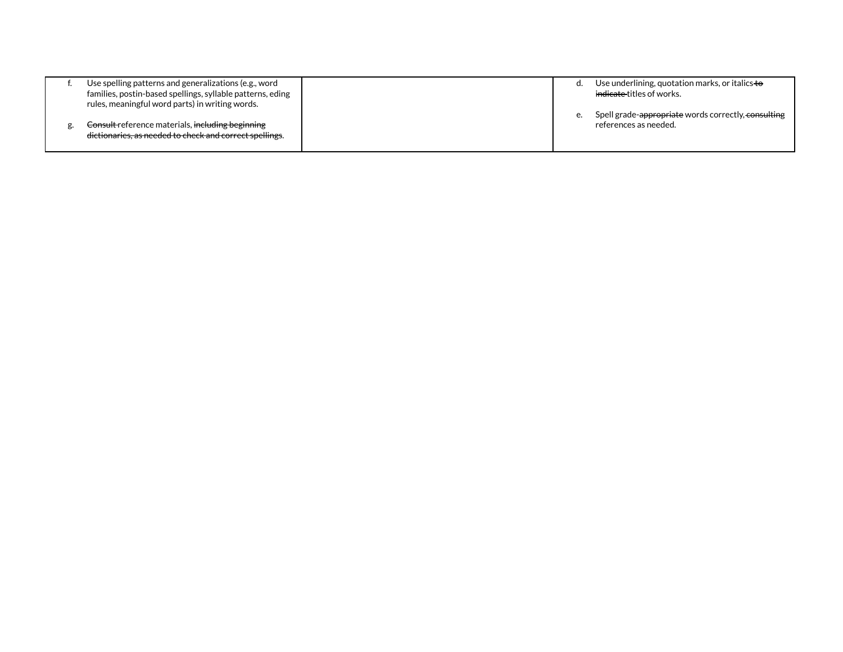| Use spelling patterns and generalizations (e.g., word      | α. | Use underlining, quotation marks, or italics to     |
|------------------------------------------------------------|----|-----------------------------------------------------|
| families, postin-based spellings, syllable patterns, eding |    | <del>indicate </del> titles of works.               |
| rules, meaningful word parts) in writing words.            |    |                                                     |
|                                                            | е. | Spell grade-appropriate words correctly, consulting |
| Consult reference materials, including beginning           |    | references as needed.                               |
| dictionaries, as needed to check and correct spellings.    |    |                                                     |
|                                                            |    |                                                     |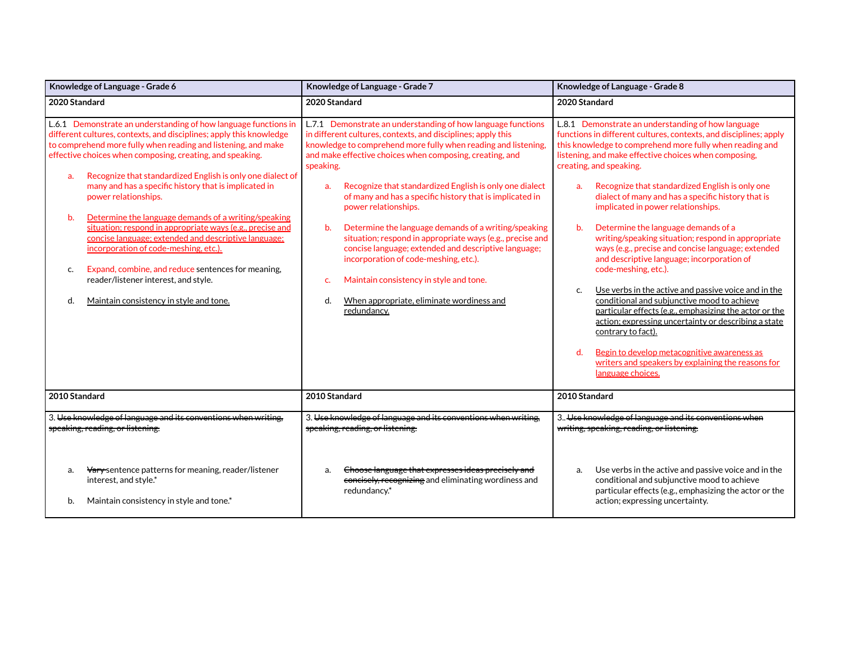| Knowledge of Language - Grade 6                                                                                                                                                                                                                                                                                                                                                                                                                                                                                                                                                                                                                                                                                                                                                                            | Knowledge of Language - Grade 7                                                                                                                                                                                                                                                                                                                                                                                                                                                                                                                                                                                                                                                                                                                                             | Knowledge of Language - Grade 8                                                                                                                                                                                                                                                                                                                                                                                                                                                                                                                                                                                                                                                                                                                                                                                                                                                                                                                                                                                                                              |
|------------------------------------------------------------------------------------------------------------------------------------------------------------------------------------------------------------------------------------------------------------------------------------------------------------------------------------------------------------------------------------------------------------------------------------------------------------------------------------------------------------------------------------------------------------------------------------------------------------------------------------------------------------------------------------------------------------------------------------------------------------------------------------------------------------|-----------------------------------------------------------------------------------------------------------------------------------------------------------------------------------------------------------------------------------------------------------------------------------------------------------------------------------------------------------------------------------------------------------------------------------------------------------------------------------------------------------------------------------------------------------------------------------------------------------------------------------------------------------------------------------------------------------------------------------------------------------------------------|--------------------------------------------------------------------------------------------------------------------------------------------------------------------------------------------------------------------------------------------------------------------------------------------------------------------------------------------------------------------------------------------------------------------------------------------------------------------------------------------------------------------------------------------------------------------------------------------------------------------------------------------------------------------------------------------------------------------------------------------------------------------------------------------------------------------------------------------------------------------------------------------------------------------------------------------------------------------------------------------------------------------------------------------------------------|
| 2020 Standard                                                                                                                                                                                                                                                                                                                                                                                                                                                                                                                                                                                                                                                                                                                                                                                              | 2020 Standard                                                                                                                                                                                                                                                                                                                                                                                                                                                                                                                                                                                                                                                                                                                                                               | 2020 Standard                                                                                                                                                                                                                                                                                                                                                                                                                                                                                                                                                                                                                                                                                                                                                                                                                                                                                                                                                                                                                                                |
| L.6.1 Demonstrate an understanding of how language functions in<br>different cultures, contexts, and disciplines; apply this knowledge<br>to comprehend more fully when reading and listening, and make<br>effective choices when composing, creating, and speaking.<br>Recognize that standardized English is only one dialect of<br>a.<br>many and has a specific history that is implicated in<br>power relationships.<br>Determine the language demands of a writing/speaking<br>b.<br>situation; respond in appropriate ways (e.g., precise and<br>concise language; extended and descriptive language;<br>incorporation of code-meshing, etc.).<br>Expand, combine, and reduce sentences for meaning,<br>c.<br>reader/listener interest, and style.<br>Maintain consistency in style and tone.<br>d. | L.7.1 Demonstrate an understanding of how language functions<br>in different cultures, contexts, and disciplines; apply this<br>knowledge to comprehend more fully when reading and listening,<br>and make effective choices when composing, creating, and<br>speaking.<br>Recognize that standardized English is only one dialect<br>a.<br>of many and has a specific history that is implicated in<br>power relationships.<br>Determine the language demands of a writing/speaking<br>b.<br>situation; respond in appropriate ways (e.g., precise and<br>concise language; extended and descriptive language;<br>incorporation of code-meshing, etc.).<br>Maintain consistency in style and tone.<br>c.<br>When appropriate, eliminate wordiness and<br>d.<br>redundancy. | L.8.1 Demonstrate an understanding of how language<br>functions in different cultures, contexts, and disciplines; apply<br>this knowledge to comprehend more fully when reading and<br>listening, and make effective choices when composing,<br>creating, and speaking.<br>Recognize that standardized English is only one<br>a <sub>r</sub><br>dialect of many and has a specific history that is<br>implicated in power relationships.<br>b.<br>Determine the language demands of a<br>writing/speaking situation; respond in appropriate<br>ways (e.g., precise and concise language; extended<br>and descriptive language; incorporation of<br>code-meshing, etc.).<br>Use verbs in the active and passive voice and in the<br>C.<br>conditional and subjunctive mood to achieve<br>particular effects (e.g., emphasizing the actor or the<br>action; expressing uncertainty or describing a state<br>contrary to fact).<br>d.<br>Begin to develop metacognitive awareness as<br>writers and speakers by explaining the reasons for<br>language choices. |
| 2010 Standard                                                                                                                                                                                                                                                                                                                                                                                                                                                                                                                                                                                                                                                                                                                                                                                              | 2010 Standard                                                                                                                                                                                                                                                                                                                                                                                                                                                                                                                                                                                                                                                                                                                                                               | 2010 Standard                                                                                                                                                                                                                                                                                                                                                                                                                                                                                                                                                                                                                                                                                                                                                                                                                                                                                                                                                                                                                                                |
| 3. Use knowledge of language and its conventions when writing.<br>speaking, reading, or listening.                                                                                                                                                                                                                                                                                                                                                                                                                                                                                                                                                                                                                                                                                                         | 3. Use knowledge of language and its conventions when writing.<br>speaking, reading, or listening.                                                                                                                                                                                                                                                                                                                                                                                                                                                                                                                                                                                                                                                                          | 3. Use knowledge of language and its conventions when<br>writing, speaking, reading, or listening.                                                                                                                                                                                                                                                                                                                                                                                                                                                                                                                                                                                                                                                                                                                                                                                                                                                                                                                                                           |
| Vary-sentence patterns for meaning, reader/listener<br>a.<br>interest, and style.*<br>Maintain consistency in style and tone.*<br>b.                                                                                                                                                                                                                                                                                                                                                                                                                                                                                                                                                                                                                                                                       | Choose language that expresses ideas precisely and<br>a.<br>concisely, recognizing and eliminating wordiness and<br>redundancy.*                                                                                                                                                                                                                                                                                                                                                                                                                                                                                                                                                                                                                                            | Use verbs in the active and passive voice and in the<br>a.<br>conditional and subjunctive mood to achieve<br>particular effects (e.g., emphasizing the actor or the<br>action; expressing uncertainty.                                                                                                                                                                                                                                                                                                                                                                                                                                                                                                                                                                                                                                                                                                                                                                                                                                                       |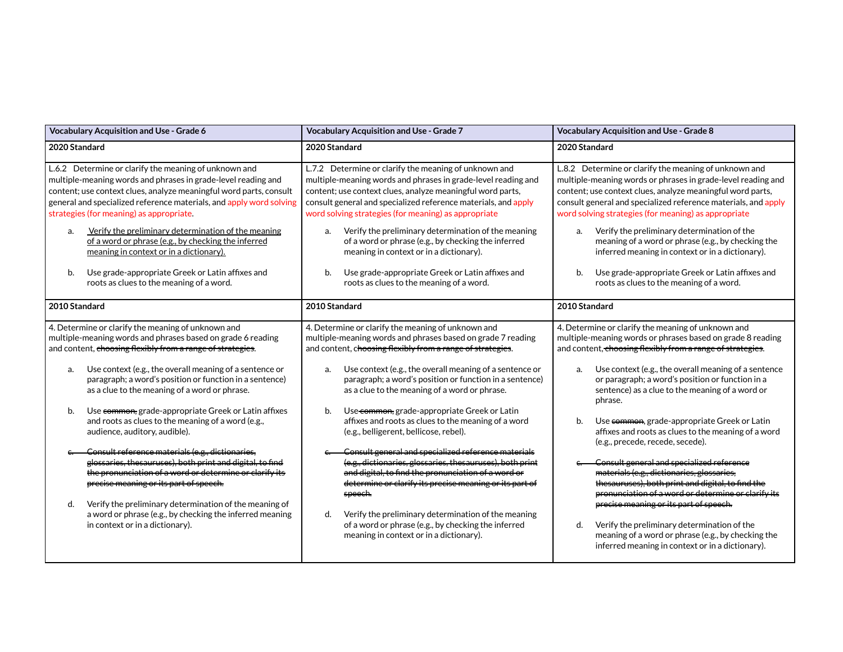| Vocabulary Acquisition and Use - Grade 6                                                                                                                                                                                                                                                                                                                                                                                                                                                                                                                                                                                                                                                                                                              | Vocabulary Acquisition and Use - Grade 7                                                                                                                                                                                                                                                                                                                                                                                                                                                                                                                                                                                                                                                                                                                                        | Vocabulary Acquisition and Use - Grade 8                                                                                                                                                                                                                                                                                                                                                                                                                                                                                                                                                                                                                                                                               |
|-------------------------------------------------------------------------------------------------------------------------------------------------------------------------------------------------------------------------------------------------------------------------------------------------------------------------------------------------------------------------------------------------------------------------------------------------------------------------------------------------------------------------------------------------------------------------------------------------------------------------------------------------------------------------------------------------------------------------------------------------------|---------------------------------------------------------------------------------------------------------------------------------------------------------------------------------------------------------------------------------------------------------------------------------------------------------------------------------------------------------------------------------------------------------------------------------------------------------------------------------------------------------------------------------------------------------------------------------------------------------------------------------------------------------------------------------------------------------------------------------------------------------------------------------|------------------------------------------------------------------------------------------------------------------------------------------------------------------------------------------------------------------------------------------------------------------------------------------------------------------------------------------------------------------------------------------------------------------------------------------------------------------------------------------------------------------------------------------------------------------------------------------------------------------------------------------------------------------------------------------------------------------------|
| 2020 Standard                                                                                                                                                                                                                                                                                                                                                                                                                                                                                                                                                                                                                                                                                                                                         | 2020 Standard                                                                                                                                                                                                                                                                                                                                                                                                                                                                                                                                                                                                                                                                                                                                                                   | 2020 Standard                                                                                                                                                                                                                                                                                                                                                                                                                                                                                                                                                                                                                                                                                                          |
| L.6.2 Determine or clarify the meaning of unknown and<br>multiple-meaning words and phrases in grade-level reading and<br>content; use context clues, analyze meaningful word parts, consult<br>general and specialized reference materials, and apply word solving<br>strategies (for meaning) as appropriate.<br>Verify the preliminary determination of the meaning<br>a.<br>of a word or phrase (e.g., by checking the inferred<br>meaning in context or in a dictionary).                                                                                                                                                                                                                                                                        | L.7.2 Determine or clarify the meaning of unknown and<br>multiple-meaning words and phrases in grade-level reading and<br>content; use context clues, analyze meaningful word parts,<br>consult general and specialized reference materials, and apply<br>word solving strategies (for meaning) as appropriate<br>Verify the preliminary determination of the meaning<br>a.<br>of a word or phrase (e.g., by checking the inferred<br>meaning in context or in a dictionary).                                                                                                                                                                                                                                                                                                   | L.8.2 Determine or clarify the meaning of unknown and<br>multiple-meaning words or phrases in grade-level reading and<br>content; use context clues, analyze meaningful word parts,<br>consult general and specialized reference materials, and apply<br>word solving strategies (for meaning) as appropriate<br>Verify the preliminary determination of the<br>a.<br>meaning of a word or phrase (e.g., by checking the<br>inferred meaning in context or in a dictionary).                                                                                                                                                                                                                                           |
| Use grade-appropriate Greek or Latin affixes and<br>b.<br>roots as clues to the meaning of a word.                                                                                                                                                                                                                                                                                                                                                                                                                                                                                                                                                                                                                                                    | Use grade-appropriate Greek or Latin affixes and<br>b.<br>roots as clues to the meaning of a word.                                                                                                                                                                                                                                                                                                                                                                                                                                                                                                                                                                                                                                                                              | Use grade-appropriate Greek or Latin affixes and<br>b.<br>roots as clues to the meaning of a word.                                                                                                                                                                                                                                                                                                                                                                                                                                                                                                                                                                                                                     |
| 2010 Standard                                                                                                                                                                                                                                                                                                                                                                                                                                                                                                                                                                                                                                                                                                                                         | 2010 Standard                                                                                                                                                                                                                                                                                                                                                                                                                                                                                                                                                                                                                                                                                                                                                                   | 2010 Standard                                                                                                                                                                                                                                                                                                                                                                                                                                                                                                                                                                                                                                                                                                          |
| 4. Determine or clarify the meaning of unknown and<br>multiple-meaning words and phrases based on grade 6 reading<br>and content, choosing flexibly from a range of strategies.<br>Use context (e.g., the overall meaning of a sentence or<br>a.<br>paragraph; a word's position or function in a sentence)<br>as a clue to the meaning of a word or phrase.<br>Use common, grade-appropriate Greek or Latin affixes<br>b.<br>and roots as clues to the meaning of a word (e.g.,<br>audience, auditory, audible).<br>Consult reference materials (e.g., dictionaries,<br>$\epsilon$<br>glossaries, thesauruses), both print and digital, to find<br>the pronunciation of a word or determine or clarify its<br>precise meaning or its part of speech. | 4. Determine or clarify the meaning of unknown and<br>multiple-meaning words and phrases based on grade 7 reading<br>and content, choosing flexibly from a range of strategies.<br>Use context (e.g., the overall meaning of a sentence or<br>a.<br>paragraph; a word's position or function in a sentence)<br>as a clue to the meaning of a word or phrase.<br>Use common, grade-appropriate Greek or Latin<br>b.<br>affixes and roots as clues to the meaning of a word<br>(e.g., belligerent, bellicose, rebel).<br>Consult general and specialized reference materials<br>(e.g., dictionaries, glossaries, thesauruses), both print<br>and digital, to find the pronunciation of a word or<br>determine or clarify its precise meaning or its part of<br><del>speech.</del> | 4. Determine or clarify the meaning of unknown and<br>multiple-meaning words or phrases based on grade 8 reading<br>and content, choosing flexibly from a range of strategies.<br>Use context (e.g., the overall meaning of a sentence<br>a.<br>or paragraph; a word's position or function in a<br>sentence) as a clue to the meaning of a word or<br>phrase.<br>Use common, grade-appropriate Greek or Latin<br>b.<br>affixes and roots as clues to the meaning of a word<br>(e.g., precede, recede, secede).<br>Consult general and specialized reference<br>materials (e.g., dictionaries, glossaries,<br>thesauruses), both print and digital, to find the<br>pronunciation of a word or determine or clarify its |
| Verify the preliminary determination of the meaning of<br>d.<br>a word or phrase (e.g., by checking the inferred meaning<br>in context or in a dictionary).                                                                                                                                                                                                                                                                                                                                                                                                                                                                                                                                                                                           | Verify the preliminary determination of the meaning<br>d.<br>of a word or phrase (e.g., by checking the inferred<br>meaning in context or in a dictionary).                                                                                                                                                                                                                                                                                                                                                                                                                                                                                                                                                                                                                     | precise meaning or its part of speech.<br>Verify the preliminary determination of the<br>d.<br>meaning of a word or phrase (e.g., by checking the<br>inferred meaning in context or in a dictionary).                                                                                                                                                                                                                                                                                                                                                                                                                                                                                                                  |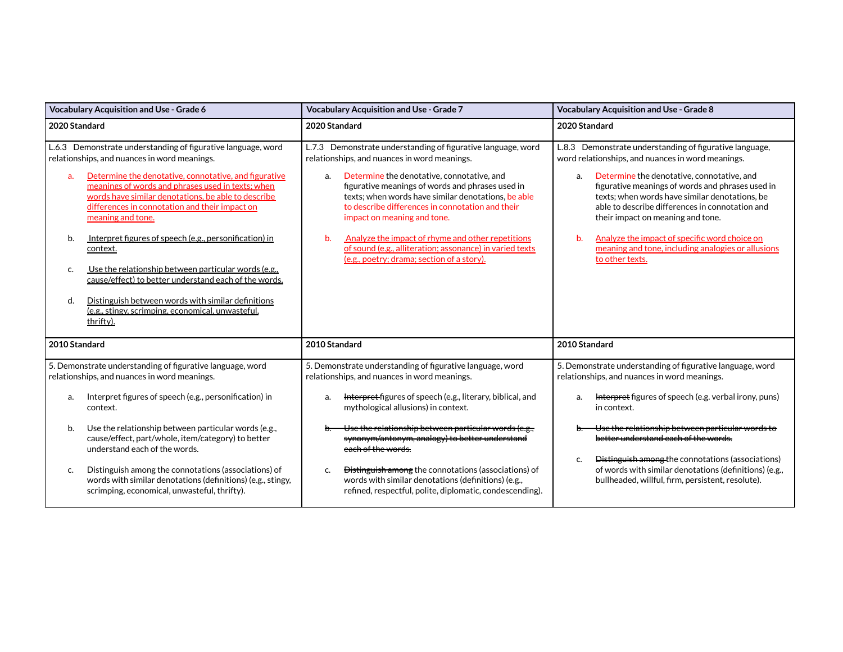|               | <b>Vocabulary Acquisition and Use - Grade 6</b>                                                                                                                                                                                          | Vocabulary Acquisition and Use - Grade 7                                                                                                                                                                                                       | Vocabulary Acquisition and Use - Grade 8                                                                                                                                                                                                       |
|---------------|------------------------------------------------------------------------------------------------------------------------------------------------------------------------------------------------------------------------------------------|------------------------------------------------------------------------------------------------------------------------------------------------------------------------------------------------------------------------------------------------|------------------------------------------------------------------------------------------------------------------------------------------------------------------------------------------------------------------------------------------------|
| 2020 Standard |                                                                                                                                                                                                                                          | 2020 Standard                                                                                                                                                                                                                                  | 2020 Standard                                                                                                                                                                                                                                  |
|               | L.6.3 Demonstrate understanding of figurative language, word<br>relationships, and nuances in word meanings.                                                                                                                             | L.7.3 Demonstrate understanding of figurative language, word<br>relationships, and nuances in word meanings.                                                                                                                                   | L.8.3 Demonstrate understanding of figurative language,<br>word relationships, and nuances in word meanings.                                                                                                                                   |
| a.            | Determine the denotative, connotative, and figurative<br>meanings of words and phrases used in texts; when<br>words have similar denotations, be able to describe<br>differences in connotation and their impact on<br>meaning and tone. | Determine the denotative, connotative, and<br>a.<br>figurative meanings of words and phrases used in<br>texts; when words have similar denotations, be able<br>to describe differences in connotation and their<br>impact on meaning and tone. | Determine the denotative, connotative, and<br>a.<br>figurative meanings of words and phrases used in<br>texts; when words have similar denotations, be<br>able to describe differences in connotation and<br>their impact on meaning and tone. |
| b.            | Interpret figures of speech (e.g., personification) in<br>context.                                                                                                                                                                       | Analyze the impact of rhyme and other repetitions<br>$\mathbf{b}$ .<br>of sound (e.g., alliteration; assonance) in varied texts<br>(e.g., poetry; drama; section of a story).                                                                  | Analyze the impact of specific word choice on<br>b.<br>meaning and tone, including analogies or allusions<br>to other texts.                                                                                                                   |
| c.            | Use the relationship between particular words (e.g.,<br>cause/effect) to better understand each of the words.                                                                                                                            |                                                                                                                                                                                                                                                |                                                                                                                                                                                                                                                |
| d.            | Distinguish between words with similar definitions<br>(e.g., stingy, scrimping, economical, unwasteful,<br>thrifty).                                                                                                                     |                                                                                                                                                                                                                                                |                                                                                                                                                                                                                                                |
| 2010 Standard |                                                                                                                                                                                                                                          | 2010 Standard                                                                                                                                                                                                                                  | 2010 Standard                                                                                                                                                                                                                                  |
|               | 5. Demonstrate understanding of figurative language, word<br>relationships, and nuances in word meanings.                                                                                                                                | 5. Demonstrate understanding of figurative language, word<br>relationships, and nuances in word meanings.                                                                                                                                      | 5. Demonstrate understanding of figurative language, word<br>relationships, and nuances in word meanings.                                                                                                                                      |
| a.            | Interpret figures of speech (e.g., personification) in<br>context.                                                                                                                                                                       | <b>Interpret-figures of speech (e.g., literary, biblical, and</b><br>a.<br>mythological allusions) in context.                                                                                                                                 | <b>Interpret</b> figures of speech (e.g. verbal irony, puns)<br>a.<br>in context.                                                                                                                                                              |
| b.            | Use the relationship between particular words (e.g.,<br>cause/effect, part/whole, item/category) to better<br>understand each of the words.                                                                                              | Use the relationship between particular words (e.g.,<br>synonym/antonym, analogy) to better understand<br>each of the words.                                                                                                                   | Use the relationship between particular words to<br>better understand each of the words<br>Distinguish among the connotations (associations)                                                                                                   |
| c.            | Distinguish among the connotations (associations) of<br>words with similar denotations (definitions) (e.g., stingy,<br>scrimping, economical, unwasteful, thrifty).                                                                      | Distinguish among the connotations (associations) of<br>c.<br>words with similar denotations (definitions) (e.g.,<br>refined, respectful, polite, diplomatic, condescending).                                                                  | c.<br>of words with similar denotations (definitions) (e.g.,<br>bullheaded, willful, firm, persistent, resolute).                                                                                                                              |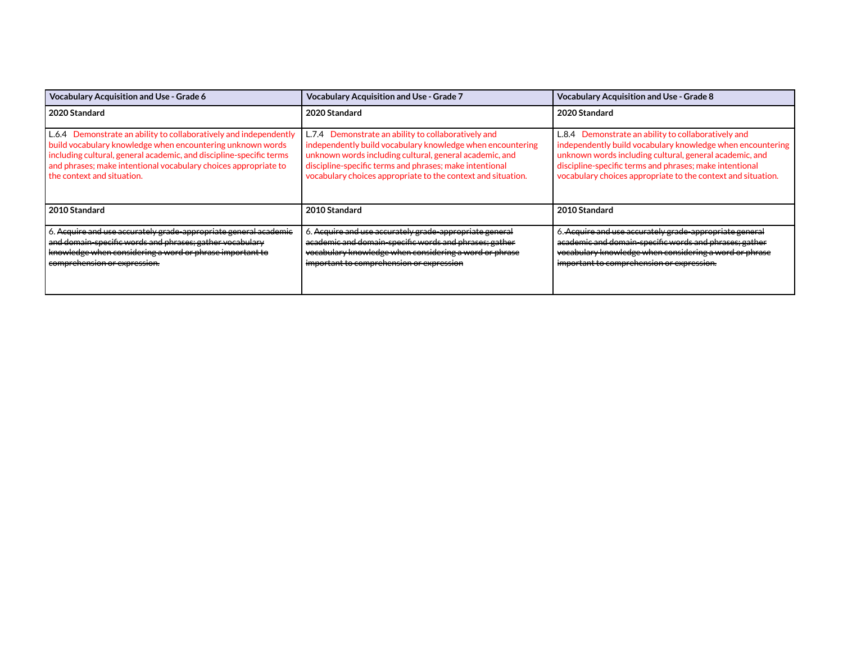| <b>Vocabulary Acquisition and Use - Grade 6</b>                                                                                                                                                                                                                                                         | <b>Vocabulary Acquisition and Use - Grade 7</b>                                                                                                                                                                                                                                                         | <b>Vocabulary Acquisition and Use - Grade 8</b>                                                                                                                                                                                                                                                         |
|---------------------------------------------------------------------------------------------------------------------------------------------------------------------------------------------------------------------------------------------------------------------------------------------------------|---------------------------------------------------------------------------------------------------------------------------------------------------------------------------------------------------------------------------------------------------------------------------------------------------------|---------------------------------------------------------------------------------------------------------------------------------------------------------------------------------------------------------------------------------------------------------------------------------------------------------|
| 2020 Standard                                                                                                                                                                                                                                                                                           | 2020 Standard                                                                                                                                                                                                                                                                                           | 2020 Standard                                                                                                                                                                                                                                                                                           |
| L.6.4 Demonstrate an ability to collaboratively and independently<br>build vocabulary knowledge when encountering unknown words<br>including cultural, general academic, and discipline-specific terms<br>and phrases; make intentional vocabulary choices appropriate to<br>the context and situation. | L.7.4 Demonstrate an ability to collaboratively and<br>independently build vocabulary knowledge when encountering<br>unknown words including cultural, general academic, and<br>discipline-specific terms and phrases; make intentional<br>vocabulary choices appropriate to the context and situation. | L.8.4 Demonstrate an ability to collaboratively and<br>independently build vocabulary knowledge when encountering<br>unknown words including cultural, general academic, and<br>discipline-specific terms and phrases; make intentional<br>vocabulary choices appropriate to the context and situation. |
| 2010 Standard                                                                                                                                                                                                                                                                                           | 2010 Standard                                                                                                                                                                                                                                                                                           | 2010 Standard                                                                                                                                                                                                                                                                                           |
| . Acquire and use accurately grade-appropriate general academic<br>and domain-specific words and phrases; gather vocabulary<br>knowledge when considering a word or phrase important to<br>comprehension or expression.                                                                                 | 6. Acquire and use accurately grade-appropriate general<br><del>academic and domain-specific words and phrases; gather</del><br>vocabulary knowledge when considering a word or phrase<br>important to comprehension or expression                                                                      | 6. Acquire and use accurately grade-appropriate general<br>academic and domain-specific words and phrases; gather<br>vocabulary knowledge when considering a word or phrase<br>important to comprehension or expression.                                                                                |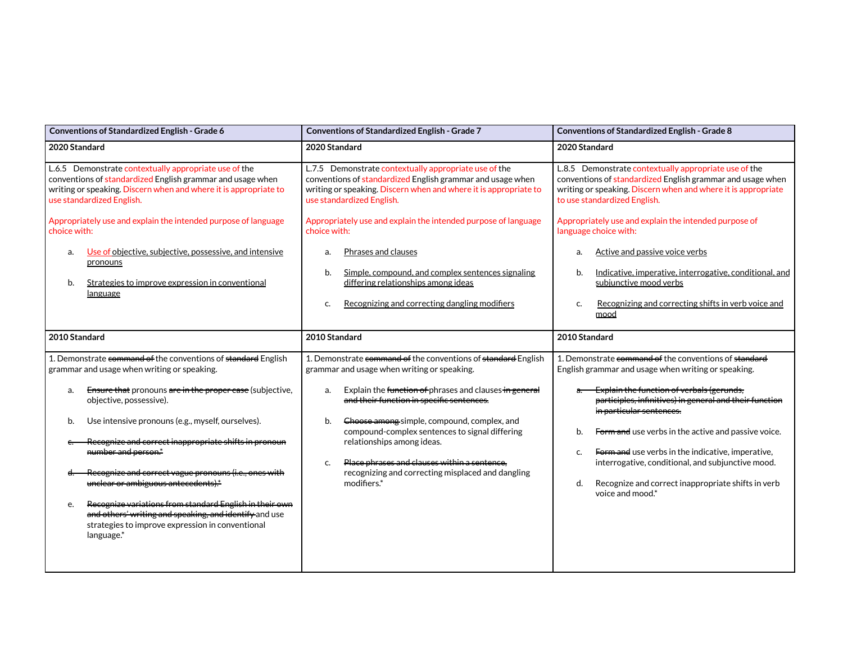| Conventions of Standardized English - Grade 6                                                                                                                                                                                                                                                                                                                                                                                                                                                                                           | Conventions of Standardized English - Grade 7                                                                                                                                                                                                                                                                                                                                                                                                                                                | Conventions of Standardized English - Grade 8                                                                                                                                                                                                                                                                                                                                                                                                                                                                  |
|-----------------------------------------------------------------------------------------------------------------------------------------------------------------------------------------------------------------------------------------------------------------------------------------------------------------------------------------------------------------------------------------------------------------------------------------------------------------------------------------------------------------------------------------|----------------------------------------------------------------------------------------------------------------------------------------------------------------------------------------------------------------------------------------------------------------------------------------------------------------------------------------------------------------------------------------------------------------------------------------------------------------------------------------------|----------------------------------------------------------------------------------------------------------------------------------------------------------------------------------------------------------------------------------------------------------------------------------------------------------------------------------------------------------------------------------------------------------------------------------------------------------------------------------------------------------------|
| 2020 Standard                                                                                                                                                                                                                                                                                                                                                                                                                                                                                                                           | 2020 Standard                                                                                                                                                                                                                                                                                                                                                                                                                                                                                | 2020 Standard                                                                                                                                                                                                                                                                                                                                                                                                                                                                                                  |
| L.6.5 Demonstrate contextually appropriate use of the<br>conventions of standardized English grammar and usage when<br>writing or speaking. Discern when and where it is appropriate to<br>use standardized English.<br>Appropriately use and explain the intended purpose of language<br>choice with:<br>Use of objective, subjective, possessive, and intensive<br>a.<br>pronouns<br>Strategies to improve expression in conventional<br>b.<br>language                                                                               | L.7.5 Demonstrate contextually appropriate use of the<br>conventions of standardized English grammar and usage when<br>writing or speaking. Discern when and where it is appropriate to<br>use standardized English.<br>Appropriately use and explain the intended purpose of language<br>choice with:<br>Phrases and clauses<br>a.<br>Simple, compound, and complex sentences signaling<br>b.<br>differing relationships among ideas<br>Recognizing and correcting dangling modifiers<br>c. | L.8.5 Demonstrate contextually appropriate use of the<br>conventions of standardized English grammar and usage when<br>writing or speaking. Discern when and where it is appropriate<br>to use standardized English.<br>Appropriately use and explain the intended purpose of<br>language choice with:<br>Active and passive voice verbs<br>a.<br>Indicative, imperative, interrogative, conditional, and<br>b.<br>subjunctive mood verbs<br>Recognizing and correcting shifts in verb voice and<br>c.<br>mood |
| 2010 Standard                                                                                                                                                                                                                                                                                                                                                                                                                                                                                                                           | 2010 Standard                                                                                                                                                                                                                                                                                                                                                                                                                                                                                | 2010 Standard                                                                                                                                                                                                                                                                                                                                                                                                                                                                                                  |
| 1. Demonstrate command of the conventions of standard English<br>grammar and usage when writing or speaking.                                                                                                                                                                                                                                                                                                                                                                                                                            | 1. Demonstrate command of the conventions of standard English<br>grammar and usage when writing or speaking.                                                                                                                                                                                                                                                                                                                                                                                 | 1. Demonstrate command of the conventions of standard<br>English grammar and usage when writing or speaking.                                                                                                                                                                                                                                                                                                                                                                                                   |
| Ensure that pronouns are in the proper case (subjective,<br>a.<br>objective, possessive).<br>Use intensive pronouns (e.g., myself, ourselves).<br>b.<br>Recognize and correct inappropriate shifts in pronoun<br>number and person.*<br>Recognize and correct vague pronouns (i.e., ones with<br>d.<br>unclear or ambiguous antecedents).*<br>Recognize variations from standard English in their own<br>e.<br>and others' writing and speaking, and identify and use<br>strategies to improve expression in conventional<br>language.* | Explain the function of phrases and clauses in general<br>a.<br>and their function in specific sentences.<br>Choose among simple, compound, complex, and<br>b.<br>compound-complex sentences to signal differing<br>relationships among ideas.<br>Place phrases and clauses within a sentence,<br>c.<br>recognizing and correcting misplaced and dangling<br>modifiers.*                                                                                                                     | Explain the function of verbals (gerunds,<br>participles, infinitives) in general and their function<br>in particular sentences.<br>Form and use verbs in the active and passive voice.<br>b.<br>Form and use verbs in the indicative, imperative,<br>c.<br>interrogative, conditional, and subjunctive mood.<br>Recognize and correct inappropriate shifts in verb<br>d.<br>voice and mood.*                                                                                                                  |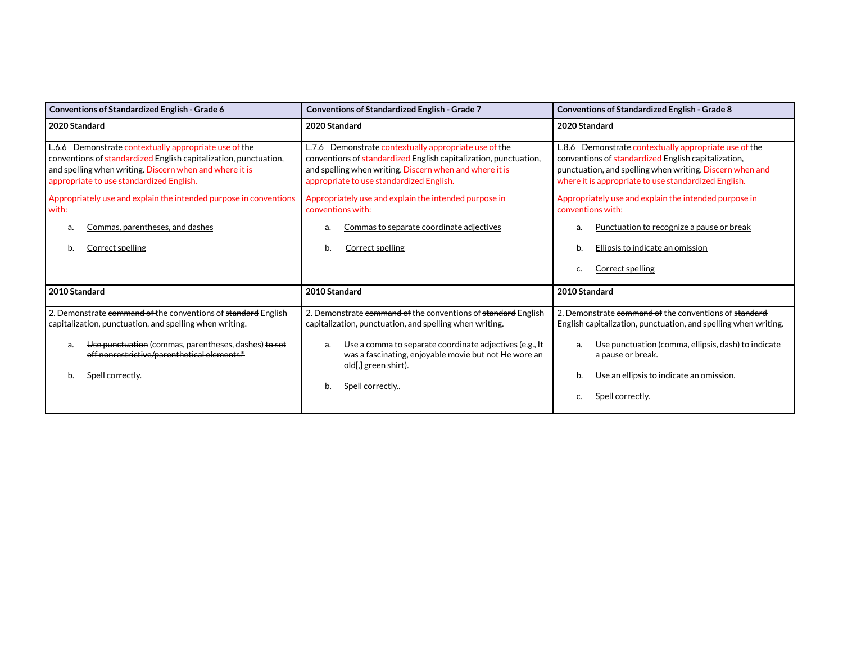| Conventions of Standardized English - Grade 6                                                                                                                                                                                                                   | Conventions of Standardized English - Grade 7                                                                                                                                                                                                                              | <b>Conventions of Standardized English - Grade 8</b>                                                                                                                                                                                                         |
|-----------------------------------------------------------------------------------------------------------------------------------------------------------------------------------------------------------------------------------------------------------------|----------------------------------------------------------------------------------------------------------------------------------------------------------------------------------------------------------------------------------------------------------------------------|--------------------------------------------------------------------------------------------------------------------------------------------------------------------------------------------------------------------------------------------------------------|
| 2020 Standard                                                                                                                                                                                                                                                   | 2020 Standard                                                                                                                                                                                                                                                              | 2020 Standard                                                                                                                                                                                                                                                |
| L.6.6 Demonstrate contextually appropriate use of the<br>conventions of standardized English capitalization, punctuation,<br>and spelling when writing. Discern when and where it is<br>appropriate to use standardized English.                                | L.7.6 Demonstrate contextually appropriate use of the<br>conventions of standardized English capitalization, punctuation,<br>and spelling when writing. Discern when and where it is<br>appropriate to use standardized English.                                           | L.8.6 Demonstrate contextually appropriate use of the<br>conventions of standardized English capitalization,<br>punctuation, and spelling when writing. Discern when and<br>where it is appropriate to use standardized English.                             |
| Appropriately use and explain the intended purpose in conventions<br>with:                                                                                                                                                                                      | Appropriately use and explain the intended purpose in<br>conventions with:                                                                                                                                                                                                 | Appropriately use and explain the intended purpose in<br>conventions with:                                                                                                                                                                                   |
| Commas, parentheses, and dashes<br>a.                                                                                                                                                                                                                           | Commas to separate coordinate adjectives                                                                                                                                                                                                                                   | Punctuation to recognize a pause or break<br>a.                                                                                                                                                                                                              |
| <b>Correct spelling</b><br>b.                                                                                                                                                                                                                                   | <b>Correct spelling</b><br>b.                                                                                                                                                                                                                                              | Ellipsis to indicate an omission<br>b.                                                                                                                                                                                                                       |
|                                                                                                                                                                                                                                                                 |                                                                                                                                                                                                                                                                            | Correct spelling<br>c.                                                                                                                                                                                                                                       |
| 2010 Standard                                                                                                                                                                                                                                                   | 2010 Standard                                                                                                                                                                                                                                                              | 2010 Standard                                                                                                                                                                                                                                                |
| 2. Demonstrate command of the conventions of standard English<br>capitalization, punctuation, and spelling when writing.<br>Use punctuation (commas, parentheses, dashes) to set<br>a.<br>off nonrestrictive/parenthetical elements.*<br>Spell correctly.<br>b. | 2. Demonstrate command of the conventions of standard English<br>capitalization, punctuation, and spelling when writing.<br>Use a comma to separate coordinate adjectives (e.g., It<br>a.<br>was a fascinating, enjoyable movie but not He wore an<br>old[,] green shirt). | 2. Demonstrate command of the conventions of standard<br>English capitalization, punctuation, and spelling when writing.<br>Use punctuation (comma, ellipsis, dash) to indicate<br>a.<br>a pause or break.<br>Use an ellipsis to indicate an omission.<br>b. |
|                                                                                                                                                                                                                                                                 | Spell correctly<br>b.                                                                                                                                                                                                                                                      | Spell correctly.<br>c.                                                                                                                                                                                                                                       |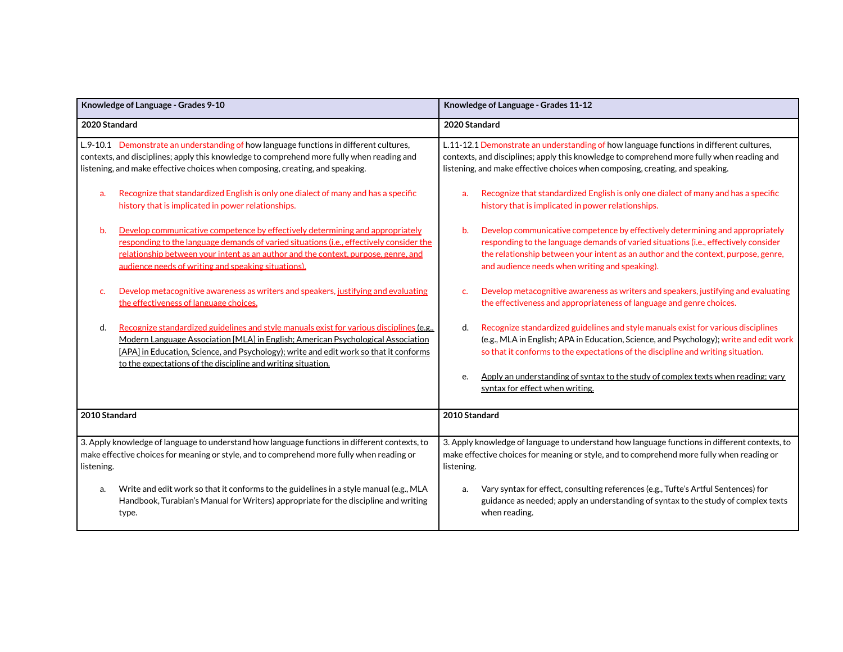| Knowledge of Language - Grades 9-10                                                                                                                                                                                                                                                                                                                              | Knowledge of Language - Grades 11-12                                                                                                                                                                                                                                                                                                                              |
|------------------------------------------------------------------------------------------------------------------------------------------------------------------------------------------------------------------------------------------------------------------------------------------------------------------------------------------------------------------|-------------------------------------------------------------------------------------------------------------------------------------------------------------------------------------------------------------------------------------------------------------------------------------------------------------------------------------------------------------------|
| 2020 Standard                                                                                                                                                                                                                                                                                                                                                    | 2020 Standard                                                                                                                                                                                                                                                                                                                                                     |
| L.9-10.1 Demonstrate an understanding of how language functions in different cultures,<br>contexts, and disciplines; apply this knowledge to comprehend more fully when reading and<br>listening, and make effective choices when composing, creating, and speaking.<br>Recognize that standardized English is only one dialect of many and has a specific<br>a. | L.11-12.1 Demonstrate an understanding of how language functions in different cultures,<br>contexts, and disciplines; apply this knowledge to comprehend more fully when reading and<br>listening, and make effective choices when composing, creating, and speaking.<br>Recognize that standardized English is only one dialect of many and has a specific<br>a. |
| history that is implicated in power relationships.                                                                                                                                                                                                                                                                                                               | history that is implicated in power relationships.                                                                                                                                                                                                                                                                                                                |
| Develop communicative competence by effectively determining and appropriately<br>b.<br>responding to the language demands of varied situations (i.e., effectively consider the<br>relationship between your intent as an author and the context, purpose, genre, and<br>audience needs of writing and speaking situations).                                      | Develop communicative competence by effectively determining and appropriately<br>b.<br>responding to the language demands of varied situations (i.e., effectively consider<br>the relationship between your intent as an author and the context, purpose, genre,<br>and audience needs when writing and speaking).                                                |
| Develop metacognitive awareness as writers and speakers, justifying and evaluating<br>c.<br>the effectiveness of language choices.                                                                                                                                                                                                                               | Develop metacognitive awareness as writers and speakers, justifying and evaluating<br>the effectiveness and appropriateness of language and genre choices.                                                                                                                                                                                                        |
| d.<br>Recognize standardized guidelines and style manuals exist for various disciplines (e.g.,<br>Modern Language Association [MLA] in English: American Psychological Association<br>[APA] in Education, Science, and Psychology); write and edit work so that it conforms<br>to the expectations of the discipline and writing situation.                      | Recognize standardized guidelines and style manuals exist for various disciplines<br>d.<br>(e.g., MLA in English; APA in Education, Science, and Psychology); write and edit work<br>so that it conforms to the expectations of the discipline and writing situation.                                                                                             |
|                                                                                                                                                                                                                                                                                                                                                                  | Apply an understanding of syntax to the study of complex texts when reading; vary<br>e.<br>syntax for effect when writing.                                                                                                                                                                                                                                        |
| 2010 Standard                                                                                                                                                                                                                                                                                                                                                    | 2010 Standard                                                                                                                                                                                                                                                                                                                                                     |
| 3. Apply knowledge of language to understand how language functions in different contexts, to<br>make effective choices for meaning or style, and to comprehend more fully when reading or<br>listening.                                                                                                                                                         | 3. Apply knowledge of language to understand how language functions in different contexts, to<br>make effective choices for meaning or style, and to comprehend more fully when reading or<br>listening.                                                                                                                                                          |
| Write and edit work so that it conforms to the guidelines in a style manual (e.g., MLA<br>a.<br>Handbook, Turabian's Manual for Writers) appropriate for the discipline and writing<br>type.                                                                                                                                                                     | Vary syntax for effect, consulting references (e.g., Tufte's Artful Sentences) for<br>a.<br>guidance as needed; apply an understanding of syntax to the study of complex texts<br>when reading.                                                                                                                                                                   |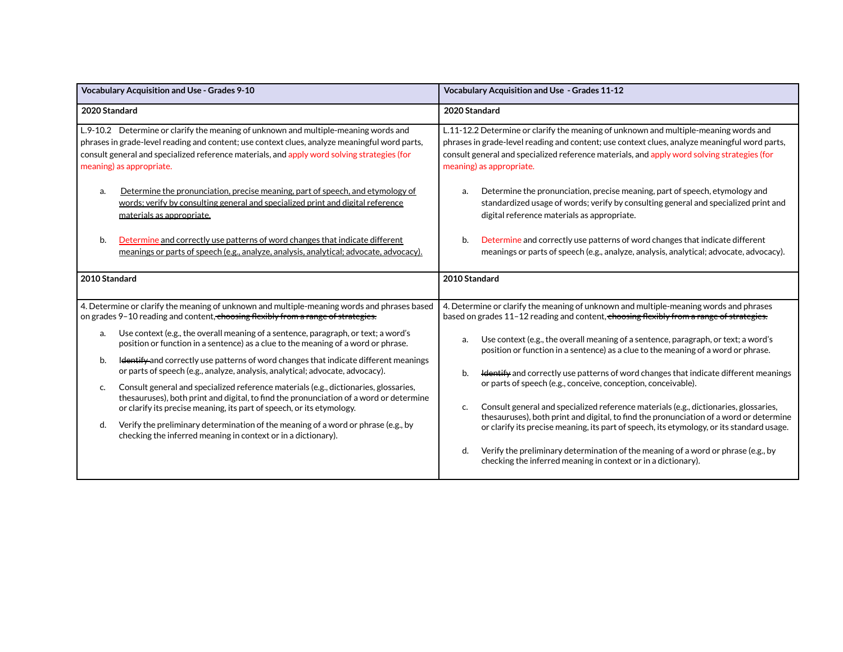|               | <b>Vocabulary Acquisition and Use - Grades 9-10</b>                                                                                                                                                                                                                                                             | <b>Vocabulary Acquisition and Use - Grades 11-12</b>                                                                                                                                                                                                                                                             |
|---------------|-----------------------------------------------------------------------------------------------------------------------------------------------------------------------------------------------------------------------------------------------------------------------------------------------------------------|------------------------------------------------------------------------------------------------------------------------------------------------------------------------------------------------------------------------------------------------------------------------------------------------------------------|
| 2020 Standard |                                                                                                                                                                                                                                                                                                                 | 2020 Standard                                                                                                                                                                                                                                                                                                    |
|               | L.9-10.2 Determine or clarify the meaning of unknown and multiple-meaning words and<br>phrases in grade-level reading and content; use context clues, analyze meaningful word parts,<br>consult general and specialized reference materials, and apply word solving strategies (for<br>meaning) as appropriate. | L.11-12.2 Determine or clarify the meaning of unknown and multiple-meaning words and<br>phrases in grade-level reading and content; use context clues, analyze meaningful word parts,<br>consult general and specialized reference materials, and apply word solving strategies (for<br>meaning) as appropriate. |
| a.            | Determine the pronunciation, precise meaning, part of speech, and etymology of<br>words; verify by consulting general and specialized print and digital reference<br>materials as appropriate.                                                                                                                  | Determine the pronunciation, precise meaning, part of speech, etymology and<br>a.<br>standardized usage of words; verify by consulting general and specialized print and<br>digital reference materials as appropriate.                                                                                          |
| b.            | Determine and correctly use patterns of word changes that indicate different<br>meanings or parts of speech (e.g., analyze, analysis, analytical; advocate, advocacy).                                                                                                                                          | Determine and correctly use patterns of word changes that indicate different<br>b.<br>meanings or parts of speech (e.g., analyze, analysis, analytical; advocate, advocacy).                                                                                                                                     |
| 2010 Standard |                                                                                                                                                                                                                                                                                                                 | 2010 Standard                                                                                                                                                                                                                                                                                                    |
|               | 4. Determine or clarify the meaning of unknown and multiple-meaning words and phrases based<br>on grades 9-10 reading and content, choosing flexibly from a range of strategies.                                                                                                                                | 4. Determine or clarify the meaning of unknown and multiple-meaning words and phrases<br>based on grades 11-12 reading and content, choosing flexibly from a range of strategies.                                                                                                                                |
| a.            | Use context (e.g., the overall meaning of a sentence, paragraph, or text; a word's<br>position or function in a sentence) as a clue to the meaning of a word or phrase.                                                                                                                                         | Use context (e.g., the overall meaning of a sentence, paragraph, or text; a word's<br>a.<br>position or function in a sentence) as a clue to the meaning of a word or phrase.                                                                                                                                    |
| b.            | Identify and correctly use patterns of word changes that indicate different meanings<br>or parts of speech (e.g., analyze, analysis, analytical; advocate, advocacy).                                                                                                                                           | <b>Hentify</b> and correctly use patterns of word changes that indicate different meanings<br>b.                                                                                                                                                                                                                 |
| c.            | Consult general and specialized reference materials (e.g., dictionaries, glossaries,<br>the sauruses), both print and digital, to find the pronunciation of a word or determine<br>or clarify its precise meaning, its part of speech, or its etymology.                                                        | or parts of speech (e.g., conceive, conception, conceivable).<br>Consult general and specialized reference materials (e.g., dictionaries, glossaries,<br>c.<br>thesauruses), both print and digital, to find the pronunciation of a word or determine                                                            |
| d.            | Verify the preliminary determination of the meaning of a word or phrase (e.g., by<br>checking the inferred meaning in context or in a dictionary).                                                                                                                                                              | or clarify its precise meaning, its part of speech, its etymology, or its standard usage.                                                                                                                                                                                                                        |
|               |                                                                                                                                                                                                                                                                                                                 | Verify the preliminary determination of the meaning of a word or phrase (e.g., by<br>d.<br>checking the inferred meaning in context or in a dictionary).                                                                                                                                                         |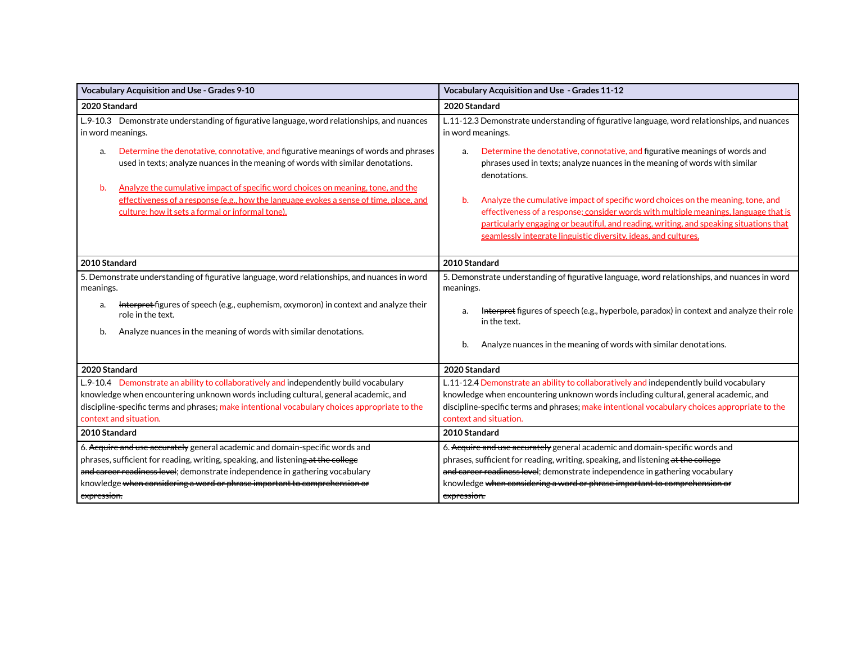| <b>Vocabulary Acquisition and Use - Grades 9-10</b>                                                                                                                                                                                                                                                                                          | Vocabulary Acquisition and Use - Grades 11-12                                                                                                                                                                                                                                                                                                |  |
|----------------------------------------------------------------------------------------------------------------------------------------------------------------------------------------------------------------------------------------------------------------------------------------------------------------------------------------------|----------------------------------------------------------------------------------------------------------------------------------------------------------------------------------------------------------------------------------------------------------------------------------------------------------------------------------------------|--|
| 2020 Standard                                                                                                                                                                                                                                                                                                                                | 2020 Standard                                                                                                                                                                                                                                                                                                                                |  |
| L.9-10.3 Demonstrate understanding of figurative language, word relationships, and nuances<br>in word meanings.                                                                                                                                                                                                                              | L.11-12.3 Demonstrate understanding of figurative language, word relationships, and nuances<br>in word meanings.                                                                                                                                                                                                                             |  |
| Determine the denotative, connotative, and figurative meanings of words and phrases<br>a.<br>used in texts; analyze nuances in the meaning of words with similar denotations.                                                                                                                                                                | Determine the denotative, connotative, and figurative meanings of words and<br>a.<br>phrases used in texts; analyze nuances in the meaning of words with similar<br>denotations.                                                                                                                                                             |  |
| Analyze the cumulative impact of specific word choices on meaning, tone, and the<br>b.<br>effectiveness of a response (e.g., how the language evokes a sense of time, place, and<br>culture; how it sets a formal or informal tone).                                                                                                         | Analyze the cumulative impact of specific word choices on the meaning, tone, and<br>b.<br>effectiveness of a response; consider words with multiple meanings, language that is<br>particularly engaging or beautiful, and reading, writing, and speaking situations that<br>seamlessly integrate linguistic diversity, ideas, and cultures.  |  |
| 2010 Standard                                                                                                                                                                                                                                                                                                                                | 2010 Standard                                                                                                                                                                                                                                                                                                                                |  |
| 5. Demonstrate understanding of figurative language, word relationships, and nuances in word<br>meanings.<br>Interpret-figures of speech (e.g., euphemism, oxymoron) in context and analyze their<br>a.                                                                                                                                      | 5. Demonstrate understanding of figurative language, word relationships, and nuances in word<br>meanings.                                                                                                                                                                                                                                    |  |
| role in the text.<br>Analyze nuances in the meaning of words with similar denotations.<br>b.                                                                                                                                                                                                                                                 | Interpret figures of speech (e.g., hyperbole, paradox) in context and analyze their role<br>in the text.<br>Analyze nuances in the meaning of words with similar denotations.<br>b.                                                                                                                                                          |  |
|                                                                                                                                                                                                                                                                                                                                              |                                                                                                                                                                                                                                                                                                                                              |  |
| 2020 Standard                                                                                                                                                                                                                                                                                                                                | 2020 Standard                                                                                                                                                                                                                                                                                                                                |  |
| L.9-10.4 Demonstrate an ability to collaboratively and independently build vocabulary<br>knowledge when encountering unknown words including cultural, general academic, and<br>discipline-specific terms and phrases; make intentional vocabulary choices appropriate to the<br>context and situation.                                      | L.11-12.4 Demonstrate an ability to collaboratively and independently build vocabulary<br>knowledge when encountering unknown words including cultural, general academic, and<br>discipline-specific terms and phrases; make intentional vocabulary choices appropriate to the<br>context and situation.                                     |  |
| 2010 Standard                                                                                                                                                                                                                                                                                                                                | 2010 Standard                                                                                                                                                                                                                                                                                                                                |  |
| 6. Acquire and use accurately general academic and domain-specific words and<br>phrases, sufficient for reading, writing, speaking, and listening at the college<br>and career readiness level; demonstrate independence in gathering vocabulary<br>knowledge when considering a word or phrase important to comprehension or<br>expression. | 6. Acquire and use accurately general academic and domain-specific words and<br>phrases, sufficient for reading, writing, speaking, and listening at the college<br>and career readiness level; demonstrate independence in gathering vocabulary<br>knowledge when considering a word or phrase important to comprehension or<br>expression. |  |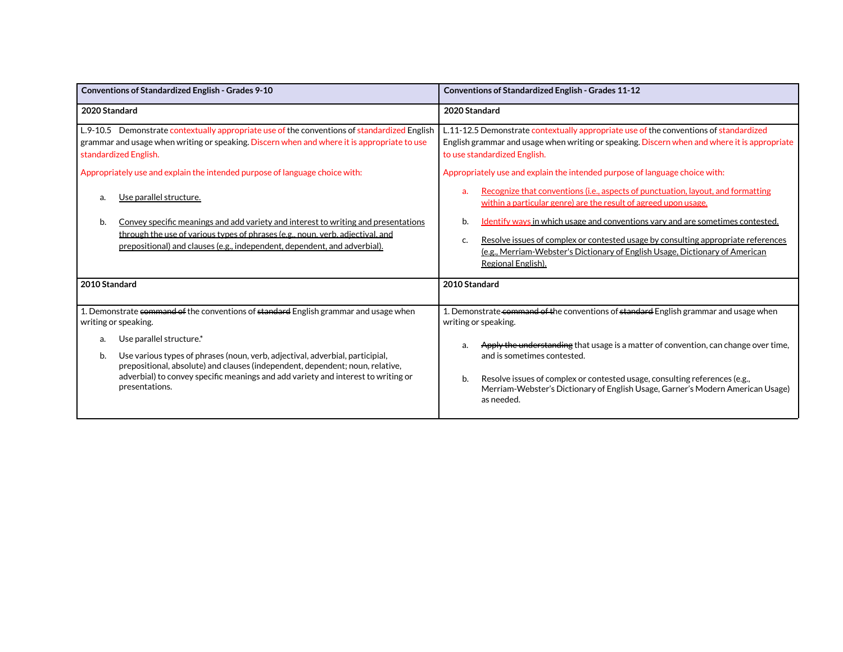| <b>Conventions of Standardized English - Grades 9-10</b>                                                                                                                                                                                                | Conventions of Standardized English - Grades 11-12                                                                                                                                                                                                                                    |  |
|---------------------------------------------------------------------------------------------------------------------------------------------------------------------------------------------------------------------------------------------------------|---------------------------------------------------------------------------------------------------------------------------------------------------------------------------------------------------------------------------------------------------------------------------------------|--|
| 2020 Standard                                                                                                                                                                                                                                           | 2020 Standard                                                                                                                                                                                                                                                                         |  |
| L.9-10.5 Demonstrate contextually appropriate use of the conventions of standardized English<br>grammar and usage when writing or speaking. Discern when and where it is appropriate to use<br>standardized English.                                    | L.11-12.5 Demonstrate contextually appropriate use of the conventions of standardized<br>English grammar and usage when writing or speaking. Discern when and where it is appropriate<br>to use standardized English.                                                                 |  |
| Appropriately use and explain the intended purpose of language choice with:                                                                                                                                                                             | Appropriately use and explain the intended purpose of language choice with:                                                                                                                                                                                                           |  |
| Use parallel structure.<br>a.                                                                                                                                                                                                                           | Recognize that conventions (i.e., aspects of punctuation, layout, and formatting<br>a.<br>within a particular genre) are the result of agreed upon usage.                                                                                                                             |  |
| Convey specific meanings and add variety and interest to writing and presentations<br>b.<br>through the use of various types of phrases (e.g., noun, verb, adjectival, and<br>prepositional) and clauses (e.g., independent, dependent, and adverbial). | Identify ways in which usage and conventions vary and are sometimes contested.<br>b.<br>Resolve issues of complex or contested usage by consulting appropriate references<br>C.<br>(e.g., Merriam-Webster's Dictionary of English Usage, Dictionary of American<br>Regional English). |  |
| 2010 Standard                                                                                                                                                                                                                                           | 2010 Standard                                                                                                                                                                                                                                                                         |  |
| 1. Demonstrate command of the conventions of standard English grammar and usage when<br>writing or speaking.                                                                                                                                            | 1. Demonstrate command of the conventions of standard English grammar and usage when<br>writing or speaking.                                                                                                                                                                          |  |
| Use parallel structure.*<br>a.<br>Use various types of phrases (noun, verb, adjectival, adverbial, participial,                                                                                                                                         | Apply the understanding that usage is a matter of convention, can change over time,<br>and is sometimes contested.                                                                                                                                                                    |  |
| b.<br>prepositional, absolute) and clauses (independent, dependent; noun, relative,<br>adverbial) to convey specific meanings and add variety and interest to writing or<br>presentations.                                                              | Resolve issues of complex or contested usage, consulting references (e.g.,<br>b.<br>Merriam-Webster's Dictionary of English Usage, Garner's Modern American Usage)<br>as needed.                                                                                                      |  |